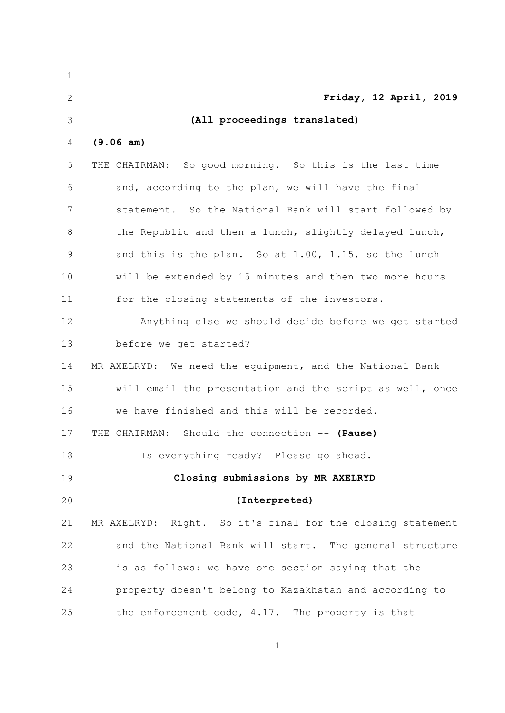| 1             |                                                               |
|---------------|---------------------------------------------------------------|
| $\mathbf{2}$  | Friday, 12 April, 2019                                        |
| 3             | (All proceedings translated)                                  |
| 4             | (9.06 am)                                                     |
| 5             | THE CHAIRMAN: So good morning. So this is the last time       |
| 6             | and, according to the plan, we will have the final            |
| 7             | statement. So the National Bank will start followed by        |
| 8             | the Republic and then a lunch, slightly delayed lunch,        |
| $\mathcal{G}$ | and this is the plan. So at 1.00, 1.15, so the lunch          |
| 10            | will be extended by 15 minutes and then two more hours        |
| 11            | for the closing statements of the investors.                  |
| 12            | Anything else we should decide before we get started          |
| 13            | before we get started?                                        |
| 14            | MR AXELRYD: We need the equipment, and the National Bank      |
| 15            | will email the presentation and the script as well, once      |
| 16            | we have finished and this will be recorded.                   |
| 17            | THE CHAIRMAN: Should the connection -- (Pause)                |
| 18            | Is everything ready? Please go ahead.                         |
| 19            | Closing submissions by MR AXELRYD                             |
| 20            | (Interpreted)                                                 |
| 21            | Right. So it's final for the closing statement<br>MR AXELRYD: |
| 22            | and the National Bank will start. The general structure       |
| 23            | is as follows: we have one section saying that the            |
| 24            | property doesn't belong to Kazakhstan and according to        |
| 25            | the enforcement code, 4.17. The property is that              |

 $\mathbf{1}$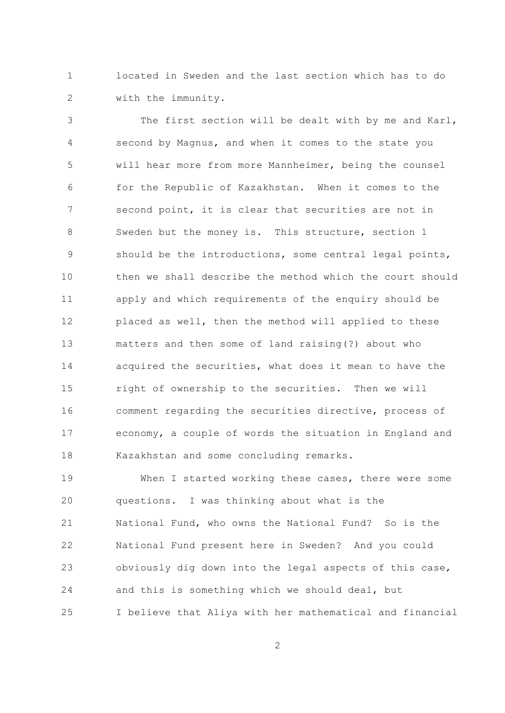located in Sweden and the last section which has to do  $\mathbf{1}$  $\overline{2}$ with the immunity.

The first section will be dealt with by me and Karl, 3 second by Magnus, and when it comes to the state you  $\overline{4}$ 5 will hear more from more Mannheimer, being the counsel for the Republic of Kazakhstan. When it comes to the 6  $\overline{7}$ second point, it is clear that securities are not in  $\mathcal{S}_{\mathcal{S}}$ Sweden but the money is. This structure, section 1 should be the introductions, some central legal points, 9  $10$ then we shall describe the method which the court should  $11$ apply and which requirements of the enquiry should be  $12$ placed as well, then the method will applied to these  $13$ matters and then some of land raising(?) about who 14 acquired the securities, what does it mean to have the 15 right of ownership to the securities. Then we will comment regarding the securities directive, process of 16 economy, a couple of words the situation in England and  $17$ 18 Kazakhstan and some concluding remarks.

19 When I started working these cases, there were some 20 questions. I was thinking about what is the 21 National Fund, who owns the National Fund? So is the 22 National Fund present here in Sweden? And you could obviously dig down into the legal aspects of this case, 23 24 and this is something which we should deal, but I believe that Aliya with her mathematical and financial 25

 $\overline{2}$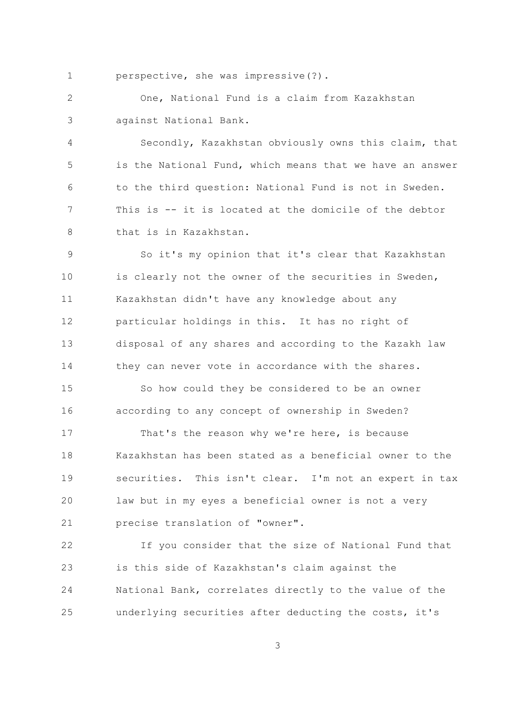perspective, she was impressive(?).  $\mathbf{1}$ 

 $\overline{2}$ One, National Fund is a claim from Kazakhstan against National Bank. 3

 $\overline{4}$ Secondly, Kazakhstan obviously owns this claim, that 5 is the National Fund, which means that we have an answer to the third question: National Fund is not in Sweden. 6  $7\overline{ }$ This is -- it is located at the domicile of the debtor  $\mathcal{S}_{\mathcal{S}}$ that is in Kazakhstan.

So it's my opinion that it's clear that Kazakhstan 9  $10$ is clearly not the owner of the securities in Sweden, Kazakhstan didn't have any knowledge about any  $11$ particular holdings in this. It has no right of 12 disposal of any shares and according to the Kazakh law  $13$ 14 they can never vote in accordance with the shares.

1.5 So how could they be considered to be an owner according to any concept of ownership in Sweden? 16

 $17$ That's the reason why we're here, is because Kazakhstan has been stated as a beneficial owner to the  $18$  $19$ securities. This isn't clear. I'm not an expert in tax 20 law but in my eyes a beneficial owner is not a very 21 precise translation of "owner".

If you consider that the size of National Fund that 22 is this side of Kazakhstan's claim against the 23 24 National Bank, correlates directly to the value of the underlying securities after deducting the costs, it's 25

 $\overline{3}$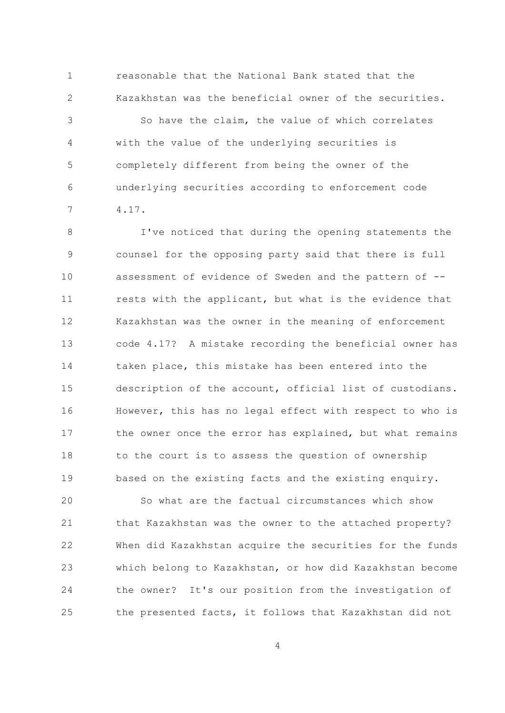reasonable that the National Bank stated that the  $\mathbf{1}$  $\overline{2}$ Kazakhstan was the beneficial owner of the securities.

So have the claim, the value of which correlates 3 with the value of the underlying securities is  $\overline{4}$ 5 completely different from being the owner of the underlying securities according to enforcement code 6  $\overline{7}$  $4.17.$ 

I've noticed that during the opening statements the 8 counsel for the opposing party said that there is full 9 10 assessment of evidence of Sweden and the pattern of -rests with the applicant, but what is the evidence that  $11$  $12$ Kazakhstan was the owner in the meaning of enforcement  $13$ code 4.17? A mistake recording the beneficial owner has 14 taken place, this mistake has been entered into the description of the account, official list of custodians. 15 However, this has no legal effect with respect to who is 16 the owner once the error has explained, but what remains  $17$ 18 to the court is to assess the question of ownership 19 based on the existing facts and the existing enquiry.

So what are the factual circumstances which show 20 21 that Kazakhstan was the owner to the attached property? 22 When did Kazakhstan acquire the securities for the funds which belong to Kazakhstan, or how did Kazakhstan become 23 24 the owner? It's our position from the investigation of the presented facts, it follows that Kazakhstan did not 25

 $\overline{4}$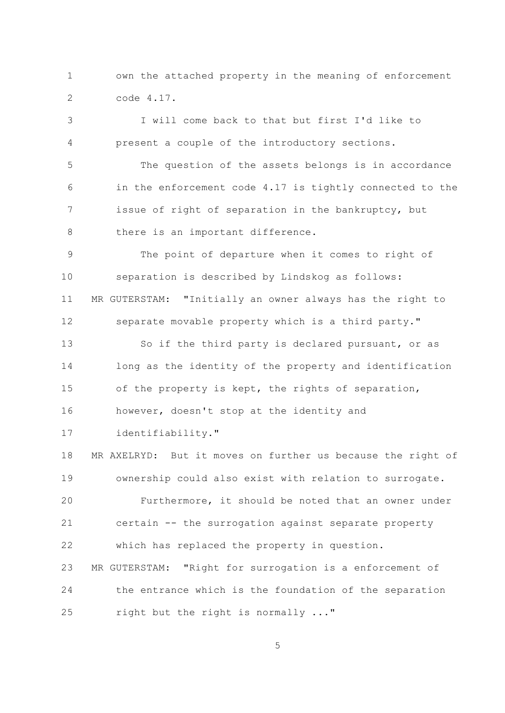$\mathbf{1}$ own the attached property in the meaning of enforcement  $\overline{2}$ code 4.17.

I will come back to that but first I'd like to 3 present a couple of the introductory sections. 4 5 The question of the assets belongs is in accordance in the enforcement code 4.17 is tightly connected to the 6  $7\overline{ }$ issue of right of separation in the bankruptcy, but 8 there is an important difference. The point of departure when it comes to right of 9  $10$ separation is described by Lindskog as follows: MR GUTERSTAM: "Initially an owner always has the right to  $11$ separate movable property which is a third party." 12  $13$ So if the third party is declared pursuant, or as 14 long as the identity of the property and identification 15 of the property is kept, the rights of separation, 16 however, doesn't stop at the identity and identifiability."  $17$ 18 MR AXELRYD: But it moves on further us because the right of 19 ownership could also exist with relation to surrogate.

Furthermore, it should be noted that an owner under 20 21 certain -- the surrogation against separate property  $22$ which has replaced the property in question.

MR GUTERSTAM: "Right for surrogation is a enforcement of 23 24 the entrance which is the foundation of the separation right but the right is normally ..." 25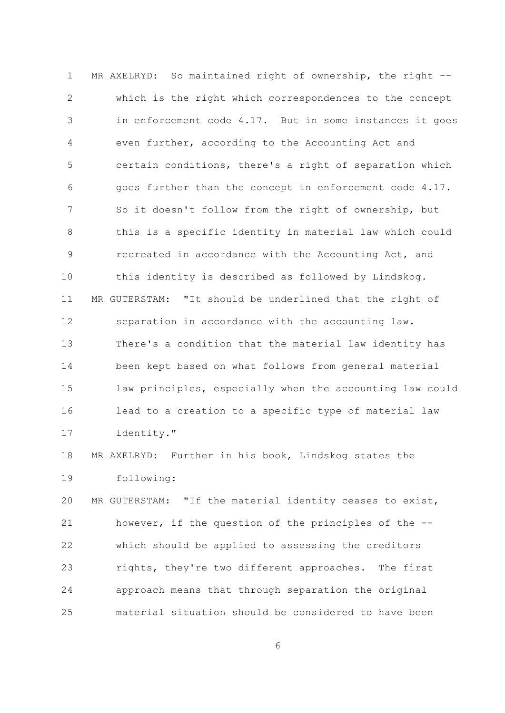$\mathbf{1}$ MR AXELRYD: So maintained right of ownership, the right -- $\overline{2}$ which is the right which correspondences to the concept in enforcement code 4.17. But in some instances it goes 3 even further, according to the Accounting Act and 4 5 certain conditions, there's a right of separation which goes further than the concept in enforcement code 4.17. 6  $7\overline{ }$ So it doesn't follow from the right of ownership, but this is a specific identity in material law which could 8 recreated in accordance with the Accounting Act, and 9  $10$ this identity is described as followed by Lindskog.  $11$ MR GUTERSTAM: "It should be underlined that the right of 12 separation in accordance with the accounting law.  $13$ There's a condition that the material law identity has 14 been kept based on what follows from general material 15 law principles, especially when the accounting law could 16 lead to a creation to a specific type of material law identity."  $17$ 

MR AXELRYD: Further in his book, Lindskog states the  $18$ 19 following:

20 MR GUTERSTAM: "If the material identity ceases to exist, 21 however, if the question of the principles of the --22 which should be applied to assessing the creditors 23 rights, they're two different approaches. The first 24 approach means that through separation the original 25 material situation should be considered to have been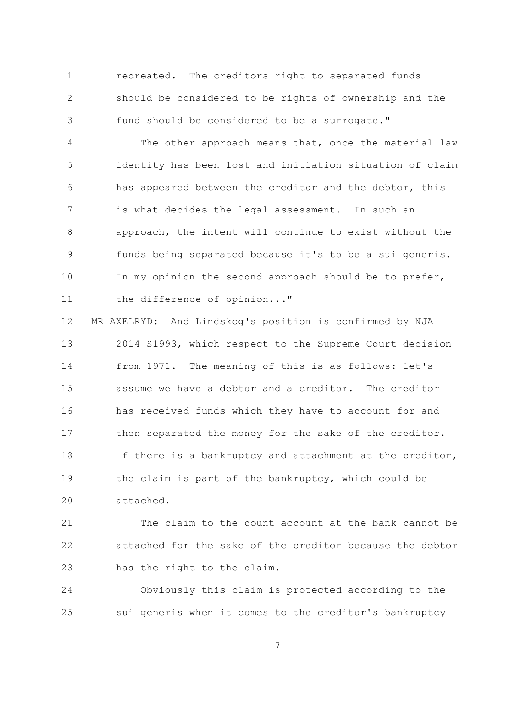$\mathbf{1}$ The creditors right to separated funds recreated.  $\overline{2}$ should be considered to be rights of ownership and the fund should be considered to be a surrogate." 3

The other approach means that, once the material law  $\overline{4}$ 5 identity has been lost and initiation situation of claim has appeared between the creditor and the debtor, this 6  $7\overline{ }$ is what decides the legal assessment. In such an approach, the intent will continue to exist without the 8 funds being separated because it's to be a sui generis. 9  $10$ In my opinion the second approach should be to prefer, the difference of opinion..."  $11$ 

MR AXELRYD: And Lindskog's position is confirmed by NJA 12  $13$ 2014 S1993, which respect to the Supreme Court decision 14 from 1971. The meaning of this is as follows: let's 1.5 assume we have a debtor and a creditor. The creditor has received funds which they have to account for and 16 then separated the money for the sake of the creditor.  $17$ 18 If there is a bankruptcy and attachment at the creditor, 19 the claim is part of the bankruptcy, which could be 20 attached.

21 The claim to the count account at the bank cannot be attached for the sake of the creditor because the debtor 22 has the right to the claim. 23

24 Obviously this claim is protected according to the sui generis when it comes to the creditor's bankruptcy 25

 $\overline{7}$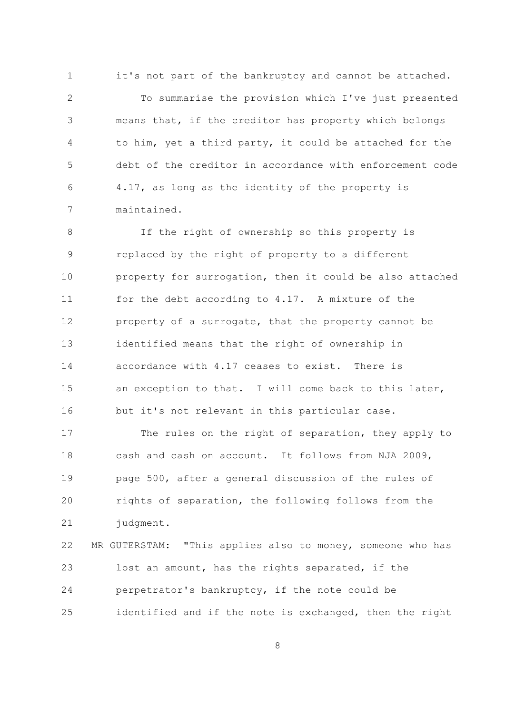$\mathbf{1}$ it's not part of the bankruptcy and cannot be attached.  $\overline{2}$ To summarise the provision which I've just presented means that, if the creditor has property which belongs 3 to him, yet a third party, it could be attached for the 4 5 debt of the creditor in accordance with enforcement code 4.17, as long as the identity of the property is 6  $7\overline{ }$ maintained.

If the right of ownership so this property is 8 replaced by the right of property to a different 9  $10$ property for surrogation, then it could be also attached for the debt according to 4.17. A mixture of the  $11$ 12 property of a surrogate, that the property cannot be  $13$ identified means that the right of ownership in accordance with 4.17 ceases to exist. There is 14 15 an exception to that. I will come back to this later, but it's not relevant in this particular case. 16

The rules on the right of separation, they apply to  $17$ cash and cash on account. It follows from NJA 2009, 18 19 page 500, after a general discussion of the rules of rights of separation, the following follows from the 20 21 judgment.

22 MR GUTERSTAM: "This applies also to money, someone who has 23 lost an amount, has the rights separated, if the 24 perpetrator's bankruptcy, if the note could be 25 identified and if the note is exchanged, then the right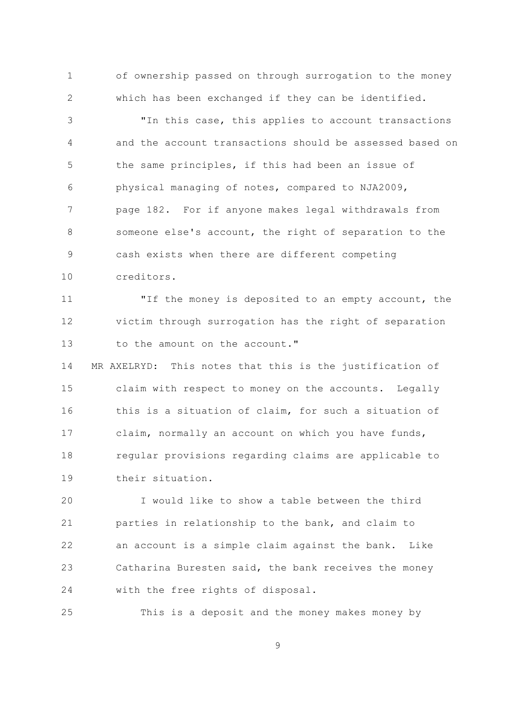$\mathbf{1}$ of ownership passed on through surrogation to the money  $\overline{2}$ which has been exchanged if they can be identified.

"In this case, this applies to account transactions 3 and the account transactions should be assessed based on  $\overline{4}$ 5 the same principles, if this had been an issue of physical managing of notes, compared to NJA2009, 6  $\overline{7}$ page 182. For if anyone makes legal withdrawals from  $\mathcal{S}_{\mathcal{S}}$ someone else's account, the right of separation to the cash exists when there are different competing 9  $10$ creditors.

"If the money is deposited to an empty account, the  $11$ 12 victim through surrogation has the right of separation  $13$ to the amount on the account."

14 MR AXELRYD: This notes that this is the justification of 15 claim with respect to money on the accounts. Legally this is a situation of claim, for such a situation of 16 claim, normally an account on which you have funds,  $17$ 18 regular provisions regarding claims are applicable to their situation.  $19$ 

I would like to show a table between the third 20 21 parties in relationship to the bank, and claim to 22 an account is a simple claim against the bank. Like Catharina Buresten said, the bank receives the money 23 24 with the free rights of disposal.

25 This is a deposit and the money makes money by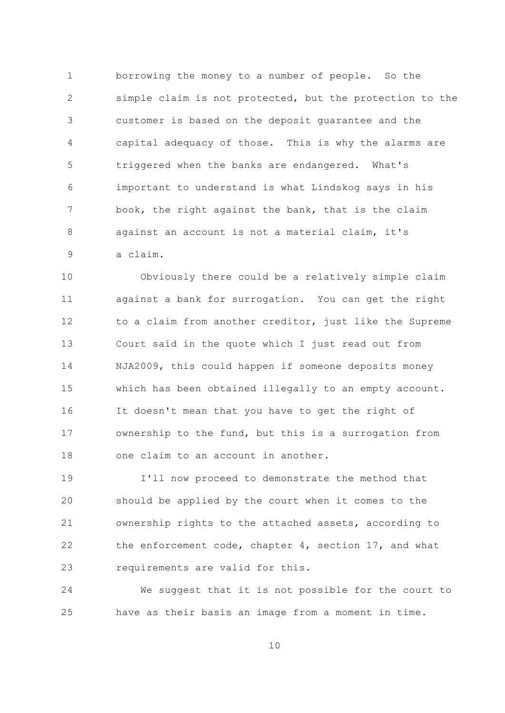$\mathbf{1}$ borrowing the money to a number of people. So the  $\overline{2}$ simple claim is not protected, but the protection to the customer is based on the deposit quarantee and the 3  $\sqrt{4}$ capital adequacy of those. This is why the alarms are 5 triggered when the banks are endangered. What's important to understand is what Lindskog says in his 6  $7\overline{ }$ book, the right against the bank, that is the claim  $\mathcal{S}_{\mathcal{S}}$ against an account is not a material claim, it's a claim. 9

 $10$ Obviously there could be a relatively simple claim against a bank for surrogation. You can get the right  $11$ to a claim from another creditor, just like the Supreme 12  $13$ Court said in the quote which I just read out from 14 NJA2009, this could happen if someone deposits money 1.5 which has been obtained illegally to an empty account. 16 It doesn't mean that you have to get the right of ownership to the fund, but this is a surrogation from  $17$ one claim to an account in another. 18

19 I'll now proceed to demonstrate the method that 20 should be applied by the court when it comes to the 21 ownership rights to the attached assets, according to 22 the enforcement code, chapter 4, section 17, and what requirements are valid for this. 23

24 We suggest that it is not possible for the court to have as their basis an image from a moment in time. 25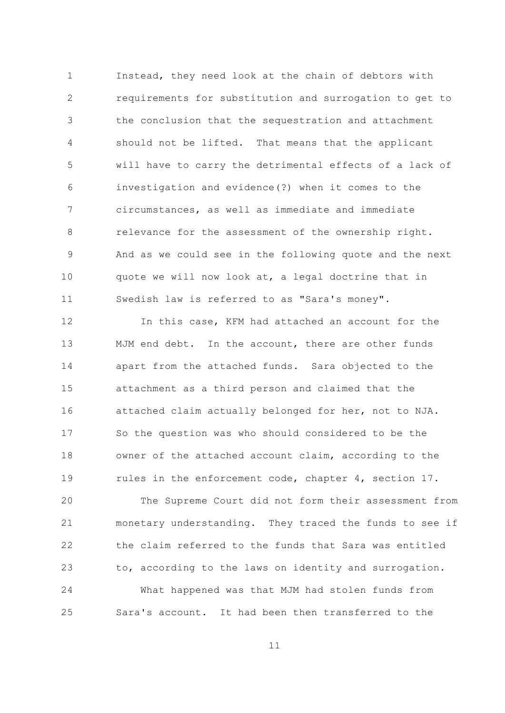$\mathbf{1}$ Instead, they need look at the chain of debtors with  $\overline{2}$ requirements for substitution and surrogation to get to the conclusion that the sequestration and attachment 3 should not be lifted. That means that the applicant  $\overline{4}$ 5 will have to carry the detrimental effects of a lack of investigation and evidence(?) when it comes to the 6  $\overline{7}$ circumstances, as well as immediate and immediate  $\beta$ relevance for the assessment of the ownership right. And as we could see in the following quote and the next 9  $10$ quote we will now look at, a legal doctrine that in Swedish law is referred to as "Sara's money".  $11$ 

 $12$ In this case, KFM had attached an account for the  $13$ MJM end debt. In the account, there are other funds 14 apart from the attached funds. Sara objected to the 1.5 attachment as a third person and claimed that the attached claim actually belonged for her, not to NJA. 16 So the question was who should considered to be the  $17$  $18$ owner of the attached account claim, according to the  $19$ rules in the enforcement code, chapter 4, section 17.

20 The Supreme Court did not form their assessment from 21 monetary understanding. They traced the funds to see if  $22$ the claim referred to the funds that Sara was entitled 23 to, according to the laws on identity and surrogation. 24 What happened was that MJM had stolen funds from Sara's account. It had been then transferred to the  $2.5$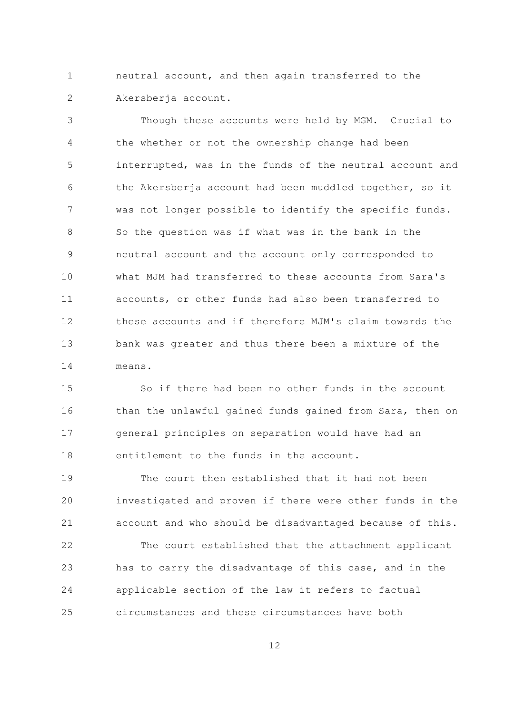$\mathbf{1}$ neutral account, and then again transferred to the  $\overline{2}$ Akersberja account.

Though these accounts were held by MGM. Crucial to 3 the whether or not the ownership change had been  $\overline{4}$ 5 interrupted, was in the funds of the neutral account and the Akersberja account had been muddled together, so it 6  $\overline{7}$ was not longer possible to identify the specific funds. So the question was if what was in the bank in the  $\mathsf{R}$ neutral account and the account only corresponded to 9  $10$ what MJM had transferred to these accounts from Sara's accounts, or other funds had also been transferred to  $11$ these accounts and if therefore MJM's claim towards the  $12$  $13$ bank was greater and thus there been a mixture of the  $14$ means.

1.5 So if there had been no other funds in the account than the unlawful gained funds gained from Sara, then on 16 general principles on separation would have had an  $17$ entitlement to the funds in the account.  $18$ 

 $19$ The court then established that it had not been 20 investigated and proven if there were other funds in the 21 account and who should be disadvantaged because of this.  $22$ The court established that the attachment applicant has to carry the disadvantage of this case, and in the 23 24 applicable section of the law it refers to factual circumstances and these circumstances have both  $2.5$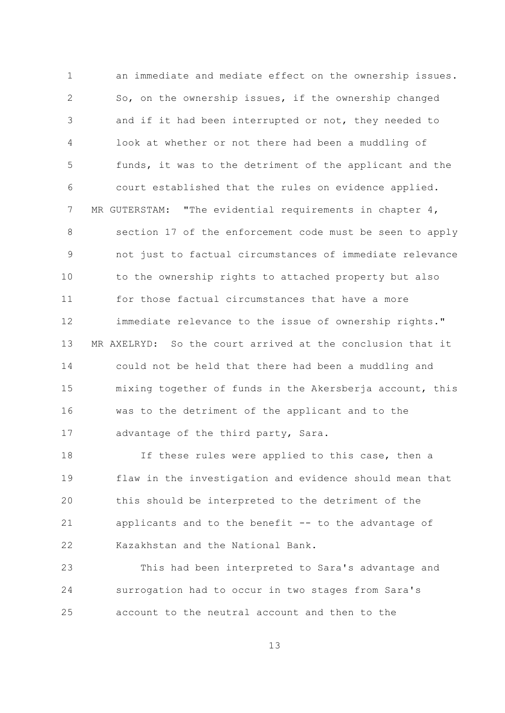$\mathbf{1}$ an immediate and mediate effect on the ownership issues.  $\overline{2}$ So, on the ownership issues, if the ownership changed and if it had been interrupted or not, they needed to 3 look at whether or not there had been a muddling of  $\overline{4}$ 5 funds, it was to the detriment of the applicant and the court established that the rules on evidence applied. 6  $7\overline{ }$ MR GUTERSTAM: "The evidential requirements in chapter  $4$ ,  $\mathcal{S}_{\mathcal{S}}$ section 17 of the enforcement code must be seen to apply not just to factual circumstances of immediate relevance 9  $10$ to the ownership rights to attached property but also  $11$ for those factual circumstances that have a more immediate relevance to the issue of ownership rights."  $12$  $13$ MR AXELRYD: So the court arrived at the conclusion that it 14 could not be held that there had been a muddling and 15 mixing together of funds in the Akersberja account, this was to the detriment of the applicant and to the 16 advantage of the third party, Sara. 17

 $18$ If these rules were applied to this case, then a 19 flaw in the investigation and evidence should mean that 20 this should be interpreted to the detriment of the 21 applicants and to the benefit -- to the advantage of 22 Kazakhstan and the National Bank.

23 This had been interpreted to Sara's advantage and surrogation had to occur in two stages from Sara's 24 account to the neutral account and then to the 25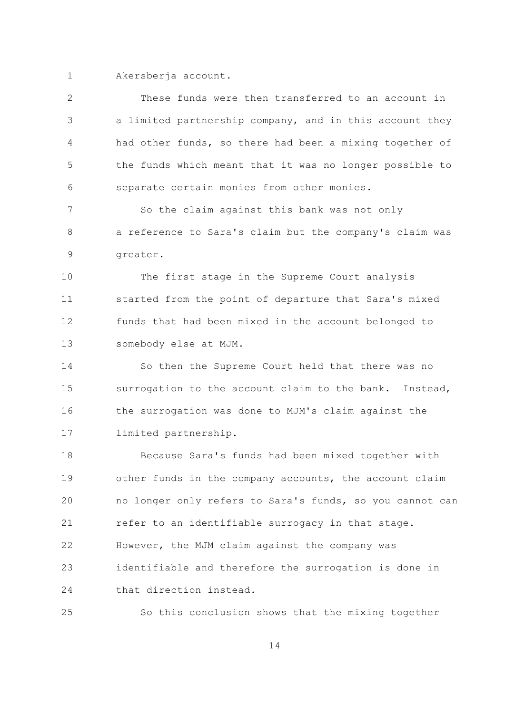1 Akersberja account.

| 2  | These funds were then transferred to an account in       |
|----|----------------------------------------------------------|
| 3  | a limited partnership company, and in this account they  |
| 4  | had other funds, so there had been a mixing together of  |
| 5  | the funds which meant that it was no longer possible to  |
| 6  | separate certain monies from other monies.               |
| 7  | So the claim against this bank was not only              |
| 8  | a reference to Sara's claim but the company's claim was  |
| 9  | greater.                                                 |
| 10 | The first stage in the Supreme Court analysis            |
| 11 | started from the point of departure that Sara's mixed    |
| 12 | funds that had been mixed in the account belonged to     |
| 13 | somebody else at MJM.                                    |
| 14 | So then the Supreme Court held that there was no         |
| 15 | surrogation to the account claim to the bank. Instead,   |
| 16 | the surrogation was done to MJM's claim against the      |
| 17 | limited partnership.                                     |
| 18 | Because Sara's funds had been mixed together with        |
| 19 | other funds in the company accounts, the account claim   |
| 20 | no longer only refers to Sara's funds, so you cannot can |
| 21 | refer to an identifiable surrogacy in that stage.        |
| 22 | However, the MJM claim against the company was           |
| 23 | identifiable and therefore the surrogation is done in    |
| 24 | that direction instead.                                  |
| 25 | So this conclusion shows that the mixing together        |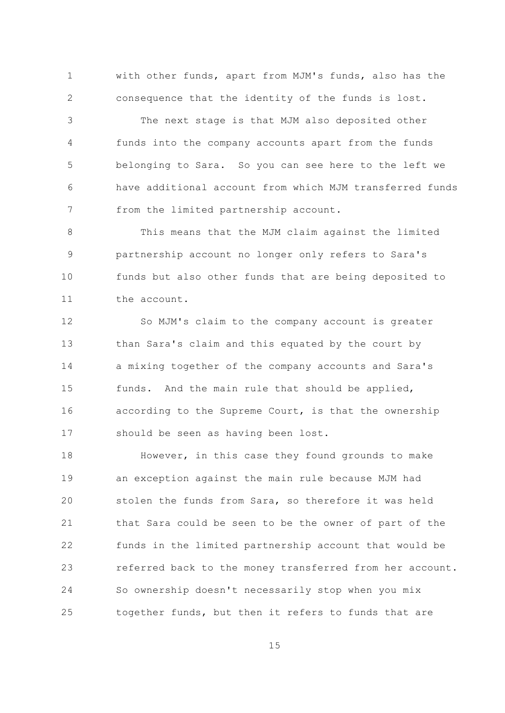with other funds, apart from MJM's funds, also has the  $\mathbf{1}$  $\overline{2}$ consequence that the identity of the funds is lost.

The next stage is that MJM also deposited other 3  $\overline{4}$ funds into the company accounts apart from the funds 5 belonging to Sara. So you can see here to the left we have additional account from which MJM transferred funds 6  $7\overline{ }$ from the limited partnership account.

 $\mathcal{S}_{\mathcal{S}}$ This means that the MJM claim against the limited partnership account no longer only refers to Sara's 9  $10$ funds but also other funds that are being deposited to  $11$ the account.

 $12$ So MJM's claim to the company account is greater  $13$ than Sara's claim and this equated by the court by 14 a mixing together of the company accounts and Sara's 1.5 funds. And the main rule that should be applied, according to the Supreme Court, is that the ownership 16 should be seen as having been lost.  $17$ 

 $18$ However, in this case they found grounds to make 19 an exception against the main rule because MJM had 20 stolen the funds from Sara, so therefore it was held 21 that Sara could be seen to be the owner of part of the 22 funds in the limited partnership account that would be 23 referred back to the money transferred from her account. 24 So ownership doesn't necessarily stop when you mix together funds, but then it refers to funds that are 25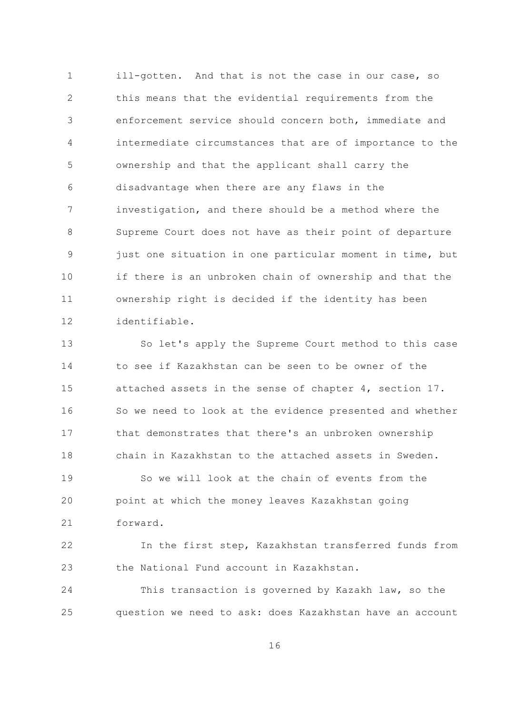$\mathbf{1}$ ill-gotten. And that is not the case in our case, so  $\overline{2}$ this means that the evidential requirements from the enforcement service should concern both, immediate and 3 intermediate circumstances that are of importance to the  $\overline{4}$ 5 ownership and that the applicant shall carry the disadvantage when there are any flaws in the 6  $\overline{7}$ investigation, and there should be a method where the  $\mathcal{S}_{\mathcal{S}}$ Supreme Court does not have as their point of departure just one situation in one particular moment in time, but 9  $10$ if there is an unbroken chain of ownership and that the ownership right is decided if the identity has been  $11$ identifiable.  $12$ 

 $13$ So let's apply the Supreme Court method to this case to see if Kazakhstan can be seen to be owner of the 14 1.5 attached assets in the sense of chapter 4, section 17. 16 So we need to look at the evidence presented and whether that demonstrates that there's an unbroken ownership  $17$ chain in Kazakhstan to the attached assets in Sweden. 18 So we will look at the chain of events from the  $19$ 20 point at which the money leaves Kazakhstan going  $21$ forward.

22 In the first step, Kazakhstan transferred funds from the National Fund account in Kazakhstan. 23

24 This transaction is governed by Kazakh law, so the question we need to ask: does Kazakhstan have an account 25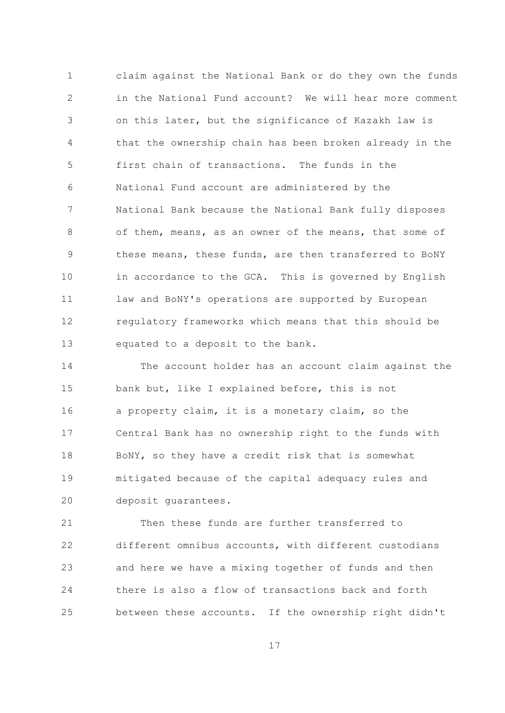claim against the National Bank or do they own the funds  $\mathbf{1}$  $\overline{2}$ in the National Fund account? We will hear more comment on this later, but the significance of Kazakh law is 3  $\overline{4}$ that the ownership chain has been broken already in the 5 first chain of transactions. The funds in the National Fund account are administered by the 6  $7\overline{ }$ National Bank because the National Bank fully disposes  $\mathcal{S}_{\mathcal{S}}$ of them, means, as an owner of the means, that some of these means, these funds, are then transferred to BoNY 9  $10$ in accordance to the GCA. This is governed by English  $11$ law and BoNY's operations are supported by European regulatory frameworks which means that this should be 12  $13$ equated to a deposit to the bank.

14 The account holder has an account claim against the 15 bank but, like I explained before, this is not 16 a property claim, it is a monetary claim, so the  $17$ Central Bank has no ownership right to the funds with 18 BoNY, so they have a credit risk that is somewhat mitigated because of the capital adequacy rules and 19 20 deposit guarantees.

21 Then these funds are further transferred to 22 different omnibus accounts, with different custodians 23 and here we have a mixing together of funds and then 24 there is also a flow of transactions back and forth  $2.5$ between these accounts. If the ownership right didn't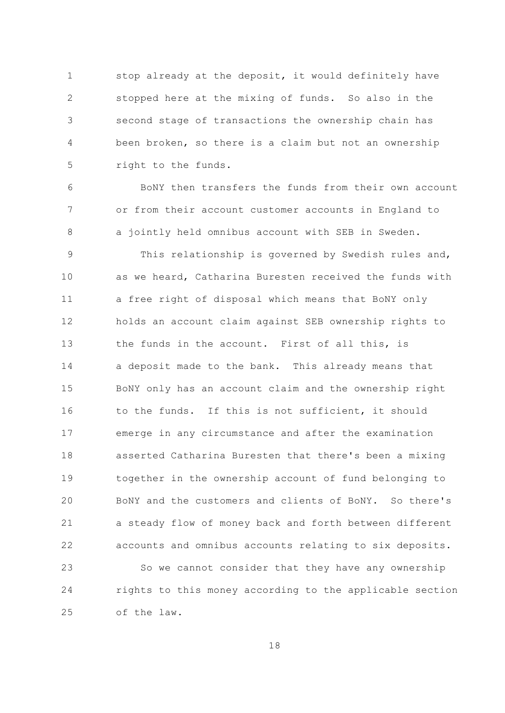stop already at the deposit, it would definitely have  $\mathbf{1}$  $\overline{2}$ stopped here at the mixing of funds. So also in the second stage of transactions the ownership chain has 3  $\overline{4}$ been broken, so there is a claim but not an ownership 5 right to the funds.

BoNY then transfers the funds from their own account 6  $7\overline{ }$ or from their account customer accounts in England to a jointly held omnibus account with SEB in Sweden. 8

This relationship is governed by Swedish rules and, 9  $10$ as we heard, Catharina Buresten received the funds with  $11$ a free right of disposal which means that BoNY only 12 holds an account claim against SEB ownership rights to  $13$ the funds in the account. First of all this, is 14 a deposit made to the bank. This already means that 15 BoNY only has an account claim and the ownership right 16 to the funds. If this is not sufficient, it should emerge in any circumstance and after the examination  $17$ 18 asserted Catharina Buresten that there's been a mixing 19 together in the ownership account of fund belonging to BONY and the customers and clients of BONY. So there's 20 21 a steady flow of money back and forth between different 22 accounts and omnibus accounts relating to six deposits. 23 So we cannot consider that they have any ownership 24 rights to this money according to the applicable section 25 of the law.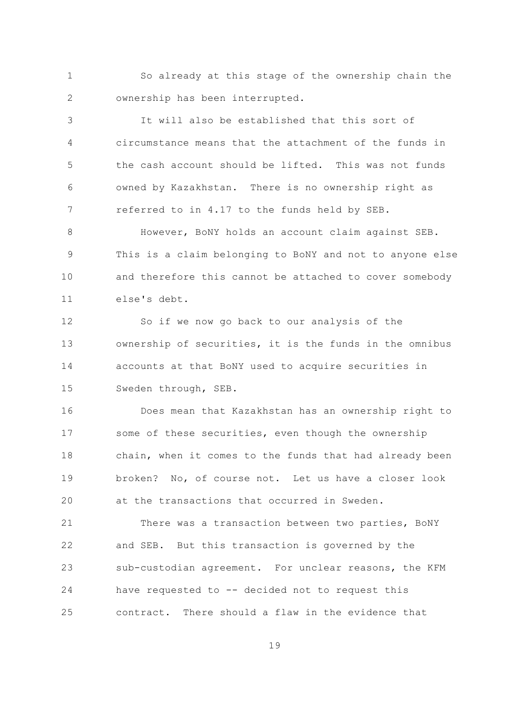$\mathbf{1}$ So already at this stage of the ownership chain the  $\overline{2}$ ownership has been interrupted.

It will also be established that this sort of 3 circumstance means that the attachment of the funds in  $\overline{4}$  $\overline{5}$ the cash account should be lifted. This was not funds owned by Kazakhstan. There is no ownership right as 6  $7\overline{ }$ referred to in 4.17 to the funds held by SEB.

However, BoNY holds an account claim against SEB.  $\mathsf{R}$ This is a claim belonging to BoNY and not to anyone else 9  $10$ and therefore this cannot be attached to cover somebody else's debt.  $11$ 

12 So if we now go back to our analysis of the  $13$ ownership of securities, it is the funds in the omnibus 14 accounts at that BoNY used to acquire securities in 15 Sweden through, SEB.

Does mean that Kazakhstan has an ownership right to 16 some of these securities, even though the ownership  $17$  $18$ chain, when it comes to the funds that had already been 19 broken? No, of course not. Let us have a closer look at the transactions that occurred in Sweden. 20

21 There was a transaction between two parties, BONY 22 and SEB. But this transaction is governed by the sub-custodian agreement. For unclear reasons, the KFM 23 24 have requested to -- decided not to request this  $2.5$ contract. There should a flaw in the evidence that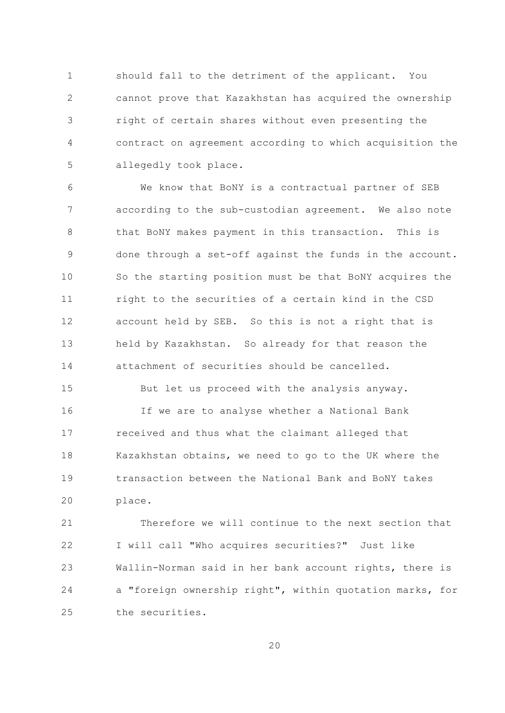$\mathbf{1}$ should fall to the detriment of the applicant. You  $\overline{2}$ cannot prove that Kazakhstan has acquired the ownership right of certain shares without even presenting the 3  $\overline{4}$ contract on agreement according to which acquisition the 5 allegedly took place.

We know that BoNY is a contractual partner of SEB 6  $7\overline{ }$ according to the sub-custodian agreement. We also note that BoNY makes payment in this transaction. This is 8 done through a set-off against the funds in the account. 9  $10$ So the starting position must be that BoNY acquires the right to the securities of a certain kind in the CSD  $11$ account held by SEB. So this is not a right that is 12  $13$ held by Kazakhstan. So already for that reason the attachment of securities should be cancelled. 14

15 But let us proceed with the analysis anyway. If we are to analyse whether a National Bank 16 received and thus what the claimant alleged that  $17$ 18 Kazakhstan obtains, we need to go to the UK where the transaction between the National Bank and BoNY takes  $19$ 20 place.

21 Therefore we will continue to the next section that 22 I will call "Who acquires securities?" Just like 23 Wallin-Norman said in her bank account rights, there is 24 a "foreign ownership right", within quotation marks, for  $2.5$ the securities.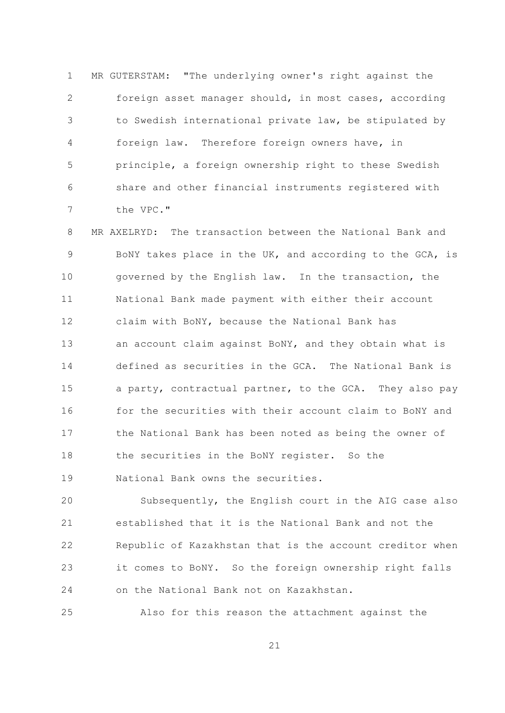$\mathbf{1}$ MR GUTERSTAM: "The underlying owner's right against the  $\overline{2}$ foreign asset manager should, in most cases, according to Swedish international private law, be stipulated by 3 foreign law. Therefore foreign owners have, in 4 5 principle, a foreign ownership right to these Swedish share and other financial instruments registered with 6  $\overline{7}$ the VPC."

8 MR AXELRYD: The transaction between the National Bank and BONY takes place in the UK, and according to the GCA, is 9  $10$ governed by the English law. In the transaction, the  $11$ National Bank made payment with either their account 12 claim with BoNY, because the National Bank has  $13$ an account claim against BoNY, and they obtain what is 14 defined as securities in the GCA. The National Bank is a party, contractual partner, to the GCA. They also pay 15 for the securities with their account claim to BoNY and 16 the National Bank has been noted as being the owner of  $17$  $18$ the securities in the BoNY register. So the 19 National Bank owns the securities.

20 Subsequently, the English court in the AIG case also 21 established that it is the National Bank and not the 22 Republic of Kazakhstan that is the account creditor when it comes to BoNY. So the foreign ownership right falls 23 24 on the National Bank not on Kazakhstan.

25 Also for this reason the attachment against the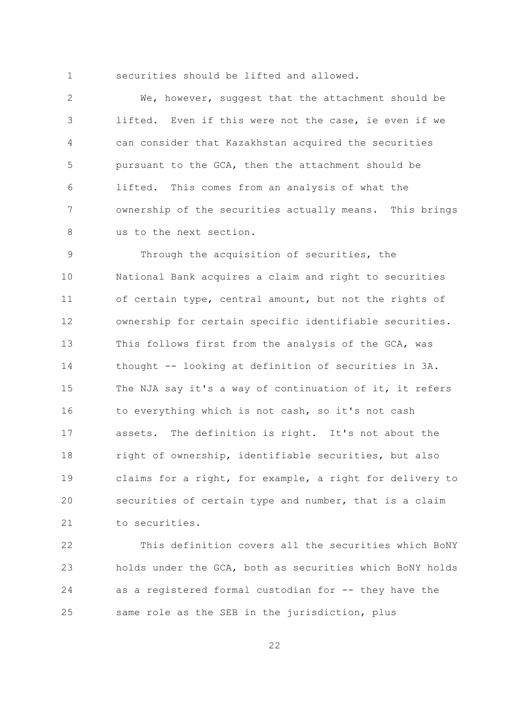$\mathbf{1}$ 

securities should be lifted and allowed.

 $\overline{2}$ We, however, suggest that the attachment should be lifted. Even if this were not the case, ie even if we 3  $\sqrt{4}$ can consider that Kazakhstan acquired the securities 5 pursuant to the GCA, then the attachment should be lifted. This comes from an analysis of what the 6  $7\overline{ }$ ownership of the securities actually means. This brings 8 us to the next section.

Through the acquisition of securities, the 9  $10$ National Bank acquires a claim and right to securities  $11$ of certain type, central amount, but not the rights of 12 ownership for certain specific identifiable securities.  $13$ This follows first from the analysis of the GCA, was 14 thought -- looking at definition of securities in 3A. 15 The NJA say it's a way of continuation of it, it refers to everything which is not cash, so it's not cash 16 assets. The definition is right. It's not about the  $17$ 18 right of ownership, identifiable securities, but also 19 claims for a right, for example, a right for delivery to 20 securities of certain type and number, that is a claim 21 to securities.

22 This definition covers all the securities which BONY holds under the GCA, both as securities which BONY holds 23 as a registered formal custodian for -- they have the 24 same role as the SEB in the jurisdiction, plus 25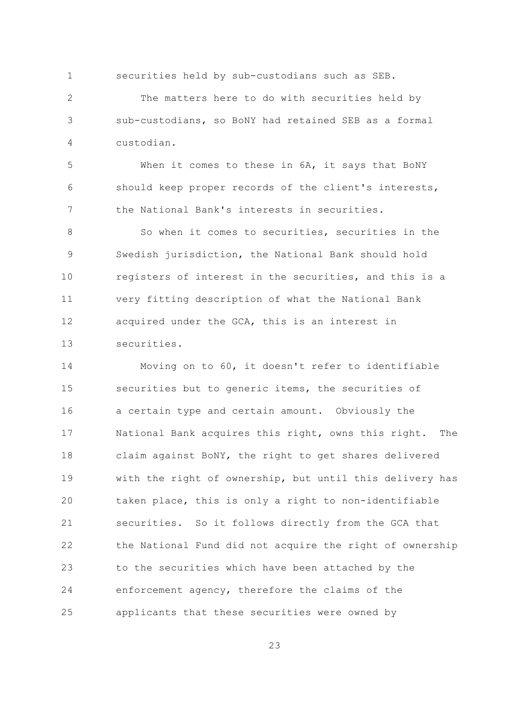$\mathbf{1}$ securities held by sub-custodians such as SEB.

 $\overline{2}$ The matters here to do with securities held by sub-custodians, so BoNY had retained SEB as a formal 3 custodian.  $\overline{4}$ 

 $\overline{5}$ When it comes to these in 6A, it says that BoNY should keep proper records of the client's interests, 6  $7\overline{ }$ the National Bank's interests in securities.

So when it comes to securities, securities in the  $\mathsf{R}$ Swedish jurisdiction, the National Bank should hold 9  $10$ registers of interest in the securities, and this is a  $11$ very fitting description of what the National Bank acquired under the GCA, this is an interest in 12  $13$ securities.

14 Moving on to 60, it doesn't refer to identifiable 15 securities but to generic items, the securities of a certain type and certain amount. Obviously the 16 National Bank acquires this right, owns this right. The  $17$  $18$ claim against BoNY, the right to get shares delivered 19 with the right of ownership, but until this delivery has 20 taken place, this is only a right to non-identifiable 21 securities. So it follows directly from the GCA that 22 the National Fund did not acquire the right of ownership 23 to the securities which have been attached by the 24 enforcement agency, therefore the claims of the 25 applicants that these securities were owned by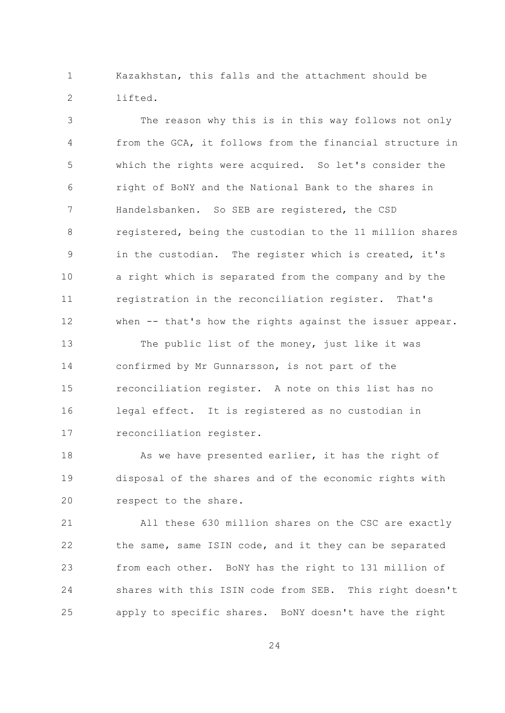Kazakhstan, this falls and the attachment should be  $\mathbf{1}$  $\overline{2}$ lifted.

The reason why this is in this way follows not only 3  $\overline{4}$ from the GCA, it follows from the financial structure in 5 which the rights were acquired. So let's consider the right of BoNY and the National Bank to the shares in 6  $\overline{7}$ Handelsbanken. So SEB are registered, the CSD  $\mathcal{S}_{\mathcal{S}}$ registered, being the custodian to the 11 million shares in the custodian. The register which is created, it's 9  $10$ a right which is separated from the company and by the registration in the reconciliation register. That's  $11$ when -- that's how the rights against the issuer appear. 12

 $13$ The public list of the money, just like it was 14 confirmed by Mr Gunnarsson, is not part of the 15 reconciliation register. A note on this list has no 16 legal effect. It is registered as no custodian in reconciliation register.  $17$ 

As we have presented earlier, it has the right of  $18$ disposal of the shares and of the economic rights with 19 20 respect to the share.

21 All these 630 million shares on the CSC are exactly 22 the same, same ISIN code, and it they can be separated 23 from each other. BoNY has the right to 131 million of 24 shares with this ISIN code from SEB. This right doesn't apply to specific shares. BoNY doesn't have the right 25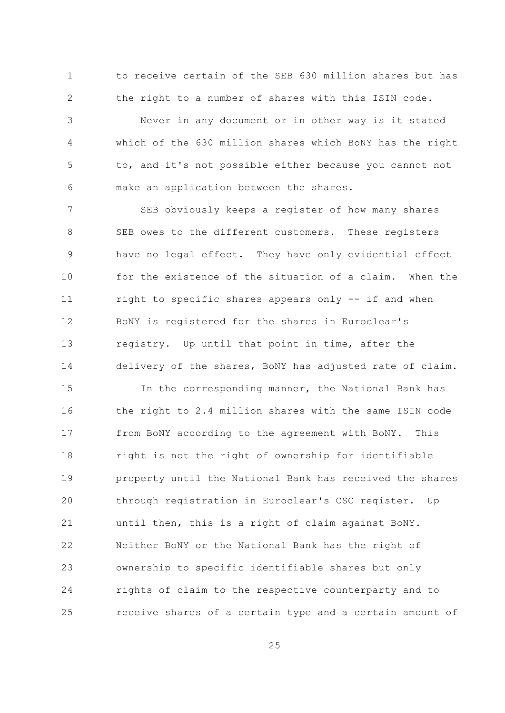to receive certain of the SEB 630 million shares but has  $\mathbf{1}$  $\overline{2}$ the right to a number of shares with this ISIN code.

Never in any document or in other way is it stated 3 which of the 630 million shares which BoNY has the right  $\overline{4}$ 5 to, and it's not possible either because you cannot not make an application between the shares. 6

 $\overline{7}$ SEB obviously keeps a register of how many shares SEB owes to the different customers. These registers 8 have no legal effect. They have only evidential effect 9  $10$ for the existence of the situation of a claim. When the  $11$ right to specific shares appears only -- if and when BONY is registered for the shares in Euroclear's 12  $13$ registry. Up until that point in time, after the 14 delivery of the shares, BONY has adjusted rate of claim.

15 In the corresponding manner, the National Bank has the right to 2.4 million shares with the same ISIN code 16 from BoNY according to the agreement with BoNY.  $17$ This 18 right is not the right of ownership for identifiable 19 property until the National Bank has received the shares 20 through registration in Euroclear's CSC register. Up 21 until then, this is a right of claim against BoNY. 22 Neither BoNY or the National Bank has the right of ownership to specific identifiable shares but only 23 24 rights of claim to the respective counterparty and to receive shares of a certain type and a certain amount of 25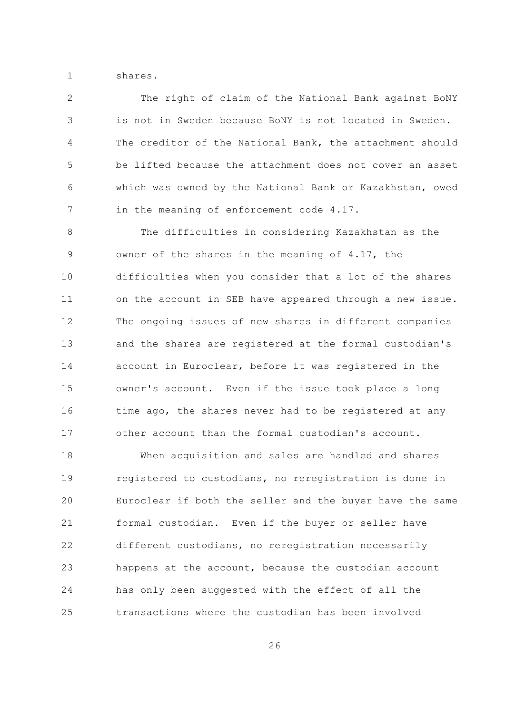$\mathbf{1}$ shares.

 $\overline{2}$ The right of claim of the National Bank against BoNY is not in Sweden because BoNY is not located in Sweden. 3 The creditor of the National Bank, the attachment should  $\overline{4}$  $\overline{5}$ be lifted because the attachment does not cover an asset which was owned by the National Bank or Kazakhstan, owed 6  $7\overline{ }$ in the meaning of enforcement code 4.17.

 $\mathcal{S}_{\mathcal{S}}$ The difficulties in considering Kazakhstan as the owner of the shares in the meaning of 4.17, the 9  $10$ difficulties when you consider that a lot of the shares  $11$ on the account in SEB have appeared through a new issue. 12 The ongoing issues of new shares in different companies  $13$ and the shares are registered at the formal custodian's 14 account in Euroclear, before it was registered in the 1.5 owner's account. Even if the issue took place a long time ago, the shares never had to be registered at any 16  $17$ other account than the formal custodian's account.

 $18$ When acquisition and sales are handled and shares 19 registered to custodians, no reregistration is done in 20 Euroclear if both the seller and the buyer have the same 21 formal custodian. Even if the buyer or seller have 22 different custodians, no reregistration necessarily 23 happens at the account, because the custodian account 24 has only been suggested with the effect of all the  $2.5$ transactions where the custodian has been involved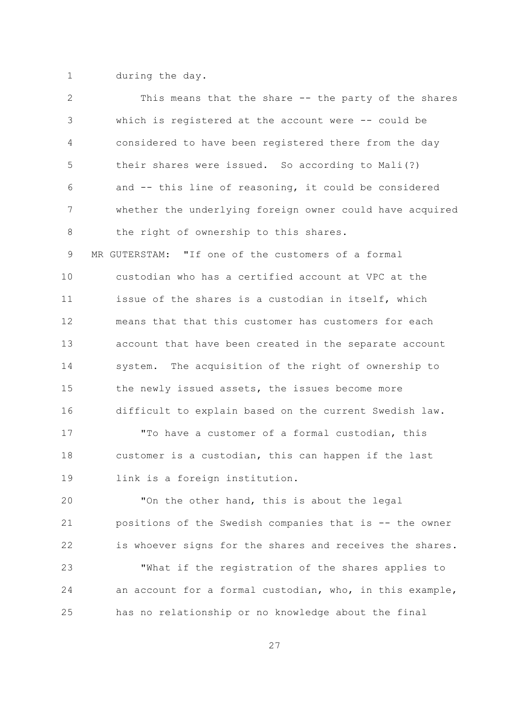$\mathbf{1}$ during the day.

 $\overline{2}$ This means that the share -- the party of the shares which is registered at the account were -- could be 3  $\overline{4}$ considered to have been registered there from the day 5 their shares were issued. So according to Mali(?) and -- this line of reasoning, it could be considered 6  $7\overline{ }$ whether the underlying foreign owner could have acquired 8 the right of ownership to this shares. MR GUTERSTAM: "If one of the customers of a formal 9  $10$ custodian who has a certified account at VPC at the issue of the shares is a custodian in itself, which  $11$ means that that this customer has customers for each 12  $13$ account that have been created in the separate account 14 system. The acquisition of the right of ownership to 15 the newly issued assets, the issues become more difficult to explain based on the current Swedish law. 16 "To have a customer of a formal custodian, this  $17$  $18$ customer is a custodian, this can happen if the last 19 link is a foreign institution. 20 "On the other hand, this is about the legal 21 positions of the Swedish companies that is -- the owner 22 is whoever signs for the shares and receives the shares. 23 "What if the registration of the shares applies to 24 an account for a formal custodian, who, in this example, has no relationship or no knowledge about the final 25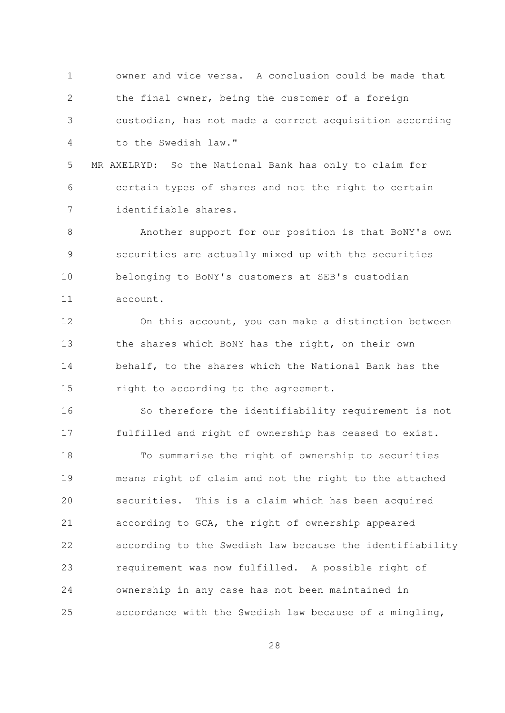owner and vice versa. A conclusion could be made that  $\mathbf{1}$  $\overline{2}$ the final owner, being the customer of a foreign custodian, has not made a correct acquisition according 3  $\overline{4}$ to the Swedish law."

5 MR AXELRYD: So the National Bank has only to claim for 6 certain types of shares and not the right to certain  $7\overline{ }$ identifiable shares.

8 Another support for our position is that BoNY's own securities are actually mixed up with the securities 9  $10$ belonging to BoNY's customers at SEB's custodian  $11$ account.

12 On this account, you can make a distinction between  $13$ the shares which BoNY has the right, on their own 14 behalf, to the shares which the National Bank has the 15 right to according to the agreement.

16 So therefore the identifiability requirement is not fulfilled and right of ownership has ceased to exist.  $17$  $18$ To summarise the right of ownership to securities 19 means right of claim and not the right to the attached securities. This is a claim which has been acquired 20 21 according to GCA, the right of ownership appeared 22 according to the Swedish law because the identifiability requirement was now fulfilled. A possible right of 23 24 ownership in any case has not been maintained in 25 accordance with the Swedish law because of a mingling,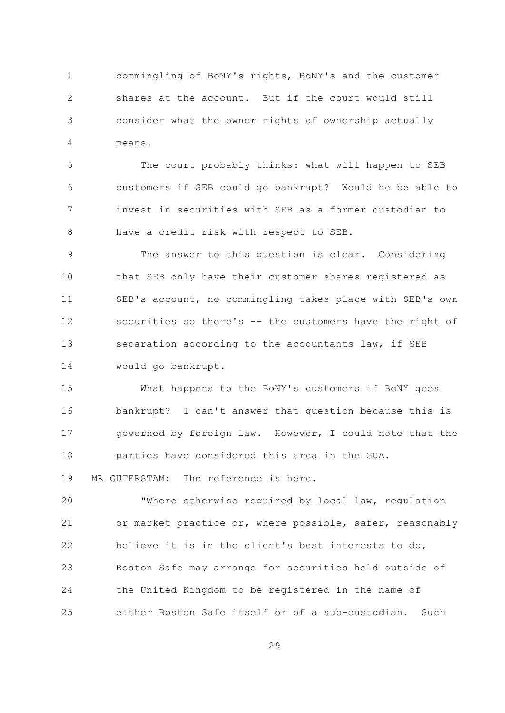commingling of BoNY's rights, BoNY's and the customer  $\mathbf{1}$  $\overline{2}$ shares at the account. But if the court would still consider what the owner rights of ownership actually 3 means.  $\overline{4}$ 

5 The court probably thinks: what will happen to SEB customers if SEB could go bankrupt? Would he be able to 6  $7\overline{ }$ invest in securities with SEB as a former custodian to  $\mathcal{S}_{\mathcal{S}}$ have a credit risk with respect to SEB.

9 The answer to this question is clear. Considering  $10$ that SEB only have their customer shares registered as SEB's account, no commingling takes place with SEB's own  $11$ securities so there's -- the customers have the right of 12  $13$ separation according to the accountants law, if SEB 14 would go bankrupt.

15 What happens to the BoNY's customers if BoNY goes bankrupt? I can't answer that question because this is 16 governed by foreign law. However, I could note that the  $17$ parties have considered this area in the GCA. 18 19 MR GUTERSTAM: The reference is here.

20 "Where otherwise required by local law, regulation 21 or market practice or, where possible, safer, reasonably 22 believe it is in the client's best interests to do, 23 Boston Safe may arrange for securities held outside of 24 the United Kingdom to be registered in the name of either Boston Safe itself or of a sub-custodian. Such 25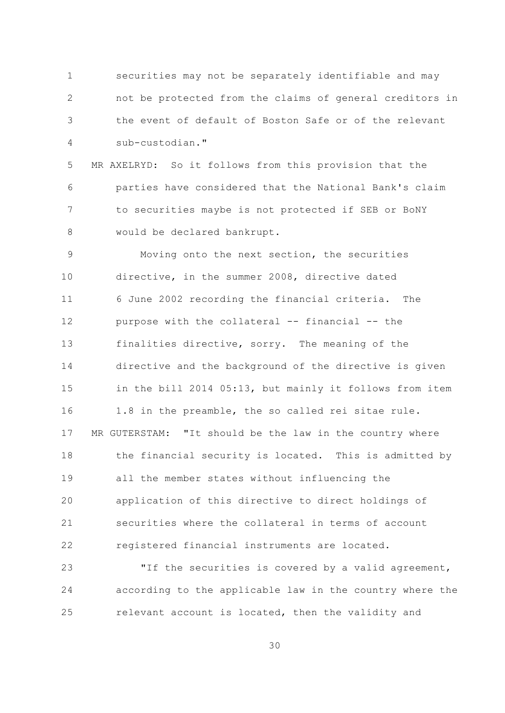$\mathbf{1}$ securities may not be separately identifiable and may  $\overline{2}$ not be protected from the claims of general creditors in the event of default of Boston Safe or of the relevant 3  $\overline{4}$ sub-custodian."

5 MR AXELRYD: So it follows from this provision that the 6 parties have considered that the National Bank's claim  $\overline{7}$ to securities maybe is not protected if SEB or BoNY  $\mathcal{S}_{\mathcal{S}}$ would be declared bankrupt.

Moving onto the next section, the securities 9  $10$ directive, in the summer 2008, directive dated  $11$ 6 June 2002 recording the financial criteria. The purpose with the collateral -- financial -- the 12  $13$ finalities directive, sorry. The meaning of the 14 directive and the background of the directive is given 1.5 in the bill 2014 05:13, but mainly it follows from item 1.8 in the preamble, the so called rei sitae rule. 16  $17$ MR GUTERSTAM: "It should be the law in the country where  $18$ the financial security is located. This is admitted by  $19$ all the member states without influencing the 20 application of this directive to direct holdings of 21 securities where the collateral in terms of account 22 registered financial instruments are located.

23 "If the securities is covered by a valid agreement, 24 according to the applicable law in the country where the relevant account is located, then the validity and 25

 $30<sup>°</sup>$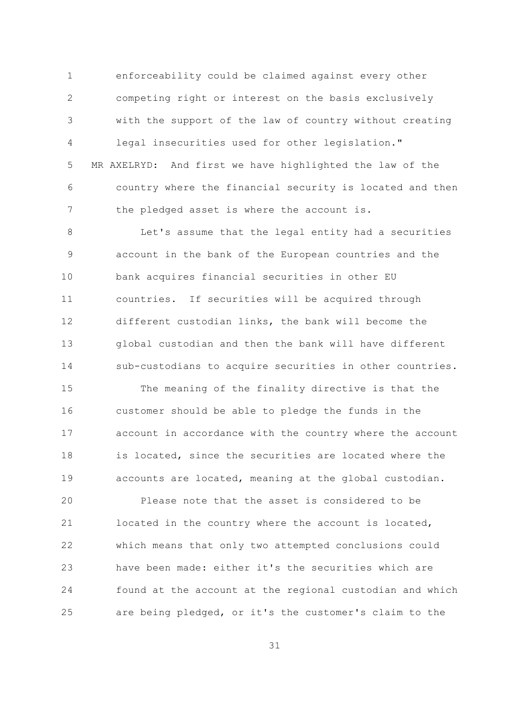$\mathbf{1}$ enforceability could be claimed against every other  $\overline{2}$ competing right or interest on the basis exclusively with the support of the law of country without creating 3  $\sqrt{4}$ legal insecurities used for other legislation." 5 MR AXELRYD: And first we have highlighted the law of the 6 country where the financial security is located and then  $7\overline{ }$ the pledged asset is where the account is.

 $\mathcal{S}_{\mathcal{S}}$ Let's assume that the legal entity had a securities account in the bank of the European countries and the 9  $10$ bank acquires financial securities in other EU countries. If securities will be acquired through  $11$ different custodian links, the bank will become the 12  $13$ global custodian and then the bank will have different 14 sub-custodians to acquire securities in other countries.

15 The meaning of the finality directive is that the customer should be able to pledge the funds in the 16 account in accordance with the country where the account  $17$ 18 is located, since the securities are located where the 19 accounts are located, meaning at the global custodian.

Please note that the asset is considered to be 20 21 located in the country where the account is located, 22 which means that only two attempted conclusions could have been made: either it's the securities which are 23 24 found at the account at the regional custodian and which are being pledged, or it's the customer's claim to the 25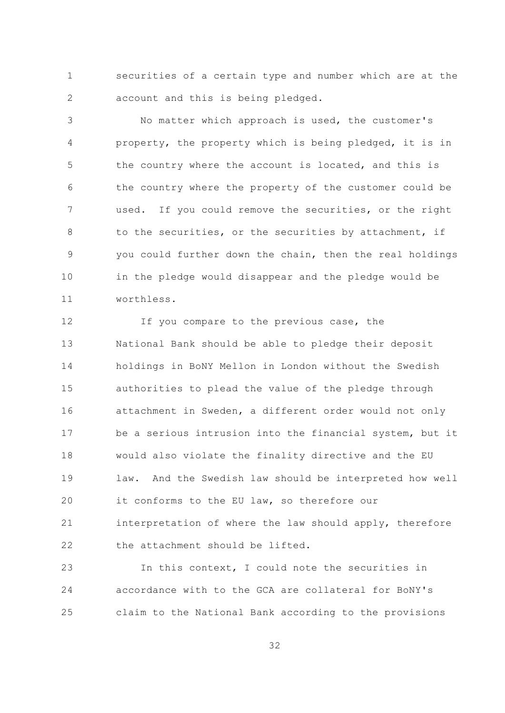$\mathbf{1}$ securities of a certain type and number which are at the  $\overline{2}$ account and this is being pledged.

No matter which approach is used, the customer's 3 property, the property which is being pledged, it is in  $\overline{4}$ 5 the country where the account is located, and this is the country where the property of the customer could be 6  $\overline{7}$ used. If you could remove the securities, or the right to the securities, or the securities by attachment, if 8 you could further down the chain, then the real holdings 9  $10$ in the pledge would disappear and the pledge would be  $11$ worthless.

 $12$ If you compare to the previous case, the  $13$ National Bank should be able to pledge their deposit 14 holdings in BoNY Mellon in London without the Swedish 15 authorities to plead the value of the pledge through attachment in Sweden, a different order would not only 16 be a serious intrusion into the financial system, but it  $17$ 18 would also violate the finality directive and the EU 19 law. And the Swedish law should be interpreted how well 20 it conforms to the EU law, so therefore our 21 interpretation of where the law should apply, therefore 22 the attachment should be lifted.

In this context, I could note the securities in 23 24 accordance with to the GCA are collateral for BoNY's 25 claim to the National Bank according to the provisions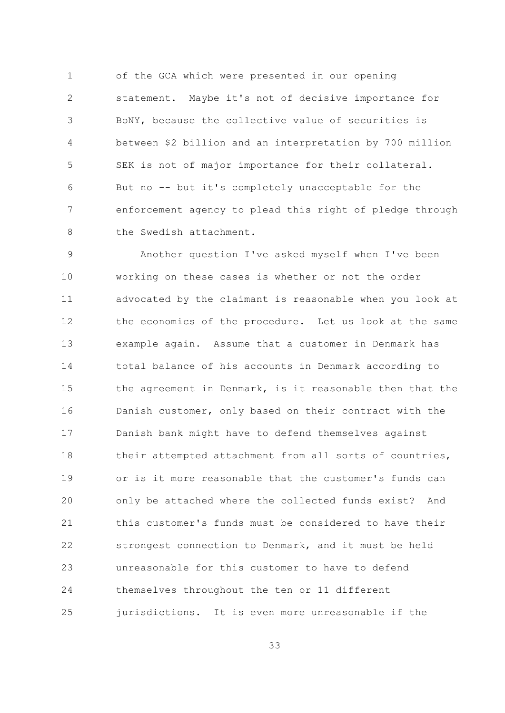$\mathbf{1}$ of the GCA which were presented in our opening  $\overline{2}$ statement. Maybe it's not of decisive importance for BoNY, because the collective value of securities is 3 between \$2 billion and an interpretation by 700 million  $\overline{4}$ 5 SEK is not of major importance for their collateral. But no -- but it's completely unacceptable for the 6  $\overline{7}$ enforcement agency to plead this right of pledge through  $\mathcal{S}_{\mathcal{S}}$ the Swedish attachment.

Another question I've asked myself when I've been 9  $10$ working on these cases is whether or not the order  $11$ advocated by the claimant is reasonable when you look at  $12$ the economics of the procedure. Let us look at the same  $13$ example again. Assume that a customer in Denmark has 14 total balance of his accounts in Denmark according to 15 the agreement in Denmark, is it reasonable then that the Danish customer, only based on their contract with the 16 Danish bank might have to defend themselves against  $17$  $18$ their attempted attachment from all sorts of countries,  $19$ or is it more reasonable that the customer's funds can 20 only be attached where the collected funds exist? And this customer's funds must be considered to have their 21  $22$ strongest connection to Denmark, and it must be held unreasonable for this customer to have to defend 23 24 themselves throughout the ten or 11 different jurisdictions. It is even more unreasonable if the 25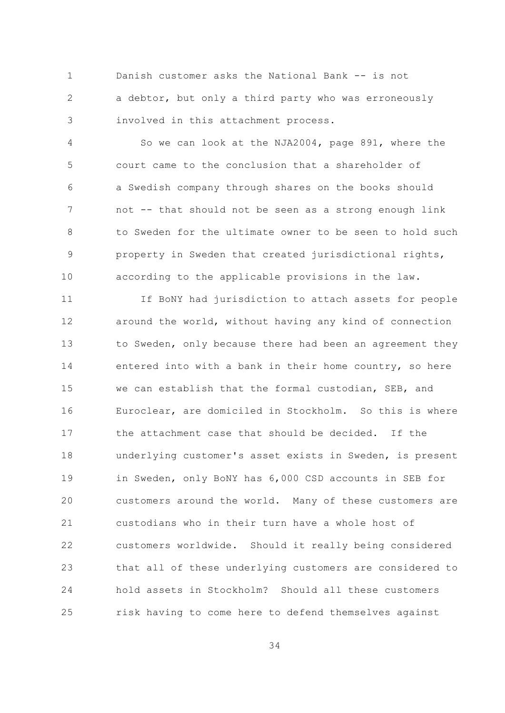$\mathbf{1}$ Danish customer asks the National Bank -- is not  $\overline{2}$ a debtor, but only a third party who was erroneously involved in this attachment process. 3

So we can look at the NJA2004, page 891, where the  $\overline{4}$ 5 court came to the conclusion that a shareholder of a Swedish company through shares on the books should 6  $\overline{7}$ not -- that should not be seen as a strong enough link to Sweden for the ultimate owner to be seen to hold such  $\mathcal{R}$ 9 property in Sweden that created jurisdictional rights,  $10$ according to the applicable provisions in the law.

 $11$ If BoNY had jurisdiction to attach assets for people  $12$ around the world, without having any kind of connection  $13$ to Sweden, only because there had been an agreement they 14 entered into with a bank in their home country, so here 1.5 we can establish that the formal custodian, SEB, and Euroclear, are domiciled in Stockholm. So this is where 16 the attachment case that should be decided. If the  $17$ 18 underlying customer's asset exists in Sweden, is present 19 in Sweden, only BoNY has 6,000 CSD accounts in SEB for  $20$ customers around the world. Many of these customers are 21 custodians who in their turn have a whole host of  $22$ customers worldwide. Should it really being considered that all of these underlying customers are considered to 23 24 hold assets in Stockholm? Should all these customers 25 risk having to come here to defend themselves against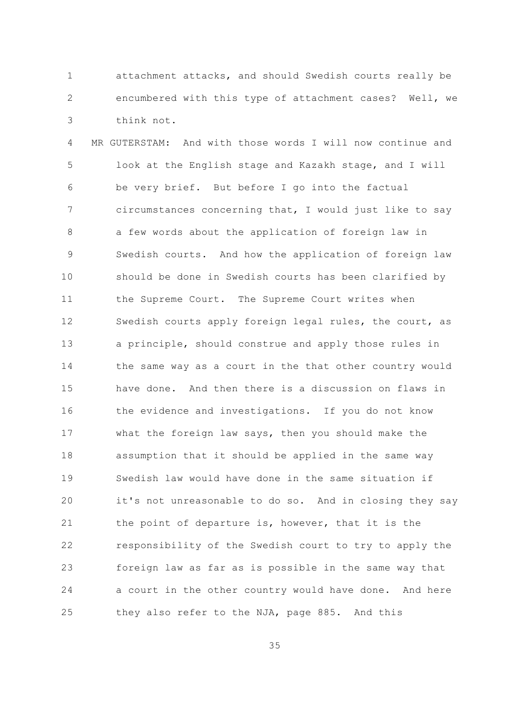attachment attacks, and should Swedish courts really be  $\mathbf{1}$  $\overline{2}$ encumbered with this type of attachment cases? Well, we think not. 3

 $\sqrt{4}$ MR GUTERSTAM: And with those words I will now continue and 5 look at the English stage and Kazakh stage, and I will be very brief. But before I go into the factual 6  $\overline{7}$ circumstances concerning that, I would just like to say 8 a few words about the application of foreign law in Swedish courts. And how the application of foreign law 9  $10$ should be done in Swedish courts has been clarified by  $11$ the Supreme Court. The Supreme Court writes when 12 Swedish courts apply foreign legal rules, the court, as  $13$ a principle, should construe and apply those rules in 14 the same way as a court in the that other country would 1.5 have done. And then there is a discussion on flaws in 16 the evidence and investigations. If you do not know what the foreign law says, then you should make the  $17$  $18$ assumption that it should be applied in the same way 19 Swedish law would have done in the same situation if 20 it's not unreasonable to do so. And in closing they say 21 the point of departure is, however, that it is the 22 responsibility of the Swedish court to try to apply the 23 foreign law as far as is possible in the same way that 24 a court in the other country would have done. And here they also refer to the NJA, page 885. And this 25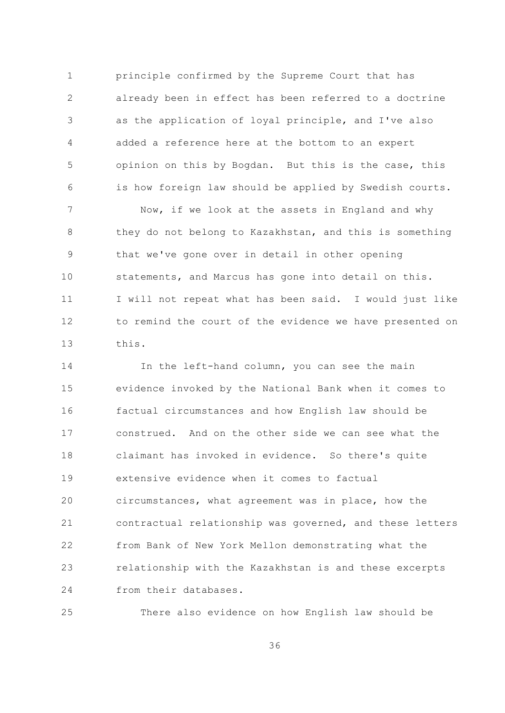$\mathbf{1}$ principle confirmed by the Supreme Court that has  $\overline{2}$ already been in effect has been referred to a doctrine as the application of loyal principle, and I've also 3  $\overline{4}$ added a reference here at the bottom to an expert 5 opinion on this by Bogdan. But this is the case, this is how foreign law should be applied by Swedish courts. 6

 $\overline{7}$ Now, if we look at the assets in England and why 8 they do not belong to Kazakhstan, and this is something that we've gone over in detail in other opening 9  $10$ statements, and Marcus has gone into detail on this. I will not repeat what has been said. I would just like  $11$ to remind the court of the evidence we have presented on 12  $13$ this.

In the left-hand column, you can see the main 14 15 evidence invoked by the National Bank when it comes to factual circumstances and how English law should be 16 construed. And on the other side we can see what the  $17$  $18$ claimant has invoked in evidence. So there's quite 19 extensive evidence when it comes to factual 20 circumstances, what agreement was in place, how the 21 contractual relationship was governed, and these letters 22 from Bank of New York Mellon demonstrating what the relationship with the Kazakhstan is and these excerpts 23 24 from their databases.

25 There also evidence on how English law should be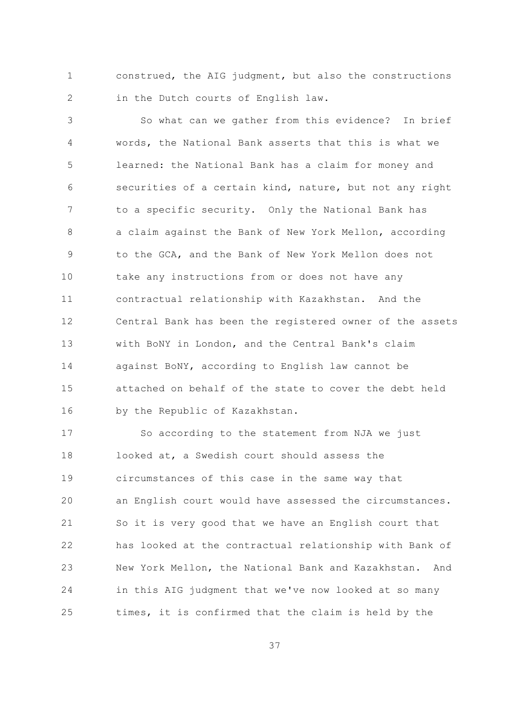construed, the AIG judgment, but also the constructions  $\mathbf{1}$  $\overline{2}$ in the Dutch courts of English law.

So what can we gather from this evidence? In brief 3 words, the National Bank asserts that this is what we  $\overline{4}$  $\overline{5}$ learned: the National Bank has a claim for money and securities of a certain kind, nature, but not any right 6  $\overline{7}$ to a specific security. Only the National Bank has a claim against the Bank of New York Mellon, according  $\mathsf{R}$ to the GCA, and the Bank of New York Mellon does not 9  $10$ take any instructions from or does not have any  $11$ contractual relationship with Kazakhstan. And the  $12$ Central Bank has been the registered owner of the assets  $13$ with BoNY in London, and the Central Bank's claim 14 against BoNY, according to English law cannot be 1.5 attached on behalf of the state to cover the debt held by the Republic of Kazakhstan. 16

So according to the statement from NJA we just  $17$ 18 looked at, a Swedish court should assess the 19 circumstances of this case in the same way that 20 an English court would have assessed the circumstances. 21 So it is very good that we have an English court that  $22$ has looked at the contractual relationship with Bank of New York Mellon, the National Bank and Kazakhstan. And 23 24 in this AIG judgment that we've now looked at so many times, it is confirmed that the claim is held by the 25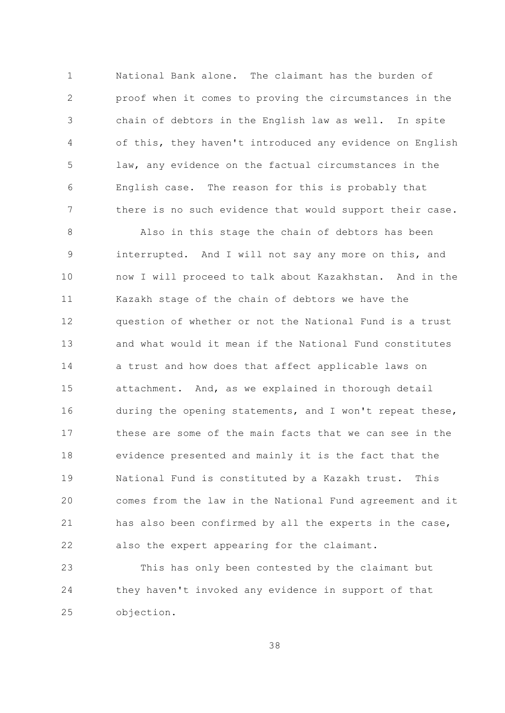National Bank alone. The claimant has the burden of  $\mathbf{1}$  $\overline{2}$ proof when it comes to proving the circumstances in the chain of debtors in the English law as well. In spite 3  $\overline{4}$ of this, they haven't introduced any evidence on English  $\overline{5}$ law, any evidence on the factual circumstances in the English case. The reason for this is probably that 6  $\overline{7}$ there is no such evidence that would support their case.

Also in this stage the chain of debtors has been  $\mathsf{R}$ interrupted. And I will not say any more on this, and 9  $10$ now I will proceed to talk about Kazakhstan. And in the  $11$ Kazakh stage of the chain of debtors we have the question of whether or not the National Fund is a trust  $12$  $13$ and what would it mean if the National Fund constitutes 14 a trust and how does that affect applicable laws on 15 attachment. And, as we explained in thorough detail during the opening statements, and I won't repeat these, 16 these are some of the main facts that we can see in the  $17$  $18$ evidence presented and mainly it is the fact that the  $19$ National Fund is constituted by a Kazakh trust. This 20 comes from the law in the National Fund agreement and it 21 has also been confirmed by all the experts in the case, 22 also the expert appearing for the claimant.

23 This has only been contested by the claimant but 24 they haven't invoked any evidence in support of that objection. 25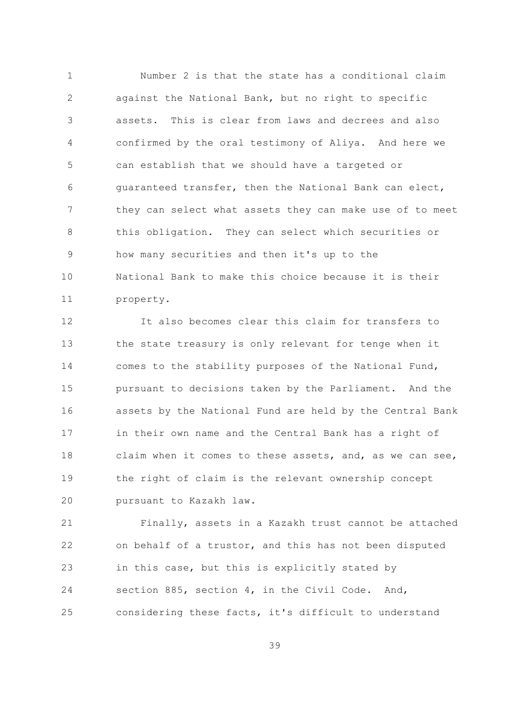$\mathbf{1}$ Number 2 is that the state has a conditional claim  $\overline{2}$ against the National Bank, but no right to specific assets. This is clear from laws and decrees and also 3  $\overline{4}$ confirmed by the oral testimony of Aliya. And here we 5 can establish that we should have a targeted or quaranteed transfer, then the National Bank can elect, 6  $7\overline{ }$ they can select what assets they can make use of to meet  $\mathcal{S}_{\mathcal{S}}$ this obligation. They can select which securities or how many securities and then it's up to the 9  $10$ National Bank to make this choice because it is their  $11$ property.

It also becomes clear this claim for transfers to  $12$  $13$ the state treasury is only relevant for tenge when it 14 comes to the stability purposes of the National Fund, 1.5 pursuant to decisions taken by the Parliament. And the 16 assets by the National Fund are held by the Central Bank  $17$ in their own name and the Central Bank has a right of 18 claim when it comes to these assets, and, as we can see, 19 the right of claim is the relevant ownership concept 20 pursuant to Kazakh law.

21 Finally, assets in a Kazakh trust cannot be attached 22 on behalf of a trustor, and this has not been disputed in this case, but this is explicitly stated by 23 24 section 885, section 4, in the Civil Code. And, considering these facts, it's difficult to understand 25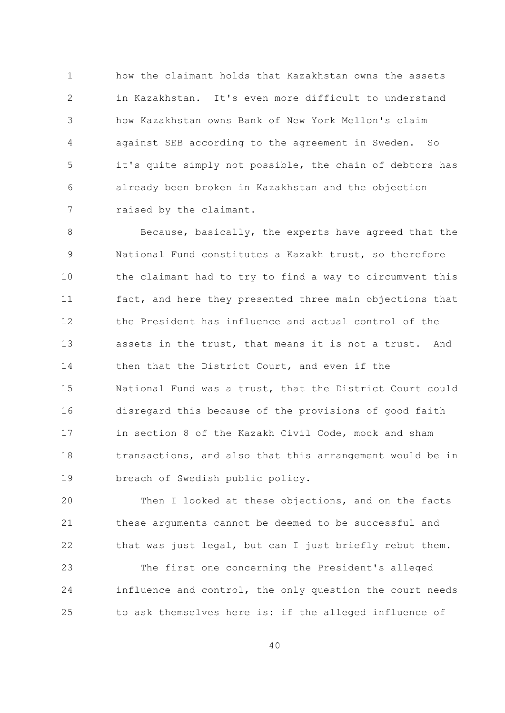how the claimant holds that Kazakhstan owns the assets  $\mathbf{1}$  $\overline{2}$ in Kazakhstan. It's even more difficult to understand how Kazakhstan owns Bank of New York Mellon's claim 3 against SEB according to the agreement in Sweden.  $\overline{4}$  $So$ 5 it's quite simply not possible, the chain of debtors has already been broken in Kazakhstan and the objection 6  $7\overline{ }$ raised by the claimant.

Because, basically, the experts have agreed that the 8 National Fund constitutes a Kazakh trust, so therefore 9 10 the claimant had to try to find a way to circumvent this  $11$ fact, and here they presented three main objections that the President has influence and actual control of the 12  $13$ assets in the trust, that means it is not a trust. And 14 then that the District Court, and even if the 15 National Fund was a trust, that the District Court could disregard this because of the provisions of good faith 16 in section 8 of the Kazakh Civil Code, mock and sham  $17$ 18 transactions, and also that this arrangement would be in 19 breach of Swedish public policy.

20 Then I looked at these objections, and on the facts 21 these arguments cannot be deemed to be successful and 22 that was just legal, but can I just briefly rebut them.

The first one concerning the President's alleged 23 influence and control, the only question the court needs 24 to ask themselves here is: if the alleged influence of 25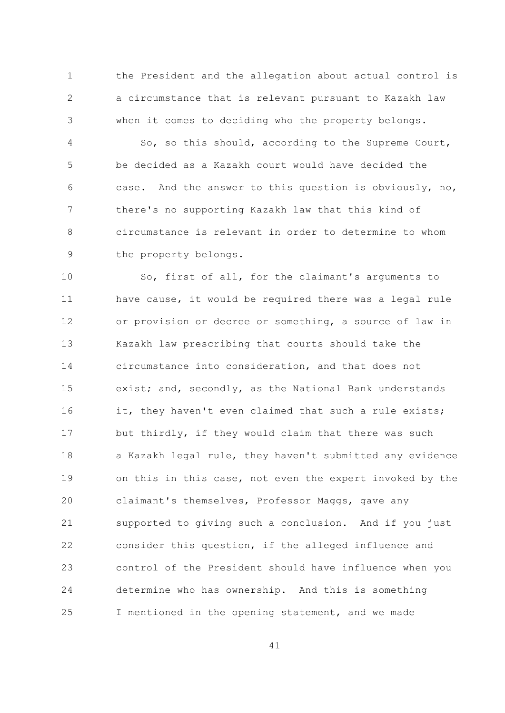$\mathbf{1}$ the President and the allegation about actual control is  $\overline{2}$ a circumstance that is relevant pursuant to Kazakh law when it comes to deciding who the property belongs. 3

So, so this should, according to the Supreme Court,  $\overline{4}$ 5 be decided as a Kazakh court would have decided the case. And the answer to this question is obviously, no, 6  $\overline{7}$ there's no supporting Kazakh law that this kind of circumstance is relevant in order to determine to whom  $\mathsf{R}$ 9 the property belongs.

 $10$ So, first of all, for the claimant's arguments to  $11$ have cause, it would be required there was a legal rule or provision or decree or something, a source of law in  $12$  $13$ Kazakh law prescribing that courts should take the 14 circumstance into consideration, and that does not exist; and, secondly, as the National Bank understands 15 it, they haven't even claimed that such a rule exists; 16 but thirdly, if they would claim that there was such  $17$ 18 a Kazakh legal rule, they haven't submitted any evidence 19 on this in this case, not even the expert invoked by the 20 claimant's themselves, Professor Maggs, gave any 21 supported to giving such a conclusion. And if you just  $22$ consider this question, if the alleged influence and control of the President should have influence when you 23 determine who has ownership. And this is something 24 25 I mentioned in the opening statement, and we made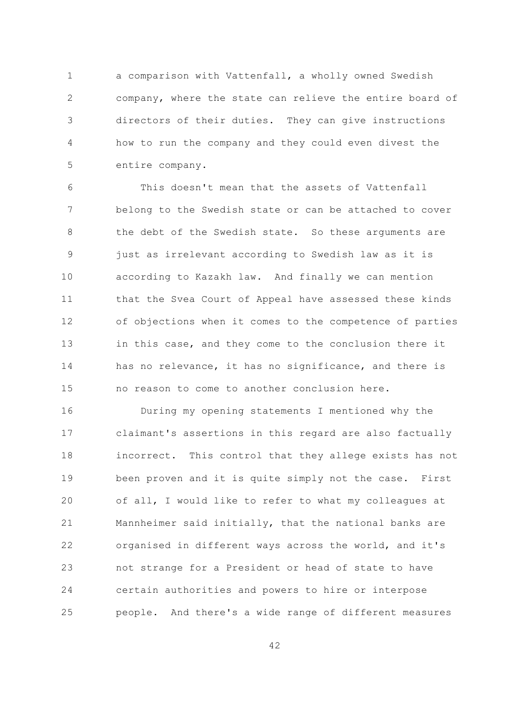a comparison with Vattenfall, a wholly owned Swedish  $\mathbf{1}$  $\overline{2}$ company, where the state can relieve the entire board of directors of their duties. They can give instructions 3  $\overline{4}$ how to run the company and they could even divest the 5 entire company.

This doesn't mean that the assets of Vattenfall 6  $\overline{7}$ belong to the Swedish state or can be attached to cover the debt of the Swedish state. So these arguments are  $\beta$ just as irrelevant according to Swedish law as it is 9  $10$ according to Kazakh law. And finally we can mention that the Svea Court of Appeal have assessed these kinds  $11$  $12$ of objections when it comes to the competence of parties  $13$ in this case, and they come to the conclusion there it 14 has no relevance, it has no significance, and there is 1.5 no reason to come to another conclusion here.

16 During my opening statements I mentioned why the claimant's assertions in this regard are also factually  $17$  $18$ incorrect. This control that they allege exists has not 19 been proven and it is quite simply not the case. First of all, I would like to refer to what my colleagues at 20 21 Mannheimer said initially, that the national banks are  $22$ organised in different ways across the world, and it's not strange for a President or head of state to have 23 24 certain authorities and powers to hire or interpose people. And there's a wide range of different measures 25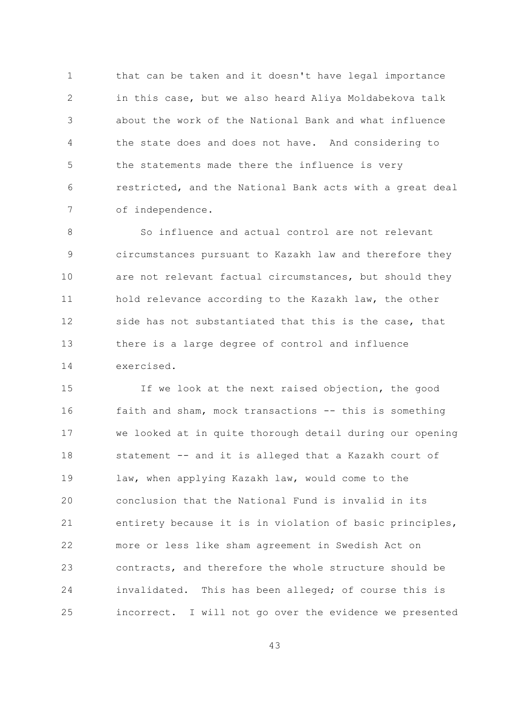that can be taken and it doesn't have legal importance  $\mathbf{1}$  $\overline{2}$ in this case, but we also heard Aliya Moldabekova talk about the work of the National Bank and what influence 3 the state does and does not have. And considering to  $\overline{4}$ 5 the statements made there the influence is very restricted, and the National Bank acts with a great deal 6  $7\overline{ }$ of independence.

So influence and actual control are not relevant  $\mathsf{R}$ 9 circumstances pursuant to Kazakh law and therefore they  $10$ are not relevant factual circumstances, but should they  $11$ hold relevance according to the Kazakh law, the other 12 side has not substantiated that this is the case, that  $13$ there is a large degree of control and influence 14 exercised.

15 If we look at the next raised objection, the good faith and sham, mock transactions -- this is something 16 we looked at in quite thorough detail during our opening  $17$  $18$ statement -- and it is alleged that a Kazakh court of 19 law, when applying Kazakh law, would come to the conclusion that the National Fund is invalid in its 20 21 entirety because it is in violation of basic principles, 22 more or less like sham agreement in Swedish Act on contracts, and therefore the whole structure should be 23 24 invalidated. This has been alleged; of course this is 25 incorrect. I will not go over the evidence we presented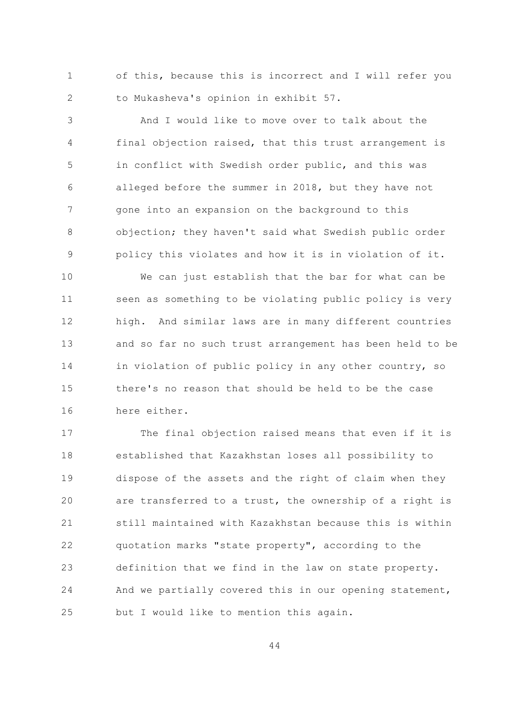$\mathbf{1}$ of this, because this is incorrect and I will refer you  $\overline{2}$ to Mukasheva's opinion in exhibit 57.

And I would like to move over to talk about the 3 final objection raised, that this trust arrangement is 4 5 in conflict with Swedish order public, and this was alleged before the summer in 2018, but they have not 6  $7\overline{ }$ gone into an expansion on the background to this  $\mathcal{S}_{\mathcal{S}}$ objection; they haven't said what Swedish public order policy this violates and how it is in violation of it. 9

 $10$ We can just establish that the bar for what can be seen as something to be violating public policy is very  $11$ high. And similar laws are in many different countries 12  $13$ and so far no such trust arrangement has been held to be 14 in violation of public policy in any other country, so 1.5 there's no reason that should be held to be the case 16 here either.

 $17$ The final objection raised means that even if it is 18 established that Kazakhstan loses all possibility to 19 dispose of the assets and the right of claim when they 20 are transferred to a trust, the ownership of a right is 21 still maintained with Kazakhstan because this is within 22 quotation marks "state property", according to the 23 definition that we find in the law on state property. 24 And we partially covered this in our opening statement, 25 but I would like to mention this again.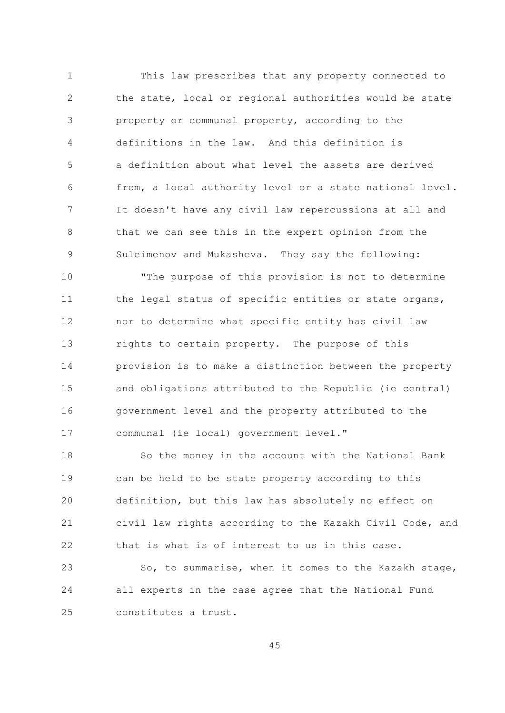$\mathbf{1}$ This law prescribes that any property connected to  $\overline{2}$ the state, local or regional authorities would be state property or communal property, according to the 3  $\overline{4}$ definitions in the law. And this definition is  $\overline{5}$ a definition about what level the assets are derived from, a local authority level or a state national level. 6  $\overline{7}$ It doesn't have any civil law repercussions at all and  $\mathcal{S}_{\mathcal{S}}$ that we can see this in the expert opinion from the Suleimenov and Mukasheva. They say the following: 9

 $10$ "The purpose of this provision is not to determine  $11$ the legal status of specific entities or state organs, nor to determine what specific entity has civil law  $12$ rights to certain property. The purpose of this  $13$ 14 provision is to make a distinction between the property 1.5 and obligations attributed to the Republic (ie central) government level and the property attributed to the 16 communal (ie local) government level."  $17$ 

 $18$ So the money in the account with the National Bank 19 can be held to be state property according to this 20 definition, but this law has absolutely no effect on 21 civil law rights according to the Kazakh Civil Code, and 22 that is what is of interest to us in this case.

23 So, to summarise, when it comes to the Kazakh stage, 24 all experts in the case agree that the National Fund constitutes a trust.  $2.5$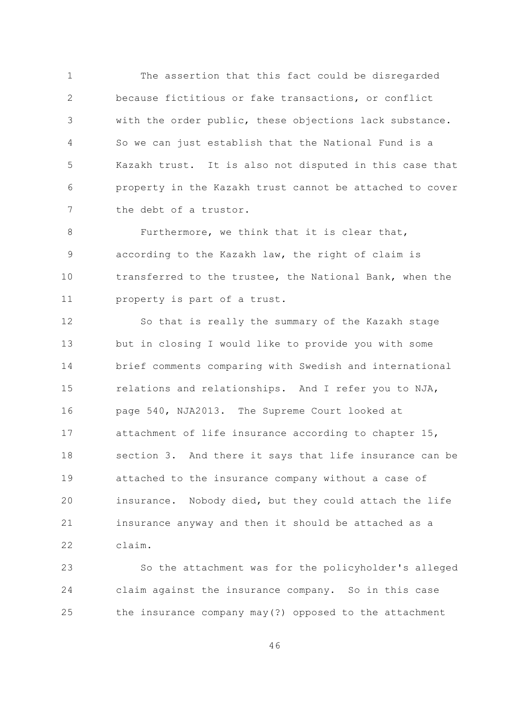The assertion that this fact could be disregarded  $\mathbf{1}$  $\overline{2}$ because fictitious or fake transactions, or conflict with the order public, these objections lack substance. 3 So we can just establish that the National Fund is a  $\overline{4}$ 5 Kazakh trust. It is also not disputed in this case that property in the Kazakh trust cannot be attached to cover 6  $7\overline{ }$ the debt of a trustor.

Furthermore, we think that it is clear that, 8 according to the Kazakh law, the right of claim is 9  $10$ transferred to the trustee, the National Bank, when the  $11$ property is part of a trust.

 $12$ So that is really the summary of the Kazakh stage  $13$ but in closing I would like to provide you with some 14 brief comments comparing with Swedish and international 15 relations and relationships. And I refer you to NJA, page 540, NJA2013. The Supreme Court looked at 16 attachment of life insurance according to chapter 15,  $17$ 18 section 3. And there it says that life insurance can be 19 attached to the insurance company without a case of 20 insurance. Nobody died, but they could attach the life 21 insurance anyway and then it should be attached as a 22  $claim.$ 

So the attachment was for the policyholder's alleged 23 claim against the insurance company. So in this case 24 25 the insurance company may(?) opposed to the attachment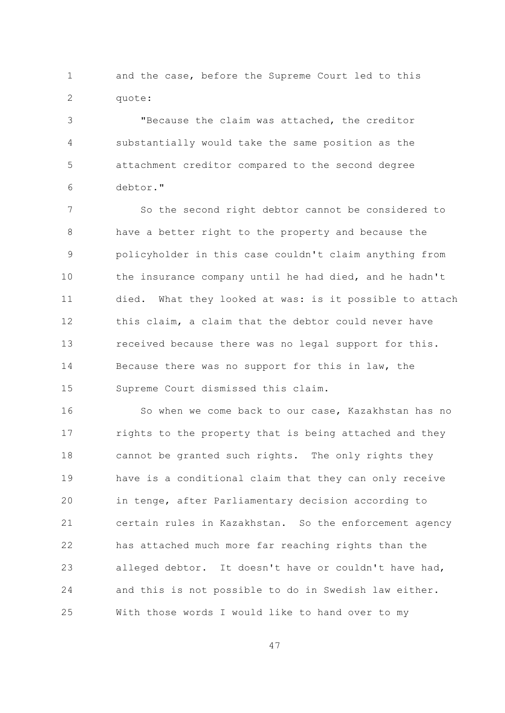$\mathbf{1}$ and the case, before the Supreme Court led to this  $\overline{2}$ quote:

"Because the claim was attached, the creditor 3  $\overline{4}$ substantially would take the same position as the 5 attachment creditor compared to the second degree debtor." 6

 $\overline{7}$ So the second right debtor cannot be considered to  $\mathcal{S}_{\mathcal{S}}$ have a better right to the property and because the policyholder in this case couldn't claim anything from 9  $10$ the insurance company until he had died, and he hadn't died. What they looked at was: is it possible to attach  $11$ this claim, a claim that the debtor could never have 12  $13$ received because there was no legal support for this. 14 Because there was no support for this in law, the 1.5 Supreme Court dismissed this claim.

16 So when we come back to our case, Kazakhstan has no rights to the property that is being attached and they  $17$ 18 cannot be granted such rights. The only rights they  $19$ have is a conditional claim that they can only receive 20 in tenge, after Parliamentary decision according to 21 certain rules in Kazakhstan. So the enforcement agency 22 has attached much more far reaching rights than the 23 alleged debtor. It doesn't have or couldn't have had, 24 and this is not possible to do in Swedish law either.  $2.5$ With those words I would like to hand over to my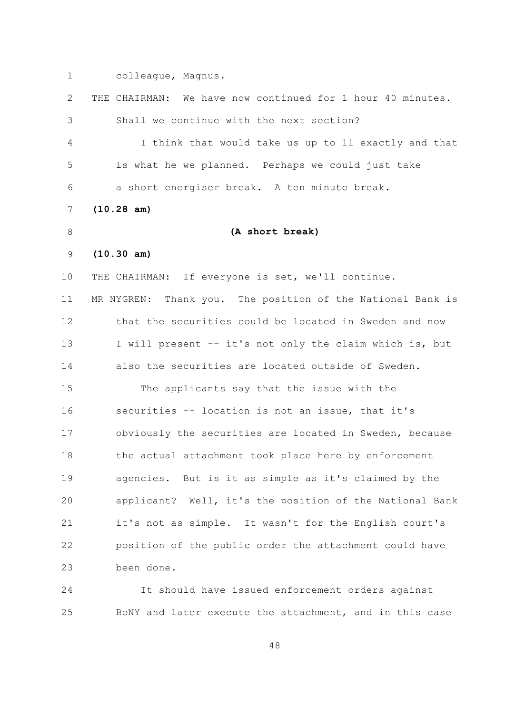$\mathbf{1}$ colleague, Magnus.

 $\overline{2}$ THE CHAIRMAN: We have now continued for 1 hour 40 minutes. Shall we continue with the next section? 3  $\overline{4}$ I think that would take us up to 11 exactly and that 5 is what he we planned. Perhaps we could just take a short energiser break. A ten minute break. 6  $7\overline{ }$  $(10.28 \text{ am})$  $\mathcal{S}_{\mathcal{S}}$ (A short break)  $(10.30 am)$ 9  $10$ THE CHAIRMAN: If everyone is set, we'll continue. MR NYGREN: Thank you. The position of the National Bank is  $11$ that the securities could be located in Sweden and now  $12$  $13$ I will present -- it's not only the claim which is, but 14 also the securities are located outside of Sweden. 1.5 The applicants say that the issue with the securities -- location is not an issue, that it's 16 obviously the securities are located in Sweden, because  $17$  $18$ the actual attachment took place here by enforcement 19 agencies. But is it as simple as it's claimed by the 20 applicant? Well, it's the position of the National Bank 21 it's not as simple. It wasn't for the English court's 22 position of the public order the attachment could have 23 been done.

24 It should have issued enforcement orders against BoNY and later execute the attachment, and in this case 25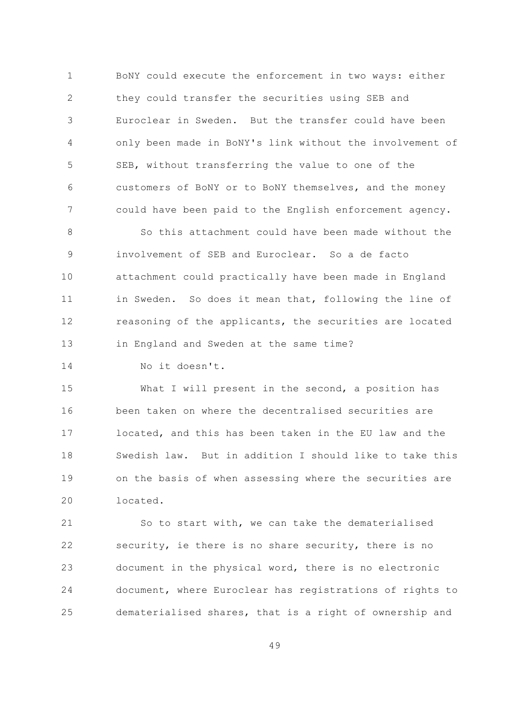$\mathbf{1}$ BoNY could execute the enforcement in two ways: either  $\overline{2}$ they could transfer the securities using SEB and Euroclear in Sweden. But the transfer could have been 3 only been made in BoNY's link without the involvement of 4 5 SEB, without transferring the value to one of the customers of BoNY or to BoNY themselves, and the money 6  $7\overline{ }$ could have been paid to the English enforcement agency.

So this attachment could have been made without the  $\mathsf{R}$ involvement of SEB and Euroclear. So a de facto 9 10 attachment could practically have been made in England  $11$ in Sweden. So does it mean that, following the line of 12 reasoning of the applicants, the securities are located  $13$ in England and Sweden at the same time?

14 No it doesn't.

15 What I will present in the second, a position has been taken on where the decentralised securities are 16 located, and this has been taken in the EU law and the  $17$ Swedish law. But in addition I should like to take this 18 19 on the basis of when assessing where the securities are 20 located.

21 So to start with, we can take the dematerialised 22 security, ie there is no share security, there is no document in the physical word, there is no electronic 23 document, where Euroclear has registrations of rights to 24 25 dematerialised shares, that is a right of ownership and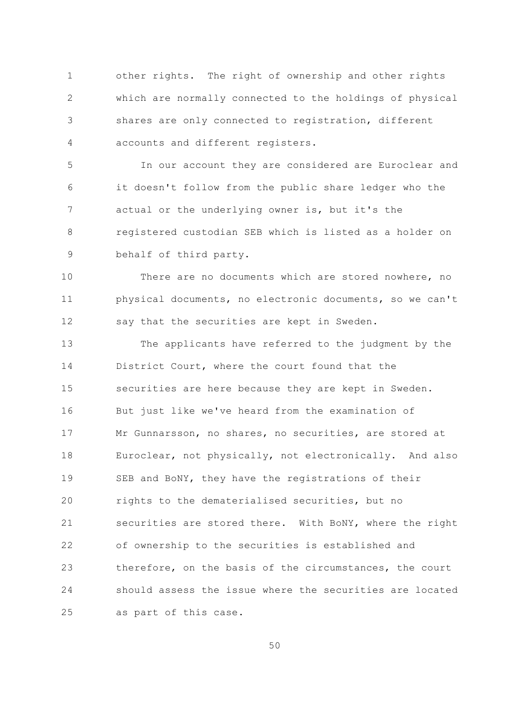$\mathbf{1}$ other rights. The right of ownership and other rights  $\overline{2}$ which are normally connected to the holdings of physical shares are only connected to registration, different 3 accounts and different registers.  $\overline{4}$ 

5 In our account they are considered are Euroclear and it doesn't follow from the public share ledger who the 6  $7\overline{ }$ actual or the underlying owner is, but it's the registered custodian SEB which is listed as a holder on  $\mathsf{R}$ behalf of third party. 9

 $10$ There are no documents which are stored nowhere, no physical documents, no electronic documents, so we can't  $11$ 12 say that the securities are kept in Sweden.

 $13$ The applicants have referred to the judgment by the 14 District Court, where the court found that the 15 securities are here because they are kept in Sweden. But just like we've heard from the examination of 16 Mr Gunnarsson, no shares, no securities, are stored at  $17$ Euroclear, not physically, not electronically. And also 18 19 SEB and BoNY, they have the registrations of their 20 rights to the dematerialised securities, but no 21 securities are stored there. With BoNY, where the right 22 of ownership to the securities is established and therefore, on the basis of the circumstances, the court 23 24 should assess the issue where the securities are located 25 as part of this case.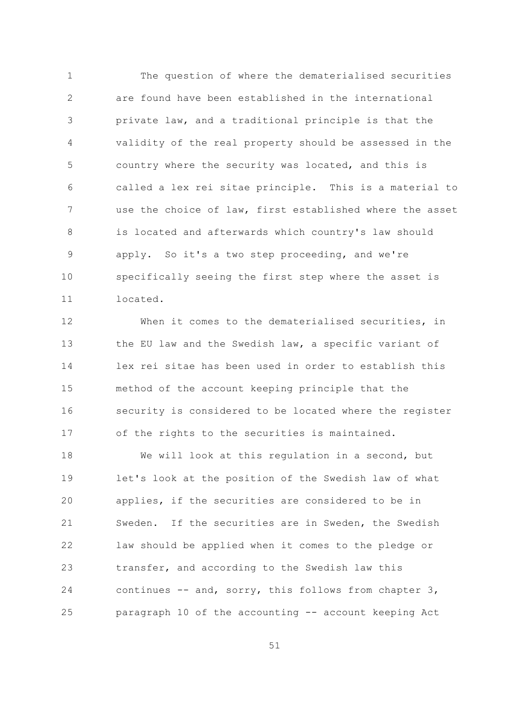$\mathbf{1}$ The question of where the dematerialised securities  $\overline{2}$ are found have been established in the international private law, and a traditional principle is that the 3 validity of the real property should be assessed in the  $\overline{4}$ 5 country where the security was located, and this is called a lex rei sitae principle. This is a material to 6  $\overline{7}$ use the choice of law, first established where the asset is located and afterwards which country's law should  $\mathsf{R}$ apply. So it's a two step proceeding, and we're 9  $10$ specifically seeing the first step where the asset is located.  $11$ 

 $12$ When it comes to the dematerialised securities, in  $13$ the EU law and the Swedish law, a specific variant of 14 lex rei sitae has been used in order to establish this 15 method of the account keeping principle that the security is considered to be located where the register 16 of the rights to the securities is maintained.  $17$ 

 $18$ We will look at this regulation in a second, but 19 let's look at the position of the Swedish law of what applies, if the securities are considered to be in 20 21 Sweden. If the securities are in Sweden, the Swedish 22 law should be applied when it comes to the pledge or transfer, and according to the Swedish law this 23 24 continues -- and, sorry, this follows from chapter 3, paragraph 10 of the accounting -- account keeping Act 25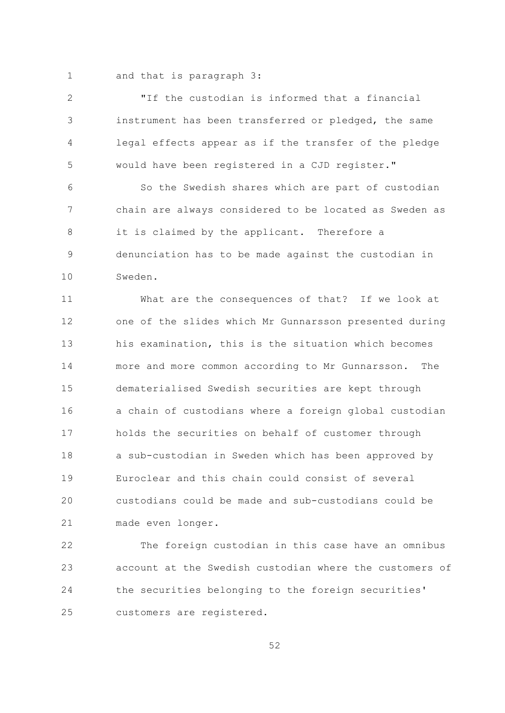$\mathbf{1}$ and that is paragraph 3:

 $\overline{2}$ "If the custodian is informed that a financial instrument has been transferred or pledged, the same 3 legal effects appear as if the transfer of the pledge  $\overline{4}$ 5 would have been registered in a CJD register."

So the Swedish shares which are part of custodian 6  $\overline{7}$ chain are always considered to be located as Sweden as it is claimed by the applicant. Therefore a  $\mathsf{R}$ denunciation has to be made against the custodian in 9  $10$ Sweden

 $11$ What are the consequences of that? If we look at 12 one of the slides which Mr Gunnarsson presented during  $13$ his examination, this is the situation which becomes 14 more and more common according to Mr Gunnarsson. The 1.5 dematerialised Swedish securities are kept through a chain of custodians where a foreign global custodian 16 holds the securities on behalf of customer through  $17$  $18$ a sub-custodian in Sweden which has been approved by Euroclear and this chain could consist of several  $19$ 20 custodians could be made and sub-custodians could be 21 made even longer.

 $22$ The foreign custodian in this case have an omnibus account at the Swedish custodian where the customers of 23 24 the securities belonging to the foreign securities' 25 customers are registered.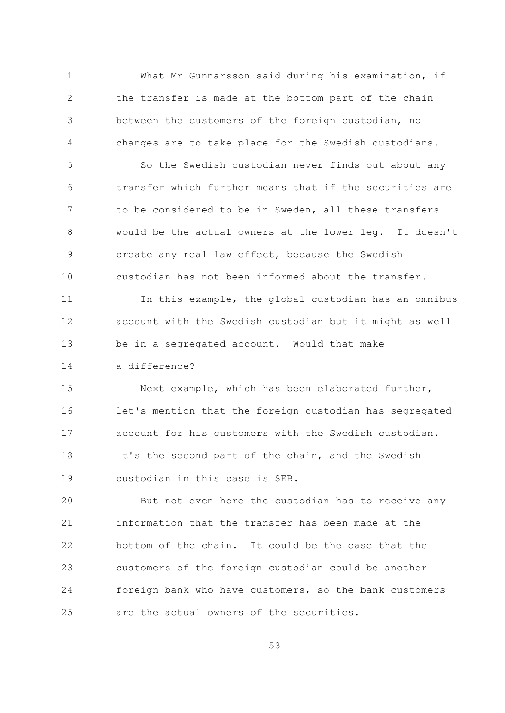What Mr Gunnarsson said during his examination, if  $\mathbf{1}$  $\overline{2}$ the transfer is made at the bottom part of the chain between the customers of the foreign custodian, no 3 changes are to take place for the Swedish custodians. 4

5 So the Swedish custodian never finds out about any transfer which further means that if the securities are 6  $\overline{7}$ to be considered to be in Sweden, all these transfers would be the actual owners at the lower leg. It doesn't  $\mathsf{R}$ create any real law effect, because the Swedish 9  $10$ custodian has not been informed about the transfer.

 $11$ In this example, the global custodian has an omnibus  $12$ account with the Swedish custodian but it might as well be in a segregated account. Would that make 13

14 a difference?

Next example, which has been elaborated further, 15 let's mention that the foreign custodian has segregated 16 account for his customers with the Swedish custodian.  $17$ It's the second part of the chain, and the Swedish 18  $19$ custodian in this case is SEB.

20 But not even here the custodian has to receive any 21 information that the transfer has been made at the 22 bottom of the chain. It could be the case that the customers of the foreign custodian could be another 23 foreign bank who have customers, so the bank customers 24 are the actual owners of the securities. 25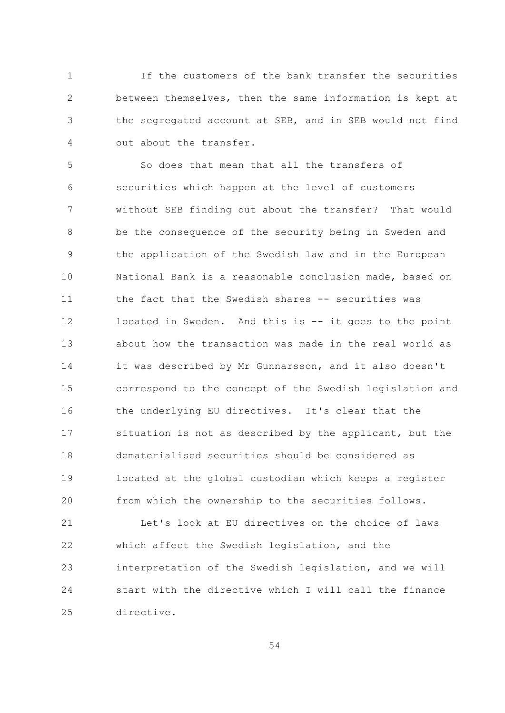$\mathbf{1}$ If the customers of the bank transfer the securities  $\overline{2}$ between themselves, then the same information is kept at the segregated account at SEB, and in SEB would not find 3 out about the transfer.  $\overline{4}$ 

So does that mean that all the transfers of  $\overline{5}$ securities which happen at the level of customers 6  $\overline{7}$ without SEB finding out about the transfer? That would be the consequence of the security being in Sweden and  $\mathsf{R}$ the application of the Swedish law and in the European 9  $10$ National Bank is a reasonable conclusion made, based on  $11$ the fact that the Swedish shares -- securities was 12 located in Sweden. And this is -- it goes to the point  $13$ about how the transaction was made in the real world as 14 it was described by Mr Gunnarsson, and it also doesn't 15 correspond to the concept of the Swedish legislation and the underlying EU directives. It's clear that the 16 situation is not as described by the applicant, but the  $17$ dematerialised securities should be considered as  $18$ 19 located at the global custodian which keeps a register 20 from which the ownership to the securities follows.

21 Let's look at EU directives on the choice of laws 22 which affect the Swedish legislation, and the 23 interpretation of the Swedish legislation, and we will 24 start with the directive which I will call the finance  $2.5$ directive.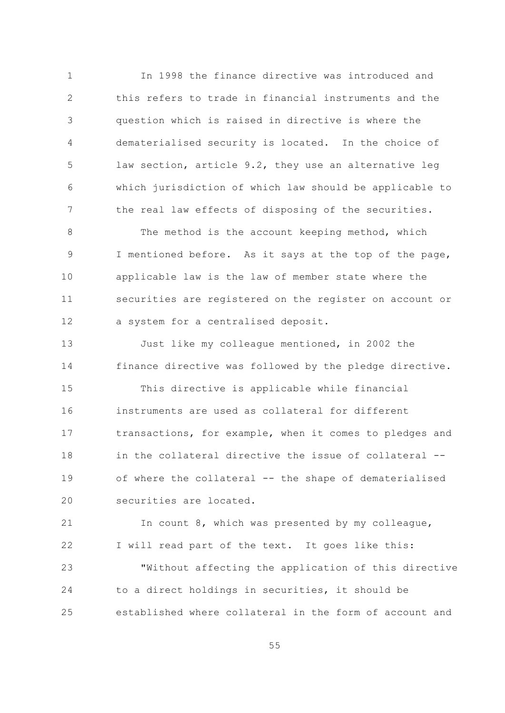In 1998 the finance directive was introduced and  $\mathbf{1}$  $\overline{2}$ this refers to trade in financial instruments and the question which is raised in directive is where the 3  $\overline{4}$ dematerialised security is located. In the choice of 5 law section, article 9.2, they use an alternative leg which jurisdiction of which law should be applicable to 6  $7\overline{ }$ the real law effects of disposing of the securities.

The method is the account keeping method, which  $\mathsf{R}$ I mentioned before. As it says at the top of the page, 9  $10$ applicable law is the law of member state where the  $11$ securities are registered on the register on account or 12 a system for a centralised deposit.

 $13$ Just like my colleague mentioned, in 2002 the 14 finance directive was followed by the pledge directive.

1.5 This directive is applicable while financial instruments are used as collateral for different 16 transactions, for example, when it comes to pledges and  $17$ in the collateral directive the issue of collateral -- $18$ 19 of where the collateral -- the shape of dematerialised securities are located. 20

21 In count 8, which was presented by my colleague, 22 I will read part of the text. It goes like this:

"Without affecting the application of this directive 23 24 to a direct holdings in securities, it should be established where collateral in the form of account and 25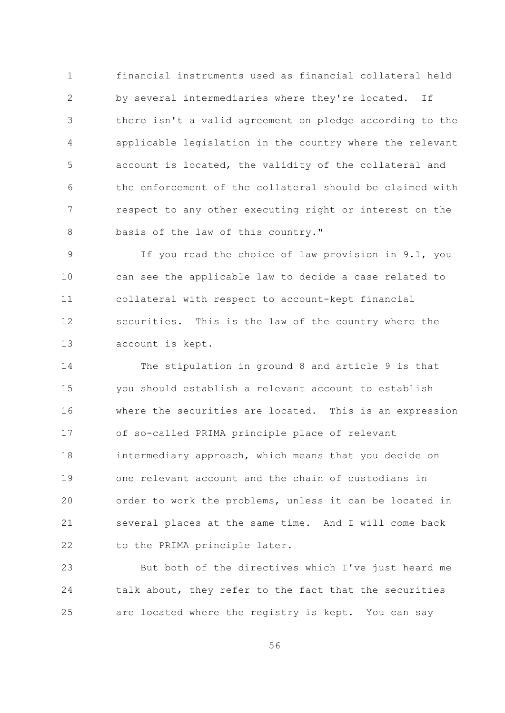financial instruments used as financial collateral held  $\mathbf{1}$  $\overline{2}$ by several intermediaries where they're located. If there isn't a valid agreement on pledge according to the 3 applicable legislation in the country where the relevant  $\overline{4}$ 5 account is located, the validity of the collateral and the enforcement of the collateral should be claimed with 6  $\overline{7}$ respect to any other executing right or interest on the  $\mathcal{S}_{\mathcal{S}}$ basis of the law of this country."

If you read the choice of law provision in 9.1, you 9  $10$ can see the applicable law to decide a case related to  $11$ collateral with respect to account-kept financial securities. This is the law of the country where the  $12$  $13$ account is kept.

14 The stipulation in ground 8 and article 9 is that 15 you should establish a relevant account to establish where the securities are located. This is an expression 16 of so-called PRIMA principle place of relevant  $17$ 18 intermediary approach, which means that you decide on one relevant account and the chain of custodians in  $19$ 20 order to work the problems, unless it can be located in 21 several places at the same time. And I will come back 22 to the PRIMA principle later.

But both of the directives which I've just heard me 23 talk about, they refer to the fact that the securities 24 25 are located where the registry is kept. You can say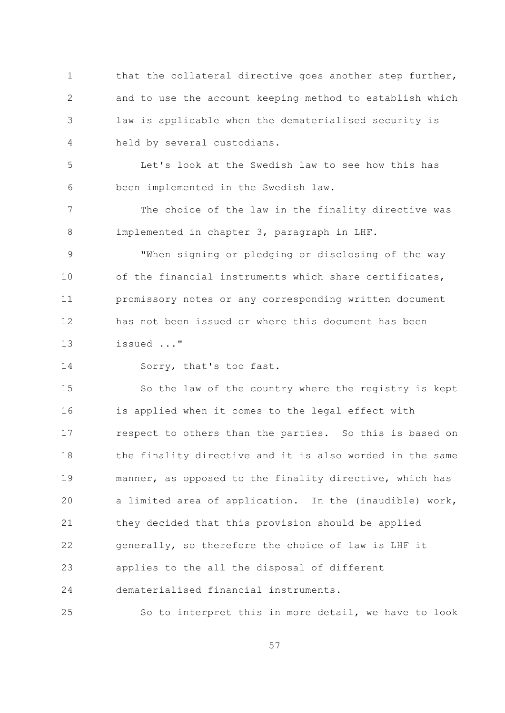$\mathbf{1}$ that the collateral directive goes another step further,  $\overline{2}$ and to use the account keeping method to establish which law is applicable when the dematerialised security is 3  $\overline{4}$ held by several custodians.

Let's look at the Swedish law to see how this has 5 been implemented in the Swedish law. 6

 $\overline{7}$ The choice of the law in the finality directive was 8 implemented in chapter 3, paragraph in LHF.

"When signing or pledging or disclosing of the way 9  $10$ of the financial instruments which share certificates, promissory notes or any corresponding written document  $11$ has not been issued or where this document has been  $12$  $13$ issued ..."

14 Sorry, that's too fast.

1.5 So the law of the country where the registry is kept is applied when it comes to the legal effect with 16 respect to others than the parties. So this is based on  $17$ the finality directive and it is also worded in the same  $18$ 19 manner, as opposed to the finality directive, which has 20 a limited area of application. In the (inaudible) work, 21 they decided that this provision should be applied 22 generally, so therefore the choice of law is LHF it 23 applies to the all the disposal of different dematerialised financial instruments. 24

25 So to interpret this in more detail, we have to look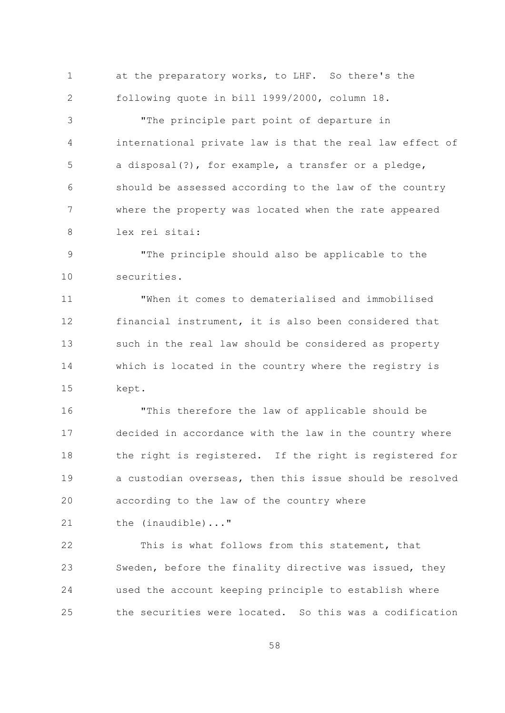at the preparatory works, to LHF. So there's the  $\mathbf{1}$ following quote in bill 1999/2000, column 18.  $\overline{2}$ 

"The principle part point of departure in 3 international private law is that the real law effect of  $\overline{4}$ 5 a disposal(?), for example, a transfer or a pledge, should be assessed according to the law of the country 6  $7\overline{ }$ where the property was located when the rate appeared  $\mathcal{S}_{\mathcal{S}}$ lex rei sitai:

"The principle should also be applicable to the 9  $10$ securities.

"When it comes to dematerialised and immobilised  $11$ 12 financial instrument, it is also been considered that  $13$ such in the real law should be considered as property 14 which is located in the country where the registry is 15 kept.

"This therefore the law of applicable should be 16 decided in accordance with the law in the country where  $17$ the right is registered. If the right is registered for 18 19 a custodian overseas, then this issue should be resolved 20 according to the law of the country where

21 the (inaudible)..."

22 This is what follows from this statement, that Sweden, before the finality directive was issued, they 23 24 used the account keeping principle to establish where the securities were located. So this was a codification 25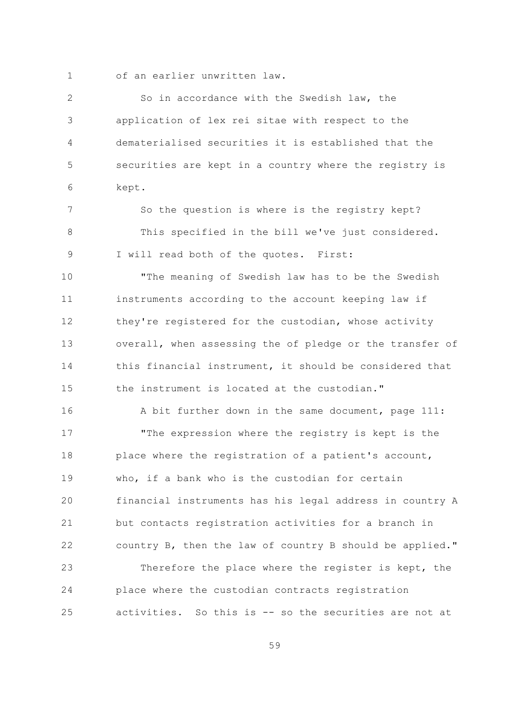$\mathbf{1}$ 

of an earlier unwritten law.

 $\overline{2}$ So in accordance with the Swedish law, the application of lex rei sitae with respect to the 3  $\overline{4}$ dematerialised securities it is established that the 5 securities are kept in a country where the registry is 6 kept.  $7\overline{ }$ So the question is where is the registry kept?  $\mathcal{S}_{\mathcal{S}}$ This specified in the bill we've just considered. I will read both of the quotes. First: 9  $10$ "The meaning of Swedish law has to be the Swedish  $11$ instruments according to the account keeping law if they're registered for the custodian, whose activity 12  $13$ overall, when assessing the of pledge or the transfer of 14 this financial instrument, it should be considered that 1.5 the instrument is located at the custodian." 16 A bit further down in the same document, page 111:  $17$ "The expression where the registry is kept is the  $18$ place where the registration of a patient's account, who, if a bank who is the custodian for certain 19  $20$ financial instruments has his legal address in country A 21 but contacts registration activities for a branch in 22 country B, then the law of country B should be applied." 23 Therefore the place where the register is kept, the 24 place where the custodian contracts registration 25 activities. So this is -- so the securities are not at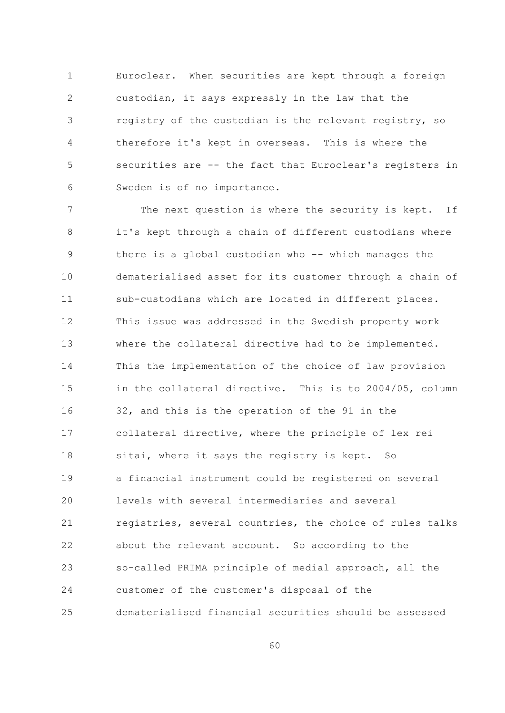$\mathbf{1}$ Euroclear. When securities are kept through a foreign  $\overline{2}$ custodian, it says expressly in the law that the registry of the custodian is the relevant registry, so 3 therefore it's kept in overseas. This is where the  $\overline{4}$ 5 securities are -- the fact that Euroclear's registers in Sweden is of no importance. 6

 $\overline{7}$ The next question is where the security is kept. If it's kept through a chain of different custodians where 8 9 there is a global custodian who -- which manages the  $10$ dematerialised asset for its customer through a chain of  $11$ sub-custodians which are located in different places. 12 This issue was addressed in the Swedish property work  $13$ where the collateral directive had to be implemented. 14 This the implementation of the choice of law provision 1.5 in the collateral directive. This is to 2004/05, column 32, and this is the operation of the 91 in the 16 collateral directive, where the principle of lex rei  $17$ 18 sitai, where it says the registry is kept. So  $19$ a financial instrument could be registered on several levels with several intermediaries and several 20 21 registries, several countries, the choice of rules talks 22 about the relevant account. So according to the so-called PRIMA principle of medial approach, all the 23 24 customer of the customer's disposal of the dematerialised financial securities should be assessed 25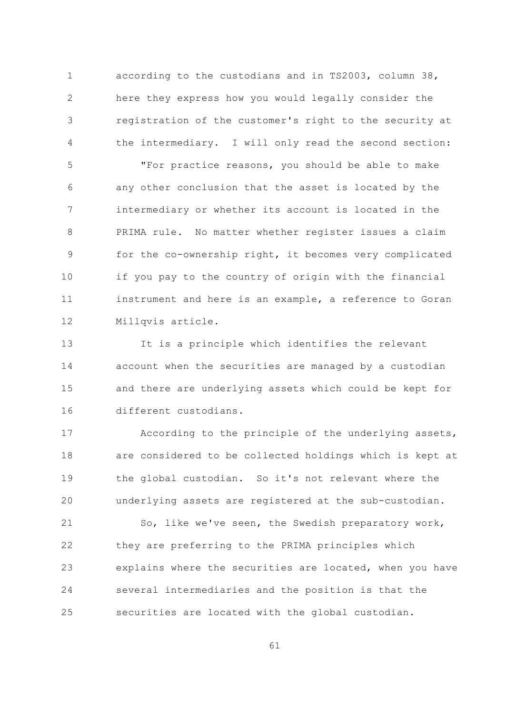according to the custodians and in TS2003, column 38,  $\mathbf{1}$  $\overline{2}$ here they express how you would legally consider the registration of the customer's right to the security at 3 the intermediary. I will only read the second section:  $\overline{4}$ 

5 "For practice reasons, you should be able to make any other conclusion that the asset is located by the 6  $7\overline{ }$ intermediary or whether its account is located in the  $\mathcal{S}_{\mathcal{S}}$ PRIMA rule. No matter whether register issues a claim for the co-ownership right, it becomes very complicated 9  $10$ if you pay to the country of origin with the financial instrument and here is an example, a reference to Goran  $11$ 12 Millqvis article.

 $13$ It is a principle which identifies the relevant 14 account when the securities are managed by a custodian and there are underlying assets which could be kept for 15 different custodians. 16

According to the principle of the underlying assets,  $17$ 18 are considered to be collected holdings which is kept at 19 the global custodian. So it's not relevant where the 20 underlying assets are registered at the sub-custodian.

21 So, like we've seen, the Swedish preparatory work, 22 they are preferring to the PRIMA principles which explains where the securities are located, when you have 23 24 several intermediaries and the position is that the securities are located with the global custodian. 25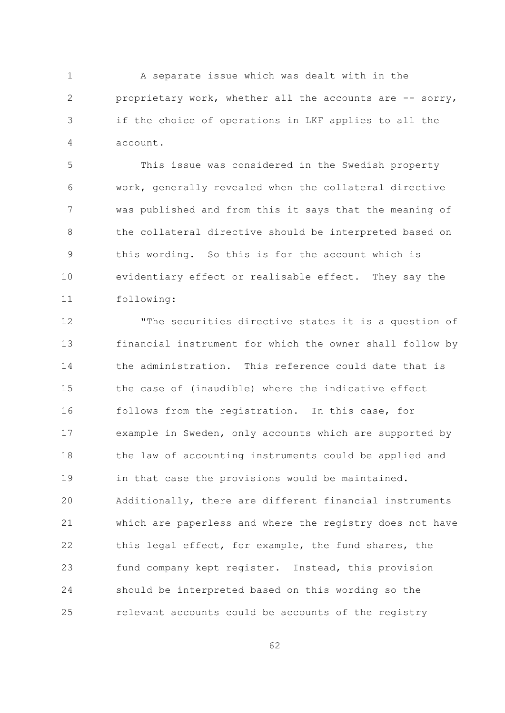$\mathbf{1}$ A separate issue which was dealt with in the  $\overline{2}$ proprietary work, whether all the accounts are -- sorry, if the choice of operations in LKF applies to all the 3 account.  $\overline{4}$ 

 $\overline{5}$ This issue was considered in the Swedish property work, generally revealed when the collateral directive 6  $\overline{7}$ was published and from this it says that the meaning of  $\mathcal{S}_{\mathcal{S}}$ the collateral directive should be interpreted based on this wording. So this is for the account which is 9  $10$ evidentiary effect or realisable effect. They say the  $11$ following:

 $12$ "The securities directive states it is a question of  $13$ financial instrument for which the owner shall follow by 14 the administration. This reference could date that is 1.5 the case of (inaudible) where the indicative effect follows from the registration. In this case, for 16 example in Sweden, only accounts which are supported by  $17$  $18$ the law of accounting instruments could be applied and 19 in that case the provisions would be maintained. 20 Additionally, there are different financial instruments 21 which are paperless and where the registry does not have 22 this legal effect, for example, the fund shares, the fund company kept register. Instead, this provision 23 24 should be interpreted based on this wording so the relevant accounts could be accounts of the registry  $2.5$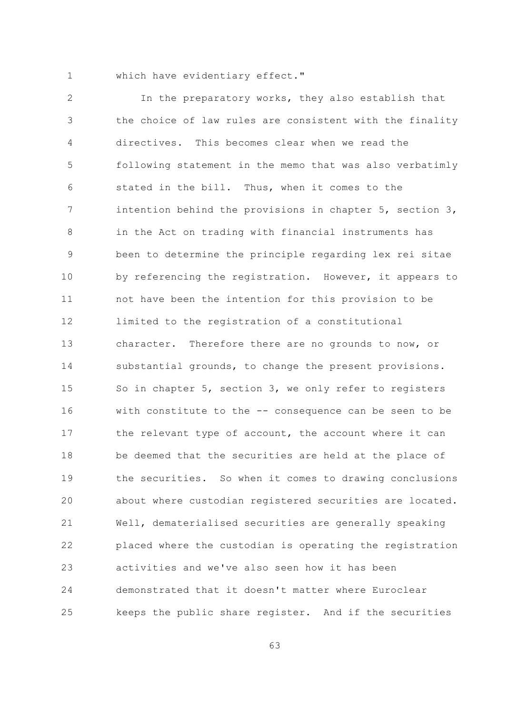$\mathbf{1}$ 

which have evidentiary effect."

 $\overline{2}$ In the preparatory works, they also establish that the choice of law rules are consistent with the finality 3 directives. This becomes clear when we read the  $\overline{4}$ 5 following statement in the memo that was also verbatimly stated in the bill. Thus, when it comes to the 6  $7\overline{ }$ intention behind the provisions in chapter 5, section 3, in the Act on trading with financial instruments has 8 been to determine the principle regarding lex rei sitae 9  $10$ by referencing the registration. However, it appears to  $11$ not have been the intention for this provision to be 12 limited to the registration of a constitutional  $13$ character. Therefore there are no grounds to now, or 14 substantial grounds, to change the present provisions. 15 So in chapter 5, section 3, we only refer to registers with constitute to the -- consequence can be seen to be 16 the relevant type of account, the account where it can  $17$  $18$ be deemed that the securities are held at the place of 19 the securities. So when it comes to drawing conclusions 20 about where custodian registered securities are located. 21 Well, dematerialised securities are generally speaking 22 placed where the custodian is operating the registration 23 activities and we've also seen how it has been 24 demonstrated that it doesn't matter where Euroclear 25 keeps the public share register. And if the securities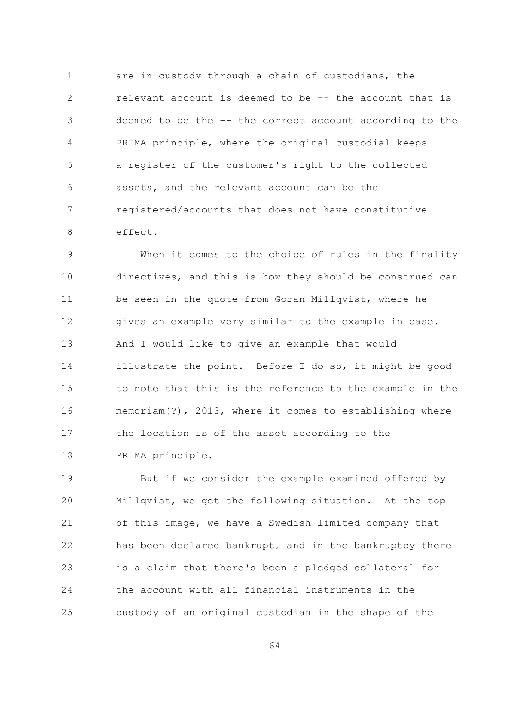$\mathbf{1}$ are in custody through a chain of custodians, the  $\overline{2}$ relevant account is deemed to be -- the account that is deemed to be the -- the correct account according to the 3  $\sqrt{4}$ PRIMA principle, where the original custodial keeps 5 a register of the customer's right to the collected assets, and the relevant account can be the 6  $7\overline{ }$ registered/accounts that does not have constitutive  $\mathcal{S}_{\mathcal{S}}$ effect.

When it comes to the choice of rules in the finality 9 10 directives, and this is how they should be construed can  $11$ be seen in the quote from Goran Millqvist, where he 12 gives an example very similar to the example in case.  $13$ And I would like to give an example that would 14 illustrate the point. Before I do so, it might be good 15 to note that this is the reference to the example in the memoriam(?), 2013, where it comes to establishing where 16 the location is of the asset according to the  $17$ 18 PRIMA principle.

19 But if we consider the example examined offered by 20 Millqvist, we get the following situation. At the top 21 of this image, we have a Swedish limited company that 22 has been declared bankrupt, and in the bankruptcy there is a claim that there's been a pledged collateral for 23 24 the account with all financial instruments in the 25 custody of an original custodian in the shape of the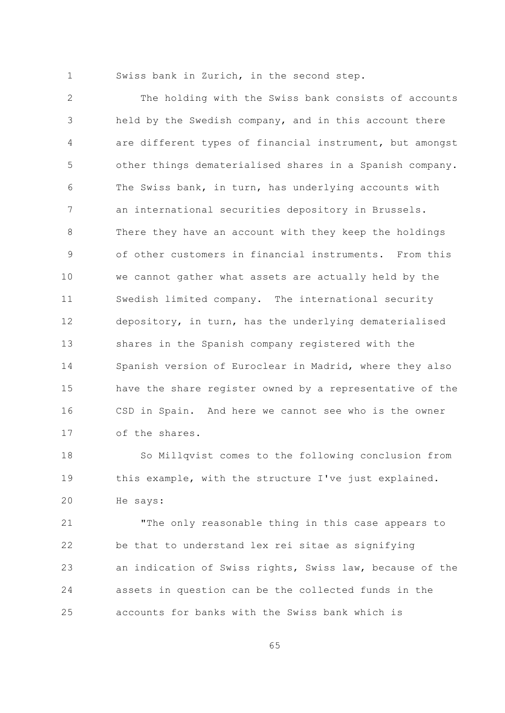$\mathbf{1}$ 

Swiss bank in Zurich, in the second step.

 $\overline{2}$ The holding with the Swiss bank consists of accounts held by the Swedish company, and in this account there 3 are different types of financial instrument, but amongst  $\overline{4}$ 5 other things dematerialised shares in a Spanish company. The Swiss bank, in turn, has underlying accounts with 6  $\overline{7}$ an international securities depository in Brussels. There they have an account with they keep the holdings 8 of other customers in financial instruments. From this 9  $10$ we cannot gather what assets are actually held by the Swedish limited company. The international security  $11$  $12$ depository, in turn, has the underlying dematerialised  $13$ shares in the Spanish company registered with the 14 Spanish version of Euroclear in Madrid, where they also 15 have the share register owned by a representative of the CSD in Spain. And here we cannot see who is the owner 16 of the shares.  $17$ 

 $18$ So Millqvist comes to the following conclusion from this example, with the structure I've just explained. 19 20 He says:

21 "The only reasonable thing in this case appears to 22 be that to understand lex rei sitae as signifying an indication of Swiss rights, Swiss law, because of the 23 24 assets in question can be the collected funds in the accounts for banks with the Swiss bank which is 25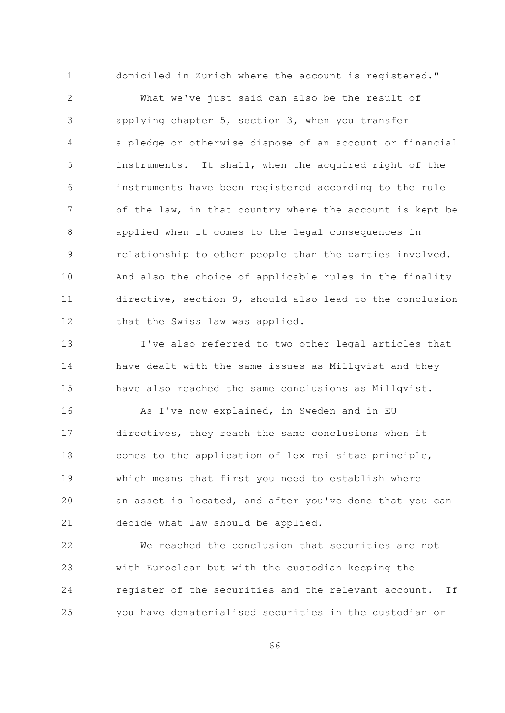$\overline{2}$ What we've just said can also be the result of applying chapter 5, section 3, when you transfer 3 a pledge or otherwise dispose of an account or financial 4 5 instruments. It shall, when the acquired right of the instruments have been registered according to the rule 6  $7\overline{ }$ of the law, in that country where the account is kept be applied when it comes to the legal consequences in  $\mathsf{R}$ relationship to other people than the parties involved. 9  $10$ And also the choice of applicable rules in the finality directive, section 9, should also lead to the conclusion  $11$ 12 that the Swiss law was applied.

domiciled in Zurich where the account is registered."

 $\mathbf{1}$ 

 $13$ I've also referred to two other legal articles that 14 have dealt with the same issues as Millqvist and they 15 have also reached the same conclusions as Millqvist.

As I've now explained, in Sweden and in EU 16 directives, they reach the same conclusions when it  $17$ 18 comes to the application of lex rei sitae principle, 19 which means that first you need to establish where 20 an asset is located, and after you've done that you can 21 decide what law should be applied.

22 We reached the conclusion that securities are not 23 with Euroclear but with the custodian keeping the 24 register of the securities and the relevant account. If you have dematerialised securities in the custodian or 25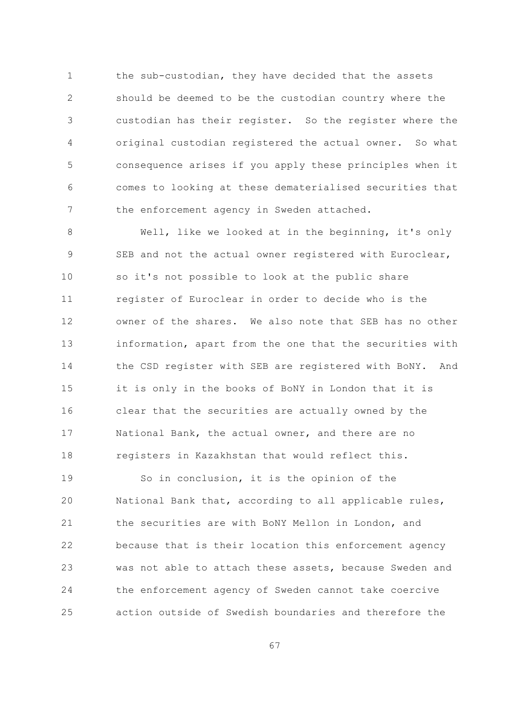the sub-custodian, they have decided that the assets  $\mathbf{1}$  $\overline{2}$ should be deemed to be the custodian country where the custodian has their register. So the register where the 3 original custodian registered the actual owner. So what 4 5 consequence arises if you apply these principles when it comes to looking at these dematerialised securities that 6  $\overline{7}$ the enforcement agency in Sweden attached.

Well, like we looked at in the beginning, it's only 8 9 SEB and not the actual owner registered with Euroclear,  $10$ so it's not possible to look at the public share  $11$ register of Euroclear in order to decide who is the  $12$ owner of the shares. We also note that SEB has no other  $13$ information, apart from the one that the securities with 14 the CSD register with SEB are registered with BoNY. And 15 it is only in the books of BoNY in London that it is clear that the securities are actually owned by the 16 National Bank, the actual owner, and there are no  $17$ 18 registers in Kazakhstan that would reflect this.

19 So in conclusion, it is the opinion of the 20 National Bank that, according to all applicable rules, 21 the securities are with BoNY Mellon in London, and 22 because that is their location this enforcement agency was not able to attach these assets, because Sweden and 23 24 the enforcement agency of Sweden cannot take coercive action outside of Swedish boundaries and therefore the 25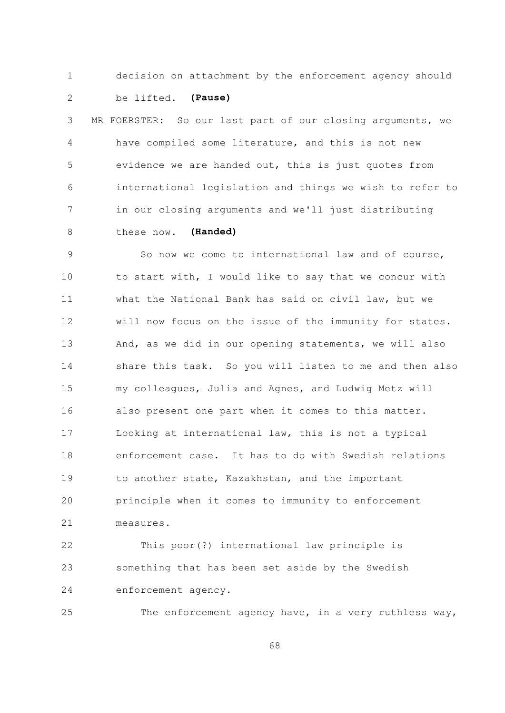$\mathbf{1}$ 

decision on attachment by the enforcement agency should

 $\overline{2}$ be lifted. (Pause)

MR FOERSTER: So our last part of our closing arguments, we 3  $\overline{4}$ have compiled some literature, and this is not new  $\overline{5}$ evidence we are handed out, this is just quotes from international legislation and things we wish to refer to 6  $\overline{7}$ in our closing arguments and we'll just distributing these now. (Handed)  $\mathsf{R}$ 

So now we come to international law and of course, 9  $10$ to start with, I would like to say that we concur with  $11$ what the National Bank has said on civil law, but we  $12$ will now focus on the issue of the immunity for states.  $13$ And, as we did in our opening statements, we will also 14 share this task. So you will listen to me and then also 15 my colleagues, Julia and Agnes, and Ludwig Metz will also present one part when it comes to this matter. 16 Looking at international law, this is not a typical  $17$ enforcement case. It has to do with Swedish relations  $18$ 19 to another state, Kazakhstan, and the important 20 principle when it comes to immunity to enforcement 21 measures.

 $22$ This poor(?) international law principle is something that has been set aside by the Swedish 23 enforcement agency. 24

25 The enforcement agency have, in a very ruthless way,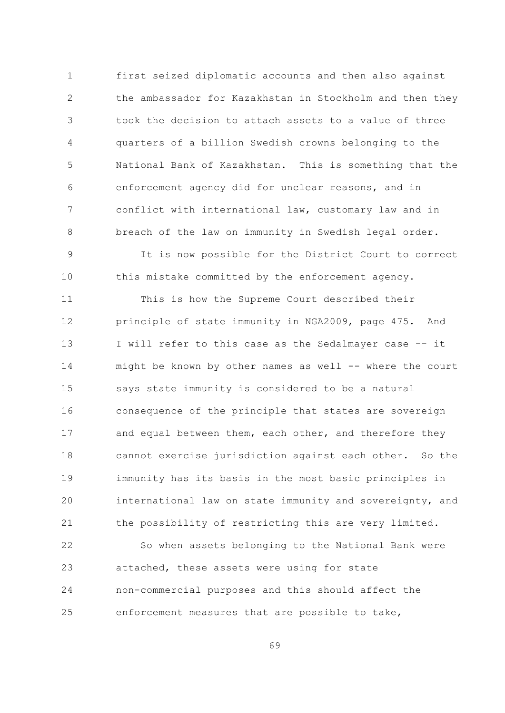$\mathbf{1}$ first seized diplomatic accounts and then also against  $\overline{2}$ the ambassador for Kazakhstan in Stockholm and then they took the decision to attach assets to a value of three 3 quarters of a billion Swedish crowns belonging to the  $\overline{4}$  $\overline{5}$ National Bank of Kazakhstan. This is something that the enforcement agency did for unclear reasons, and in 6  $\overline{7}$ conflict with international law, customary law and in breach of the law on immunity in Swedish legal order.  $\mathsf{R}$ 

It is now possible for the District Court to correct 9  $10$ this mistake committed by the enforcement agency.

 $11$ This is how the Supreme Court described their principle of state immunity in NGA2009, page 475. And 12  $13$ I will refer to this case as the Sedalmayer case -- it 14 might be known by other names as well -- where the court 15 says state immunity is considered to be a natural consequence of the principle that states are sovereign 16 and equal between them, each other, and therefore they  $17$  $18$ cannot exercise jurisdiction against each other. So the 19 immunity has its basis in the most basic principles in 20 international law on state immunity and sovereignty, and 21 the possibility of restricting this are very limited.

22 So when assets belonging to the National Bank were attached, these assets were using for state 23 24 non-commercial purposes and this should affect the enforcement measures that are possible to take, 25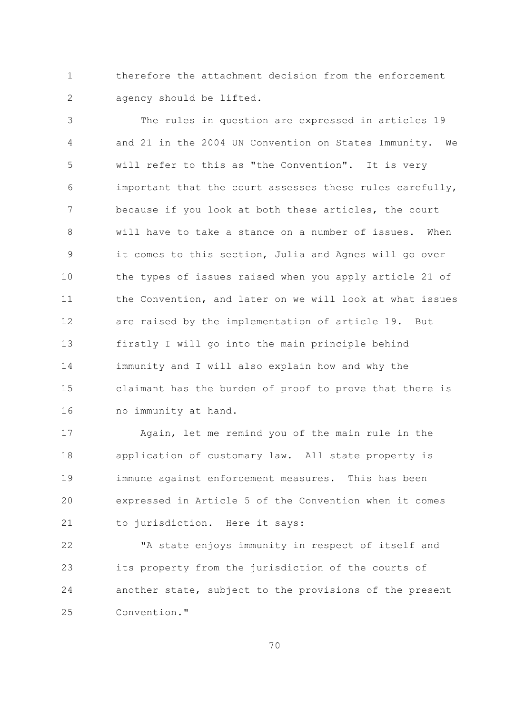therefore the attachment decision from the enforcement  $\mathbf{1}$  $\overline{2}$ agency should be lifted.

The rules in question are expressed in articles 19 3  $\overline{4}$ and 21 in the 2004 UN Convention on States Immunity. We 5 will refer to this as "the Convention". It is very important that the court assesses these rules carefully, 6  $7\overline{ }$ because if you look at both these articles, the court  $\mathcal{S}_{\mathcal{S}}$ will have to take a stance on a number of issues. When it comes to this section, Julia and Agnes will go over 9  $10$ the types of issues raised when you apply article 21 of the Convention, and later on we will look at what issues  $11$ are raised by the implementation of article 19. But 12  $13$ firstly I will go into the main principle behind 14 immunity and I will also explain how and why the 1.5 claimant has the burden of proof to prove that there is no immunity at hand. 16

 $17$ Again, let me remind you of the main rule in the  $18$ application of customary law. All state property is 19 immune against enforcement measures. This has been expressed in Article 5 of the Convention when it comes 20 21 to jurisdiction. Here it says:

 $22$ "A state enjoys immunity in respect of itself and its property from the jurisdiction of the courts of 23 24 another state, subject to the provisions of the present  $2.5$ Convention."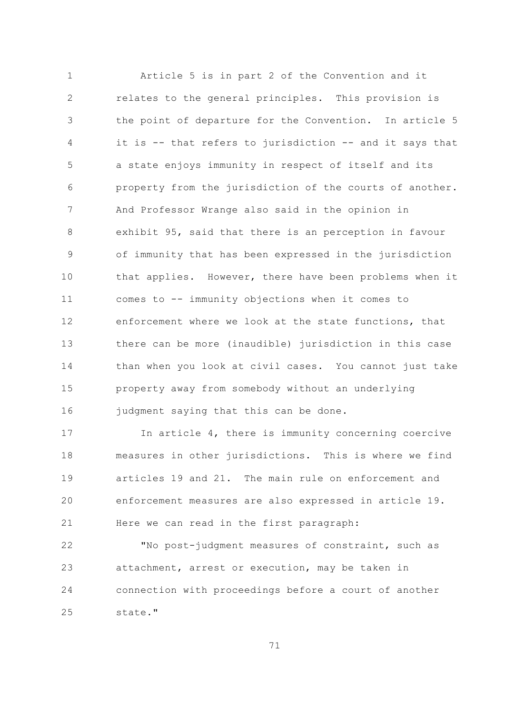Article 5 is in part 2 of the Convention and it  $\mathbf{1}$  $\overline{2}$ relates to the general principles. This provision is the point of departure for the Convention. In article 5 3 it is -- that refers to jurisdiction -- and it says that  $\overline{4}$ 5 a state enjoys immunity in respect of itself and its property from the jurisdiction of the courts of another. 6  $\overline{7}$ And Professor Wrange also said in the opinion in exhibit 95, said that there is an perception in favour 8 of immunity that has been expressed in the jurisdiction 9  $10$ that applies. However, there have been problems when it comes to -- immunity objections when it comes to  $11$ enforcement where we look at the state functions, that  $12$  $13$ there can be more (inaudible) jurisdiction in this case 14 than when you look at civil cases. You cannot just take 15 property away from somebody without an underlying judgment saying that this can be done. 16

In article 4, there is immunity concerning coercive  $17$ measures in other jurisdictions. This is where we find 18 articles 19 and 21. The main rule on enforcement and 19 20 enforcement measures are also expressed in article 19. 21 Here we can read in the first paragraph:

 $22$ "No post-judgment measures of constraint, such as attachment, arrest or execution, may be taken in 23 connection with proceedings before a court of another 24  $2.5$ state."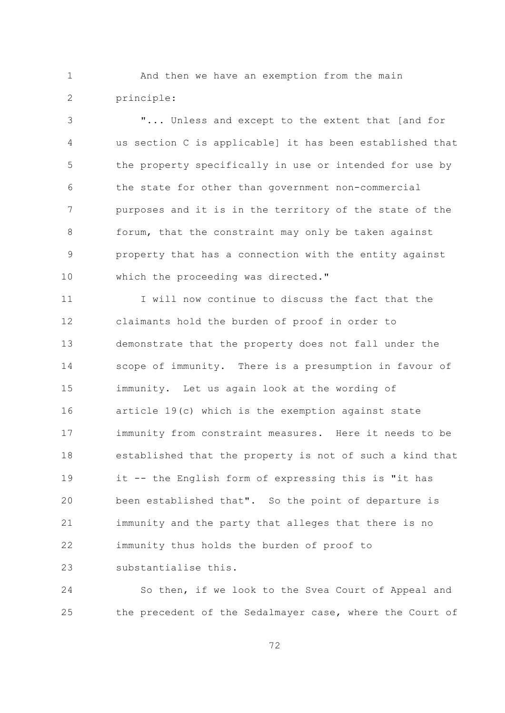$\mathbf{1}$ And then we have an exemption from the main  $\overline{2}$ principle:

"... Unless and except to the extent that [and for 3  $\overline{4}$ us section C is applicable] it has been established that 5 the property specifically in use or intended for use by the state for other than government non-commercial 6  $\overline{7}$ purposes and it is in the territory of the state of the  $\mathcal{S}_{\mathcal{S}}$ forum, that the constraint may only be taken against property that has a connection with the entity against 9  $10$ which the proceeding was directed."

I will now continue to discuss the fact that the  $11$ claimants hold the burden of proof in order to 12  $13$ demonstrate that the property does not fall under the 14 scope of immunity. There is a presumption in favour of 1.5 immunity. Let us again look at the wording of 16 article 19(c) which is the exemption against state immunity from constraint measures. Here it needs to be  $17$ 18 established that the property is not of such a kind that it -- the English form of expressing this is "it has 19 been established that". So the point of departure is 20 21 immunity and the party that alleges that there is no 22 immunity thus holds the burden of proof to substantialise this. 23

24 So then, if we look to the Svea Court of Appeal and the precedent of the Sedalmayer case, where the Court of 25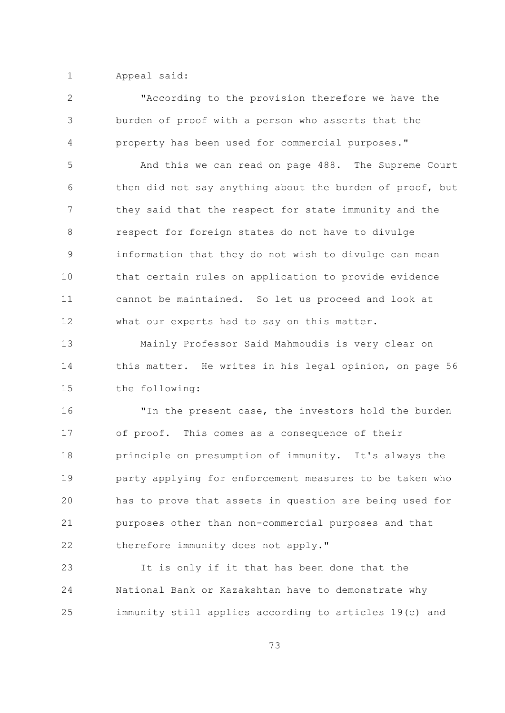$\mathbf{1}$ Appeal said:

 $\overline{2}$ "According to the provision therefore we have the burden of proof with a person who asserts that the 3  $\overline{4}$ property has been used for commercial purposes." 5 And this we can read on page 488. The Supreme Court then did not say anything about the burden of proof, but 6  $7\overline{ }$ they said that the respect for state immunity and the  $\mathcal{S}_{\mathcal{S}}$ respect for foreign states do not have to divulge information that they do not wish to divulge can mean 9  $10$ that certain rules on application to provide evidence cannot be maintained. So let us proceed and look at  $11$ 12 what our experts had to say on this matter.  $13$ Mainly Professor Said Mahmoudis is very clear on 14 this matter. He writes in his legal opinion, on page 56 15 the following: 16 "In the present case, the investors hold the burden of proof. This comes as a consequence of their  $17$ 18 principle on presumption of immunity. It's always the 19 party applying for enforcement measures to be taken who 20 has to prove that assets in question are being used for 21 purposes other than non-commercial purposes and that 22 therefore immunity does not apply." It is only if it that has been done that the 23

24 National Bank or Kazakshtan have to demonstrate why immunity still applies according to articles 19(c) and 25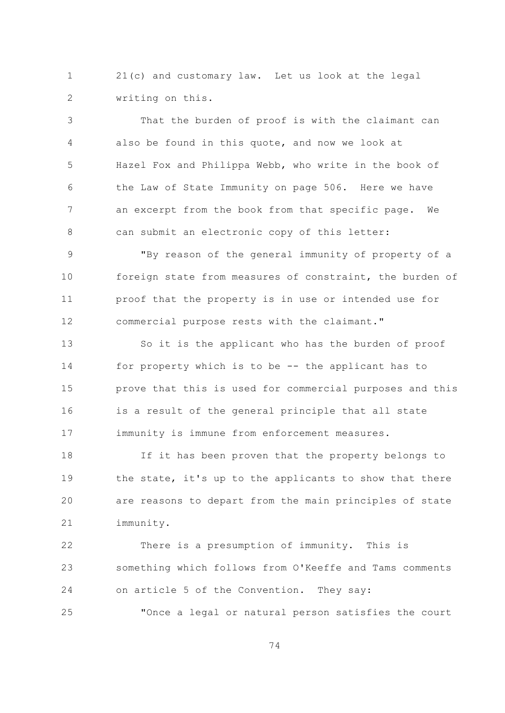$\mathbf{1}$ 21(c) and customary law. Let us look at the legal  $\overline{2}$ writing on this.

That the burden of proof is with the claimant can 3 also be found in this quote, and now we look at  $\overline{4}$ 5 Hazel Fox and Philippa Webb, who write in the book of the Law of State Immunity on page 506. Here we have 6  $\overline{7}$ an excerpt from the book from that specific page. We  $\mathcal{S}_{\mathcal{S}}$ can submit an electronic copy of this letter:

"By reason of the general immunity of property of a 9  $10$ foreign state from measures of constraint, the burden of proof that the property is in use or intended use for  $11$ commercial purpose rests with the claimant." 12

 $13$ So it is the applicant who has the burden of proof 14 for property which is to be -- the applicant has to 1.5 prove that this is used for commercial purposes and this 16 is a result of the general principle that all state immunity is immune from enforcement measures.  $17$ 

 $18$ If it has been proven that the property belongs to 19 the state, it's up to the applicants to show that there 20 are reasons to depart from the main principles of state 21 immunity.

There is a presumption of immunity. This is  $22$ something which follows from O'Keeffe and Tams comments 23 24 on article 5 of the Convention. They say:

25 "Once a legal or natural person satisfies the court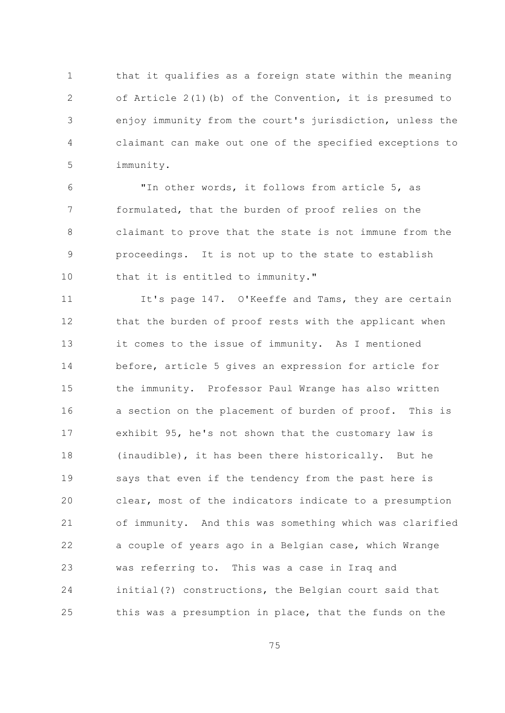$\mathbf{1}$ that it qualifies as a foreign state within the meaning  $\overline{2}$ of Article  $2(1)(b)$  of the Convention, it is presumed to enjoy immunity from the court's jurisdiction, unless the 3  $\sqrt{4}$ claimant can make out one of the specified exceptions to 5 immunity.

"In other words, it follows from article 5, as 6  $7\overline{ }$ formulated, that the burden of proof relies on the claimant to prove that the state is not immune from the 8 proceedings. It is not up to the state to establish 9 10 that it is entitled to immunity."

It's page 147. O'Keeffe and Tams, they are certain  $11$ 12 that the burden of proof rests with the applicant when  $13$ it comes to the issue of immunity. As I mentioned 14 before, article 5 gives an expression for article for 15 the immunity. Professor Paul Wrange has also written a section on the placement of burden of proof. This is 16 exhibit 95, he's not shown that the customary law is 17 18 (inaudible), it has been there historically. But he 19 says that even if the tendency from the past here is 20 clear, most of the indicators indicate to a presumption 21 of immunity. And this was something which was clarified 22 a couple of years ago in a Belgian case, which Wrange was referring to. This was a case in Iraq and 23 24 initial(?) constructions, the Belgian court said that this was a presumption in place, that the funds on the 25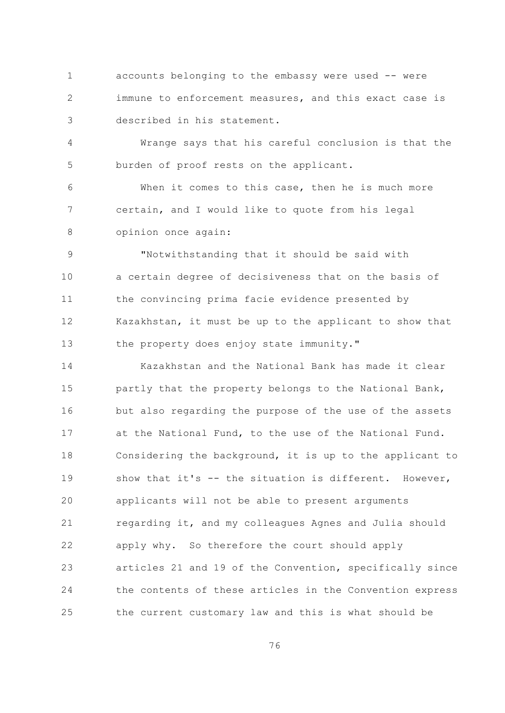$\mathbf{1}$ accounts belonging to the embassy were used -- were  $\overline{2}$ immune to enforcement measures, and this exact case is described in his statement. 3

 $\overline{4}$ Wrange says that his careful conclusion is that the 5 burden of proof rests on the applicant.

When it comes to this case, then he is much more 6  $7\overline{ }$ certain, and I would like to quote from his legal opinion once again: 8

"Notwithstanding that it should be said with 9  $10$ a certain degree of decisiveness that on the basis of  $11$ the convincing prima facie evidence presented by 12 Kazakhstan, it must be up to the applicant to show that the property does enjoy state immunity."  $13$ 

14 Kazakhstan and the National Bank has made it clear 15 partly that the property belongs to the National Bank, but also regarding the purpose of the use of the assets 16 at the National Fund, to the use of the National Fund.  $17$ 18 Considering the background, it is up to the applicant to show that it's -- the situation is different. However, 19 20 applicants will not be able to present arguments 21 regarding it, and my colleagues Agnes and Julia should 22 apply why. So therefore the court should apply 23 articles 21 and 19 of the Convention, specifically since 24 the contents of these articles in the Convention express the current customary law and this is what should be 25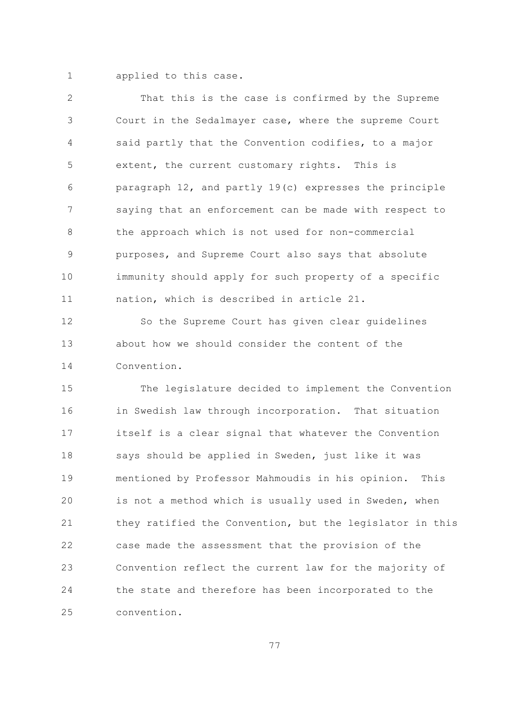$\mathbf{1}$ applied to this case.

 $\overline{2}$ That this is the case is confirmed by the Supreme Court in the Sedalmayer case, where the supreme Court 3 said partly that the Convention codifies, to a major 4 5 extent, the current customary rights. This is paragraph 12, and partly 19(c) expresses the principle 6  $\overline{7}$ saying that an enforcement can be made with respect to  $\mathcal{S}_{\mathcal{S}}$ the approach which is not used for non-commercial purposes, and Supreme Court also says that absolute 9  $10$ immunity should apply for such property of a specific  $11$ nation, which is described in article 21.

So the Supreme Court has given clear guidelines  $12$  $13$ about how we should consider the content of the 14 Convention.

15 The legislature decided to implement the Convention in Swedish law through incorporation. That situation 16 itself is a clear signal that whatever the Convention  $17$  $18$ says should be applied in Sweden, just like it was 19 mentioned by Professor Mahmoudis in his opinion. This 20 is not a method which is usually used in Sweden, when 21 they ratified the Convention, but the legislator in this 22 case made the assessment that the provision of the 23 Convention reflect the current law for the majority of 24 the state and therefore has been incorporated to the  $2.5$ convention.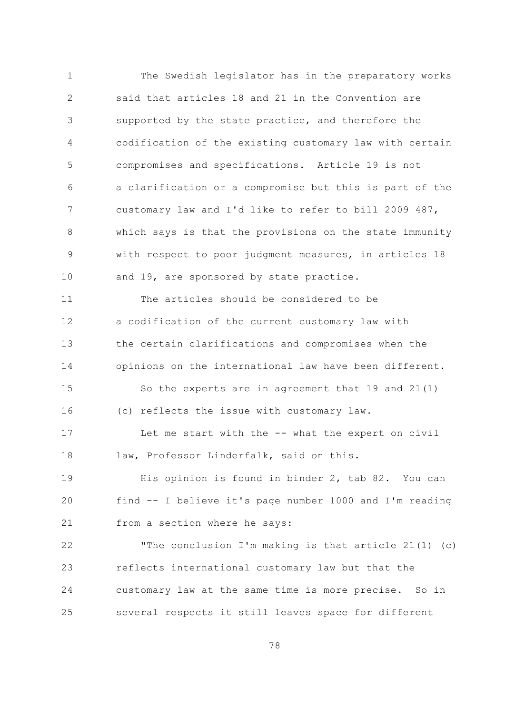$\mathbf{1}$ The Swedish legislator has in the preparatory works  $\overline{2}$ said that articles 18 and 21 in the Convention are supported by the state practice, and therefore the 3  $\overline{4}$ codification of the existing customary law with certain  $\overline{5}$ compromises and specifications. Article 19 is not a clarification or a compromise but this is part of the 6  $\overline{7}$ customary law and I'd like to refer to bill 2009 487,  $\beta$ which says is that the provisions on the state immunity with respect to poor judgment measures, in articles 18 9  $10$ and 19, are sponsored by state practice. The articles should be considered to be  $11$ a codification of the current customary law with  $12$  $13$ the certain clarifications and compromises when the 14 opinions on the international law have been different. 1.5 So the experts are in agreement that 19 and 21(1) 16 (c) reflects the issue with customary law.  $17$ Let me start with the -- what the expert on civil law, Professor Linderfalk, said on this.  $18$ 19 His opinion is found in binder 2, tab 82. You can find -- I believe it's page number 1000 and I'm reading 20 21 from a section where he says: "The conclusion I'm making is that article 21(1) (c)  $22$ 23 reflects international customary law but that the 24 customary law at the same time is more precise. So in several respects it still leaves space for different 25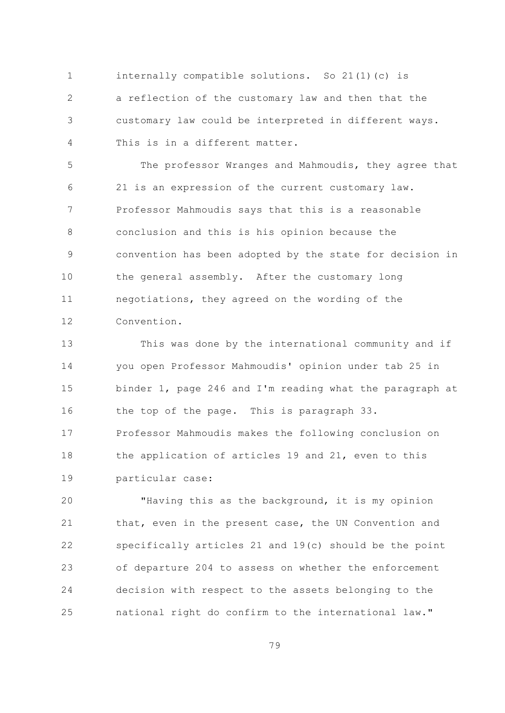$\mathbf{1}$ internally compatible solutions. So 21(1)(c) is  $\overline{2}$ a reflection of the customary law and then that the customary law could be interpreted in different ways. 3  $\overline{4}$ This is in a different matter.

5 The professor Wranges and Mahmoudis, they agree that 21 is an expression of the current customary law. 6  $7\overline{ }$ Professor Mahmoudis says that this is a reasonable  $\mathcal{S}_{\mathcal{S}}$ conclusion and this is his opinion because the convention has been adopted by the state for decision in 9  $10$ the general assembly. After the customary long negotiations, they agreed on the wording of the  $11$  $12$ Convention.

 $13$ This was done by the international community and if you open Professor Mahmoudis' opinion under tab 25 in 14 15 binder 1, page 246 and I'm reading what the paragraph at 16 the top of the page. This is paragraph 33. Professor Mahmoudis makes the following conclusion on  $17$ 

the application of articles 19 and 21, even to this 18 19 particular case:

"Having this as the background, it is my opinion 20 21 that, even in the present case, the UN Convention and 22 specifically articles 21 and 19(c) should be the point of departure 204 to assess on whether the enforcement 23 24 decision with respect to the assets belonging to the national right do confirm to the international law." 25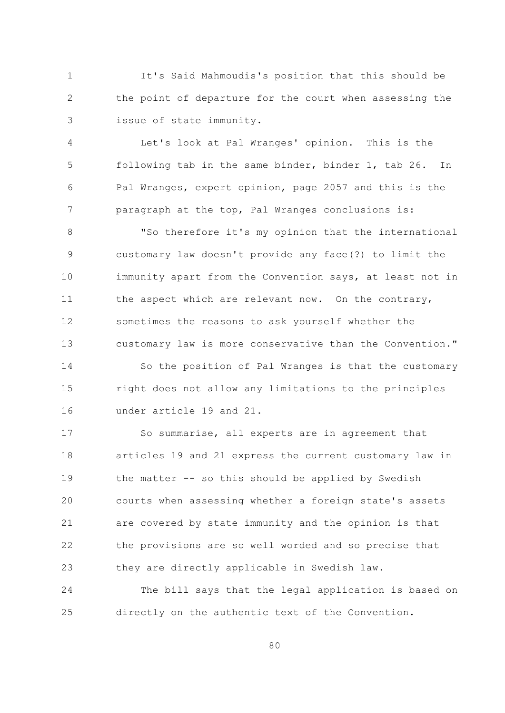It's Said Mahmoudis's position that this should be  $\mathbf{1}$  $\overline{2}$ the point of departure for the court when assessing the issue of state immunity. 3

Let's look at Pal Wranges' opinion.  $\overline{4}$ This is the 5 following tab in the same binder, binder 1, tab 26. In Pal Wranges, expert opinion, page 2057 and this is the 6  $\overline{7}$ paragraph at the top, Pal Wranges conclusions is:

 $\mathcal{S}_{\mathcal{S}}$ "So therefore it's my opinion that the international customary law doesn't provide any face(?) to limit the 9  $10$ immunity apart from the Convention says, at least not in the aspect which are relevant now. On the contrary,  $11$ sometimes the reasons to ask yourself whether the 12  $13$ customary law is more conservative than the Convention."

14 So the position of Pal Wranges is that the customary 15 right does not allow any limitations to the principles under article 19 and 21. 16

So summarise, all experts are in agreement that  $17$ 18 articles 19 and 21 express the current customary law in 19 the matter -- so this should be applied by Swedish 20 courts when assessing whether a foreign state's assets 21 are covered by state immunity and the opinion is that 22 the provisions are so well worded and so precise that they are directly applicable in Swedish law. 23

24 The bill says that the legal application is based on directly on the authentic text of the Convention. 25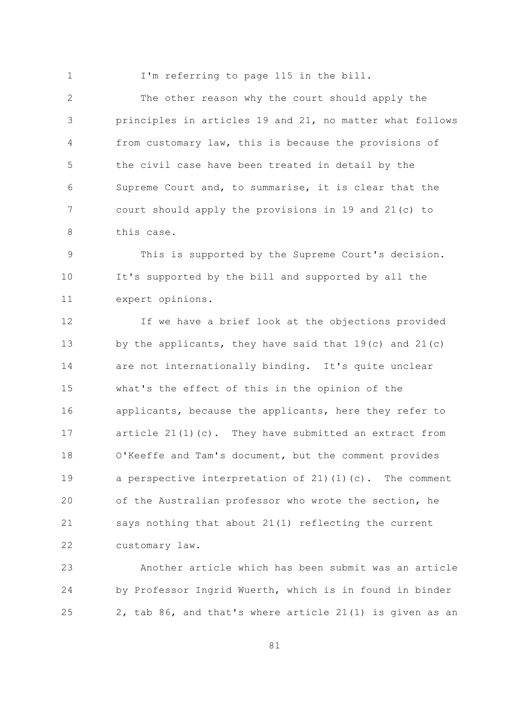$\mathbf{1}$ 

I'm referring to page 115 in the bill.

 $\overline{2}$ The other reason why the court should apply the principles in articles 19 and 21, no matter what follows 3  $\sqrt{4}$ from customary law, this is because the provisions of 5 the civil case have been treated in detail by the Supreme Court and, to summarise, it is clear that the 6  $7\overline{ }$ court should apply the provisions in 19 and 21(c) to 8 this case.

This is supported by the Supreme Court's decision. 9  $10$ It's supported by the bill and supported by all the  $11$ expert opinions.

If we have a brief look at the objections provided 12  $13$ by the applicants, they have said that  $19(c)$  and  $21(c)$ 14 are not internationally binding. It's quite unclear 15 what's the effect of this in the opinion of the applicants, because the applicants, here they refer to 16 article  $21(1)(c)$ . They have submitted an extract from  $17$ O'Keeffe and Tam's document, but the comment provides 18 19 a perspective interpretation of 21)(1)(c). The comment 20 of the Australian professor who wrote the section, he 21 says nothing that about 21(1) reflecting the current 22 customary law.

Another article which has been submit was an article 23 24 by Professor Ingrid Wuerth, which is in found in binder 2, tab 86, and that's where article 21(1) is given as an 25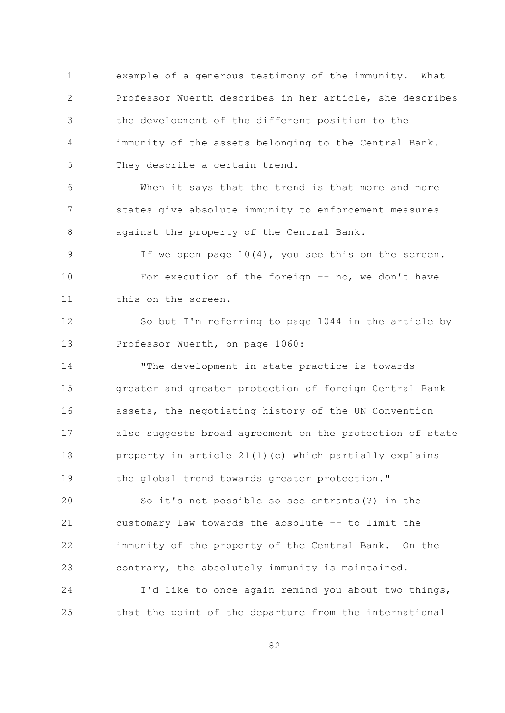$\mathbf{1}$ example of a generous testimony of the immunity. What  $\overline{2}$ Professor Wuerth describes in her article, she describes the development of the different position to the 3  $\overline{4}$ immunity of the assets belonging to the Central Bank. 5 They describe a certain trend.

When it says that the trend is that more and more 6  $7\overline{ }$ states give absolute immunity to enforcement measures 8 against the property of the Central Bank.

If we open page  $10(4)$ , you see this on the screen. 9  $10$ For execution of the foreign -- no, we don't have this on the screen.  $11$ 

So but I'm referring to page 1044 in the article by 12  $13$ Professor Wuerth, on page 1060:

14 "The development in state practice is towards 15 greater and greater protection of foreign Central Bank assets, the negotiating history of the UN Convention 16 also suggests broad agreement on the protection of state  $17$ property in article 21(1)(c) which partially explains 18 the global trend towards greater protection." 19

So it's not possible so see entrants (?) in the 20 customary law towards the absolute -- to limit the 21 22 immunity of the property of the Central Bank. On the contrary, the absolutely immunity is maintained. 23

24 I'd like to once again remind you about two things, that the point of the departure from the international 25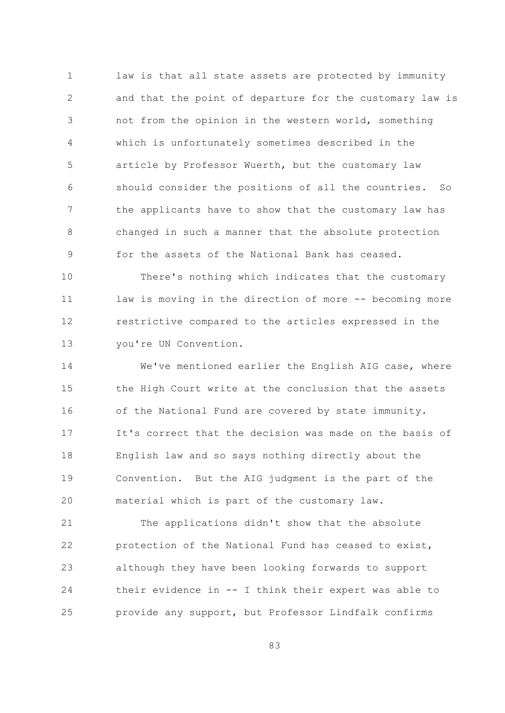$\mathbf{1}$ law is that all state assets are protected by immunity  $\overline{2}$ and that the point of departure for the customary law is not from the opinion in the western world, something 3  $\overline{4}$ which is unfortunately sometimes described in the 5 article by Professor Wuerth, but the customary law should consider the positions of all the countries. 6  $SO$  $\overline{7}$ the applicants have to show that the customary law has  $\mathcal{S}_{\mathcal{S}}$ changed in such a manner that the absolute protection for the assets of the National Bank has ceased. 9

 $10$ There's nothing which indicates that the customary  $11$ law is moving in the direction of more -- becoming more 12 restrictive compared to the articles expressed in the  $13$ you're UN Convention.

14 We've mentioned earlier the English AIG case, where 1.5 the High Court write at the conclusion that the assets of the National Fund are covered by state immunity. 16 It's correct that the decision was made on the basis of  $17$ 18 English law and so says nothing directly about the 19 Convention. But the AIG judgment is the part of the 20 material which is part of the customary law.

21 The applications didn't show that the absolute 22 protection of the National Fund has ceased to exist, 23 although they have been looking forwards to support 24 their evidence in -- I think their expert was able to provide any support, but Professor Lindfalk confirms 25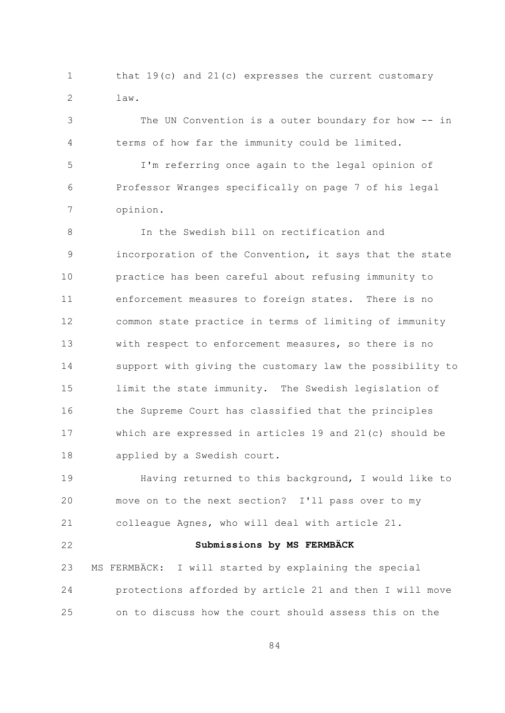$\mathbf{1}$ that  $19(c)$  and  $21(c)$  expresses the current customary  $\overline{2}$  $law.$ 

The UN Convention is a outer boundary for how -- in 3 terms of how far the immunity could be limited.  $\overline{4}$ 5 I'm referring once again to the legal opinion of Professor Wranges specifically on page 7 of his legal 6

 $7\overline{ }$ opinion.

 $\mathcal{S}_{\mathcal{S}}$ In the Swedish bill on rectification and incorporation of the Convention, it says that the state 9  $10$ practice has been careful about refusing immunity to enforcement measures to foreign states. There is no  $11$ 12 common state practice in terms of limiting of immunity  $13$ with respect to enforcement measures, so there is no 14 support with giving the customary law the possibility to 1.5 limit the state immunity. The Swedish legislation of 16 the Supreme Court has classified that the principles which are expressed in articles 19 and 21(c) should be  $17$  $18$ applied by a Swedish court.

Having returned to this background, I would like to  $19$ move on to the next section? I'll pass over to my 20 21 colleague Agnes, who will deal with article 21.

 $22$ 

## Submissions by MS FERMBÄCK

MS FERMBÄCK: I will started by explaining the special 23 24 protections afforded by article 21 and then I will move  $2.5$ on to discuss how the court should assess this on the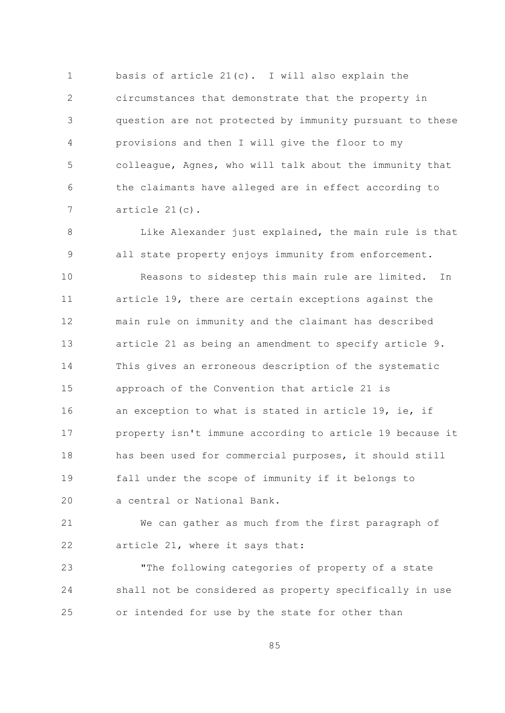basis of article 21(c). I will also explain the  $\mathbf{1}$  $\overline{2}$ circumstances that demonstrate that the property in question are not protected by immunity pursuant to these 3  $\overline{4}$ provisions and then I will give the floor to my 5 colleague, Agnes, who will talk about the immunity that the claimants have alleged are in effect according to 6  $7\overline{ }$ article  $21(c)$ .

Like Alexander just explained, the main rule is that  $\mathsf{R}$ all state property enjoys immunity from enforcement. 9  $10$ Reasons to sidestep this main rule are limited. In  $11$ article 19, there are certain exceptions against the main rule on immunity and the claimant has described 12  $13$ article 21 as being an amendment to specify article 9. 14 This gives an erroneous description of the systematic 1.5 approach of the Convention that article 21 is an exception to what is stated in article 19, ie, if 16 property isn't immune according to article 19 because it  $17$  $18$ has been used for commercial purposes, it should still fall under the scope of immunity if it belongs to 19 a central or National Bank. 20

21 We can gather as much from the first paragraph of 22 article 21, where it says that:

"The following categories of property of a state 23 24 shall not be considered as property specifically in use or intended for use by the state for other than 25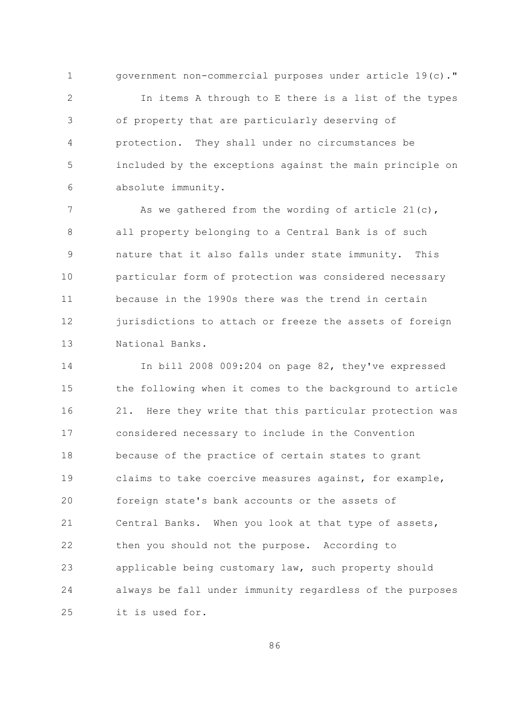$\mathbf{1}$ government non-commercial purposes under article 19(c)."  $\overline{2}$ In items A through to E there is a list of the types of property that are particularly deserving of 3  $\sqrt{4}$ protection. They shall under no circumstances be 5 included by the exceptions against the main principle on absolute immunity. 6

 $7\overline{ }$ As we gathered from the wording of article  $21(c)$ , 8 all property belonging to a Central Bank is of such nature that it also falls under state immunity. This 9  $10$ particular form of protection was considered necessary because in the 1990s there was the trend in certain  $11$ jurisdictions to attach or freeze the assets of foreign 12  $13$ National Banks.

In bill 2008 009:204 on page 82, they've expressed 14 15 the following when it comes to the background to article 21. Here they write that this particular protection was 16 considered necessary to include in the Convention  $17$  $18$ because of the practice of certain states to grant 19 claims to take coercive measures against, for example, foreign state's bank accounts or the assets of 20 21 Central Banks. When you look at that type of assets, 22 then you should not the purpose. According to 23 applicable being customary law, such property should 24 always be fall under immunity regardless of the purposes  $2.5$ it is used for.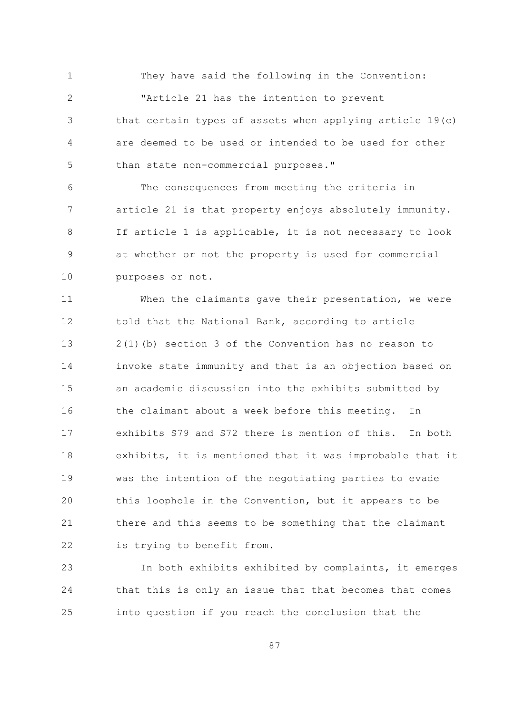$\mathbf{1}$ They have said the following in the Convention:  $\overline{2}$ "Article 21 has the intention to prevent that certain types of assets when applying article 19(c) 3  $\overline{4}$ are deemed to be used or intended to be used for other 5 than state non-commercial purposes."

The consequences from meeting the criteria in 6  $7\overline{ }$ article 21 is that property enjoys absolutely immunity. If article 1 is applicable, it is not necessary to look 8 at whether or not the property is used for commercial 9  $10$ purposes or not.

When the claimants gave their presentation, we were  $11$ 12 told that the National Bank, according to article  $13$  $2(1)$  (b) section 3 of the Convention has no reason to 14 invoke state immunity and that is an objection based on 1.5 an academic discussion into the exhibits submitted by 16 the claimant about a week before this meeting. In exhibits S79 and S72 there is mention of this. In both  $17$ 18 exhibits, it is mentioned that it was improbable that it 19 was the intention of the negotiating parties to evade 20 this loophole in the Convention, but it appears to be 21 there and this seems to be something that the claimant 22 is trying to benefit from.

23 In both exhibits exhibited by complaints, it emerges 24 that this is only an issue that that becomes that comes into question if you reach the conclusion that the 25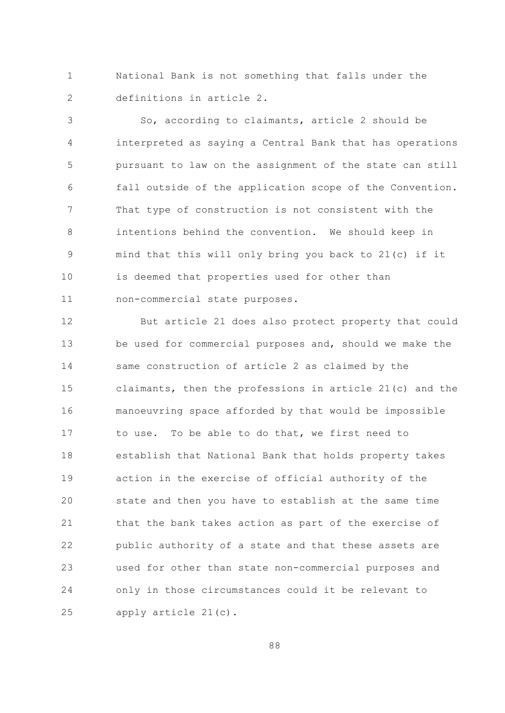$\mathbf{1}$ National Bank is not something that falls under the  $\overline{2}$ definitions in article 2.

So, according to claimants, article 2 should be 3 interpreted as saying a Central Bank that has operations  $\overline{4}$ 5 pursuant to law on the assignment of the state can still fall outside of the application scope of the Convention. 6  $\overline{7}$ That type of construction is not consistent with the intentions behind the convention. We should keep in  $\mathsf{R}$ mind that this will only bring you back to 21(c) if it 9 10 is deemed that properties used for other than  $11$ non-commercial state purposes.

12 But article 21 does also protect property that could  $13$ be used for commercial purposes and, should we make the 14 same construction of article 2 as claimed by the claimants, then the professions in article 21(c) and the 15 manoeuvring space afforded by that would be impossible 16 to use. To be able to do that, we first need to  $17$ 18 establish that National Bank that holds property takes 19 action in the exercise of official authority of the 20 state and then you have to establish at the same time 21 that the bank takes action as part of the exercise of 22 public authority of a state and that these assets are used for other than state non-commercial purposes and 23 24 only in those circumstances could it be relevant to 25 apply article 21(c).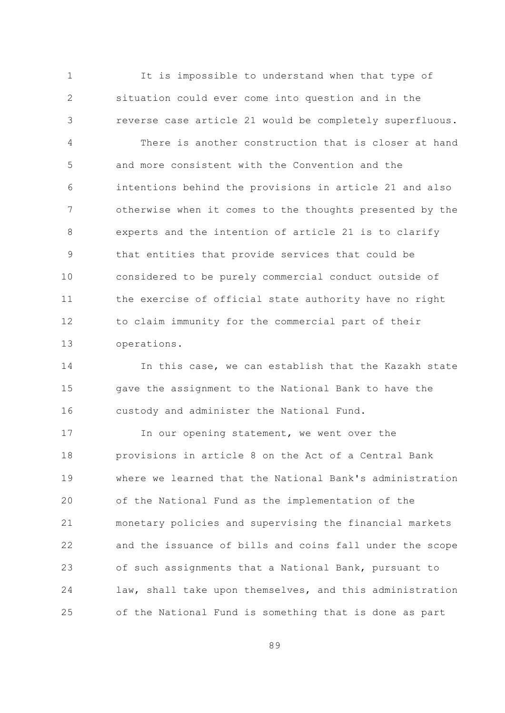$\mathbf{1}$ It is impossible to understand when that type of  $\overline{2}$ situation could ever come into question and in the reverse case article 21 would be completely superfluous. 3

There is another construction that is closer at hand  $\overline{4}$  $\overline{5}$ and more consistent with the Convention and the intentions behind the provisions in article 21 and also 6  $\overline{7}$ otherwise when it comes to the thoughts presented by the experts and the intention of article 21 is to clarify  $\mathsf{R}$ that entities that provide services that could be 9  $10$ considered to be purely commercial conduct outside of the exercise of official state authority have no right  $11$ 12 to claim immunity for the commercial part of their  $13$ operations.

14 In this case, we can establish that the Kazakh state 1.5 gave the assignment to the National Bank to have the custody and administer the National Fund. 16

In our opening statement, we went over the  $17$ provisions in article 8 on the Act of a Central Bank 18  $19$ where we learned that the National Bank's administration 20 of the National Fund as the implementation of the 21 monetary policies and supervising the financial markets 22 and the issuance of bills and coins fall under the scope 23 of such assignments that a National Bank, pursuant to 24 law, shall take upon themselves, and this administration  $2.5$ of the National Fund is something that is done as part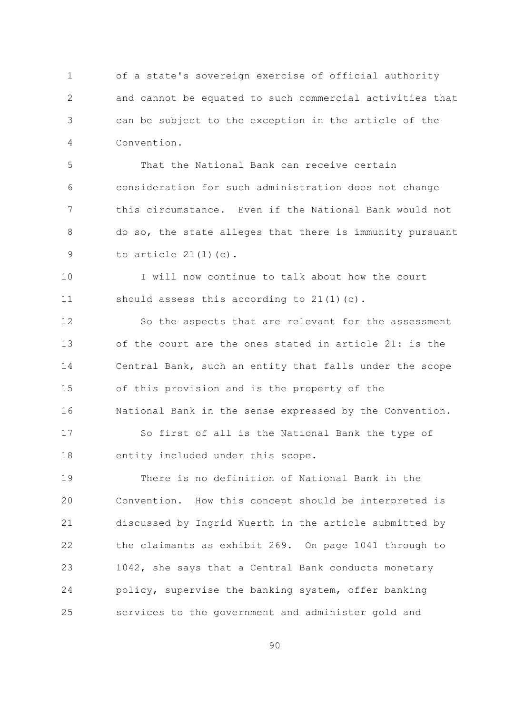of a state's sovereign exercise of official authority  $\mathbf{1}$  $\overline{2}$ and cannot be equated to such commercial activities that can be subject to the exception in the article of the 3  $\overline{4}$ Convention.

That the National Bank can receive certain  $\overline{5}$ consideration for such administration does not change 6  $7\overline{ }$ this circumstance. Even if the National Bank would not do so, the state alleges that there is immunity pursuant 8 to article  $21(1)(c)$ . 9

 $10$ I will now continue to talk about how the court  $11$ should assess this according to  $21(1)(c)$ .

12 So the aspects that are relevant for the assessment of the court are the ones stated in article 21: is the  $13$ 14 Central Bank, such an entity that falls under the scope 15 of this provision and is the property of the National Bank in the sense expressed by the Convention. 16

So first of all is the National Bank the type of  $17$ 18 entity included under this scope.

There is no definition of National Bank in the 19 20 Convention. How this concept should be interpreted is 21 discussed by Ingrid Wuerth in the article submitted by 22 the claimants as exhibit 269. On page 1041 through to 1042, she says that a Central Bank conducts monetary 23 24 policy, supervise the banking system, offer banking 25 services to the government and administer gold and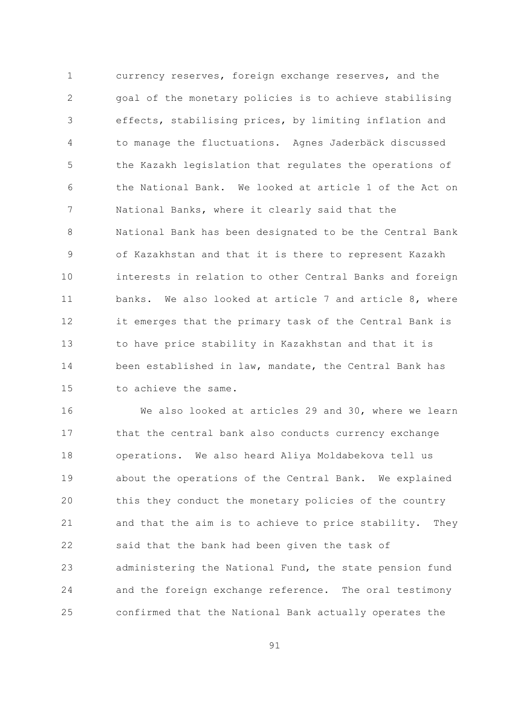$\mathbf{1}$ currency reserves, foreign exchange reserves, and the  $\overline{2}$ goal of the monetary policies is to achieve stabilising effects, stabilising prices, by limiting inflation and 3 to manage the fluctuations. Agnes Jaderbäck discussed  $\overline{4}$ 5 the Kazakh legislation that regulates the operations of the National Bank. We looked at article 1 of the Act on 6  $7\overline{ }$ National Banks, where it clearly said that the National Bank has been designated to be the Central Bank  $\mathsf{R}$ of Kazakhstan and that it is there to represent Kazakh 9 interests in relation to other Central Banks and foreign  $10$  $11$ banks. We also looked at article 7 and article 8, where 12 it emerges that the primary task of the Central Bank is  $13$ to have price stability in Kazakhstan and that it is 14 been established in law, mandate, the Central Bank has 1.5 to achieve the same.

16 We also looked at articles 29 and 30, where we learn that the central bank also conducts currency exchange  $17$ 18 operations. We also heard Aliya Moldabekova tell us 19 about the operations of the Central Bank. We explained 20 this they conduct the monetary policies of the country 21 and that the aim is to achieve to price stability. They 22 said that the bank had been given the task of administering the National Fund, the state pension fund 23 24 and the foreign exchange reference. The oral testimony confirmed that the National Bank actually operates the 25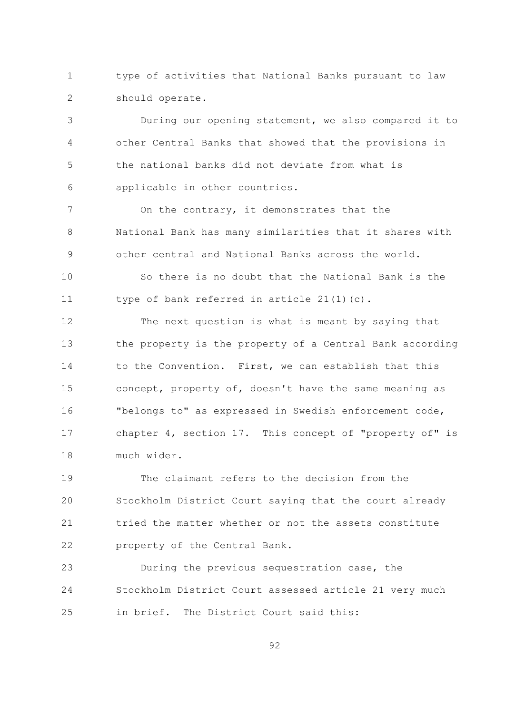$\mathbf{1}$ type of activities that National Banks pursuant to law  $\overline{2}$ should operate.

During our opening statement, we also compared it to 3  $\overline{4}$ other Central Banks that showed that the provisions in the national banks did not deviate from what is  $\overline{5}$ applicable in other countries. 6

 $\overline{7}$ On the contrary, it demonstrates that the 8 National Bank has many similarities that it shares with other central and National Banks across the world. 9

 $10$ So there is no doubt that the National Bank is the  $11$ type of bank referred in article  $21(1)(c)$ .

 $12$ The next question is what is meant by saying that  $13$ the property is the property of a Central Bank according 14 to the Convention. First, we can establish that this 15 concept, property of, doesn't have the same meaning as "belongs to" as expressed in Swedish enforcement code, 16 chapter 4, section 17. This concept of "property of" is  $17$ much wider. 18

The claimant refers to the decision from the  $19$ 20 Stockholm District Court saying that the court already 21 tried the matter whether or not the assets constitute 22 property of the Central Bank.

23 During the previous sequestration case, the 24 Stockholm District Court assessed article 21 very much in brief. The District Court said this:  $2.5$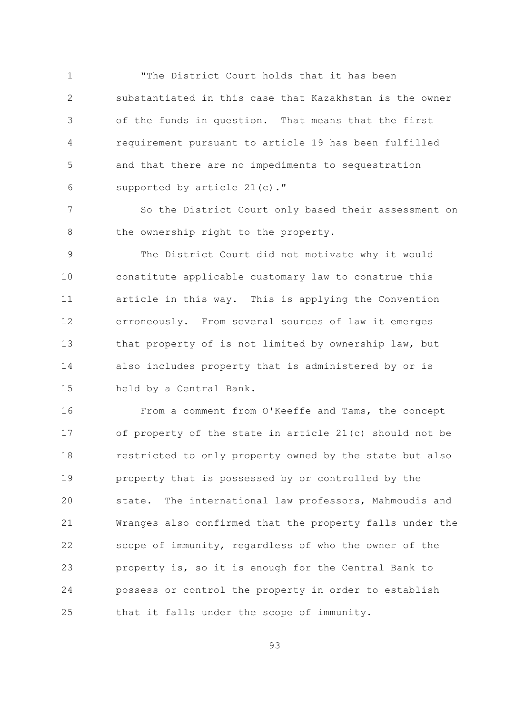"The District Court holds that it has been  $\mathbf{1}$  $\overline{2}$ substantiated in this case that Kazakhstan is the owner of the funds in question. That means that the first 3  $\overline{4}$ requirement pursuant to article 19 has been fulfilled 5 and that there are no impediments to sequestration supported by article 21(c)." 6

 $\overline{7}$ So the District Court only based their assessment on the ownership right to the property. 8

The District Court did not motivate why it would 9  $10$ constitute applicable customary law to construe this article in this way. This is applying the Convention  $11$ 12 erroneously. From several sources of law it emerges  $13$ that property of is not limited by ownership law, but 14 also includes property that is administered by or is 15 held by a Central Bank.

From a comment from O'Keeffe and Tams, the concept 16 of property of the state in article 21(c) should not be  $17$ 18 restricted to only property owned by the state but also 19 property that is possessed by or controlled by the 20 state. The international law professors, Mahmoudis and 21 Wranges also confirmed that the property falls under the 22 scope of immunity, regardless of who the owner of the property is, so it is enough for the Central Bank to 23 24 possess or control the property in order to establish that it falls under the scope of immunity. 25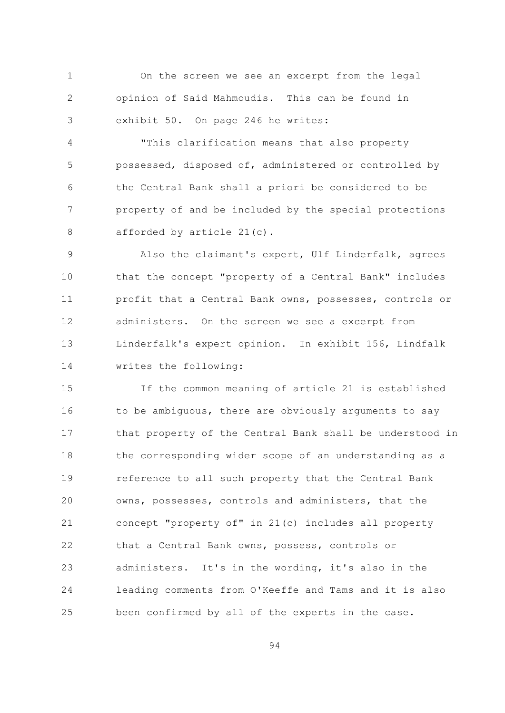$\mathbf{1}$ On the screen we see an excerpt from the legal  $\overline{2}$ opinion of Said Mahmoudis. This can be found in exhibit 50. On page 246 he writes: 3

"This clarification means that also property  $\overline{4}$ 5 possessed, disposed of, administered or controlled by the Central Bank shall a priori be considered to be 6  $\overline{7}$ property of and be included by the special protections afforded by article 21(c). 8

Also the claimant's expert, Ulf Linderfalk, agrees 9  $10$ that the concept "property of a Central Bank" includes profit that a Central Bank owns, possesses, controls or  $11$ administers. On the screen we see a excerpt from  $12$  $13$ Linderfalk's expert opinion. In exhibit 156, Lindfalk 14 writes the following:

15 If the common meaning of article 21 is established to be ambiguous, there are obviously arguments to say 16 that property of the Central Bank shall be understood in  $17$  $18$ the corresponding wider scope of an understanding as a 19 reference to all such property that the Central Bank 20 owns, possesses, controls and administers, that the concept "property of" in 21(c) includes all property 21 22 that a Central Bank owns, possess, controls or administers. It's in the wording, it's also in the 23 24 leading comments from O'Keeffe and Tams and it is also been confirmed by all of the experts in the case. 25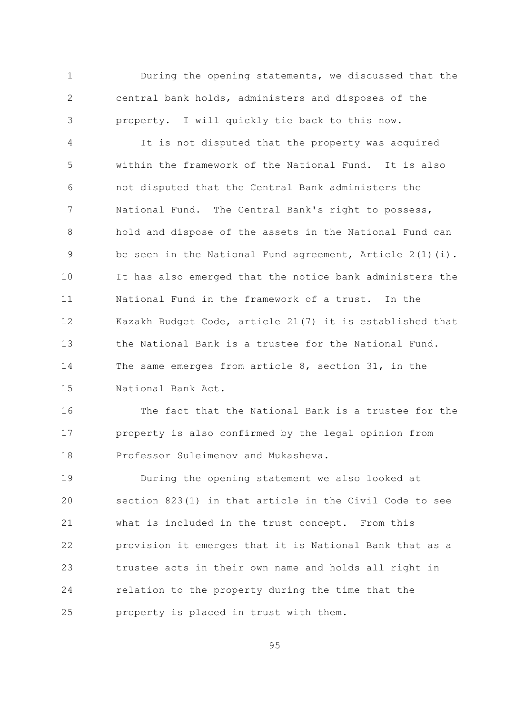During the opening statements, we discussed that the  $\mathbf{1}$  $\overline{2}$ central bank holds, administers and disposes of the property. I will quickly tie back to this now. 3

It is not disputed that the property was acquired  $\overline{4}$  $\overline{5}$ within the framework of the National Fund. It is also not disputed that the Central Bank administers the 6  $\overline{7}$ National Fund. The Central Bank's right to possess, hold and dispose of the assets in the National Fund can 8 be seen in the National Fund agreement, Article  $2(1)(i)$ . 9  $10$ It has also emerged that the notice bank administers the National Fund in the framework of a trust. In the  $11$ Kazakh Budget Code, article 21(7) it is established that 12  $13$ the National Bank is a trustee for the National Fund. 14 The same emerges from article 8, section 31, in the 1.5 National Bank Act.

The fact that the National Bank is a trustee for the 16 property is also confirmed by the legal opinion from  $17$ Professor Suleimenov and Mukasheva. 18

19 During the opening statement we also looked at section 823(1) in that article in the Civil Code to see 20 21 what is included in the trust concept. From this 22 provision it emerges that it is National Bank that as a 23 trustee acts in their own name and holds all right in 24 relation to the property during the time that the 25 property is placed in trust with them.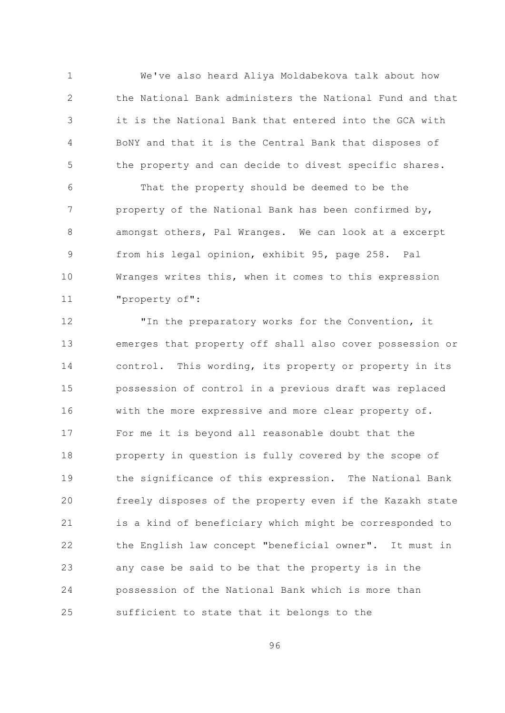$\mathbf{1}$ We've also heard Aliya Moldabekova talk about how  $\overline{2}$ the National Bank administers the National Fund and that it is the National Bank that entered into the GCA with 3  $\overline{4}$ BoNY and that it is the Central Bank that disposes of 5 the property and can decide to divest specific shares.

That the property should be deemed to be the 6  $\overline{7}$ property of the National Bank has been confirmed by, 8 amongst others, Pal Wranges. We can look at a excerpt from his legal opinion, exhibit 95, page 258. Pal 9  $10$ Wranges writes this, when it comes to this expression "property of":  $11$ 

"In the preparatory works for the Convention, it  $12$ emerges that property off shall also cover possession or  $13$ 14 control. This wording, its property or property in its 15 possession of control in a previous draft was replaced 16 with the more expressive and more clear property of. For me it is beyond all reasonable doubt that the  $17$  $18$ property in question is fully covered by the scope of 19 the significance of this expression. The National Bank 20 freely disposes of the property even if the Kazakh state 21 is a kind of beneficiary which might be corresponded to the English law concept "beneficial owner". It must in 22 23 any case be said to be that the property is in the 24 possession of the National Bank which is more than 25 sufficient to state that it belongs to the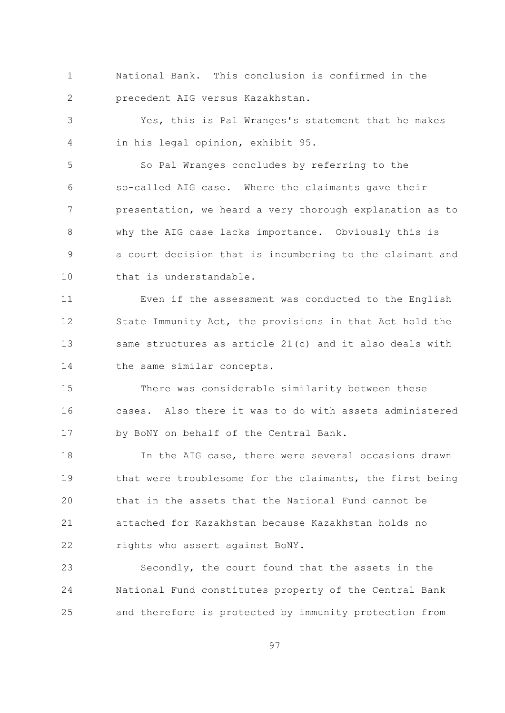National Bank. This conclusion is confirmed in the  $\mathbf{1}$  $\overline{2}$ precedent AIG versus Kazakhstan.

Yes, this is Pal Wranges's statement that he makes 3 in his legal opinion, exhibit 95.  $\overline{4}$ 

5 So Pal Wranges concludes by referring to the so-called AIG case. Where the claimants gave their 6  $7\overline{ }$ presentation, we heard a very thorough explanation as to  $\mathcal{S}_{\mathcal{S}}$ why the AIG case lacks importance. Obviously this is a court decision that is incumbering to the claimant and 9  $10$ that is understandable.

Even if the assessment was conducted to the English  $11$ State Immunity Act, the provisions in that Act hold the 12  $13$ same structures as article 21(c) and it also deals with 14 the same similar concepts.

1.5 There was considerable similarity between these cases. Also there it was to do with assets administered 16 by BoNY on behalf of the Central Bank.  $17$ 

 $18$ In the AIG case, there were several occasions drawn  $19$ that were troublesome for the claimants, the first being that in the assets that the National Fund cannot be 20 21 attached for Kazakhstan because Kazakhstan holds no 22 rights who assert against BoNY.

23 Secondly, the court found that the assets in the 24 National Fund constitutes property of the Central Bank 25 and therefore is protected by immunity protection from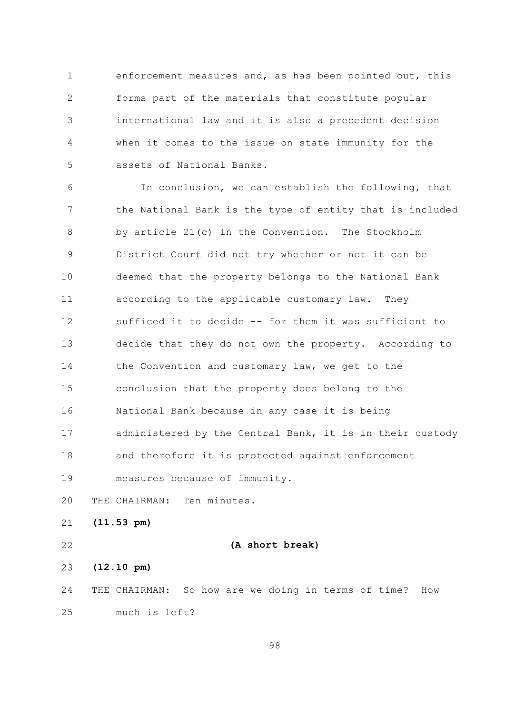$\mathbf{1}$ enforcement measures and, as has been pointed out, this  $\overline{2}$ forms part of the materials that constitute popular international law and it is also a precedent decision 3  $\overline{4}$ when it comes to the issue on state immunity for the 5 assets of National Banks.

In conclusion, we can establish the following, that 6  $7\overline{ }$ the National Bank is the type of entity that is included by article 21(c) in the Convention. The Stockholm 8 District Court did not try whether or not it can be 9  $10$ deemed that the property belongs to the National Bank  $11$ according to the applicable customary law. They sufficed it to decide -- for them it was sufficient to 12  $13$ decide that they do not own the property. According to 14 the Convention and customary law, we get to the 15 conclusion that the property does belong to the National Bank because in any case it is being 16 administered by the Central Bank, it is in their custody  $17$  $18$ and therefore it is protected against enforcement 19 measures because of immunity.

20 THE CHAIRMAN: Ten minutes.

21  $(11.53 \text{ pm})$ 

22

(A short break)

 $(12.10 \text{ pm})$ 23

24 THE CHAIRMAN: So how are we doing in terms of time? How  $2.5$ much is left?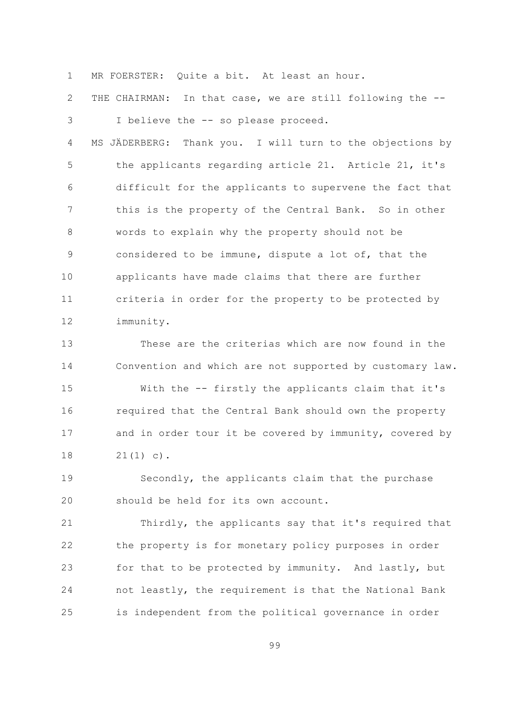MR FOERSTER: Ouite a bit. At least an hour.  $\mathbf{1}$ 

 $\overline{2}$ THE CHAIRMAN: In that case, we are still following the --I believe the -- so please proceed. 3

 $\overline{4}$ MS JÄDERBERG: Thank you. I will turn to the objections by 5 the applicants regarding article 21. Article 21, it's difficult for the applicants to supervene the fact that 6  $7\overline{ }$ this is the property of the Central Bank. So in other 8 words to explain why the property should not be considered to be immune, dispute a lot of, that the 9  $10$ applicants have made claims that there are further  $11$ criteria in order for the property to be protected by 12 immunity.

 $13$ These are the criterias which are now found in the 14 Convention and which are not supported by customary law.

15 With the -- firstly the applicants claim that it's required that the Central Bank should own the property 16 and in order tour it be covered by immunity, covered by  $17$ 18  $21(1) c)$ .

Secondly, the applicants claim that the purchase 19 should be held for its own account. 20

21 Thirdly, the applicants say that it's required that 22 the property is for monetary policy purposes in order for that to be protected by immunity. And lastly, but 23 24 not leastly, the requirement is that the National Bank is independent from the political governance in order 25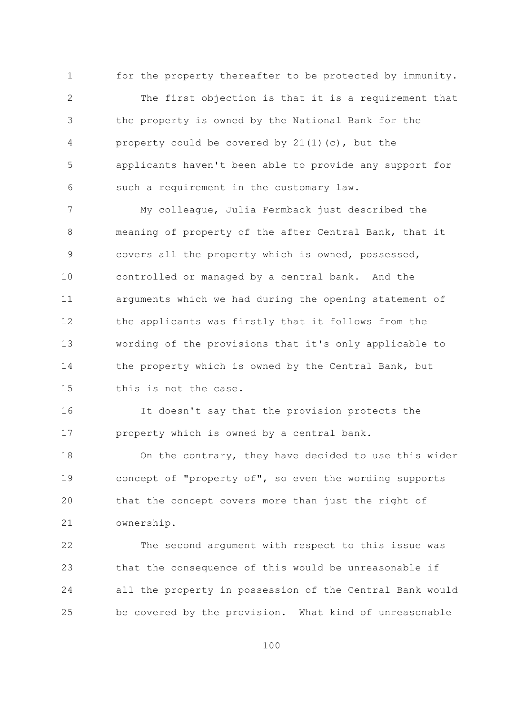$\mathbf{1}$ for the property thereafter to be protected by immunity.  $\overline{2}$ The first objection is that it is a requirement that the property is owned by the National Bank for the 3  $\sqrt{4}$ property could be covered by 21(1)(c), but the 5 applicants haven't been able to provide any support for such a requirement in the customary law. 6

 $\overline{7}$ My colleague, Julia Fermback just described the 8 meaning of property of the after Central Bank, that it covers all the property which is owned, possessed, 9  $10$ controlled or managed by a central bank. And the arguments which we had during the opening statement of  $11$ the applicants was firstly that it follows from the 12  $13$ wording of the provisions that it's only applicable to 14 the property which is owned by the Central Bank, but 1.5 this is not the case.

16 It doesn't say that the provision protects the property which is owned by a central bank.  $17$ 

On the contrary, they have decided to use this wider 18 concept of "property of", so even the wording supports 19 20 that the concept covers more than just the right of 21 ownership.

22 The second argument with respect to this issue was 23 that the consequence of this would be unreasonable if 24 all the property in possession of the Central Bank would be covered by the provision. What kind of unreasonable 25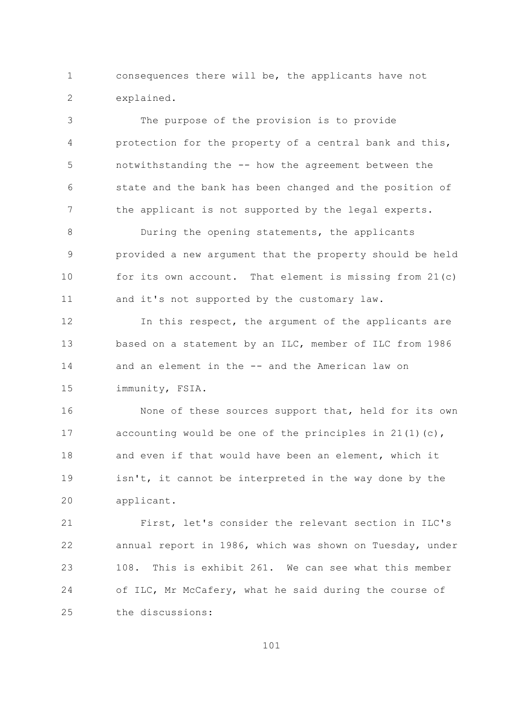consequences there will be, the applicants have not  $\mathbf{1}$  $\overline{2}$ explained.

The purpose of the provision is to provide 3  $\sqrt{4}$ protection for the property of a central bank and this, 5 notwithstanding the -- how the agreement between the state and the bank has been changed and the position of 6  $7\overline{ }$ the applicant is not supported by the legal experts.

 $\mathcal{S}_{\mathcal{S}}$ During the opening statements, the applicants provided a new argument that the property should be held 9  $10$ for its own account. That element is missing from  $21(c)$  $11$ and it's not supported by the customary law.

 $12$ In this respect, the argument of the applicants are  $13$ based on a statement by an ILC, member of ILC from 1986 14 and an element in the -- and the American law on 15 immunity, FSIA.

16 None of these sources support that, held for its own accounting would be one of the principles in  $21(1)(c)$ ,  $17$ and even if that would have been an element, which it  $18$ 19 isn't, it cannot be interpreted in the way done by the 20 applicant.

21 First, let's consider the relevant section in ILC's 22 annual report in 1986, which was shown on Tuesday, under 108. This is exhibit 261. We can see what this member 23 24 of ILC, Mr McCafery, what he said during the course of  $2.5$ the discussions: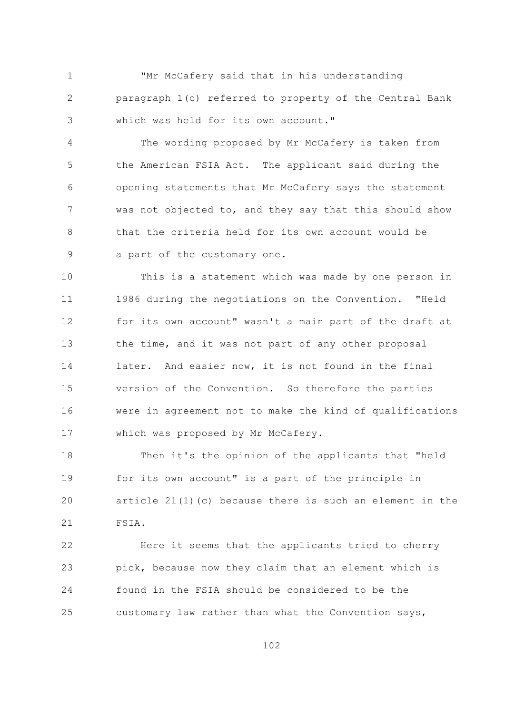"Mr McCafery said that in his understanding  $\mathbf{1}$  $\overline{2}$ paragraph 1(c) referred to property of the Central Bank which was held for its own account." 3

 $\overline{4}$ The wording proposed by Mr McCafery is taken from 5 the American FSIA Act. The applicant said during the opening statements that Mr McCafery says the statement 6  $7\overline{ }$ was not objected to, and they say that this should show  $\mathcal{S}_{\mathcal{S}}$ that the criteria held for its own account would be 9 a part of the customary one.

 $10$ This is a statement which was made by one person in  $11$ 1986 during the negotiations on the Convention. "Held for its own account" wasn't a main part of the draft at 12  $13$ the time, and it was not part of any other proposal 14 later. And easier now, it is not found in the final 1.5 version of the Convention. So therefore the parties were in agreement not to make the kind of qualifications 16 which was proposed by Mr McCafery.  $17$ 

 $18$ Then it's the opinion of the applicants that "held for its own account" is a part of the principle in 19 article 21(1)(c) because there is such an element in the 20 21 FSIA.

22 Here it seems that the applicants tried to cherry pick, because now they claim that an element which is 23 24 found in the FSIA should be considered to be the 25 customary law rather than what the Convention says,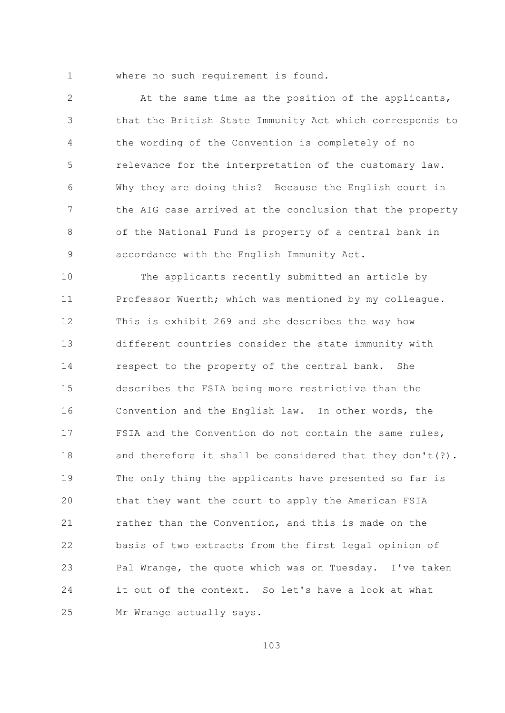$\mathbf{1}$ 

where no such requirement is found.

 $\overline{2}$ At the same time as the position of the applicants, that the British State Immunity Act which corresponds to 3 the wording of the Convention is completely of no  $\overline{4}$  $\overline{5}$ relevance for the interpretation of the customary law. Why they are doing this? Because the English court in 6  $\overline{7}$ the AIG case arrived at the conclusion that the property of the National Fund is property of a central bank in  $\mathsf{R}$ accordance with the English Immunity Act. 9

 $10$ The applicants recently submitted an article by  $11$ Professor Wuerth; which was mentioned by my colleague. This is exhibit 269 and she describes the way how  $12$  $13$ different countries consider the state immunity with 14 respect to the property of the central bank. She 1.5 describes the FSIA being more restrictive than the Convention and the English law. In other words, the 16 FSIA and the Convention do not contain the same rules,  $17$  $18$ and therefore it shall be considered that they don't(?). 19 The only thing the applicants have presented so far is 20 that they want the court to apply the American FSIA 21 rather than the Convention, and this is made on the  $22$ basis of two extracts from the first legal opinion of Pal Wrange, the quote which was on Tuesday. I've taken 23 it out of the context. So let's have a look at what 24 25 Mr Wrange actually says.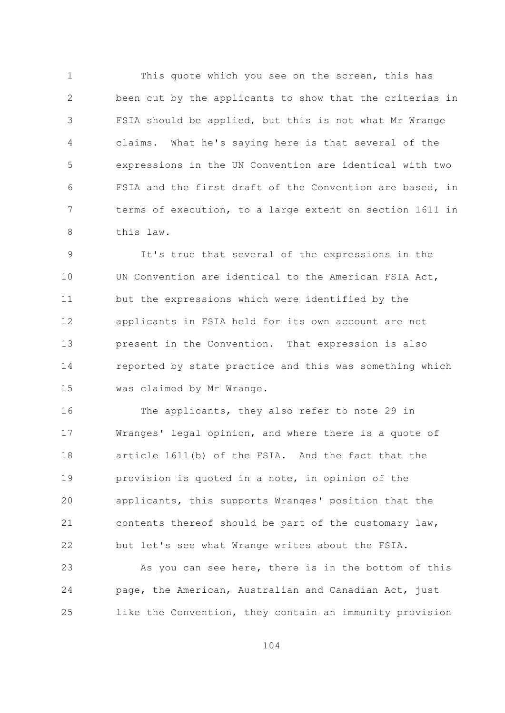$\mathbf{1}$ This quote which you see on the screen, this has  $\overline{2}$ been cut by the applicants to show that the criterias in FSIA should be applied, but this is not what Mr Wrange 3  $\overline{4}$ claims. What he's saying here is that several of the 5 expressions in the UN Convention are identical with two FSIA and the first draft of the Convention are based, in 6  $7\overline{ }$ terms of execution, to a large extent on section 1611 in  $\mathcal{S}_{\mathcal{S}}$ this law.

It's true that several of the expressions in the 9  $10$ UN Convention are identical to the American FSIA Act,  $11$ but the expressions which were identified by the applicants in FSIA held for its own account are not  $12$  $13$ present in the Convention. That expression is also 14 reported by state practice and this was something which 15 was claimed by Mr Wrange.

16 The applicants, they also refer to note 29 in Wranges' legal opinion, and where there is a quote of  $17$ article 1611(b) of the FSIA. And the fact that the 18 19 provision is quoted in a note, in opinion of the 20 applicants, this supports Wranges' position that the 21 contents thereof should be part of the customary law, 22 but let's see what Wrange writes about the FSIA.

23 As you can see here, there is in the bottom of this 24 page, the American, Australian and Canadian Act, just like the Convention, they contain an immunity provision 25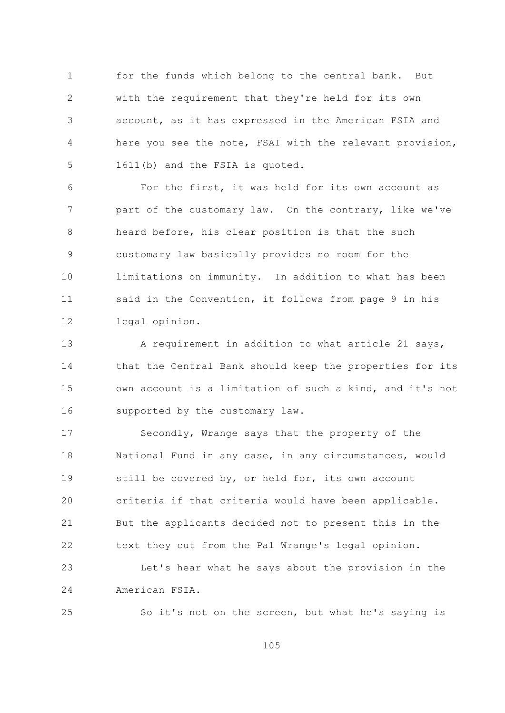$\mathbf{1}$ for the funds which belong to the central bank. But  $\overline{2}$ with the requirement that they're held for its own account, as it has expressed in the American FSIA and 3  $\sqrt{4}$ here you see the note, FSAI with the relevant provision, 5 1611(b) and the FSIA is quoted.

For the first, it was held for its own account as 6  $7\overline{ }$ part of the customary law. On the contrary, like we've 8 heard before, his clear position is that the such customary law basically provides no room for the 9  $10$ limitations on immunity. In addition to what has been said in the Convention, it follows from page 9 in his  $11$ 12 legal opinion.

A requirement in addition to what article 21 says,  $13$ 14 that the Central Bank should keep the properties for its 15 own account is a limitation of such a kind, and it's not supported by the customary law. 16

Secondly, Wrange says that the property of the  $17$ 18 National Fund in any case, in any circumstances, would still be covered by, or held for, its own account 19 20 criteria if that criteria would have been applicable. 21 But the applicants decided not to present this in the 22 text they cut from the Pal Wrange's legal opinion.

23 Let's hear what he says about the provision in the 24 American FSIA.

25

So it's not on the screen, but what he's saying is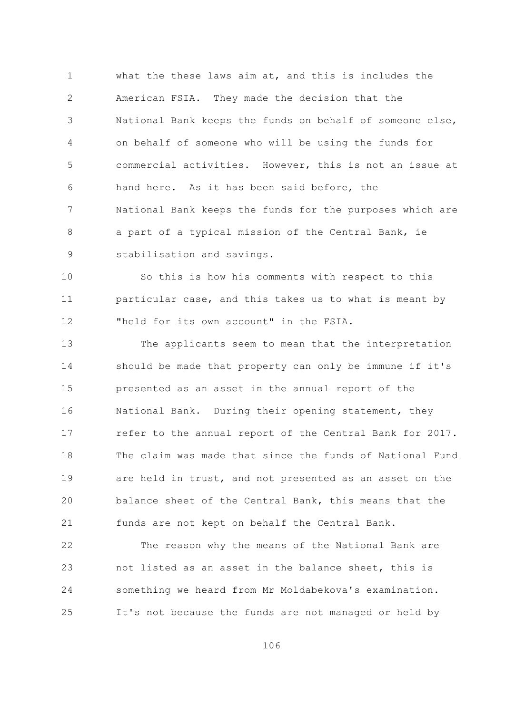what the these laws aim at, and this is includes the  $\mathbf{1}$  $\overline{2}$ American FSIA. They made the decision that the National Bank keeps the funds on behalf of someone else, 3 on behalf of someone who will be using the funds for  $\overline{4}$  $\overline{5}$ commercial activities. However, this is not an issue at hand here. As it has been said before, the 6  $7\overline{ }$ National Bank keeps the funds for the purposes which are a part of a typical mission of the Central Bank, ie 8 9 stabilisation and savings.

 $10$ So this is how his comments with respect to this  $11$ particular case, and this takes us to what is meant by "held for its own account" in the FSIA.  $12$ 

 $13$ The applicants seem to mean that the interpretation 14 should be made that property can only be immune if it's 15 presented as an asset in the annual report of the National Bank. During their opening statement, they 16 refer to the annual report of the Central Bank for 2017.  $17$ The claim was made that since the funds of National Fund  $18$ 19 are held in trust, and not presented as an asset on the 20 balance sheet of the Central Bank, this means that the 21 funds are not kept on behalf the Central Bank.

The reason why the means of the National Bank are 22 not listed as an asset in the balance sheet, this is 23 something we heard from Mr Moldabekova's examination. 24 25 It's not because the funds are not managed or held by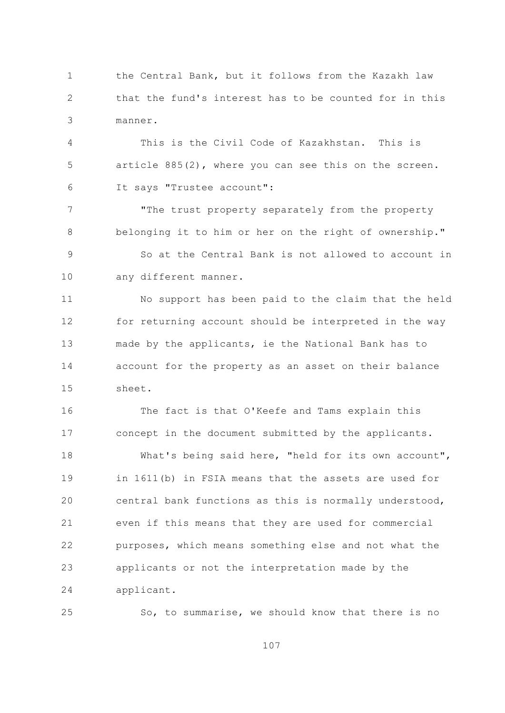the Central Bank, but it follows from the Kazakh law  $\mathbf{1}$  $\overline{2}$ that the fund's interest has to be counted for in this 3 manner.

 $\overline{4}$ This is the Civil Code of Kazakhstan. This is 5 article 885(2), where you can see this on the screen. It says "Trustee account": 6

 $\overline{7}$ "The trust property separately from the property 8 belonging it to him or her on the right of ownership." So at the Central Bank is not allowed to account in 9  $10$ any different manner.

No support has been paid to the claim that the held  $11$ 12 for returning account should be interpreted in the way  $13$ made by the applicants, ie the National Bank has to 14 account for the property as an asset on their balance 1.5 sheet.

16 The fact is that O'Keefe and Tams explain this concept in the document submitted by the applicants.  $17$ What's being said here, "held for its own account",  $18$ 19 in 1611(b) in FSIA means that the assets are used for 20 central bank functions as this is normally understood, 21 even if this means that they are used for commercial 22 purposes, which means something else and not what the 23 applicants or not the interpretation made by the 24 applicant.

So, to summarise, we should know that there is no

25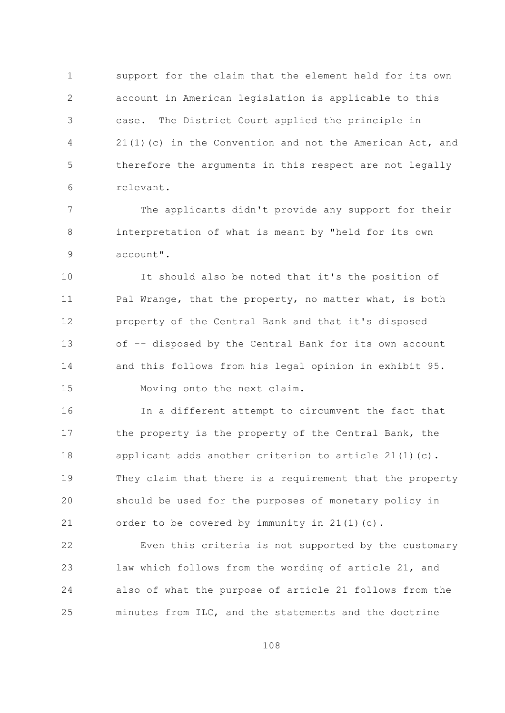$\mathbf{1}$ support for the claim that the element held for its own  $\overline{2}$ account in American legislation is applicable to this case. The District Court applied the principle in 3  $\sqrt{4}$ 21(1)(c) in the Convention and not the American Act, and 5 therefore the arguments in this respect are not legally 6 relevant.

 $\overline{7}$ The applicants didn't provide any support for their 8 interpretation of what is meant by "held for its own account". 9

 $10$ It should also be noted that it's the position of Pal Wrange, that the property, no matter what, is both  $11$ property of the Central Bank and that it's disposed 12  $13$ of -- disposed by the Central Bank for its own account 14 and this follows from his legal opinion in exhibit 95. 15 Moving onto the next claim.

16 In a different attempt to circumvent the fact that the property is the property of the Central Bank, the  $17$ applicant adds another criterion to article  $21(1)(c)$ .  $18$ 19 They claim that there is a requirement that the property 20 should be used for the purposes of monetary policy in 21 order to be covered by immunity in 21(1)(c).

22 Even this criteria is not supported by the customary 23 law which follows from the wording of article 21, and 24 also of what the purpose of article 21 follows from the minutes from ILC, and the statements and the doctrine 25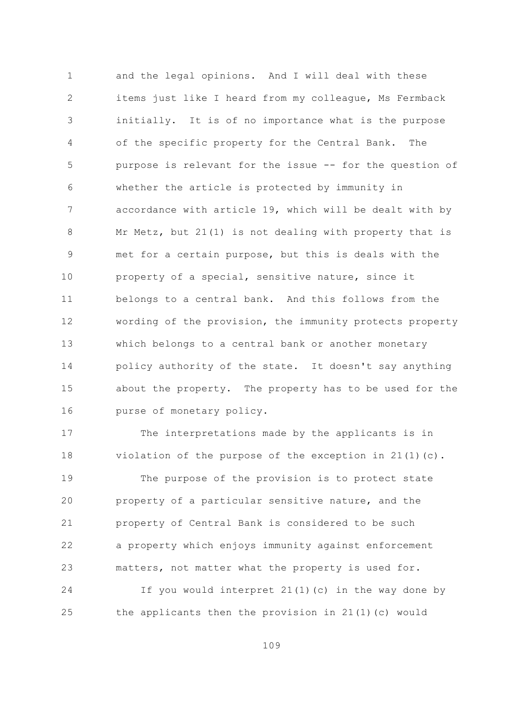and the legal opinions. And I will deal with these  $\mathbf{1}$  $\overline{2}$ items just like I heard from my colleague, Ms Fermback initially. It is of no importance what is the purpose 3  $\sqrt{4}$ of the specific property for the Central Bank. The 5 purpose is relevant for the issue -- for the question of whether the article is protected by immunity in 6  $7\overline{ }$ accordance with article 19, which will be dealt with by 8 Mr Metz, but 21(1) is not dealing with property that is met for a certain purpose, but this is deals with the 9  $10$ property of a special, sensitive nature, since it belongs to a central bank. And this follows from the  $11$ wording of the provision, the immunity protects property 12  $13$ which belongs to a central bank or another monetary 14 policy authority of the state. It doesn't say anything 15 about the property. The property has to be used for the purse of monetary policy. 16

 $17$ The interpretations made by the applicants is in 18 violation of the purpose of the exception in  $21(1)(c)$ . 19 The purpose of the provision is to protect state property of a particular sensitive nature, and the 20 21 property of Central Bank is considered to be such 22 a property which enjoys immunity against enforcement 23 matters, not matter what the property is used for.

24 If you would interpret  $21(1)(c)$  in the way done by the applicants then the provision in 21(1)(c) would 25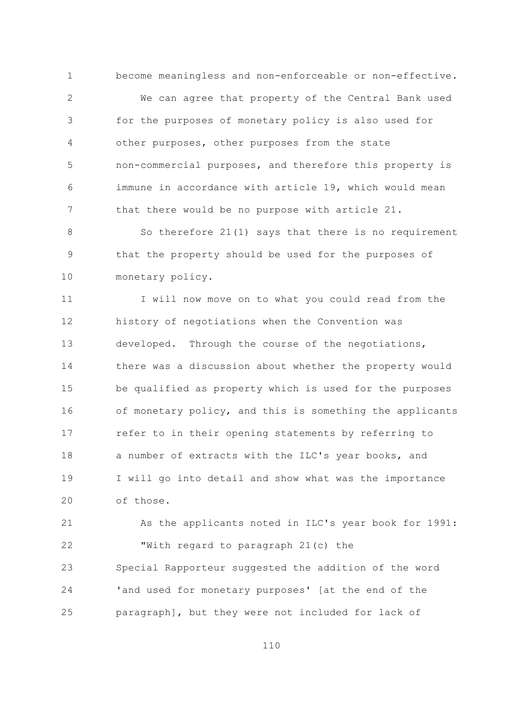become meaningless and non-enforceable or non-effective.  $\overline{2}$ We can agree that property of the Central Bank used for the purposes of monetary policy is also used for 3  $\sqrt{4}$ other purposes, other purposes from the state 5 non-commercial purposes, and therefore this property is immune in accordance with article 19, which would mean 6  $7\overline{ }$ that there would be no purpose with article 21.

 $\mathbf{1}$ 

 $\mathcal{S}_{\mathcal{S}}$ So therefore 21(1) says that there is no requirement that the property should be used for the purposes of 9  $10$ monetary policy.

I will now move on to what you could read from the  $11$ history of negotiations when the Convention was 12  $13$ developed. Through the course of the negotiations, 14 there was a discussion about whether the property would 15 be qualified as property which is used for the purposes of monetary policy, and this is something the applicants 16 refer to in their opening statements by referring to  $17$ a number of extracts with the ILC's year books, and 18 I will go into detail and show what was the importance 19 of those. 20

21 As the applicants noted in ILC's year book for 1991: 22 "With regard to paragraph 21(c) the Special Rapporteur suggested the addition of the word 23 24 'and used for monetary purposes' [at the end of the paragraph], but they were not included for lack of 25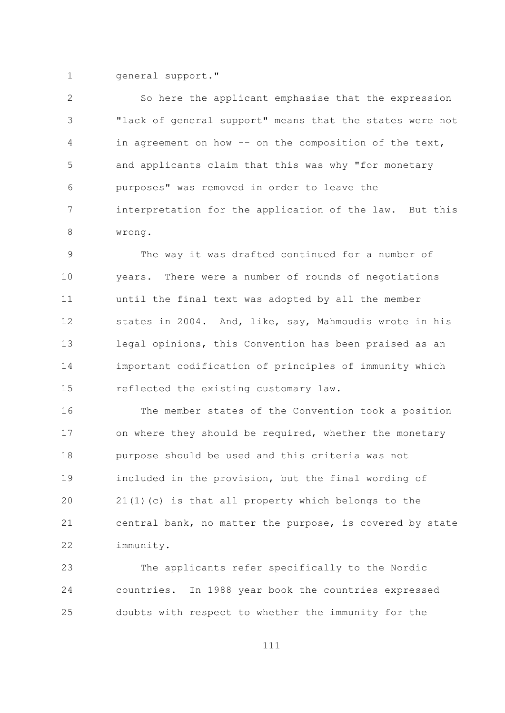$\mathbf{1}$ general support."

 $\overline{2}$ So here the applicant emphasise that the expression "lack of general support" means that the states were not 3  $\sqrt{4}$ in agreement on how -- on the composition of the text, 5 and applicants claim that this was why "for monetary purposes" was removed in order to leave the 6  $7\overline{ }$ interpretation for the application of the law. But this  $\mathcal{S}$ wrong.

The way it was drafted continued for a number of 9  $10$ years. There were a number of rounds of negotiations until the final text was adopted by all the member  $11$ states in 2004. And, like, say, Mahmoudis wrote in his 12 legal opinions, this Convention has been praised as an  $13$ 14 important codification of principles of immunity which 15 reflected the existing customary law.

16 The member states of the Convention took a position on where they should be required, whether the monetary  $17$ 18 purpose should be used and this criteria was not included in the provision, but the final wording of 19 20 21(1)(c) is that all property which belongs to the 21 central bank, no matter the purpose, is covered by state 22 immunity.

The applicants refer specifically to the Nordic 23 24 countries. In 1988 year book the countries expressed doubts with respect to whether the immunity for the 25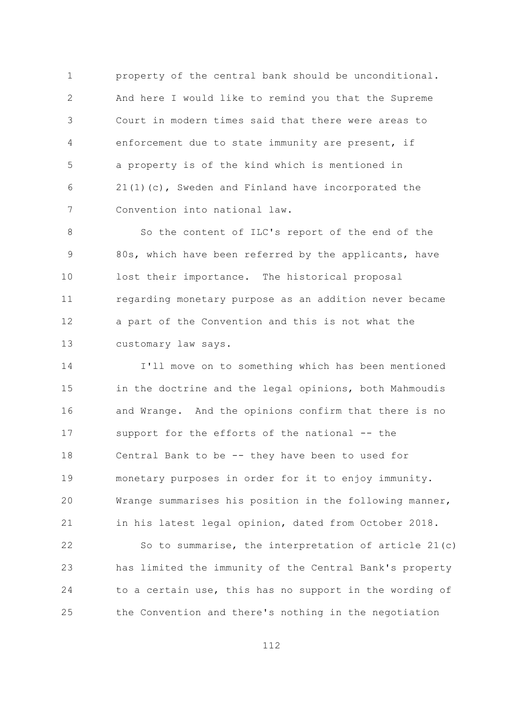$\mathbf{1}$ property of the central bank should be unconditional.  $\overline{2}$ And here I would like to remind you that the Supreme Court in modern times said that there were areas to 3  $\overline{4}$ enforcement due to state immunity are present, if 5 a property is of the kind which is mentioned in 21(1)(c), Sweden and Finland have incorporated the 6  $\overline{7}$ Convention into national law.

So the content of ILC's report of the end of the  $\mathsf{R}$ 80s, which have been referred by the applicants, have 9  $10$ lost their importance. The historical proposal regarding monetary purpose as an addition never became  $11$ a part of the Convention and this is not what the  $12$  $13$ customary law says.

14 I'll move on to something which has been mentioned 15 in the doctrine and the legal opinions, both Mahmoudis and Wrange. And the opinions confirm that there is no 16 support for the efforts of the national -- the  $17$ Central Bank to be -- they have been to used for 18 19 monetary purposes in order for it to enjoy immunity. 20 Wrange summarises his position in the following manner, 21 in his latest legal opinion, dated from October 2018. 22 So to summarise, the interpretation of article 21(c) has limited the immunity of the Central Bank's property 23 24 to a certain use, this has no support in the wording of

the Convention and there's nothing in the negotiation 25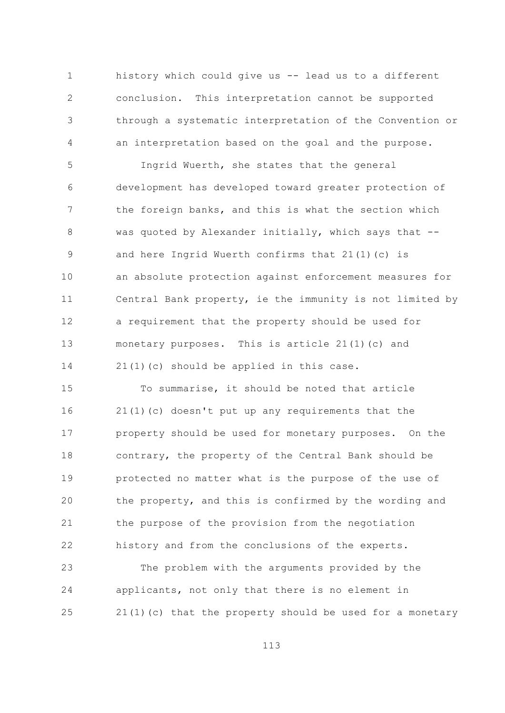$\mathbf{1}$ history which could give us -- lead us to a different  $\overline{2}$ conclusion. This interpretation cannot be supported through a systematic interpretation of the Convention or 3  $\sqrt{4}$ an interpretation based on the goal and the purpose.

5 Ingrid Wuerth, she states that the general development has developed toward greater protection of 6  $7\overline{ }$ the foreign banks, and this is what the section which  $\mathcal{S}_{\mathcal{S}}$ was quoted by Alexander initially, which says that -and here Ingrid Wuerth confirms that 21(1)(c) is 9  $10$ an absolute protection against enforcement measures for Central Bank property, ie the immunity is not limited by  $11$ a requirement that the property should be used for 12  $13$ monetary purposes. This is article 21(1)(c) and 14 21(1)(c) should be applied in this case.

1.5 To summarise, it should be noted that article 16  $21(1)$  (c) doesn't put up any requirements that the property should be used for monetary purposes. On the  $17$ contrary, the property of the Central Bank should be  $18$ 19 protected no matter what is the purpose of the use of 20 the property, and this is confirmed by the wording and the purpose of the provision from the negotiation 21 22 history and from the conclusions of the experts.

23 The problem with the arguments provided by the 24 applicants, not only that there is no element in  $21(1)$  (c) that the property should be used for a monetary 25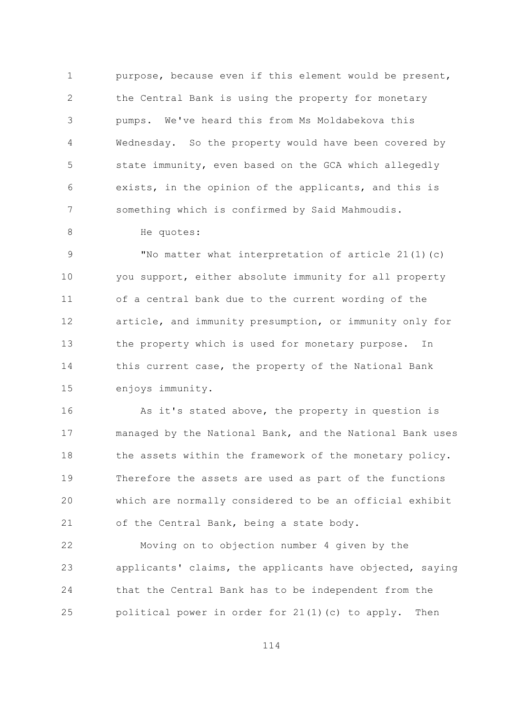$\mathbf{1}$ purpose, because even if this element would be present,  $\overline{2}$ the Central Bank is using the property for monetary pumps. We've heard this from Ms Moldabekova this 3  $\sqrt{4}$ Wednesday. So the property would have been covered by 5 state immunity, even based on the GCA which allegedly exists, in the opinion of the applicants, and this is 6  $7\overline{ }$ something which is confirmed by Said Mahmoudis.

He quotes:

8

"No matter what interpretation of article 21(1)(c) 9  $10$ you support, either absolute immunity for all property of a central bank due to the current wording of the  $11$ article, and immunity presumption, or immunity only for 12  $13$ the property which is used for monetary purpose. In 14 this current case, the property of the National Bank 15 enjoys immunity.

16 As it's stated above, the property in question is managed by the National Bank, and the National Bank uses  $17$ 18 the assets within the framework of the monetary policy. 19 Therefore the assets are used as part of the functions 20 which are normally considered to be an official exhibit 21 of the Central Bank, being a state body.

22 Moving on to objection number 4 given by the applicants' claims, the applicants have objected, saying 23 24 that the Central Bank has to be independent from the political power in order for 21(1)(c) to apply. Then 25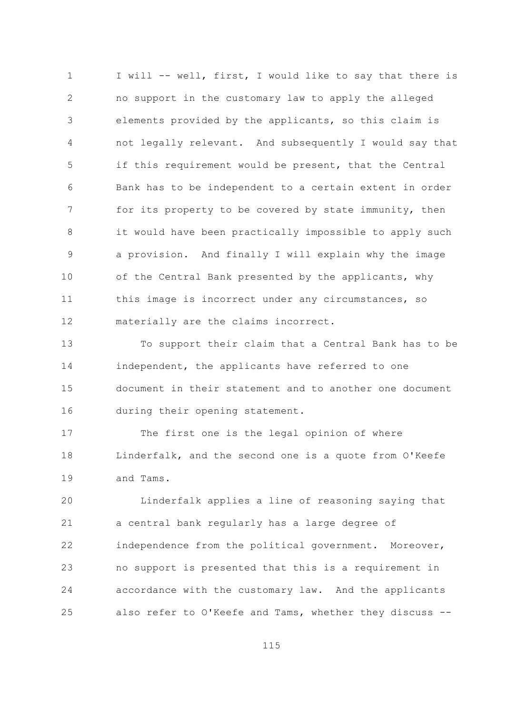I will -- well, first, I would like to say that there is  $\mathbf{1}$  $\overline{2}$ no support in the customary law to apply the alleged elements provided by the applicants, so this claim is 3 not legally relevant. And subsequently I would say that  $\overline{4}$ 5 if this requirement would be present, that the Central Bank has to be independent to a certain extent in order 6  $7\overline{ }$ for its property to be covered by state immunity, then it would have been practically impossible to apply such  $\mathsf{R}$ a provision. And finally I will explain why the image 9  $10$ of the Central Bank presented by the applicants, why this image is incorrect under any circumstances, so  $11$ materially are the claims incorrect. 12

 $13$ To support their claim that a Central Bank has to be 14 independent, the applicants have referred to one 15 document in their statement and to another one document during their opening statement. 16

The first one is the legal opinion of where  $17$ Linderfalk, and the second one is a quote from O'Keefe 18  $19$ and Tams.

Linderfalk applies a line of reasoning saying that 20 21 a central bank regularly has a large degree of 22 independence from the political government. Moreover, no support is presented that this is a requirement in 23 24 accordance with the customary law. And the applicants also refer to O'Keefe and Tams, whether they discuss --25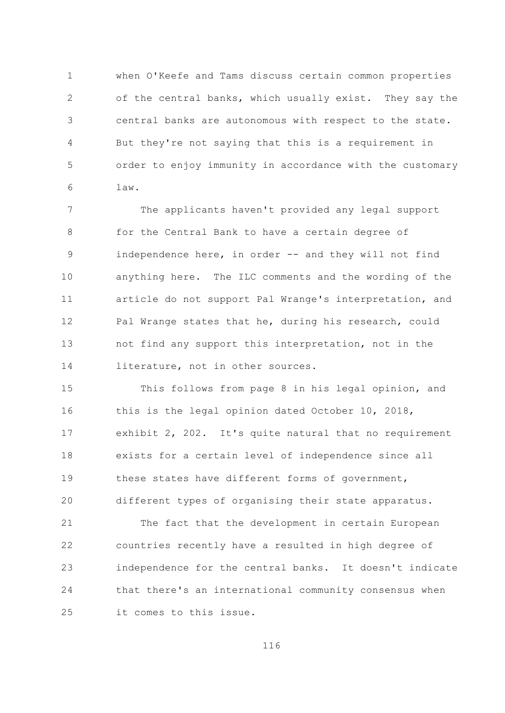$\mathbf{1}$ when O'Keefe and Tams discuss certain common properties  $\overline{2}$ of the central banks, which usually exist. They say the central banks are autonomous with respect to the state. 3 But they're not saying that this is a requirement in 4 5 order to enjoy immunity in accordance with the customary law. 6

 $\overline{7}$ The applicants haven't provided any legal support  $\mathcal{S}_{\mathcal{S}}$ for the Central Bank to have a certain degree of independence here, in order -- and they will not find 9  $10$ anything here. The ILC comments and the wording of the article do not support Pal Wrange's interpretation, and  $11$ Pal Wrange states that he, during his research, could 12  $13$ not find any support this interpretation, not in the 14 literature, not in other sources.

1.5 This follows from page 8 in his legal opinion, and this is the legal opinion dated October 10, 2018, 16 exhibit 2, 202. It's quite natural that no requirement  $17$ exists for a certain level of independence since all 18 19 these states have different forms of government, 20 different types of organising their state apparatus.

21 The fact that the development in certain European 22 countries recently have a resulted in high degree of independence for the central banks. It doesn't indicate 23 24 that there's an international community consensus when it comes to this issue. 25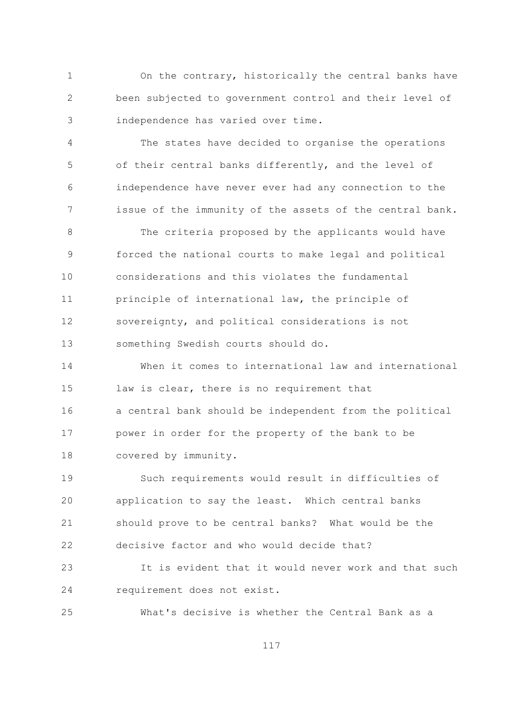On the contrary, historically the central banks have  $\mathbf{1}$  $\overline{2}$ been subjected to government control and their level of independence has varied over time. 3

 $\overline{4}$ The states have decided to organise the operations 5 of their central banks differently, and the level of independence have never ever had any connection to the 6  $7\overline{ }$ issue of the immunity of the assets of the central bank.

 $\mathcal{S}_{\mathcal{S}}$ The criteria proposed by the applicants would have forced the national courts to make legal and political 9  $10$ considerations and this violates the fundamental principle of international law, the principle of  $11$ sovereignty, and political considerations is not 12  $13$ something Swedish courts should do.

When it comes to international law and international 14 1.5 law is clear, there is no requirement that a central bank should be independent from the political 16 power in order for the property of the bank to be  $17$  $18$ covered by immunity.

Such requirements would result in difficulties of  $19$ application to say the least. Which central banks 20 should prove to be central banks? What would be the 21 decisive factor and who would decide that? 22

It is evident that it would never work and that such 23 24 requirement does not exist.

 $2.5$ What's decisive is whether the Central Bank as a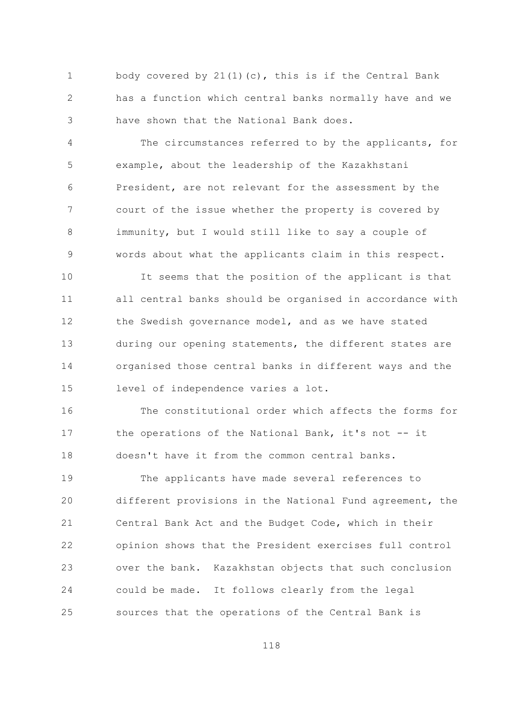body covered by  $21(1)(c)$ , this is if the Central Bank  $\mathbf{1}$  $\overline{2}$ has a function which central banks normally have and we have shown that the National Bank does. 3

The circumstances referred to by the applicants, for  $\overline{4}$ 5 example, about the leadership of the Kazakhstani President, are not relevant for the assessment by the 6  $\overline{7}$ court of the issue whether the property is covered by immunity, but I would still like to say a couple of  $\mathsf{R}$ words about what the applicants claim in this respect. 9

 $10$ It seems that the position of the applicant is that  $11$ all central banks should be organised in accordance with the Swedish governance model, and as we have stated  $12$  $13$ during our opening statements, the different states are 14 organised those central banks in different ways and the 15 level of independence varies a lot.

16 The constitutional order which affects the forms for the operations of the National Bank, it's not -- it  $17$ doesn't have it from the common central banks.  $18$ 

19 The applicants have made several references to 20 different provisions in the National Fund agreement, the 21 Central Bank Act and the Budget Code, which in their 22 opinion shows that the President exercises full control 23 over the bank. Kazakhstan objects that such conclusion 24 could be made. It follows clearly from the legal sources that the operations of the Central Bank is 25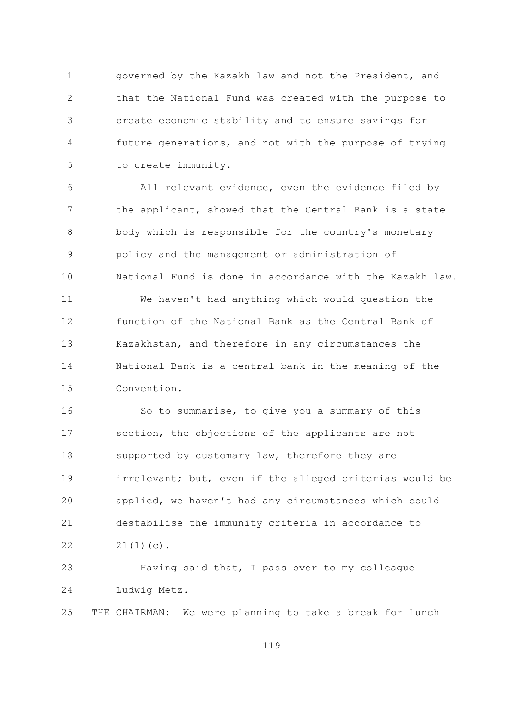$\mathbf{1}$ governed by the Kazakh law and not the President, and  $\overline{2}$ that the National Fund was created with the purpose to create economic stability and to ensure savings for 3  $\sqrt{4}$ future generations, and not with the purpose of trying to create immunity. 5

All relevant evidence, even the evidence filed by 6  $7\overline{ }$ the applicant, showed that the Central Bank is a state  $\mathcal{S}_{\mathcal{S}}$ body which is responsible for the country's monetary policy and the management or administration of 9  $10$ National Fund is done in accordance with the Kazakh law.  $11$ We haven't had anything which would question the function of the National Bank as the Central Bank of 12

14 National Bank is a central bank in the meaning of the 1.5 Convention.

Kazakhstan, and therefore in any circumstances the

 $13$ 

16 So to summarise, to give you a summary of this section, the objections of the applicants are not  $17$  $18$ supported by customary law, therefore they are 19 irrelevant; but, even if the alleged criterias would be 20 applied, we haven't had any circumstances which could 21 destabilise the immunity criteria in accordance to 22  $21(1)(c)$ .

Having said that, I pass over to my colleague 23 24 Ludwig Metz.

THE CHAIRMAN: We were planning to take a break for lunch 25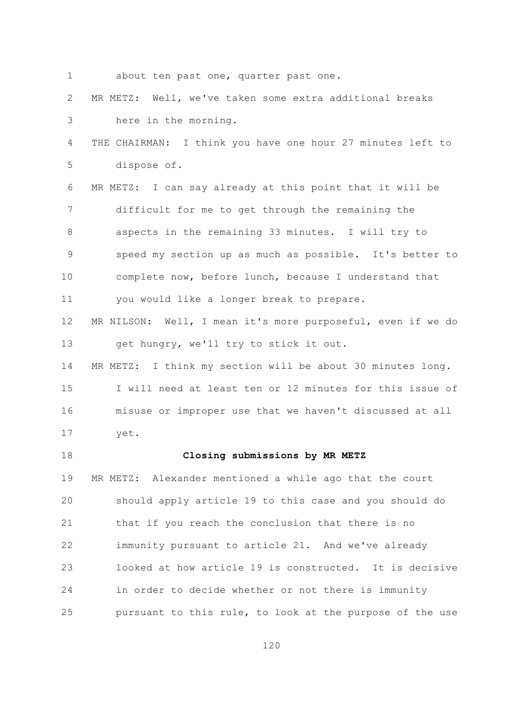$\mathbf{1}$ about ten past one, quarter past one.

 $\overline{2}$ MR METZ: Well, we've taken some extra additional breaks here in the morning. 3

 $\sqrt{4}$ THE CHAIRMAN: I think you have one hour 27 minutes left to 5 dispose of.

6 MR METZ: I can say already at this point that it will be  $\overline{7}$ difficult for me to get through the remaining the 8 aspects in the remaining 33 minutes. I will try to speed my section up as much as possible. It's better to 9  $10$ complete now, before lunch, because I understand that

12 MR NILSON: Well, I mean it's more purposeful, even if we do  $13$ get hungry, we'll try to stick it out.

you would like a longer break to prepare.

14 MR METZ: I think my section will be about 30 minutes long. 1.5 I will need at least ten or 12 minutes for this issue of misuse or improper use that we haven't discussed at all 16  $17$ yet.

 $18$ 

 $11$ 

## Closing submissions by MR METZ

19 MR METZ: Alexander mentioned a while ago that the court 20 should apply article 19 to this case and you should do 21 that if you reach the conclusion that there is no 22 immunity pursuant to article 21. And we've already looked at how article 19 is constructed. It is decisive 23 24 in order to decide whether or not there is immunity pursuant to this rule, to look at the purpose of the use 25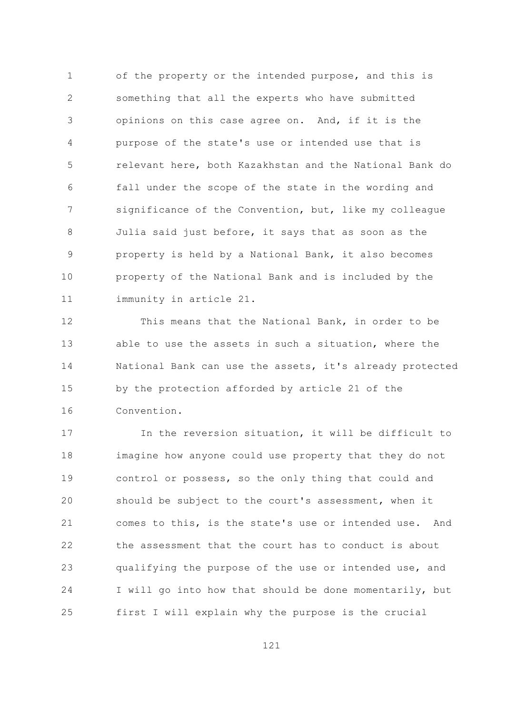$\mathbf{1}$ of the property or the intended purpose, and this is  $\overline{2}$ something that all the experts who have submitted opinions on this case agree on. And, if it is the 3  $\overline{4}$ purpose of the state's use or intended use that is 5 relevant here, both Kazakhstan and the National Bank do fall under the scope of the state in the wording and 6  $\overline{7}$ significance of the Convention, but, like my colleague  $\mathcal{S}_{\mathcal{S}}$ Julia said just before, it says that as soon as the property is held by a National Bank, it also becomes 9  $10$ property of the National Bank and is included by the immunity in article 21.  $11$ 

This means that the National Bank, in order to be  $12$  $13$ able to use the assets in such a situation, where the 14 National Bank can use the assets, it's already protected 1.5 by the protection afforded by article 21 of the 16 Convention.

In the reversion situation, it will be difficult to  $17$ 18 imagine how anyone could use property that they do not 19 control or possess, so the only thing that could and 20 should be subject to the court's assessment, when it 21 comes to this, is the state's use or intended use. And 22 the assessment that the court has to conduct is about 23 qualifying the purpose of the use or intended use, and 24 I will go into how that should be done momentarily, but first I will explain why the purpose is the crucial 25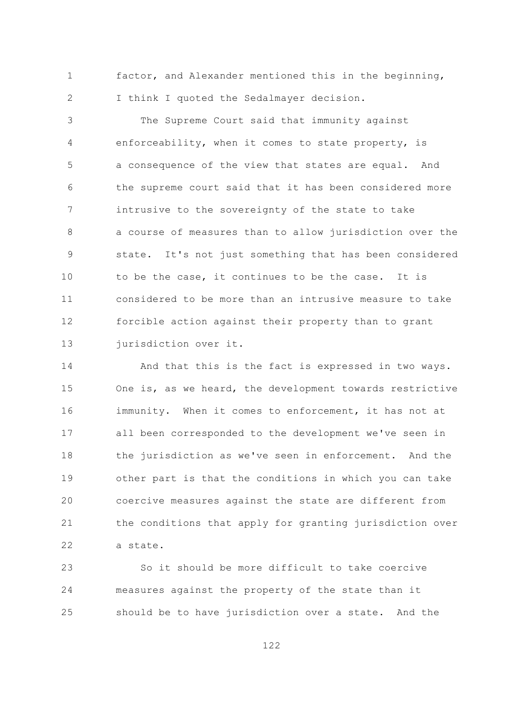$\mathbf{1}$ factor, and Alexander mentioned this in the beginning,  $\overline{2}$ I think I quoted the Sedalmayer decision.

The Supreme Court said that immunity against 3 enforceability, when it comes to state property, is  $\overline{4}$ 5 a consequence of the view that states are equal. And the supreme court said that it has been considered more 6  $7\overline{ }$ intrusive to the sovereignty of the state to take a course of measures than to allow jurisdiction over the  $\mathsf{R}$ 9 state. It's not just something that has been considered  $10$ to be the case, it continues to be the case. It is  $11$ considered to be more than an intrusive measure to take 12 forcible action against their property than to grant  $13$ jurisdiction over it.

14 And that this is the fact is expressed in two ways. 15 One is, as we heard, the development towards restrictive immunity. When it comes to enforcement, it has not at 16 all been corresponded to the development we've seen in  $17$  $18$ the jurisdiction as we've seen in enforcement. And the 19 other part is that the conditions in which you can take 20 coercive measures against the state are different from 21 the conditions that apply for granting jurisdiction over 22 a state.

So it should be more difficult to take coercive 23 measures against the property of the state than it 24 25 should be to have jurisdiction over a state. And the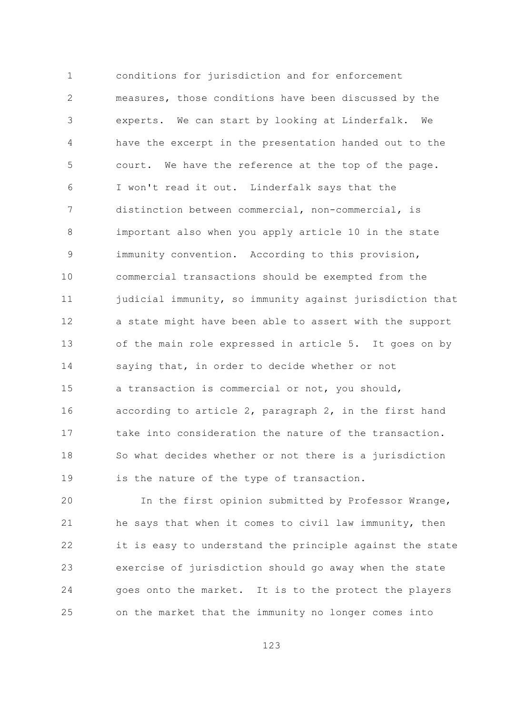$\mathbf{1}$ conditions for jurisdiction and for enforcement  $\overline{2}$ measures, those conditions have been discussed by the experts. We can start by looking at Linderfalk. We 3 have the excerpt in the presentation handed out to the  $\overline{4}$ 5 court. We have the reference at the top of the page. I won't read it out. Linderfalk says that the 6  $7\overline{ }$ distinction between commercial, non-commercial, is important also when you apply article 10 in the state 8 immunity convention. According to this provision, 9  $10$ commercial transactions should be exempted from the judicial immunity, so immunity against jurisdiction that  $11$ a state might have been able to assert with the support 12  $13$ of the main role expressed in article 5. It goes on by 14 saying that, in order to decide whether or not 15 a transaction is commercial or not, you should, according to article 2, paragraph 2, in the first hand 16 take into consideration the nature of the transaction.  $17$  $18$ So what decides whether or not there is a jurisdiction 19 is the nature of the type of transaction.

20 In the first opinion submitted by Professor Wrange, 21 he says that when it comes to civil law immunity, then 22 it is easy to understand the principle against the state exercise of jurisdiction should go away when the state 23 24 goes onto the market. It is to the protect the players on the market that the immunity no longer comes into 25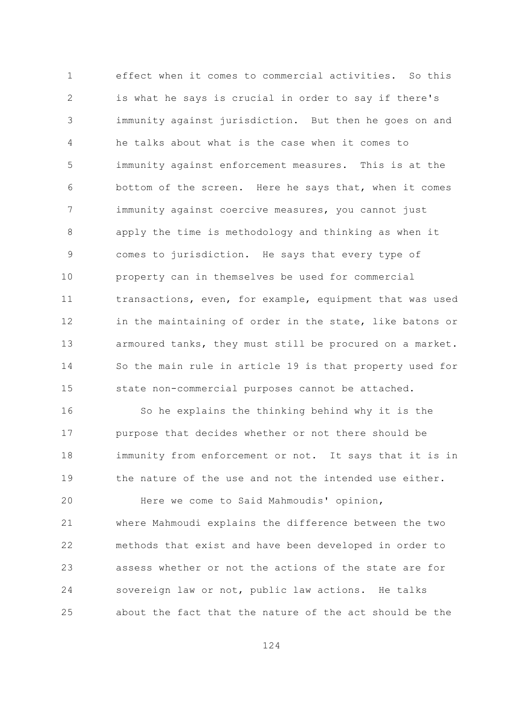$\mathbf{1}$ effect when it comes to commercial activities. So this  $\overline{2}$ is what he says is crucial in order to say if there's immunity against jurisdiction. But then he goes on and 3 he talks about what is the case when it comes to  $\overline{4}$ 5 immunity against enforcement measures. This is at the bottom of the screen. Here he says that, when it comes 6  $\overline{7}$ immunity against coercive measures, you cannot just apply the time is methodology and thinking as when it  $\mathsf{R}$ comes to jurisdiction. He says that every type of 9  $10$ property can in themselves be used for commercial transactions, even, for example, equipment that was used  $11$ 12 in the maintaining of order in the state, like batons or  $13$ armoured tanks, they must still be procured on a market. 14 So the main rule in article 19 is that property used for 15 state non-commercial purposes cannot be attached.

So he explains the thinking behind why it is the 16 purpose that decides whether or not there should be  $17$ 18 immunity from enforcement or not. It says that it is in  $19$ the nature of the use and not the intended use either.

20 Here we come to Said Mahmoudis' opinion, 21 where Mahmoudi explains the difference between the two 22 methods that exist and have been developed in order to 23 assess whether or not the actions of the state are for 24 sovereign law or not, public law actions. He talks about the fact that the nature of the act should be the 25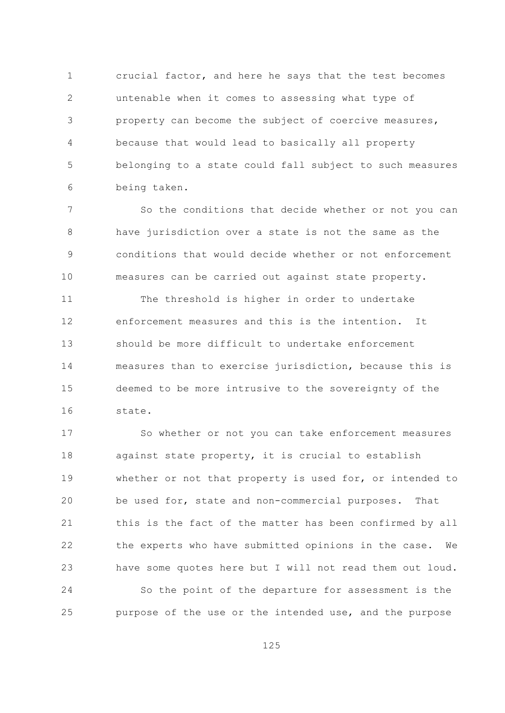$\mathbf{1}$ crucial factor, and here he says that the test becomes  $\overline{2}$ untenable when it comes to assessing what type of property can become the subject of coercive measures, 3 because that would lead to basically all property  $\overline{4}$ 5 belonging to a state could fall subject to such measures being taken. 6

 $\overline{7}$ So the conditions that decide whether or not you can have jurisdiction over a state is not the same as the 8 conditions that would decide whether or not enforcement 9  $10$ measures can be carried out against state property.

 $11$ The threshold is higher in order to undertake enforcement measures and this is the intention. 12  $T +$  $13$ should be more difficult to undertake enforcement 14 measures than to exercise jurisdiction, because this is 1.5 deemed to be more intrusive to the sovereignty of the 16 state.

So whether or not you can take enforcement measures  $17$ against state property, it is crucial to establish 18 19 whether or not that property is used for, or intended to 20 be used for, state and non-commercial purposes. That 21 this is the fact of the matter has been confirmed by all 22 the experts who have submitted opinions in the case. We 23 have some quotes here but I will not read them out loud. 24 So the point of the departure for assessment is the purpose of the use or the intended use, and the purpose 25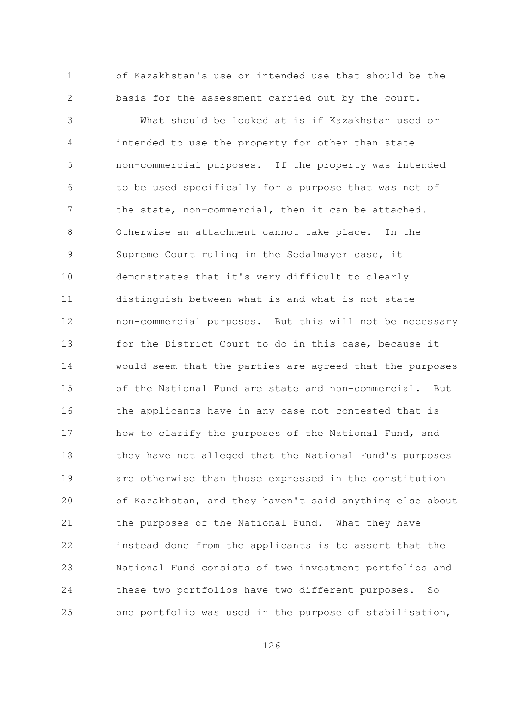of Kazakhstan's use or intended use that should be the  $\mathbf{1}$  $\overline{2}$ basis for the assessment carried out by the court.

What should be looked at is if Kazakhstan used or 3 intended to use the property for other than state  $\overline{4}$ 5 non-commercial purposes. If the property was intended to be used specifically for a purpose that was not of 6  $\overline{7}$ the state, non-commercial, then it can be attached.  $\mathcal{S}_{\mathcal{S}}$ Otherwise an attachment cannot take place. In the Supreme Court ruling in the Sedalmayer case, it 9  $10$ demonstrates that it's very difficult to clearly  $11$ distinguish between what is and what is not state 12 non-commercial purposes. But this will not be necessary  $13$ for the District Court to do in this case, because it 14 would seem that the parties are agreed that the purposes 15 of the National Fund are state and non-commercial. But the applicants have in any case not contested that is 16 how to clarify the purposes of the National Fund, and  $17$ 18 they have not alleged that the National Fund's purposes  $19$ are otherwise than those expressed in the constitution 20 of Kazakhstan, and they haven't said anything else about 21 the purposes of the National Fund. What they have 22 instead done from the applicants is to assert that the 23 National Fund consists of two investment portfolios and 24 these two portfolios have two different purposes. So one portfolio was used in the purpose of stabilisation, 25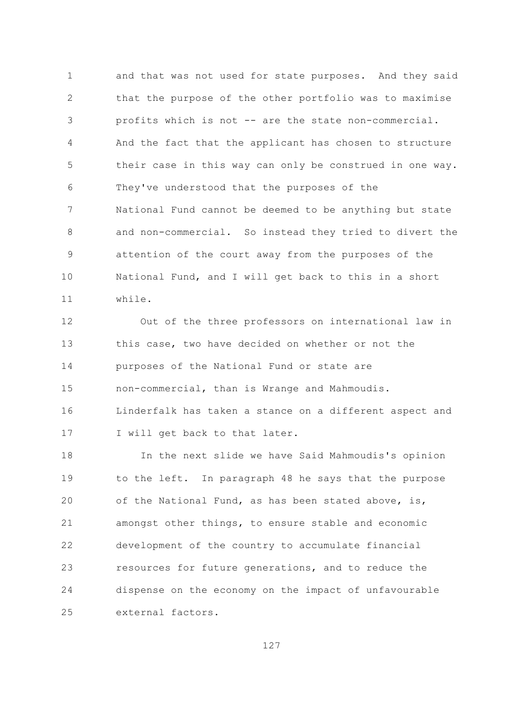$\mathbf{1}$ and that was not used for state purposes. And they said  $\overline{2}$ that the purpose of the other portfolio was to maximise profits which is not -- are the state non-commercial. 3  $\overline{4}$ And the fact that the applicant has chosen to structure 5 their case in this way can only be construed in one way. They've understood that the purposes of the 6  $7\overline{ }$ National Fund cannot be deemed to be anything but state  $\mathcal{S}_{\mathcal{S}}$ and non-commercial. So instead they tried to divert the attention of the court away from the purposes of the 9  $10$ National Fund, and I will get back to this in a short while.  $11$ 

12 Out of the three professors on international law in  $13$ this case, two have decided on whether or not the 14 purposes of the National Fund or state are 1.5 non-commercial, than is Wrange and Mahmoudis. 16 Linderfalk has taken a stance on a different aspect and I will get back to that later.  $17$ 

18 In the next slide we have Said Mahmoudis's opinion 19 to the left. In paragraph 48 he says that the purpose 20 of the National Fund, as has been stated above, is, 21 amongst other things, to ensure stable and economic 22 development of the country to accumulate financial 23 resources for future generations, and to reduce the 24 dispense on the economy on the impact of unfavourable  $2.5$ external factors.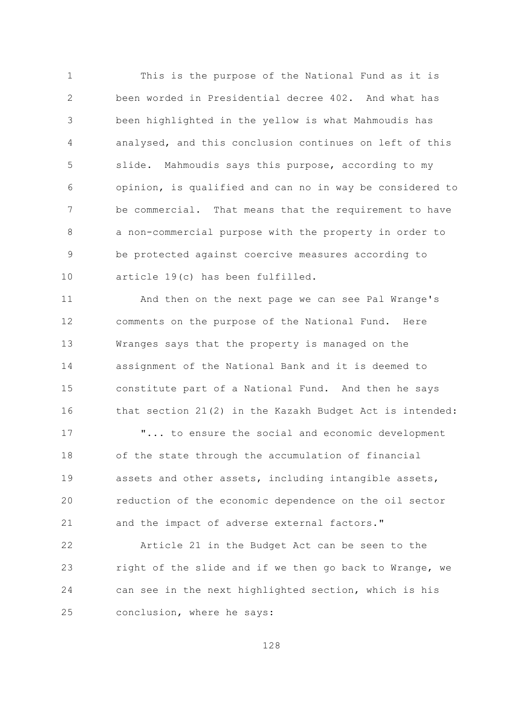$\mathbf{1}$ This is the purpose of the National Fund as it is  $\overline{2}$ been worded in Presidential decree 402. And what has been highlighted in the yellow is what Mahmoudis has 3  $\overline{4}$ analysed, and this conclusion continues on left of this 5 slide. Mahmoudis says this purpose, according to my opinion, is qualified and can no in way be considered to 6  $\overline{7}$ That means that the requirement to have be commercial.  $\mathcal{S}_{\mathcal{S}}$ a non-commercial purpose with the property in order to be protected against coercive measures according to 9  $10$ article 19(c) has been fulfilled.

 $11$ And then on the next page we can see Pal Wrange's comments on the purpose of the National Fund. 12 Here  $13$ Wranges says that the property is managed on the 14 assignment of the National Bank and it is deemed to 15 constitute part of a National Fund. And then he says 16 that section 21(2) in the Kazakh Budget Act is intended:

 $17$ "... to ensure the social and economic development 18 of the state through the accumulation of financial 19 assets and other assets, including intangible assets, 20 reduction of the economic dependence on the oil sector 21 and the impact of adverse external factors."

22 Article 21 in the Budget Act can be seen to the 23 right of the slide and if we then go back to Wrange, we 24 can see in the next highlighted section, which is his conclusion, where he says: 25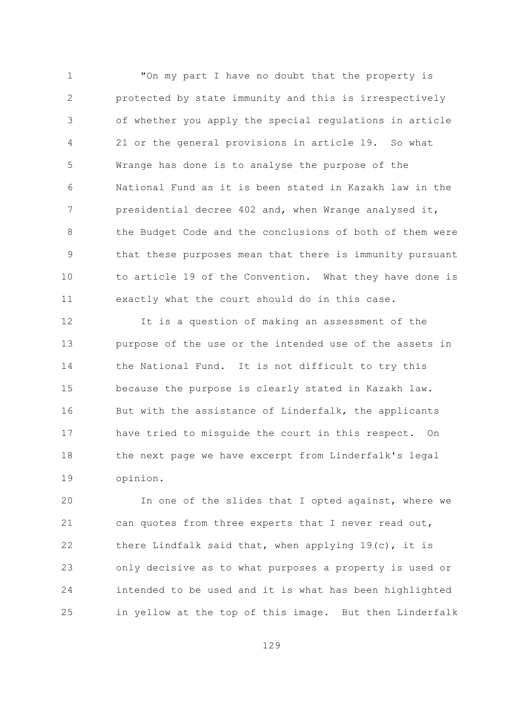$\mathbf{1}$ "On my part I have no doubt that the property is  $\overline{2}$ protected by state immunity and this is irrespectively of whether you apply the special regulations in article 3  $\overline{4}$ 21 or the general provisions in article 19. So what 5 Wrange has done is to analyse the purpose of the 6 National Fund as it is been stated in Kazakh law in the  $\overline{7}$ presidential decree 402 and, when Wrange analysed it, the Budget Code and the conclusions of both of them were  $\mathcal{S}_{\mathcal{S}}$ that these purposes mean that there is immunity pursuant 9  $10$ to article 19 of the Convention. What they have done is exactly what the court should do in this case.  $11$ 

It is a question of making an assessment of the  $12$  $13$ purpose of the use or the intended use of the assets in 14 the National Fund. It is not difficult to try this 15 because the purpose is clearly stated in Kazakh law. 16 But with the assistance of Linderfalk, the applicants  $17$ have tried to misquide the court in this respect. On the next page we have excerpt from Linderfalk's legal  $18$ 19 opinion.

 $20$ In one of the slides that I opted against, where we 21 can quotes from three experts that I never read out, 22 there Lindfalk said that, when applying 19(c), it is 23 only decisive as to what purposes a property is used or 24 intended to be used and it is what has been highlighted in yellow at the top of this image. But then Linderfalk 25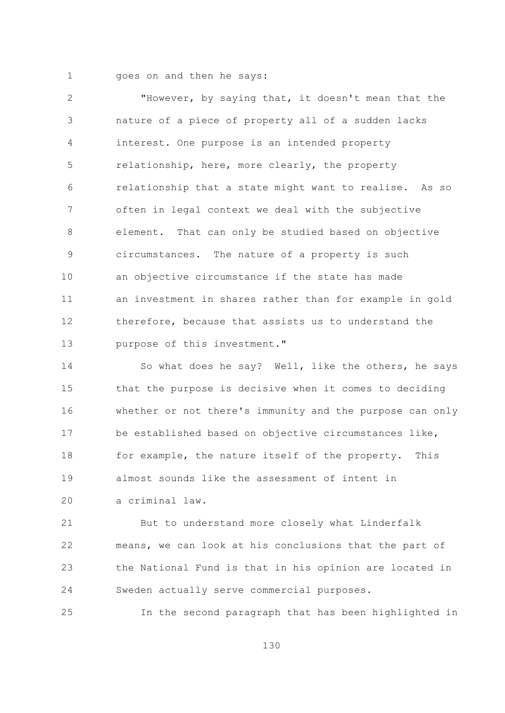$\mathbf{1}$ 

goes on and then he says:

 $\overline{2}$ "However, by saying that, it doesn't mean that the nature of a piece of property all of a sudden lacks 3  $\overline{4}$ interest. One purpose is an intended property 5 relationship, here, more clearly, the property relationship that a state might want to realise. As so 6  $7\overline{ }$ often in legal context we deal with the subjective  $\mathcal{S}_{\mathcal{S}}$ element. That can only be studied based on objective circumstances. The nature of a property is such 9  $10$ an objective circumstance if the state has made an investment in shares rather than for example in gold  $11$ therefore, because that assists us to understand the 12  $13$ purpose of this investment."

14 So what does he say? Well, like the others, he says 15 that the purpose is decisive when it comes to deciding whether or not there's immunity and the purpose can only 16 be established based on objective circumstances like,  $17$ 18 for example, the nature itself of the property. This almost sounds like the assessment of intent in  $19$ 

a criminal law. 20

21 But to understand more closely what Linderfalk 22 means, we can look at his conclusions that the part of the National Fund is that in his opinion are located in 23 24 Sweden actually serve commercial purposes.

25 In the second paragraph that has been highlighted in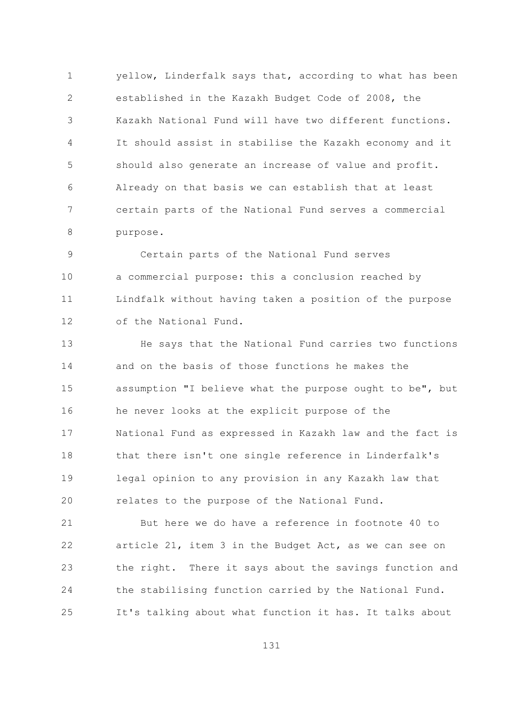yellow, Linderfalk says that, according to what has been  $\mathbf{1}$  $\overline{2}$ established in the Kazakh Budget Code of 2008, the Kazakh National Fund will have two different functions. 3  $\overline{4}$ It should assist in stabilise the Kazakh economy and it 5 should also generate an increase of value and profit. Already on that basis we can establish that at least 6  $7\overline{ }$ certain parts of the National Fund serves a commercial 8 purpose.

Certain parts of the National Fund serves 9  $10$ a commercial purpose: this a conclusion reached by Lindfalk without having taken a position of the purpose  $11$ of the National Fund. 12

 $13$ He says that the National Fund carries two functions 14 and on the basis of those functions he makes the 15 assumption "I believe what the purpose ought to be", but 16 he never looks at the explicit purpose of the National Fund as expressed in Kazakh law and the fact is  $17$  $18$ that there isn't one single reference in Linderfalk's 19 legal opinion to any provision in any Kazakh law that 20 relates to the purpose of the National Fund.

21 But here we do have a reference in footnote 40 to 22 article 21, item 3 in the Budget Act, as we can see on 23 the right. There it says about the savings function and 24 the stabilising function carried by the National Fund. It's talking about what function it has. It talks about 25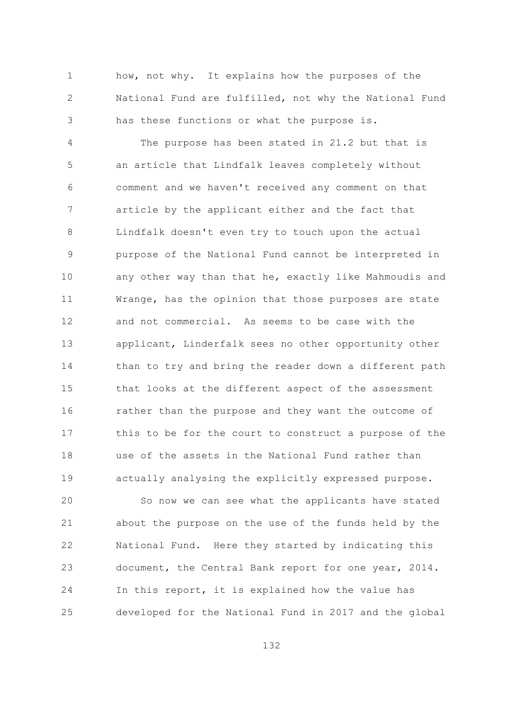$\mathbf{1}$ how, not why. It explains how the purposes of the  $\overline{2}$ National Fund are fulfilled, not why the National Fund has these functions or what the purpose is. 3

 $\overline{4}$ The purpose has been stated in 21.2 but that is 5 an article that Lindfalk leaves completely without comment and we haven't received any comment on that 6  $7\overline{ }$ article by the applicant either and the fact that  $\mathcal{S}_{\mathcal{S}}$ Lindfalk doesn't even try to touch upon the actual purpose of the National Fund cannot be interpreted in 9  $10$ any other way than that he, exactly like Mahmoudis and  $11$ Wrange, has the opinion that those purposes are state and not commercial. As seems to be case with the  $12$  $13$ applicant, Linderfalk sees no other opportunity other 14 than to try and bring the reader down a different path 15 that looks at the different aspect of the assessment 16 rather than the purpose and they want the outcome of this to be for the court to construct a purpose of the  $17$ use of the assets in the National Fund rather than  $18$ 19 actually analysing the explicitly expressed purpose.

20 So now we can see what the applicants have stated 21 about the purpose on the use of the funds held by the 22 National Fund. Here they started by indicating this 23 document, the Central Bank report for one year, 2014. 24 In this report, it is explained how the value has developed for the National Fund in 2017 and the global 25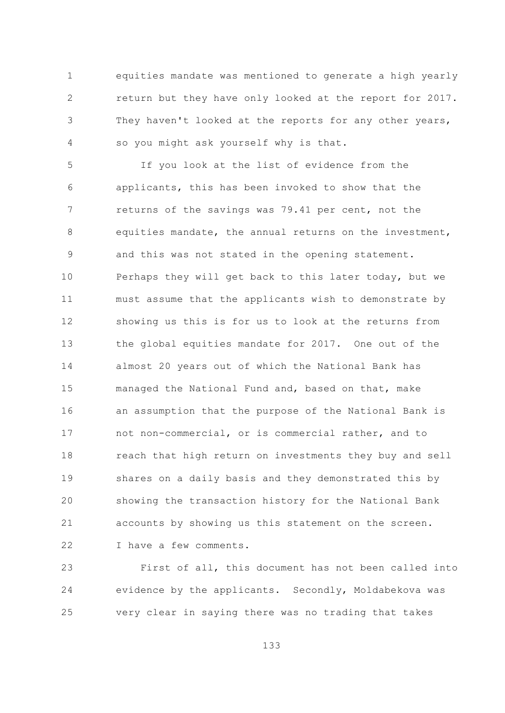$\mathbf{1}$ equities mandate was mentioned to generate a high yearly  $\overline{2}$ return but they have only looked at the report for 2017. They haven't looked at the reports for any other years, 3 so you might ask yourself why is that. 4

5 If you look at the list of evidence from the applicants, this has been invoked to show that the 6  $\overline{7}$ returns of the savings was 79.41 per cent, not the equities mandate, the annual returns on the investment, 8 and this was not stated in the opening statement. 9  $10$ Perhaps they will get back to this later today, but we must assume that the applicants wish to demonstrate by  $11$ showing us this is for us to look at the returns from  $12$  $13$ the global equities mandate for 2017. One out of the 14 almost 20 years out of which the National Bank has 15 managed the National Fund and, based on that, make an assumption that the purpose of the National Bank is 16 not non-commercial, or is commercial rather, and to  $17$ 18 reach that high return on investments they buy and sell 19 shares on a daily basis and they demonstrated this by 20 showing the transaction history for the National Bank 21 accounts by showing us this statement on the screen. 22 I have a few comments.

First of all, this document has not been called into 23 24 evidence by the applicants. Secondly, Moldabekova was very clear in saying there was no trading that takes 25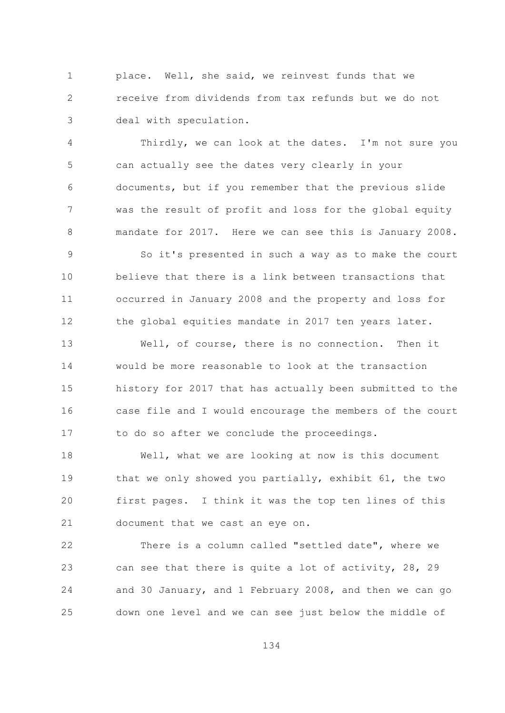place. Well, she said, we reinvest funds that we  $\mathbf{1}$  $\overline{2}$ receive from dividends from tax refunds but we do not deal with speculation. 3

Thirdly, we can look at the dates. I'm not sure you  $\overline{4}$ 5 can actually see the dates very clearly in your documents, but if you remember that the previous slide 6  $7\overline{ }$ was the result of profit and loss for the global equity mandate for 2017. Here we can see this is January 2008.  $\mathsf{R}$ 

So it's presented in such a way as to make the court 9  $10$ believe that there is a link between transactions that  $11$ occurred in January 2008 and the property and loss for the global equities mandate in 2017 ten years later. 12

 $13$ Well, of course, there is no connection. Then it 14 would be more reasonable to look at the transaction history for 2017 that has actually been submitted to the 15 case file and I would encourage the members of the court 16 to do so after we conclude the proceedings.  $17$ 

 $18$ Well, what we are looking at now is this document 19 that we only showed you partially, exhibit 61, the two 20 first pages. I think it was the top ten lines of this 21 document that we cast an eye on.

 $22$ There is a column called "settled date", where we can see that there is quite a lot of activity, 28, 29 23 and 30 January, and 1 February 2008, and then we can go 24 down one level and we can see just below the middle of 25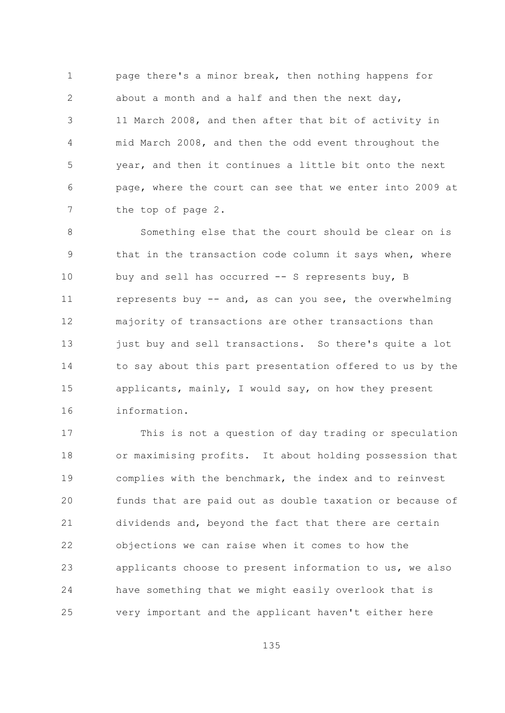page there's a minor break, then nothing happens for  $\mathbf{1}$  $\overline{2}$ about a month and a half and then the next day, 11 March 2008, and then after that bit of activity in 3  $\sqrt{4}$ mid March 2008, and then the odd event throughout the 5 year, and then it continues a little bit onto the next page, where the court can see that we enter into 2009 at 6  $7\overline{ }$ the top of page 2.

 $\mathcal{S}_{\mathcal{S}}$ Something else that the court should be clear on is that in the transaction code column it says when, where 9  $10$ buy and sell has occurred -- S represents buy, B represents buy -- and, as can you see, the overwhelming  $11$ majority of transactions are other transactions than 12  $13$ just buy and sell transactions. So there's quite a lot 14 to say about this part presentation offered to us by the 15 applicants, mainly, I would say, on how they present 16 information.

 $17$ This is not a question of day trading or speculation 18 or maximising profits. It about holding possession that 19 complies with the benchmark, the index and to reinvest 20 funds that are paid out as double taxation or because of 21 dividends and, beyond the fact that there are certain 22 objections we can raise when it comes to how the applicants choose to present information to us, we also 23 24 have something that we might easily overlook that is very important and the applicant haven't either here 25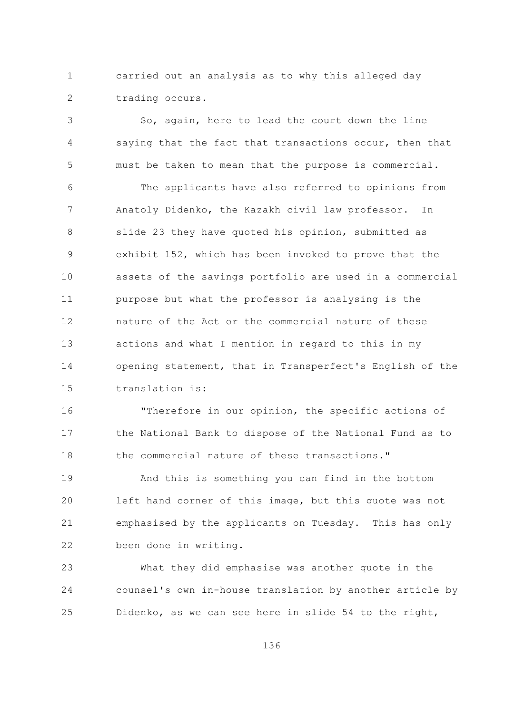$\mathbf{1}$ carried out an analysis as to why this alleged day  $\overline{2}$ trading occurs.

So, again, here to lead the court down the line 3 saying that the fact that transactions occur, then that 4 5 must be taken to mean that the purpose is commercial. The applicants have also referred to opinions from 6  $7\overline{ }$ Anatoly Didenko, the Kazakh civil law professor. In  $\mathcal{S}_{\mathcal{S}}$ slide 23 they have quoted his opinion, submitted as exhibit 152, which has been invoked to prove that the 9  $10$ assets of the savings portfolio are used in a commercial purpose but what the professor is analysing is the  $11$ nature of the Act or the commercial nature of these 12  $13$ actions and what I mention in regard to this in my 14 opening statement, that in Transperfect's English of the

1.5 translation is:

16 "Therefore in our opinion, the specific actions of the National Bank to dispose of the National Fund as to  $17$ the commercial nature of these transactions." 18

And this is something you can find in the bottom 19 20 left hand corner of this image, but this quote was not 21 emphasised by the applicants on Tuesday. This has only 22 been done in writing.

23 What they did emphasise was another quote in the 24 counsel's own in-house translation by another article by Didenko, as we can see here in slide 54 to the right, 25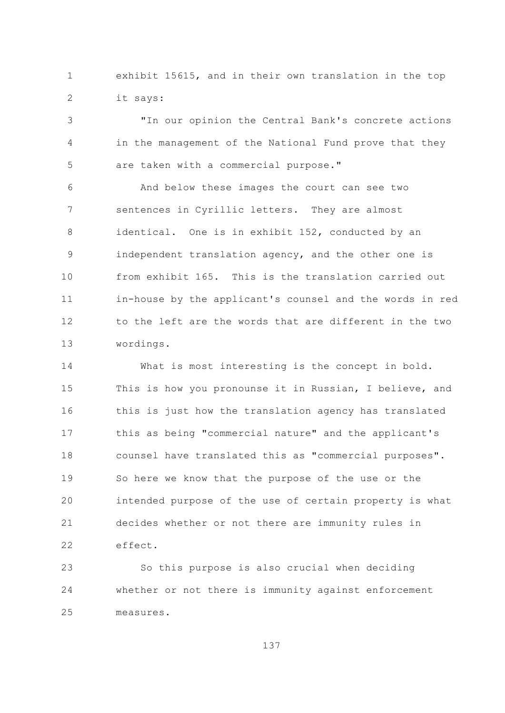exhibit 15615, and in their own translation in the top  $\mathbf{1}$  $\overline{2}$ it says:

"In our opinion the Central Bank's concrete actions 3  $\sqrt{4}$ in the management of the National Fund prove that they 5 are taken with a commercial purpose."

And below these images the court can see two 6  $7\overline{ }$ sentences in Cyrillic letters. They are almost  $\mathcal{S}_{\mathcal{S}}$ identical. One is in exhibit 152, conducted by an independent translation agency, and the other one is 9  $10$ from exhibit 165. This is the translation carried out in-house by the applicant's counsel and the words in red  $11$ to the left are the words that are different in the two 12  $13$ wordings.

14 What is most interesting is the concept in bold. 15 This is how you pronounse it in Russian, I believe, and this is just how the translation agency has translated 16 this as being "commercial nature" and the applicant's  $17$ counsel have translated this as "commercial purposes". 18 19 So here we know that the purpose of the use or the 20 intended purpose of the use of certain property is what 21 decides whether or not there are immunity rules in 22 effect.

23 So this purpose is also crucial when deciding 24 whether or not there is immunity against enforcement  $2.5$ measures.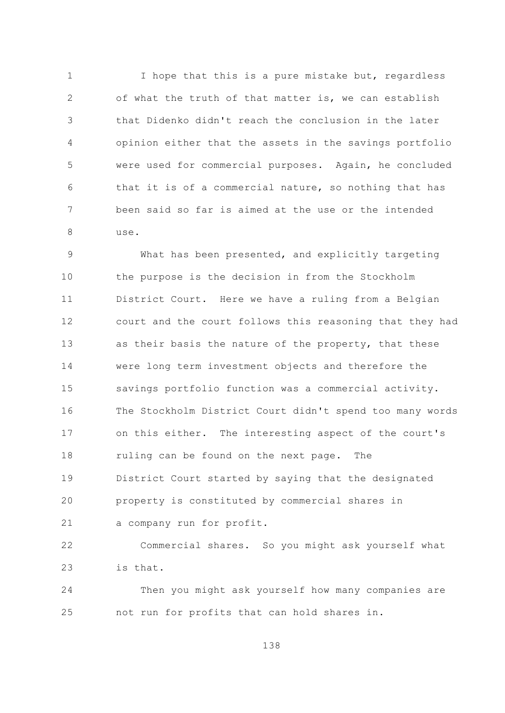$\mathbf{1}$ I hope that this is a pure mistake but, regardless  $\overline{2}$ of what the truth of that matter is, we can establish that Didenko didn't reach the conclusion in the later 3 opinion either that the assets in the savings portfolio 4 5 were used for commercial purposes. Again, he concluded that it is of a commercial nature, so nothing that has 6  $7\overline{ }$ been said so far is aimed at the use or the intended  $\mathcal{S}_{\mathcal{S}}$ use.

What has been presented, and explicitly targeting 9  $10$ the purpose is the decision in from the Stockholm District Court. Here we have a ruling from a Belgian  $11$ court and the court follows this reasoning that they had 12  $13$ as their basis the nature of the property, that these 14 were long term investment objects and therefore the 15 savings portfolio function was a commercial activity. The Stockholm District Court didn't spend too many words 16 on this either. The interesting aspect of the court's  $17$ 18 ruling can be found on the next page. The 19 District Court started by saying that the designated 20 property is constituted by commercial shares in 21 a company run for profit.

Commercial shares. So you might ask yourself what 22 23 is that.

24 Then you might ask yourself how many companies are not run for profits that can hold shares in. 25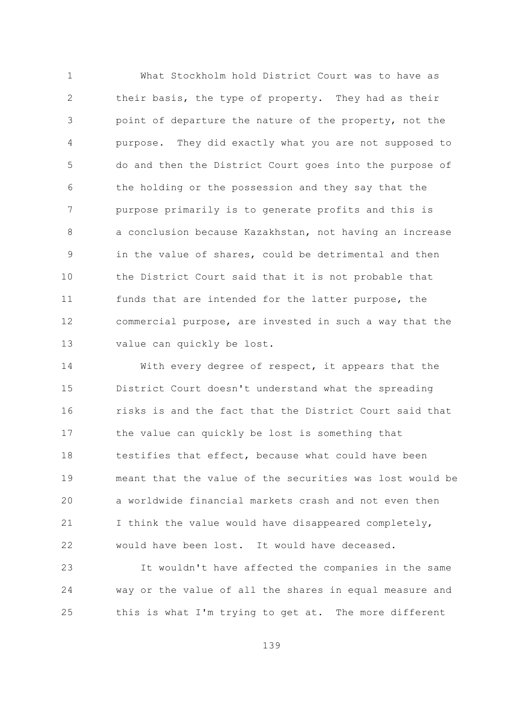$\mathbf{1}$ What Stockholm hold District Court was to have as  $\overline{2}$ their basis, the type of property. They had as their point of departure the nature of the property, not the 3 purpose. They did exactly what you are not supposed to  $\overline{4}$ 5 do and then the District Court goes into the purpose of the holding or the possession and they say that the 6  $\overline{7}$ purpose primarily is to generate profits and this is a conclusion because Kazakhstan, not having an increase  $\mathsf{R}$ in the value of shares, could be detrimental and then 9  $10$ the District Court said that it is not probable that  $11$ funds that are intended for the latter purpose, the 12 commercial purpose, are invested in such a way that the  $13$ value can quickly be lost.

14 With every degree of respect, it appears that the 1.5 District Court doesn't understand what the spreading risks is and the fact that the District Court said that 16 the value can quickly be lost is something that  $17$ testifies that effect, because what could have been  $18$ meant that the value of the securities was lost would be 19 20 a worldwide financial markets crash and not even then 21 I think the value would have disappeared completely, 22 would have been lost. It would have deceased.

23 It wouldn't have affected the companies in the same 24 way or the value of all the shares in equal measure and this is what I'm trying to get at. The more different 25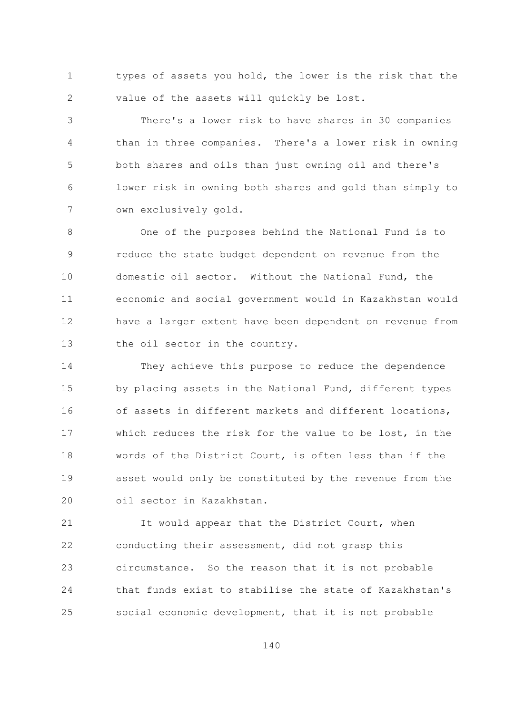types of assets you hold, the lower is the risk that the  $\mathbf{1}$  $\overline{2}$ value of the assets will quickly be lost.

There's a lower risk to have shares in 30 companies 3 than in three companies. There's a lower risk in owning  $\overline{4}$ 5 both shares and oils than just owning oil and there's lower risk in owning both shares and gold than simply to 6  $7\overline{ }$ own exclusively gold.

One of the purposes behind the National Fund is to  $\mathsf{R}$ 9 reduce the state budget dependent on revenue from the  $10$ domestic oil sector. Without the National Fund, the  $11$ economic and social government would in Kazakhstan would 12 have a larger extent have been dependent on revenue from  $13$ the oil sector in the country.

14 They achieve this purpose to reduce the dependence 15 by placing assets in the National Fund, different types of assets in different markets and different locations, 16 which reduces the risk for the value to be lost, in the  $17$ words of the District Court, is often less than if the  $18$ 19 asset would only be constituted by the revenue from the oil sector in Kazakhstan. 20

21 It would appear that the District Court, when 22 conducting their assessment, did not grasp this circumstance. So the reason that it is not probable 23 24 that funds exist to stabilise the state of Kazakhstan's 25 social economic development, that it is not probable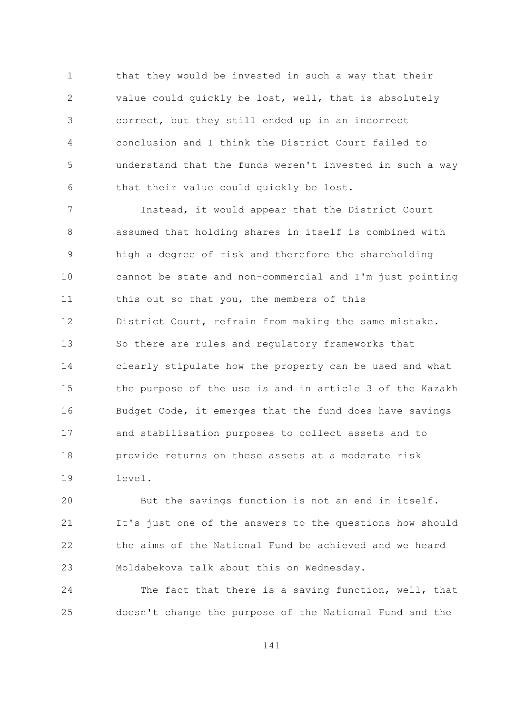$\mathbf{1}$ that they would be invested in such a way that their  $\overline{2}$ value could quickly be lost, well, that is absolutely correct, but they still ended up in an incorrect 3  $\overline{4}$ conclusion and I think the District Court failed to 5 understand that the funds weren't invested in such a way that their value could quickly be lost. 6

 $\overline{7}$ Instead, it would appear that the District Court 8 assumed that holding shares in itself is combined with high a degree of risk and therefore the shareholding 9  $10$ cannot be state and non-commercial and I'm just pointing this out so that you, the members of this  $11$ 12 District Court, refrain from making the same mistake.  $13$ So there are rules and regulatory frameworks that 14 clearly stipulate how the property can be used and what 15 the purpose of the use is and in article 3 of the Kazakh Budget Code, it emerges that the fund does have savings 16 and stabilisation purposes to collect assets and to  $17$  $18$ provide returns on these assets at a moderate risk  $19$ level.

20 But the savings function is not an end in itself. 21 It's just one of the answers to the questions how should 22 the aims of the National Fund be achieved and we heard 23 Moldabekova talk about this on Wednesday.

24 The fact that there is a saving function, well, that 25 doesn't change the purpose of the National Fund and the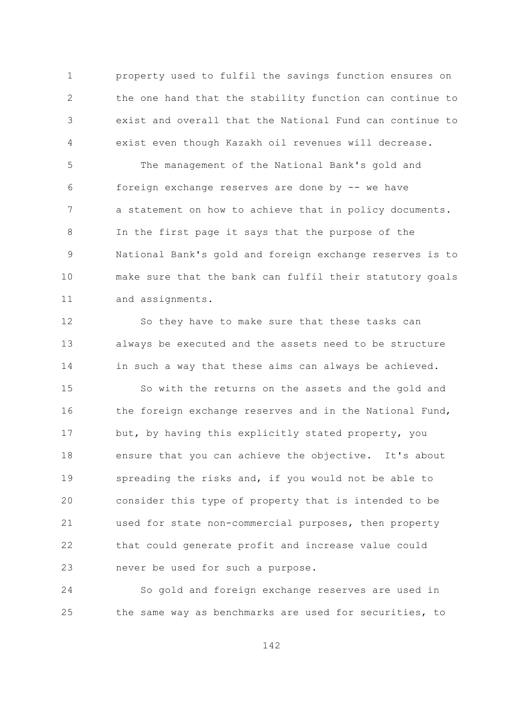$\mathbf{1}$ property used to fulfil the savings function ensures on  $\overline{2}$ the one hand that the stability function can continue to exist and overall that the National Fund can continue to 3 exist even though Kazakh oil revenues will decrease. 4

5 The management of the National Bank's gold and foreign exchange reserves are done by -- we have 6  $\overline{7}$ a statement on how to achieve that in policy documents. In the first page it says that the purpose of the 8 National Bank's gold and foreign exchange reserves is to 9  $10$ make sure that the bank can fulfil their statutory goals  $11$ and assignments.

 $12$ So they have to make sure that these tasks can  $13$ always be executed and the assets need to be structure 14 in such a way that these aims can always be achieved.

1.5 So with the returns on the assets and the gold and the foreign exchange reserves and in the National Fund, 16 but, by having this explicitly stated property, you  $17$  $18$ ensure that you can achieve the objective. It's about spreading the risks and, if you would not be able to 19 20 consider this type of property that is intended to be 21 used for state non-commercial purposes, then property 22 that could generate profit and increase value could 23 never be used for such a purpose.

24 So gold and foreign exchange reserves are used in the same way as benchmarks are used for securities, to 25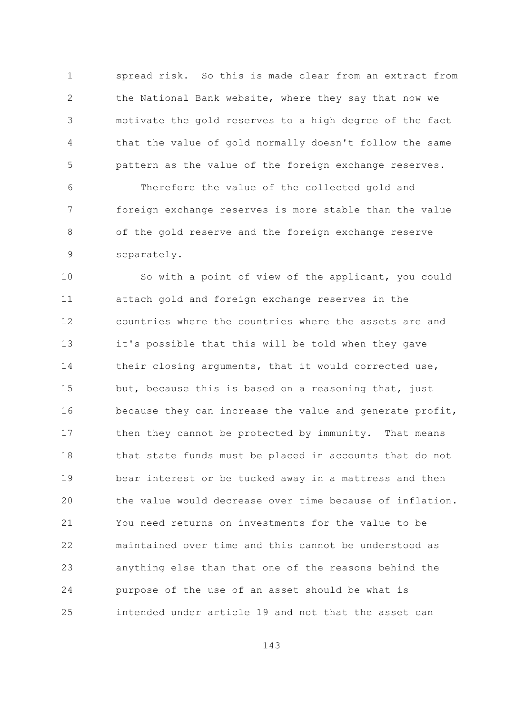spread risk. So this is made clear from an extract from  $\mathbf{1}$  $\overline{2}$ the National Bank website, where they say that now we motivate the gold reserves to a high degree of the fact 3  $\overline{4}$ that the value of gold normally doesn't follow the same 5 pattern as the value of the foreign exchange reserves.

Therefore the value of the collected gold and 6  $\overline{7}$ foreign exchange reserves is more stable than the value  $\mathcal{S}_{\mathcal{S}}$ of the gold reserve and the foreign exchange reserve 9 separately.

 $10$ So with a point of view of the applicant, you could  $11$ attach gold and foreign exchange reserves in the countries where the countries where the assets are and 12  $13$ it's possible that this will be told when they gave 14 their closing arguments, that it would corrected use, 1.5 but, because this is based on a reasoning that, just 16 because they can increase the value and generate profit, then they cannot be protected by immunity.  $17$ That means  $18$ that state funds must be placed in accounts that do not  $19$ bear interest or be tucked away in a mattress and then the value would decrease over time because of inflation. 20 21 You need returns on investments for the value to be 22 maintained over time and this cannot be understood as 23 anything else than that one of the reasons behind the 24 purpose of the use of an asset should be what is  $2.5$ intended under article 19 and not that the asset can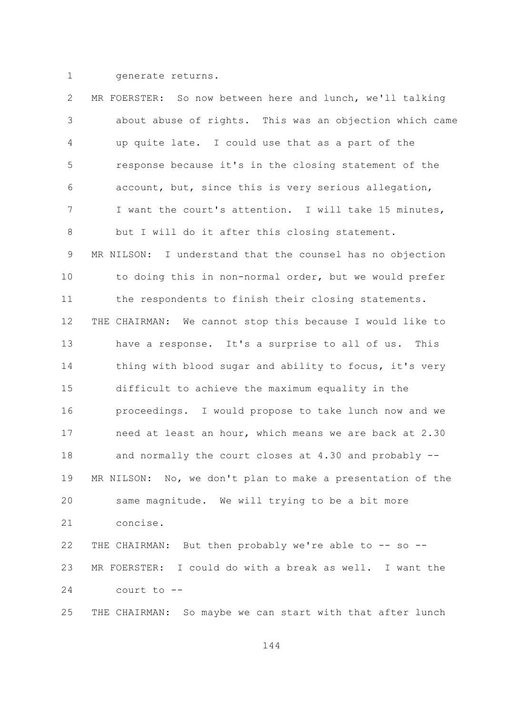$\mathbf{1}$ 

generate returns.

 $\overline{2}$ MR FOERSTER: So now between here and lunch, we'll talking about abuse of rights. This was an objection which came 3  $\overline{4}$ up quite late. I could use that as a part of the 5 response because it's in the closing statement of the account, but, since this is very serious allegation, 6  $\overline{7}$ I want the court's attention. I will take 15 minutes, 8 but I will do it after this closing statement. MR NILSON: I understand that the counsel has no objection 9  $10$ to doing this in non-normal order, but we would prefer  $11$ the respondents to finish their closing statements. 12 THE CHAIRMAN: We cannot stop this because I would like to  $13$ have a response. It's a surprise to all of us. This 14 thing with blood sugar and ability to focus, it's very 1.5 difficult to achieve the maximum equality in the proceedings. I would propose to take lunch now and we 16 need at least an hour, which means we are back at 2.30  $17$ 18 and normally the court closes at 4.30 and probably --19 MR NILSON: No, we don't plan to make a presentation of the 20 same magnitude. We will trying to be a bit more 21 concise.  $22$ THE CHAIRMAN: But then probably we're able to -- so --MR FOERSTER: I could do with a break as well. I want the 23 24 court to --THE CHAIRMAN: So maybe we can start with that after lunch 25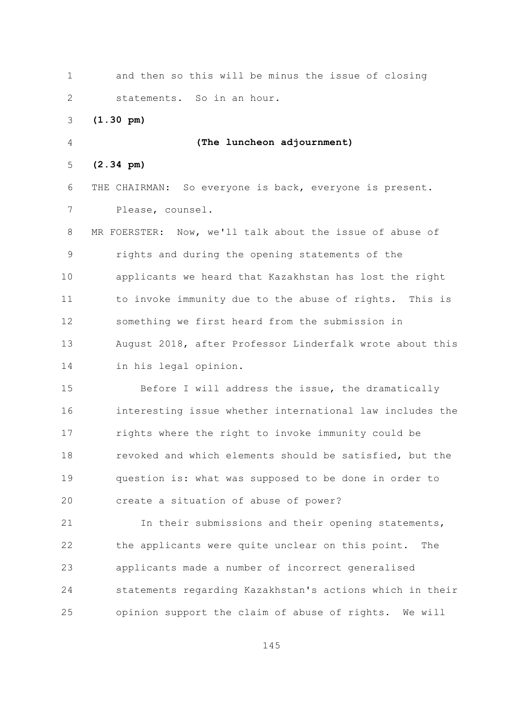$\mathbf{1}$ and then so this will be minus the issue of closing  $\overline{2}$ statements. So in an hour.  $(1.30 \text{ pm})$ 3  $\overline{4}$ (The luncheon adjournment)  $(2.34 \text{ pm})$ 5 6 THE CHAIRMAN: So everyone is back, everyone is present.  $\overline{7}$ Please, counsel. 8 MR FOERSTER: Now, we'll talk about the issue of abuse of 9 rights and during the opening statements of the  $10$ applicants we heard that Kazakhstan has lost the right to invoke immunity due to the abuse of rights. This is  $11$ something we first heard from the submission in 12  $13$ August 2018, after Professor Linderfalk wrote about this 14 in his legal opinion. 1.5 Before I will address the issue, the dramatically 16 interesting issue whether international law includes the  $17$ rights where the right to invoke immunity could be revoked and which elements should be satisfied, but the 18 19 question is: what was supposed to be done in order to 20 create a situation of abuse of power?

21 In their submissions and their opening statements, 22 the applicants were quite unclear on this point. The applicants made a number of incorrect generalised 23 24 statements regarding Kazakhstan's actions which in their opinion support the claim of abuse of rights. We will 25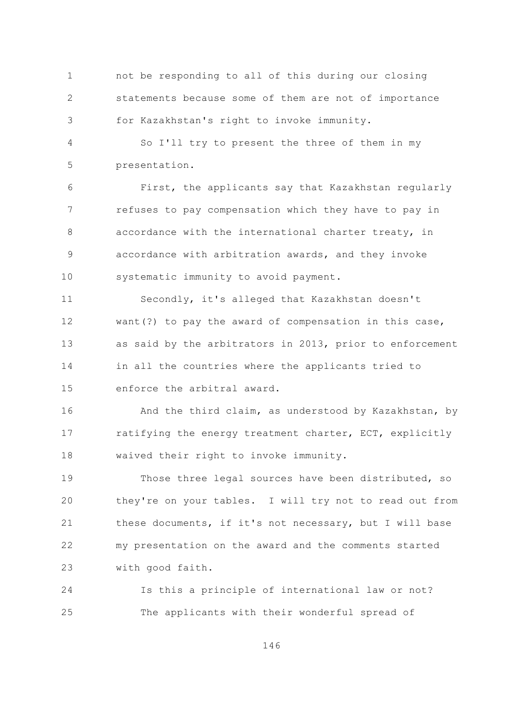not be responding to all of this during our closing  $\mathbf{1}$  $\overline{2}$ statements because some of them are not of importance for Kazakhstan's right to invoke immunity. 3

 $\overline{4}$ So I'll try to present the three of them in my 5 presentation.

First, the applicants say that Kazakhstan regularly 6  $7\overline{ }$ refuses to pay compensation which they have to pay in  $\mathcal{S}_{\mathcal{S}}$ accordance with the international charter treaty, in accordance with arbitration awards, and they invoke 9  $10$ systematic immunity to avoid payment.

Secondly, it's alleged that Kazakhstan doesn't  $11$ want (?) to pay the award of compensation in this case, 12  $13$ as said by the arbitrators in 2013, prior to enforcement 14 in all the countries where the applicants tried to enforce the arbitral award. 1.5

16 And the third claim, as understood by Kazakhstan, by ratifying the energy treatment charter, ECT, explicitly  $17$ 18 waived their right to invoke immunity.

 $19$ Those three legal sources have been distributed, so they're on your tables. I will try not to read out from 20 21 these documents, if it's not necessary, but I will base 22 my presentation on the award and the comments started 23 with good faith.

24 Is this a principle of international law or not? 25 The applicants with their wonderful spread of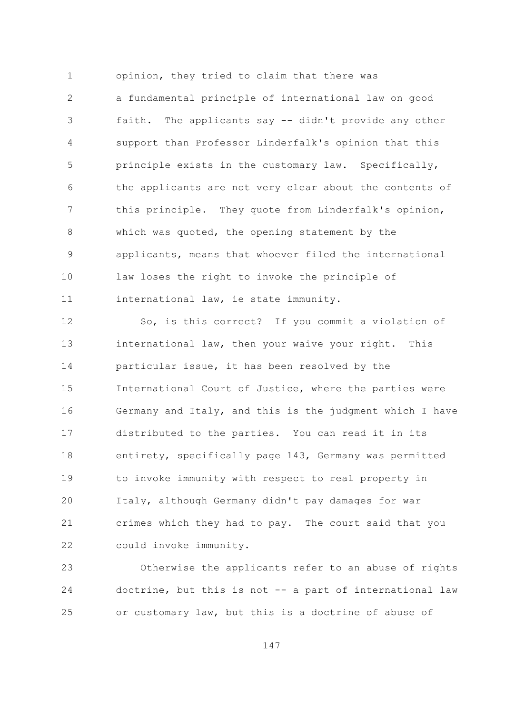opinion, they tried to claim that there was  $\mathbf{1}$  $\overline{2}$ a fundamental principle of international law on good faith. The applicants say -- didn't provide any other 3  $\sqrt{4}$ support than Professor Linderfalk's opinion that this 5 principle exists in the customary law. Specifically, the applicants are not very clear about the contents of 6  $7\overline{ }$ this principle. They quote from Linderfalk's opinion, 8 which was quoted, the opening statement by the applicants, means that whoever filed the international 9  $10$ law loses the right to invoke the principle of international law, ie state immunity.  $11$ 

So, is this correct? If you commit a violation of 12  $13$ international law, then your waive your right. This 14 particular issue, it has been resolved by the 15 International Court of Justice, where the parties were Germany and Italy, and this is the judgment which I have 16 distributed to the parties. You can read it in its  $17$ entirety, specifically page 143, Germany was permitted 18 19 to invoke immunity with respect to real property in Italy, although Germany didn't pay damages for war 20 21 crimes which they had to pay. The court said that you 22 could invoke immunity.

Otherwise the applicants refer to an abuse of rights 23 24 doctrine, but this is not -- a part of international law or customary law, but this is a doctrine of abuse of 25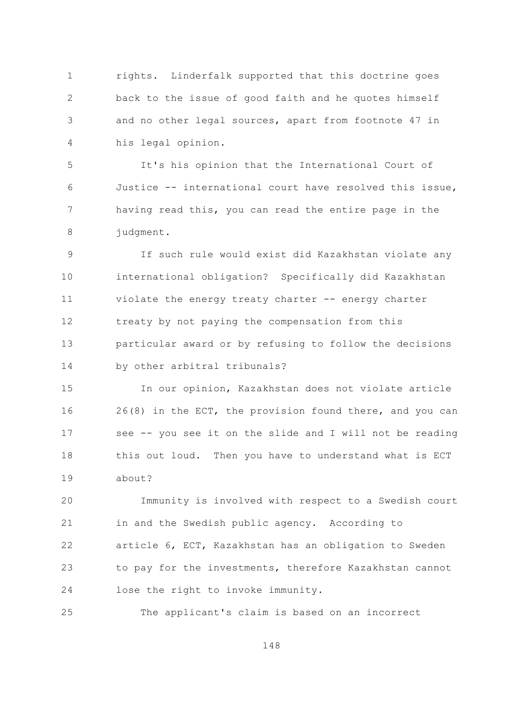$\mathbf{1}$ rights. Linderfalk supported that this doctrine goes  $\overline{2}$ back to the issue of good faith and he quotes himself and no other legal sources, apart from footnote 47 in 3  $\sqrt{4}$ his legal opinion.

5 It's his opinion that the International Court of Justice -- international court have resolved this issue, 6  $7\overline{ }$ having read this, you can read the entire page in the 8 judgment.

If such rule would exist did Kazakhstan violate any 9  $10$ international obligation? Specifically did Kazakhstan violate the energy treaty charter -- energy charter  $11$ 12 treaty by not paying the compensation from this  $13$ particular award or by refusing to follow the decisions 14 by other arbitral tribunals?

1.5 In our opinion, Kazakhstan does not violate article 26(8) in the ECT, the provision found there, and you can 16 see -- you see it on the slide and I will not be reading  $17$ this out loud. Then you have to understand what is ECT 18 about?  $19$ 

20 Immunity is involved with respect to a Swedish court 21 in and the Swedish public agency. According to 22 article 6, ECT, Kazakhstan has an obligation to Sweden to pay for the investments, therefore Kazakhstan cannot 23 24 lose the right to invoke immunity.

25 The applicant's claim is based on an incorrect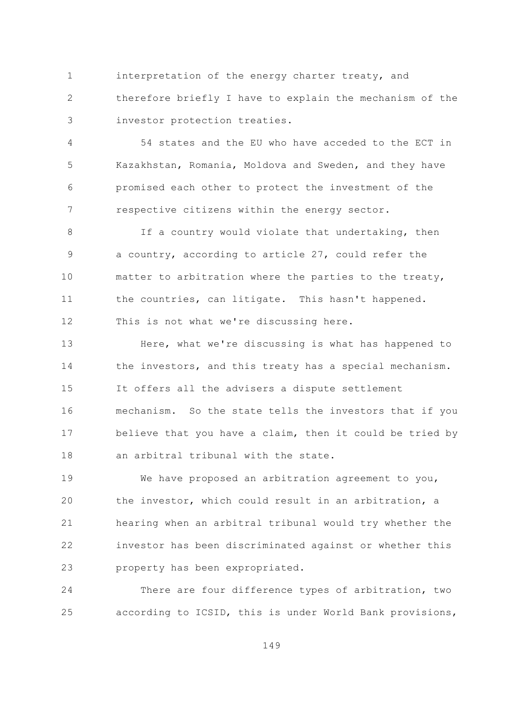$\mathbf{1}$ interpretation of the energy charter treaty, and  $\overline{2}$ therefore briefly I have to explain the mechanism of the investor protection treaties. 3

 $\overline{4}$ 54 states and the EU who have acceded to the ECT in 5 Kazakhstan, Romania, Moldova and Sweden, and they have promised each other to protect the investment of the 6  $7\overline{ }$ respective citizens within the energy sector.

If a country would violate that undertaking, then  $\mathsf{R}$ a country, according to article 27, could refer the 9  $10$ matter to arbitration where the parties to the treaty, the countries, can litigate. This hasn't happened.  $11$ This is not what we're discussing here. 12

 $13$ Here, what we're discussing is what has happened to 14 the investors, and this treaty has a special mechanism. 1.5 It offers all the advisers a dispute settlement mechanism. So the state tells the investors that if you 16 believe that you have a claim, then it could be tried by  $17$ an arbitral tribunal with the state.  $18$ 

19 We have proposed an arbitration agreement to you, the investor, which could result in an arbitration, a 20 21 hearing when an arbitral tribunal would try whether the 22 investor has been discriminated against or whether this 23 property has been expropriated.

24 There are four difference types of arbitration, two according to ICSID, this is under World Bank provisions, 25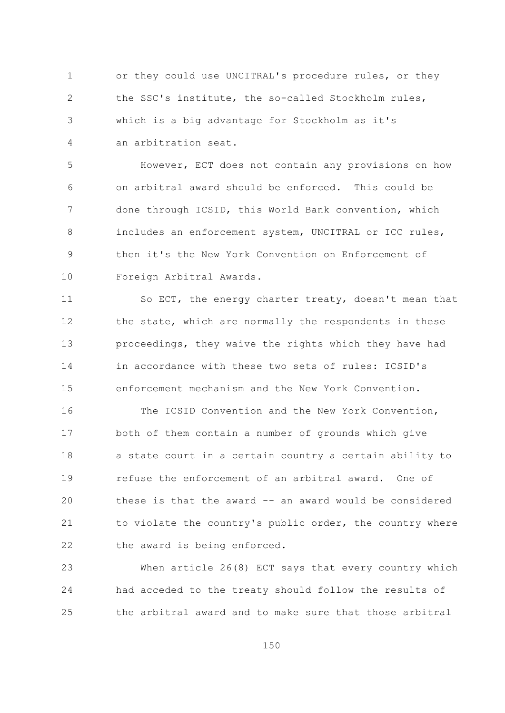or they could use UNCITRAL's procedure rules, or they  $\mathbf{1}$  $\overline{2}$ the SSC's institute, the so-called Stockholm rules, which is a big advantage for Stockholm as it's 3 an arbitration seat.  $\overline{4}$ 

5 However, ECT does not contain any provisions on how on arbitral award should be enforced. This could be 6  $7\overline{ }$ done through ICSID, this World Bank convention, which includes an enforcement system, UNCITRAL or ICC rules,  $\mathsf{R}$ then it's the New York Convention on Enforcement of 9  $10$ Foreign Arbitral Awards.

So ECT, the energy charter treaty, doesn't mean that  $11$ 12 the state, which are normally the respondents in these  $13$ proceedings, they waive the rights which they have had in accordance with these two sets of rules: ICSID's 14 1.5 enforcement mechanism and the New York Convention.

The ICSID Convention and the New York Convention, 16 both of them contain a number of grounds which give  $17$ 18 a state court in a certain country a certain ability to  $19$ refuse the enforcement of an arbitral award. One of 20 these is that the award -- an award would be considered to violate the country's public order, the country where 21 22 the award is being enforced.

23 When article 26(8) ECT says that every country which 24 had acceded to the treaty should follow the results of the arbitral award and to make sure that those arbitral 25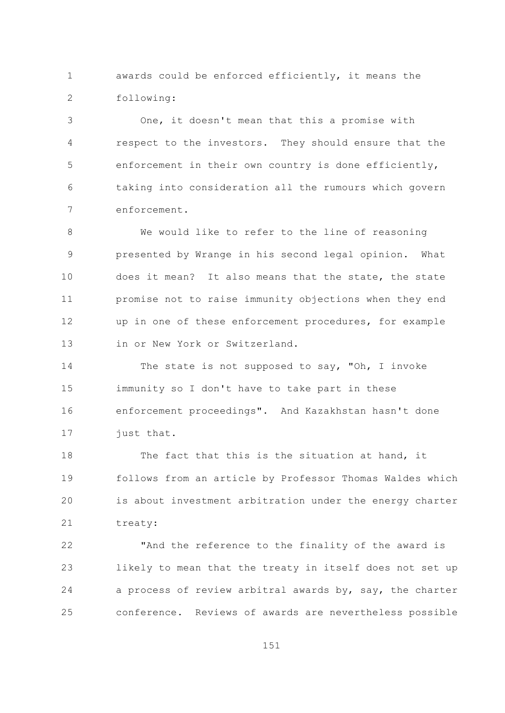$\mathbf{1}$ awards could be enforced efficiently, it means the  $\overline{2}$ following:

One, it doesn't mean that this a promise with 3 respect to the investors. They should ensure that the 4 5 enforcement in their own country is done efficiently, taking into consideration all the rumours which govern 6  $7\overline{ }$ enforcement.

 $\mathcal{S}_{\mathcal{S}}$ We would like to refer to the line of reasoning presented by Wrange in his second legal opinion. What 9  $10$ does it mean? It also means that the state, the state promise not to raise immunity objections when they end  $11$ up in one of these enforcement procedures, for example 12  $13$ in or New York or Switzerland.

14 The state is not supposed to say, "Oh, I invoke 15 immunity so I don't have to take part in these enforcement proceedings". And Kazakhstan hasn't done 16 just that.  $17$ 

The fact that this is the situation at hand, it  $18$ follows from an article by Professor Thomas Waldes which 19 20 is about investment arbitration under the energy charter 21 treaty:

"And the reference to the finality of the award is 22 23 likely to mean that the treaty in itself does not set up 24 a process of review arbitral awards by, say, the charter  $2.5$ conference. Reviews of awards are nevertheless possible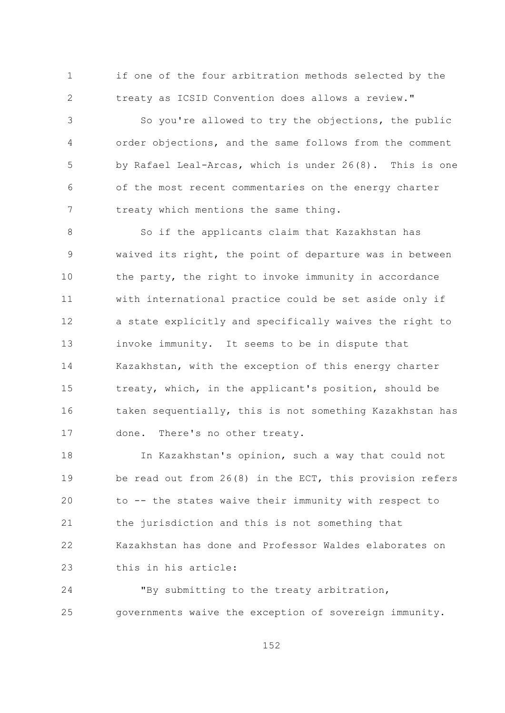if one of the four arbitration methods selected by the  $\mathbf{1}$  $\overline{2}$ treaty as ICSID Convention does allows a review."

So you're allowed to try the objections, the public 3  $\sqrt{4}$ order objections, and the same follows from the comment 5 by Rafael Leal-Arcas, which is under 26(8). This is one of the most recent commentaries on the energy charter 6  $7\overline{ }$ treaty which mentions the same thing.

So if the applicants claim that Kazakhstan has  $\mathsf{R}$ waived its right, the point of departure was in between 9  $10$ the party, the right to invoke immunity in accordance with international practice could be set aside only if  $11$ a state explicitly and specifically waives the right to 12  $13$ invoke immunity. It seems to be in dispute that 14 Kazakhstan, with the exception of this energy charter 15 treaty, which, in the applicant's position, should be taken sequentially, this is not something Kazakhstan has 16 done. There's no other treaty.  $17$ 

In Kazakhstan's opinion, such a way that could not 18 19 be read out from  $26(8)$  in the ECT, this provision refers 20 to -- the states waive their immunity with respect to 21 the jurisdiction and this is not something that Kazakhstan has done and Professor Waldes elaborates on 22 this in his article: 23

24 "By submitting to the treaty arbitration, governments waive the exception of sovereign immunity. 25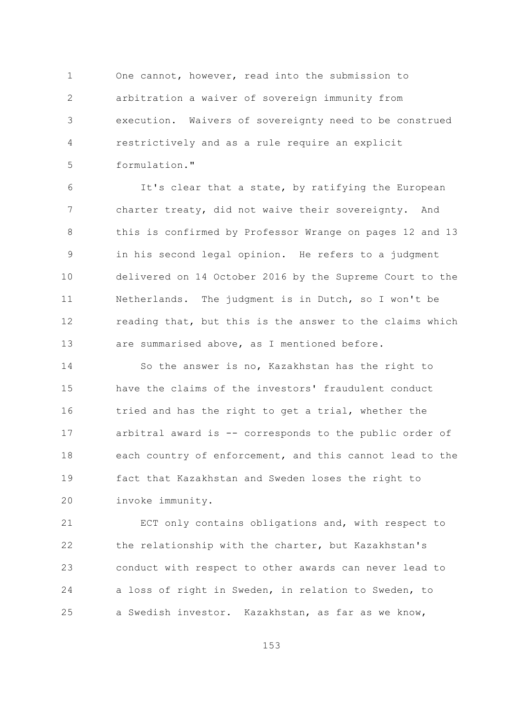One cannot, however, read into the submission to  $\mathbf{1}$  $\overline{2}$ arbitration a waiver of sovereign immunity from execution. Waivers of sovereignty need to be construed 3 restrictively and as a rule require an explicit 4 formulation." 5

It's clear that a state, by ratifying the European 6  $7\overline{ }$ charter treaty, did not waive their sovereignty. And this is confirmed by Professor Wrange on pages 12 and 13 8 in his second legal opinion. He refers to a judgment 9  $10$ delivered on 14 October 2016 by the Supreme Court to the  $11$ Netherlands. The judgment is in Dutch, so I won't be 12 reading that, but this is the answer to the claims which  $13$ are summarised above, as I mentioned before.

14 So the answer is no, Kazakhstan has the right to have the claims of the investors' fraudulent conduct 15 tried and has the right to get a trial, whether the 16 arbitral award is -- corresponds to the public order of  $17$ 18 each country of enforcement, and this cannot lead to the 19 fact that Kazakhstan and Sweden loses the right to 20 invoke immunity.

21 ECT only contains obligations and, with respect to 22 the relationship with the charter, but Kazakhstan's conduct with respect to other awards can never lead to 23 a loss of right in Sweden, in relation to Sweden, to 24 a Swedish investor. Kazakhstan, as far as we know, 25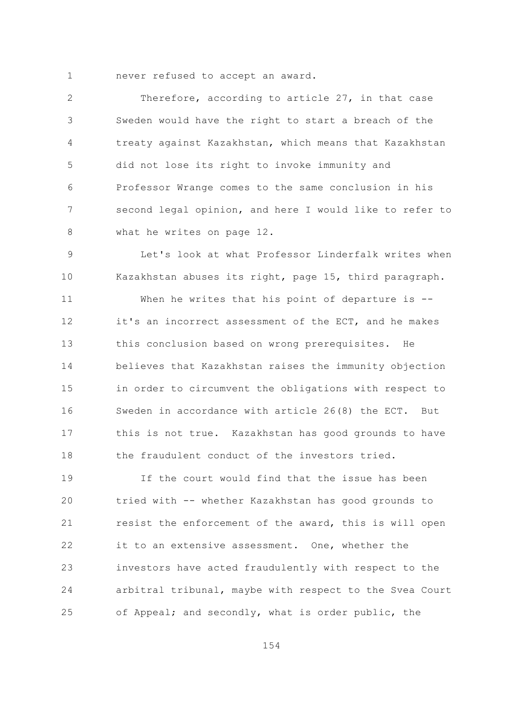$\mathbf{1}$ never refused to accept an award.

 $\overline{2}$ Therefore, according to article 27, in that case Sweden would have the right to start a breach of the 3 treaty against Kazakhstan, which means that Kazakhstan 4 5 did not lose its right to invoke immunity and Professor Wrange comes to the same conclusion in his 6  $7\overline{ }$ second legal opinion, and here I would like to refer to what he writes on page 12. 8

Let's look at what Professor Linderfalk writes when 9 10 Kazakhstan abuses its right, page 15, third paragraph.

 $11$ When he writes that his point of departure is --12 it's an incorrect assessment of the ECT, and he makes  $13$ this conclusion based on wrong prerequisites. He 14 believes that Kazakhstan raises the immunity objection 15 in order to circumvent the obligations with respect to Sweden in accordance with article 26(8) the ECT. But 16 this is not true. Kazakhstan has good grounds to have  $17$ the fraudulent conduct of the investors tried. 18

19 If the court would find that the issue has been 20 tried with -- whether Kazakhstan has good grounds to 21 resist the enforcement of the award, this is will open 22 it to an extensive assessment. One, whether the investors have acted fraudulently with respect to the 23 arbitral tribunal, maybe with respect to the Svea Court 24 of Appeal; and secondly, what is order public, the 25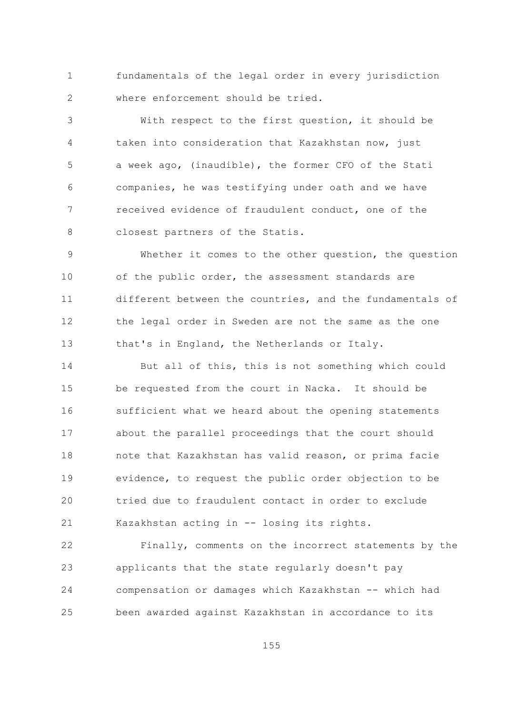$\mathbf{1}$ fundamentals of the legal order in every jurisdiction  $\overline{2}$ where enforcement should be tried.

With respect to the first question, it should be 3 taken into consideration that Kazakhstan now, just  $\overline{4}$ 5 a week ago, (inaudible), the former CFO of the Stati companies, he was testifying under oath and we have 6  $\overline{7}$ received evidence of fraudulent conduct, one of the closest partners of the Statis. 8

Whether it comes to the other question, the question 9  $10$ of the public order, the assessment standards are different between the countries, and the fundamentals of  $11$ the legal order in Sweden are not the same as the one 12  $13$ that's in England, the Netherlands or Italy.

14 But all of this, this is not something which could 15 be requested from the court in Nacka. It should be sufficient what we heard about the opening statements 16 about the parallel proceedings that the court should  $17$ 18 note that Kazakhstan has valid reason, or prima facie 19 evidence, to request the public order objection to be tried due to fraudulent contact in order to exclude 20 21 Kazakhstan acting in -- losing its rights.

22 Finally, comments on the incorrect statements by the 23 applicants that the state regularly doesn't pay 24 compensation or damages which Kazakhstan -- which had 25 been awarded against Kazakhstan in accordance to its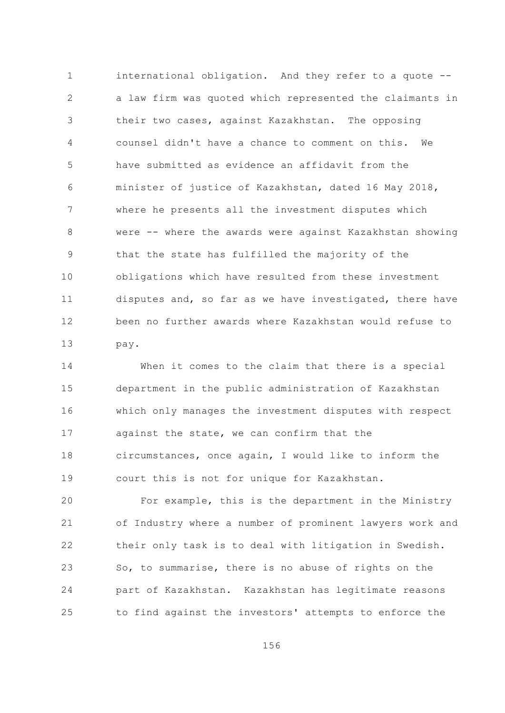$\mathbf{1}$ international obligation. And they refer to a quote -- $\overline{2}$ a law firm was quoted which represented the claimants in their two cases, against Kazakhstan. The opposing 3  $\overline{4}$ counsel didn't have a chance to comment on this. We 5 have submitted as evidence an affidavit from the minister of justice of Kazakhstan, dated 16 May 2018, 6  $7\overline{ }$ where he presents all the investment disputes which  $\mathcal{S}_{\mathcal{S}}$ were -- where the awards were against Kazakhstan showing that the state has fulfilled the majority of the 9  $10$ obligations which have resulted from these investment disputes and, so far as we have investigated, there have  $11$ been no further awards where Kazakhstan would refuse to 12  $13$ pay.

14 When it comes to the claim that there is a special 15 department in the public administration of Kazakhstan which only manages the investment disputes with respect 16 against the state, we can confirm that the  $17$ circumstances, once again, I would like to inform the 18 19 court this is not for unique for Kazakhstan.

20 For example, this is the department in the Ministry 21 of Industry where a number of prominent lawyers work and 22 their only task is to deal with litigation in Swedish. 23 So, to summarise, there is no abuse of rights on the 24 part of Kazakhstan. Kazakhstan has legitimate reasons to find against the investors' attempts to enforce the 25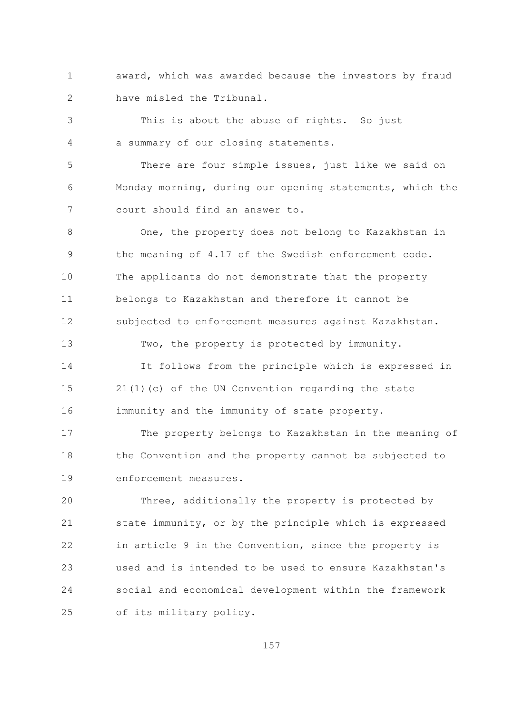$\mathbf{1}$ award, which was awarded because the investors by fraud  $\overline{2}$ have misled the Tribunal.

This is about the abuse of rights. So just 3 a summary of our closing statements.  $\overline{4}$ 

5 There are four simple issues, just like we said on Monday morning, during our opening statements, which the 6  $7\overline{ }$ court should find an answer to.

One, the property does not belong to Kazakhstan in  $\mathsf{R}$ the meaning of 4.17 of the Swedish enforcement code. 9  $10$ The applicants do not demonstrate that the property belongs to Kazakhstan and therefore it cannot be  $11$ 12 subjected to enforcement measures against Kazakhstan.

14 It follows from the principle which is expressed in 15 21(1)(c) of the UN Convention regarding the state immunity and the immunity of state property. 16

Two, the property is protected by immunity.

 $13$ 

The property belongs to Kazakhstan in the meaning of  $17$ the Convention and the property cannot be subjected to 18  $19$ enforcement measures.

20 Three, additionally the property is protected by 21 state immunity, or by the principle which is expressed 22 in article 9 in the Convention, since the property is used and is intended to be used to ensure Kazakhstan's 23 24 social and economical development within the framework 25 of its military policy.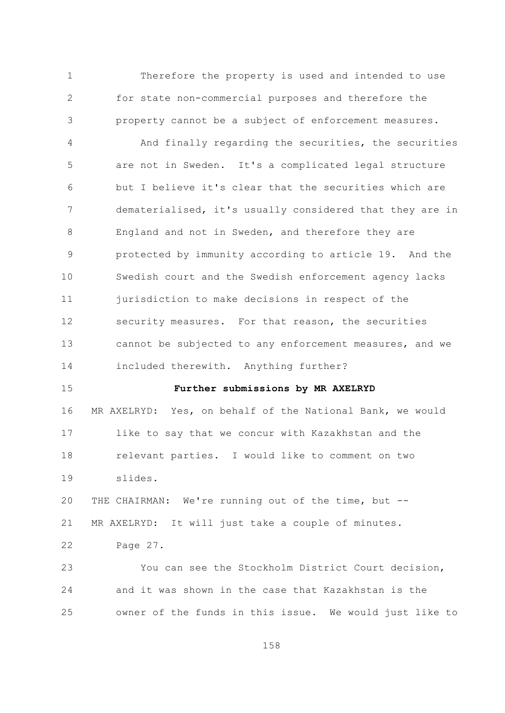$\mathbf{1}$ Therefore the property is used and intended to use  $\overline{2}$ for state non-commercial purposes and therefore the property cannot be a subject of enforcement measures. 3

 $\overline{4}$ And finally regarding the securities, the securities 5 are not in Sweden. It's a complicated legal structure but I believe it's clear that the securities which are 6  $7\overline{ }$ dematerialised, it's usually considered that they are in  $\mathcal{S}_{\mathcal{S}}$ England and not in Sweden, and therefore they are protected by immunity according to article 19. And the 9  $10$ Swedish court and the Swedish enforcement agency lacks  $11$ jurisdiction to make decisions in respect of the 12 security measures. For that reason, the securities  $13$ cannot be subjected to any enforcement measures, and we 14 included therewith. Anything further?

1.5

## Further submissions by MR AXELRYD

16 MR AXELRYD: Yes, on behalf of the National Bank, we would like to say that we concur with Kazakhstan and the  $17$  $18$ relevant parties. I would like to comment on two  $19$ slides.

20 THE CHAIRMAN: We're running out of the time, but --21 MR AXELRYD: It will just take a couple of minutes. 22 Page 27.

You can see the Stockholm District Court decision, 23 24 and it was shown in the case that Kazakhstan is the owner of the funds in this issue. We would just like to  $2.5$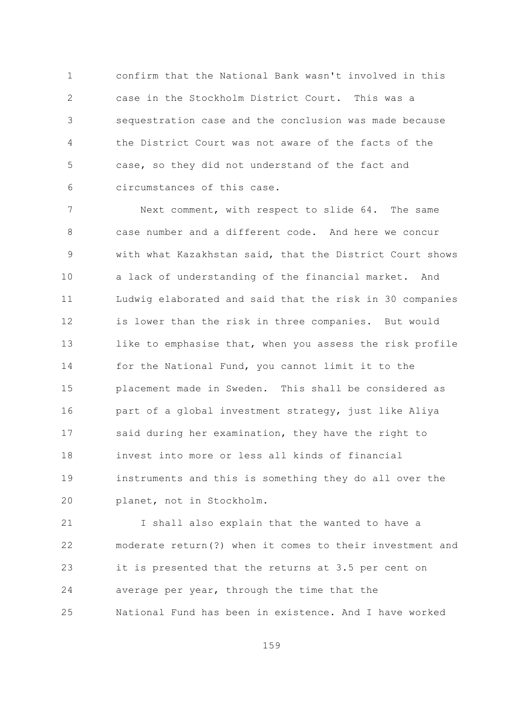confirm that the National Bank wasn't involved in this  $\mathbf{1}$  $\overline{2}$ case in the Stockholm District Court. This was a sequestration case and the conclusion was made because 3  $\overline{4}$ the District Court was not aware of the facts of the 5 case, so they did not understand of the fact and circumstances of this case. 6

 $\overline{7}$ Next comment, with respect to slide 64. The same  $\mathcal{S}_{\mathcal{S}}$ case number and a different code. And here we concur with what Kazakhstan said, that the District Court shows 9  $10$ a lack of understanding of the financial market. And  $11$ Ludwig elaborated and said that the risk in 30 companies  $12$ is lower than the risk in three companies. But would  $13$ like to emphasise that, when you assess the risk profile 14 for the National Fund, you cannot limit it to the placement made in Sweden. This shall be considered as 1.5 16 part of a global investment strategy, just like Aliya said during her examination, they have the right to  $17$ invest into more or less all kinds of financial  $18$  $19$ instruments and this is something they do all over the 20 planet, not in Stockholm.

21 I shall also explain that the wanted to have a 22 moderate return(?) when it comes to their investment and 23 it is presented that the returns at 3.5 per cent on 24 average per year, through the time that the  $2.5$ National Fund has been in existence. And I have worked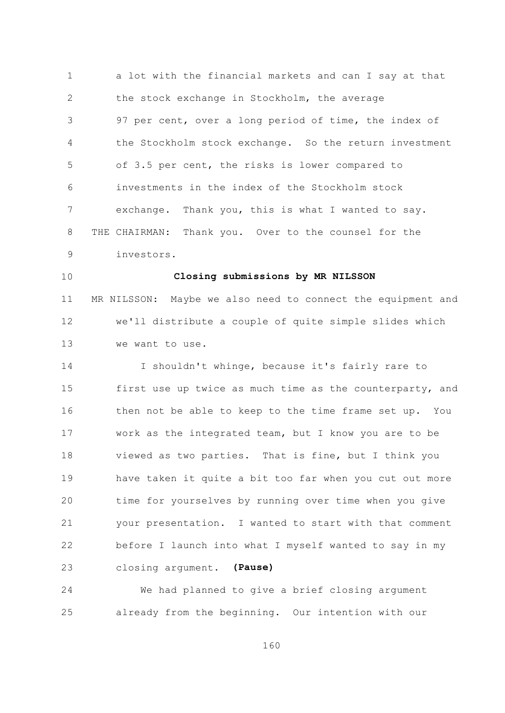$\mathbf{1}$ a lot with the financial markets and can I say at that  $\overline{2}$ the stock exchange in Stockholm, the average 97 per cent, over a long period of time, the index of 3 the Stockholm stock exchange. So the return investment  $\overline{4}$ 5 of 3.5 per cent, the risks is lower compared to investments in the index of the Stockholm stock 6  $7\overline{ }$ exchange. Thank you, this is what I wanted to say. 8 THE CHAIRMAN: Thank you. Over to the counsel for the 9 investors.

 $10$ 

## Closing submissions by MR NILSSON

 $11$ MR NILSSON: Maybe we also need to connect the equipment and we'll distribute a couple of quite simple slides which 12  $13$ we want to use.

14 I shouldn't whinge, because it's fairly rare to 15 first use up twice as much time as the counterparty, and then not be able to keep to the time frame set up. You 16 work as the integrated team, but I know you are to be  $17$  $18$ viewed as two parties. That is fine, but I think you 19 have taken it quite a bit too far when you cut out more 20 time for yourselves by running over time when you give 21 your presentation. I wanted to start with that comment 22 before I launch into what I myself wanted to say in my closing argument. (Pause) 23

24 We had planned to give a brief closing argument already from the beginning. Our intention with our 25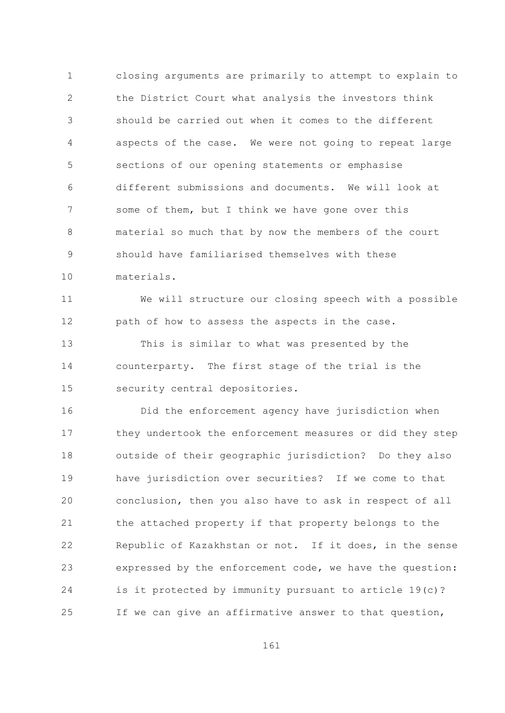$\mathbf{1}$ closing arguments are primarily to attempt to explain to  $\overline{2}$ the District Court what analysis the investors think should be carried out when it comes to the different 3 aspects of the case. We were not going to repeat large  $\overline{4}$ 5 sections of our opening statements or emphasise different submissions and documents. We will look at 6  $7\overline{ }$ some of them, but I think we have gone over this material so much that by now the members of the court  $\mathsf{R}$ should have familiarised themselves with these 9  $10$ materials.

We will structure our closing speech with a possible  $11$ 12 path of how to assess the aspects in the case.

 $13$ This is similar to what was presented by the 14 counterparty. The first stage of the trial is the 15 security central depositories.

16 Did the enforcement agency have jurisdiction when they undertook the enforcement measures or did they step  $17$ outside of their geographic jurisdiction? Do they also 18 19 have jurisdiction over securities? If we come to that 20 conclusion, then you also have to ask in respect of all 21 the attached property if that property belongs to the 22 Republic of Kazakhstan or not. If it does, in the sense expressed by the enforcement code, we have the question: 23 24 is it protected by immunity pursuant to article 19(c)? 25 If we can give an affirmative answer to that question,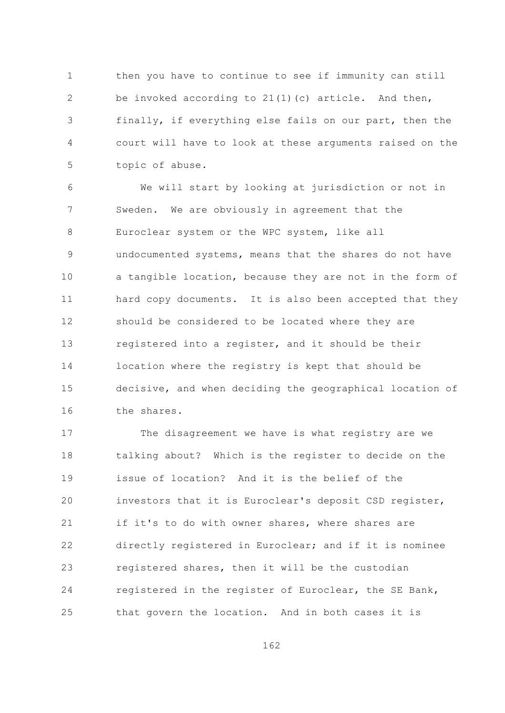$\mathbf{1}$ then you have to continue to see if immunity can still  $\overline{2}$ be invoked according to  $21(1)(c)$  article. And then, finally, if everything else fails on our part, then the 3  $\overline{4}$ court will have to look at these arguments raised on the 5 topic of abuse.

We will start by looking at jurisdiction or not in 6  $7\overline{ }$ Sweden. We are obviously in agreement that the Euroclear system or the WPC system, like all 8 undocumented systems, means that the shares do not have 9  $10$ a tangible location, because they are not in the form of  $11$ hard copy documents. It is also been accepted that they 12 should be considered to be located where they are  $13$ registered into a register, and it should be their 14 location where the registry is kept that should be 15 decisive, and when deciding the geographical location of 16 the shares.

 $17$ The disagreement we have is what registry are we 18 talking about? Which is the register to decide on the issue of location? And it is the belief of the 19 investors that it is Euroclear's deposit CSD register, 20 21 if it's to do with owner shares, where shares are 22 directly registered in Euroclear; and if it is nominee 23 registered shares, then it will be the custodian 24 registered in the register of Euroclear, the SE Bank, that govern the location. And in both cases it is 25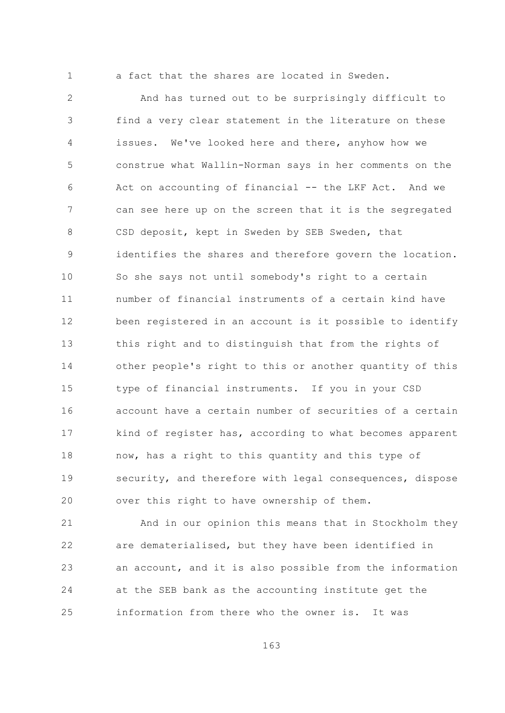$\mathbf{1}$ 

a fact that the shares are located in Sweden.

 $\overline{2}$ And has turned out to be surprisingly difficult to find a very clear statement in the literature on these 3 issues. We've looked here and there, anyhow how we  $\overline{4}$ 5 construe what Wallin-Norman says in her comments on the Act on accounting of financial -- the LKF Act. And we 6  $7\overline{ }$ can see here up on the screen that it is the segregated CSD deposit, kept in Sweden by SEB Sweden, that  $\mathsf{R}$ identifies the shares and therefore govern the location. 9  $10$ So she says not until somebody's right to a certain  $11$ number of financial instruments of a certain kind have 12 been registered in an account is it possible to identify  $13$ this right and to distinguish that from the rights of 14 other people's right to this or another quantity of this 15 type of financial instruments. If you in your CSD account have a certain number of securities of a certain 16 kind of register has, according to what becomes apparent  $17$  $18$ now, has a right to this quantity and this type of 19 security, and therefore with legal consequences, dispose 20 over this right to have ownership of them.

21 And in our opinion this means that in Stockholm they 22 are dematerialised, but they have been identified in an account, and it is also possible from the information 23 24 at the SEB bank as the accounting institute get the information from there who the owner is. It was 25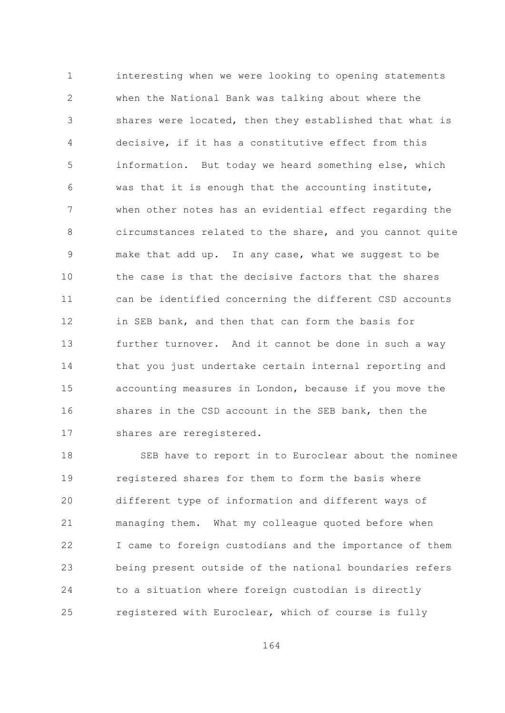$\mathbf{1}$ interesting when we were looking to opening statements  $\overline{2}$ when the National Bank was talking about where the shares were located, then they established that what is 3 decisive, if it has a constitutive effect from this  $\overline{4}$ 5 information. But today we heard something else, which was that it is enough that the accounting institute, 6  $7\overline{ }$ when other notes has an evidential effect regarding the  $\mathcal{S}_{\mathcal{S}}$ circumstances related to the share, and you cannot quite make that add up. In any case, what we suggest to be 9  $10$ the case is that the decisive factors that the shares  $11$ can be identified concerning the different CSD accounts in SEB bank, and then that can form the basis for 12  $13$ further turnover. And it cannot be done in such a way 14 that you just undertake certain internal reporting and 15 accounting measures in London, because if you move the 16 shares in the CSD account in the SEB bank, then the shares are reregistered.  $17$ 

 $18$ SEB have to report in to Euroclear about the nominee 19 registered shares for them to form the basis where 20 different type of information and different ways of 21 managing them. What my colleague quoted before when 22 I came to foreign custodians and the importance of them 23 being present outside of the national boundaries refers 24 to a situation where foreign custodian is directly registered with Euroclear, which of course is fully 25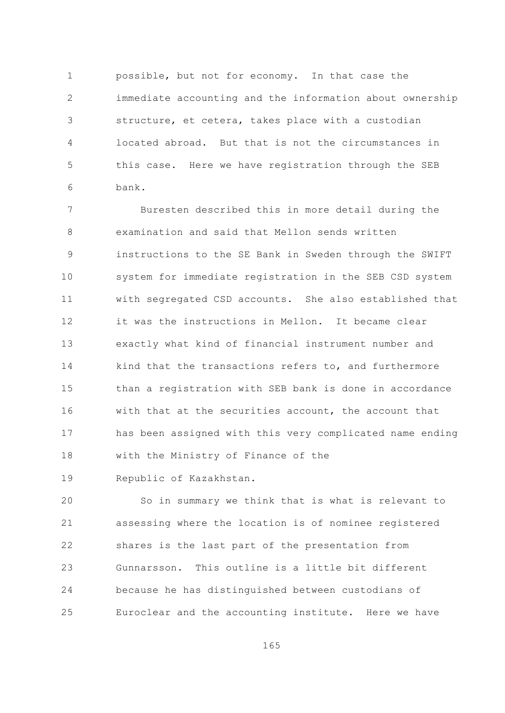$\mathbf{1}$ possible, but not for economy. In that case the  $\overline{2}$ immediate accounting and the information about ownership structure, et cetera, takes place with a custodian 3  $\overline{4}$ located abroad. But that is not the circumstances in 5 this case. Here we have registration through the SEB bank. 6

 $\overline{7}$ Buresten described this in more detail during the  $\mathcal{S}_{\mathcal{S}}$ examination and said that Mellon sends written instructions to the SE Bank in Sweden through the SWIFT 9  $10$ system for immediate registration in the SEB CSD system with segregated CSD accounts. She also established that  $11$ it was the instructions in Mellon. It became clear  $12$  $13$ exactly what kind of financial instrument number and 14 kind that the transactions refers to, and furthermore 15 than a registration with SEB bank is done in accordance 16 with that at the securities account, the account that has been assigned with this very complicated name ending  $17$ with the Ministry of Finance of the  $18$ 

 $19$ Republic of Kazakhstan.

20 So in summary we think that is what is relevant to 21 assessing where the location is of nominee registered 22 shares is the last part of the presentation from Gunnarsson. This outline is a little bit different 23 24 because he has distinguished between custodians of  $2.5$ Euroclear and the accounting institute. Here we have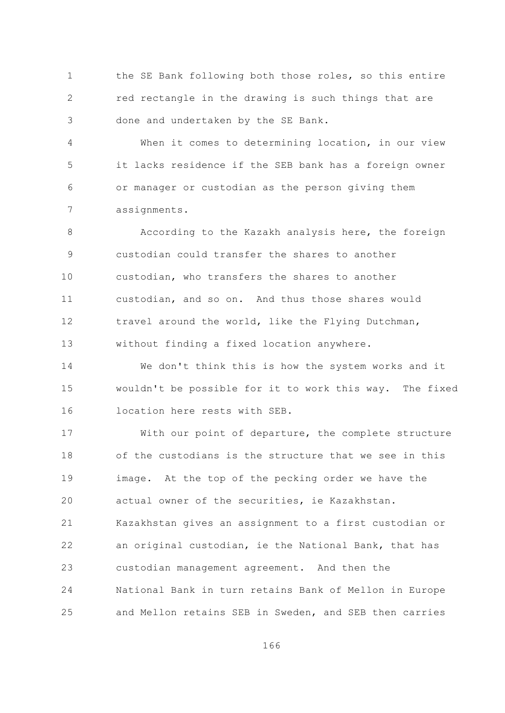$\mathbf{1}$ the SE Bank following both those roles, so this entire  $\overline{2}$ red rectangle in the drawing is such things that are done and undertaken by the SE Bank. 3

 $\overline{4}$ When it comes to determining location, in our view 5 it lacks residence if the SEB bank has a foreign owner or manager or custodian as the person giving them 6  $7\overline{ }$ assignments.

According to the Kazakh analysis here, the foreign  $\mathsf{R}$ custodian could transfer the shares to another 9  $10$ custodian, who transfers the shares to another  $11$ custodian, and so on. And thus those shares would travel around the world, like the Flying Dutchman, 12  $13$ without finding a fixed location anywhere.

14 We don't think this is how the system works and it 15 wouldn't be possible for it to work this way. The fixed location here rests with SEB. 16

With our point of departure, the complete structure  $17$ of the custodians is the structure that we see in this  $18$ 19 image. At the top of the pecking order we have the 20 actual owner of the securities, ie Kazakhstan. 21 Kazakhstan gives an assignment to a first custodian or 22 an original custodian, ie the National Bank, that has custodian management agreement. And then the 23 24 National Bank in turn retains Bank of Mellon in Europe and Mellon retains SEB in Sweden, and SEB then carries 25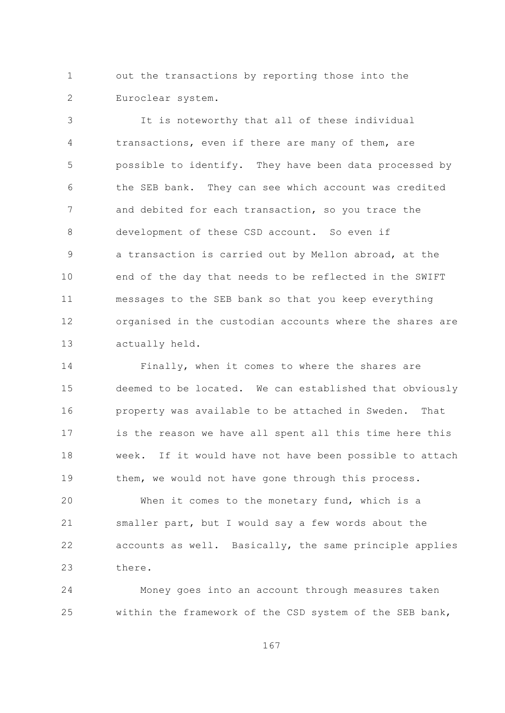out the transactions by reporting those into the  $\mathbf{1}$  $\overline{2}$ Euroclear system.

It is noteworthy that all of these individual 3 transactions, even if there are many of them, are  $\overline{4}$ 5 possible to identify. They have been data processed by the SEB bank. They can see which account was credited 6  $\overline{7}$ and debited for each transaction, so you trace the development of these CSD account. So even if 8 a transaction is carried out by Mellon abroad, at the 9  $10$ end of the day that needs to be reflected in the SWIFT messages to the SEB bank so that you keep everything  $11$ organised in the custodian accounts where the shares are 12  $13$ actually held.

14 Finally, when it comes to where the shares are 15 deemed to be located. We can established that obviously property was available to be attached in Sweden. 16 That is the reason we have all spent all this time here this  $17$  $18$ week. If it would have not have been possible to attach 19 them, we would not have gone through this process.

20 When it comes to the monetary fund, which is a 21 smaller part, but I would say a few words about the 22 accounts as well. Basically, the same principle applies 23 there.

24 Money goes into an account through measures taken within the framework of the CSD system of the SEB bank, 25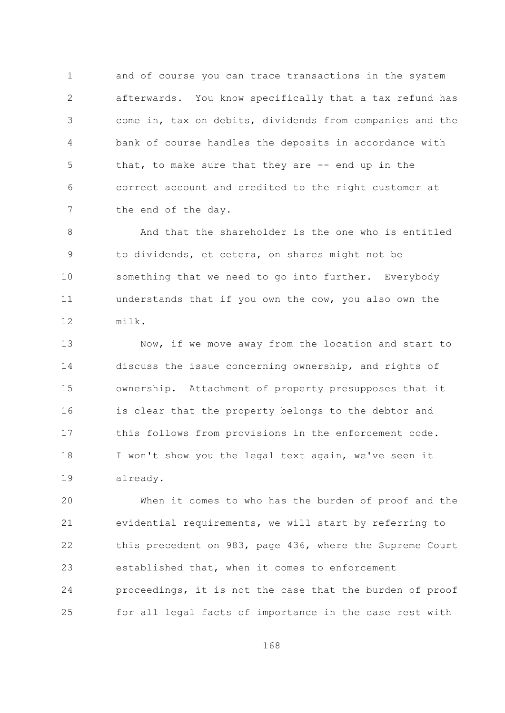$\mathbf{1}$ and of course you can trace transactions in the system  $\overline{2}$ afterwards. You know specifically that a tax refund has come in, tax on debits, dividends from companies and the 3 bank of course handles the deposits in accordance with 4 5 that, to make sure that they are -- end up in the correct account and credited to the right customer at 6  $7\overline{ }$ the end of the day.

And that the shareholder is the one who is entitled  $\mathsf{R}$ to dividends, et cetera, on shares might not be 9 10 something that we need to go into further. Everybody understands that if you own the cow, you also own the  $11$ 12 milk.

 $13$ Now, if we move away from the location and start to 14 discuss the issue concerning ownership, and rights of ownership. Attachment of property presupposes that it 15 is clear that the property belongs to the debtor and 16 this follows from provisions in the enforcement code.  $17$ 18 I won't show you the legal text again, we've seen it 19 already.

20 When it comes to who has the burden of proof and the 21 evidential requirements, we will start by referring to 22 this precedent on 983, page 436, where the Supreme Court established that, when it comes to enforcement 23 24 proceedings, it is not the case that the burden of proof for all legal facts of importance in the case rest with 25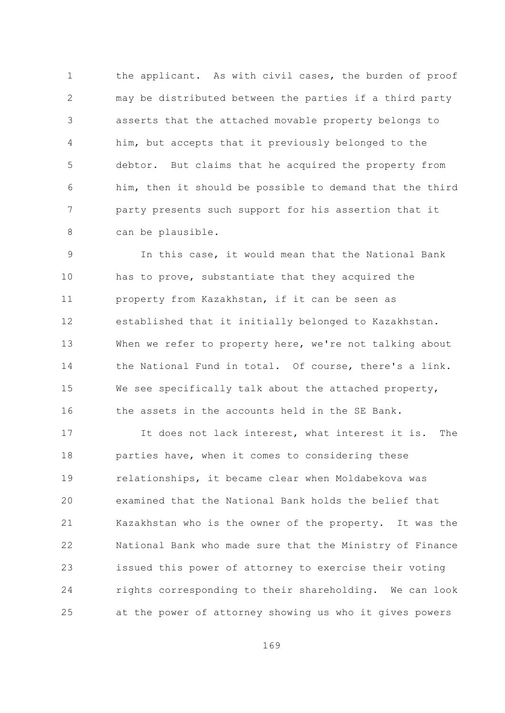$\mathbf{1}$ the applicant. As with civil cases, the burden of proof  $\overline{2}$ may be distributed between the parties if a third party asserts that the attached movable property belongs to 3 him, but accepts that it previously belonged to the 4 5 debtor. But claims that he acquired the property from him, then it should be possible to demand that the third 6  $7\overline{ }$ party presents such support for his assertion that it 8 can be plausible.

In this case, it would mean that the National Bank 9  $10$ has to prove, substantiate that they acquired the  $11$ property from Kazakhstan, if it can be seen as established that it initially belonged to Kazakhstan. 12  $13$ When we refer to property here, we're not talking about 14 the National Fund in total. Of course, there's a link. 15 We see specifically talk about the attached property, the assets in the accounts held in the SE Bank. 16

It does not lack interest, what interest it is.  $17$ The 18 parties have, when it comes to considering these 19 relationships, it became clear when Moldabekova was examined that the National Bank holds the belief that 20 21 Kazakhstan who is the owner of the property. It was the 22 National Bank who made sure that the Ministry of Finance issued this power of attorney to exercise their voting 23 24 rights corresponding to their shareholding. We can look at the power of attorney showing us who it gives powers 25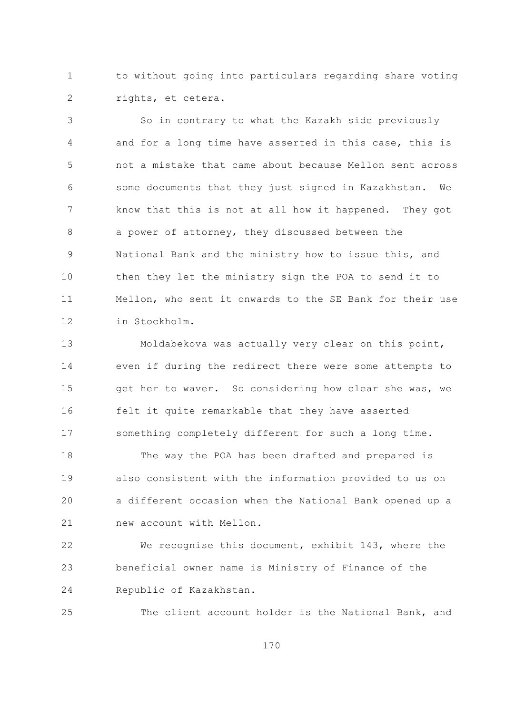$\mathbf{1}$ to without going into particulars regarding share voting  $\overline{2}$ rights, et cetera.

So in contrary to what the Kazakh side previously 3 and for a long time have asserted in this case, this is  $\overline{4}$ 5 not a mistake that came about because Mellon sent across some documents that they just signed in Kazakhstan. We 6  $7\overline{ }$ know that this is not at all how it happened. They got a power of attorney, they discussed between the 8 National Bank and the ministry how to issue this, and 9  $10$ then they let the ministry sign the POA to send it to Mellon, who sent it onwards to the SE Bank for their use  $11$ 12 in Stockholm.

Moldabekova was actually very clear on this point,  $13$ 14 even if during the redirect there were some attempts to 15 get her to waver. So considering how clear she was, we felt it quite remarkable that they have asserted 16 something completely different for such a long time.  $17$ 

 $18$ The way the POA has been drafted and prepared is 19 also consistent with the information provided to us on 20 a different occasion when the National Bank opened up a 21 new account with Mellon.

22 We recognise this document, exhibit 143, where the beneficial owner name is Ministry of Finance of the 23 24 Republic of Kazakhstan.

25 The client account holder is the National Bank, and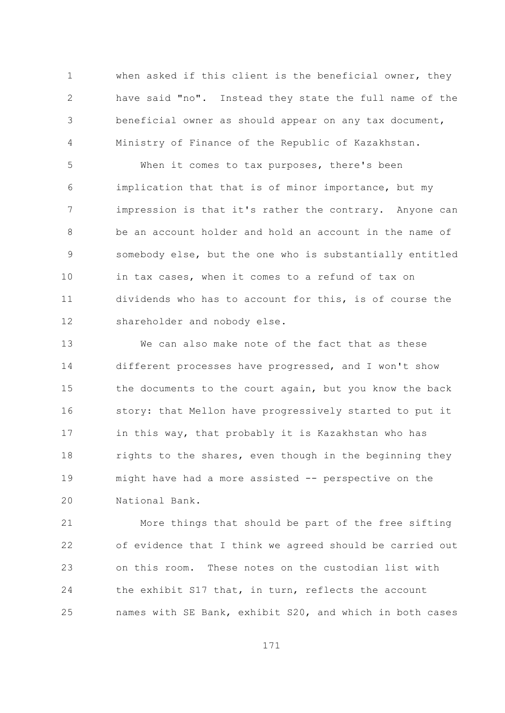when asked if this client is the beneficial owner, they  $\mathbf{1}$  $\overline{2}$ have said "no". Instead they state the full name of the beneficial owner as should appear on any tax document, 3 Ministry of Finance of the Republic of Kazakhstan. 4

5 When it comes to tax purposes, there's been implication that that is of minor importance, but my 6  $7\overline{ }$ impression is that it's rather the contrary. Anyone can  $\mathcal{S}_{\mathcal{S}}$ be an account holder and hold an account in the name of somebody else, but the one who is substantially entitled 9  $10$ in tax cases, when it comes to a refund of tax on dividends who has to account for this, is of course the  $11$ 12 shareholder and nobody else.

 $13$ We can also make note of the fact that as these 14 different processes have progressed, and I won't show 15 the documents to the court again, but you know the back story: that Mellon have progressively started to put it 16 in this way, that probably it is Kazakhstan who has  $17$  $18$ rights to the shares, even though in the beginning they might have had a more assisted -- perspective on the 19 National Bank. 20

21 More things that should be part of the free sifting 22 of evidence that I think we agreed should be carried out 23 on this room. These notes on the custodian list with 24 the exhibit S17 that, in turn, reflects the account names with SE Bank, exhibit S20, and which in both cases 25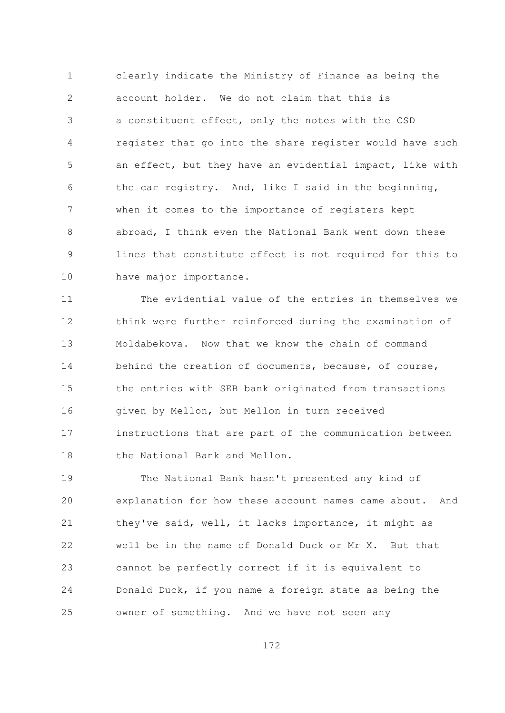clearly indicate the Ministry of Finance as being the  $\mathbf{1}$ account holder. We do not claim that this is  $\overline{2}$ a constituent effect, only the notes with the CSD 3 register that go into the share register would have such  $\overline{4}$ 5 an effect, but they have an evidential impact, like with the car registry. And, like I said in the beginning, 6  $\overline{7}$ when it comes to the importance of registers kept abroad, I think even the National Bank went down these  $\mathsf{R}$ lines that constitute effect is not required for this to 9  $10$ have major importance.

The evidential value of the entries in themselves we  $11$  $12$ think were further reinforced during the examination of  $13$ Moldabekova. Now that we know the chain of command 14 behind the creation of documents, because, of course, 1.5 the entries with SEB bank originated from transactions given by Mellon, but Mellon in turn received 16 instructions that are part of the communication between  $17$ the National Bank and Mellon.  $18$ 

The National Bank hasn't presented any kind of  $19$ 20 explanation for how these account names came about. And 21 they've said, well, it lacks importance, it might as  $22$ well be in the name of Donald Duck or Mr X. But that cannot be perfectly correct if it is equivalent to 23 24 Donald Duck, if you name a foreign state as being the owner of something. And we have not seen any 25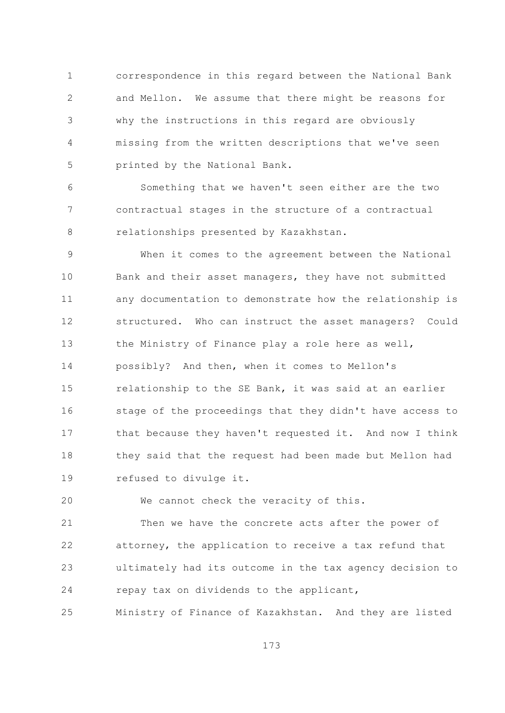$\mathbf{1}$ correspondence in this regard between the National Bank  $\overline{2}$ and Mellon. We assume that there might be reasons for why the instructions in this regard are obviously 3  $\overline{4}$ missing from the written descriptions that we've seen 5 printed by the National Bank.

Something that we haven't seen either are the two 6  $\overline{7}$ contractual stages in the structure of a contractual relationships presented by Kazakhstan. 8

When it comes to the agreement between the National 9  $10$ Bank and their asset managers, they have not submitted  $11$ any documentation to demonstrate how the relationship is structured. Who can instruct the asset managers? Could 12  $13$ the Ministry of Finance play a role here as well, 14 possibly? And then, when it comes to Mellon's 1.5 relationship to the SE Bank, it was said at an earlier stage of the proceedings that they didn't have access to 16 that because they haven't requested it. And now I think  $17$ 18 they said that the request had been made but Mellon had 19 refused to divulge it.

20 We cannot check the veracity of this.

21 Then we have the concrete acts after the power of 22 attorney, the application to receive a tax refund that ultimately had its outcome in the tax agency decision to 23 24 repay tax on dividends to the applicant,

Ministry of Finance of Kazakhstan. And they are listed 25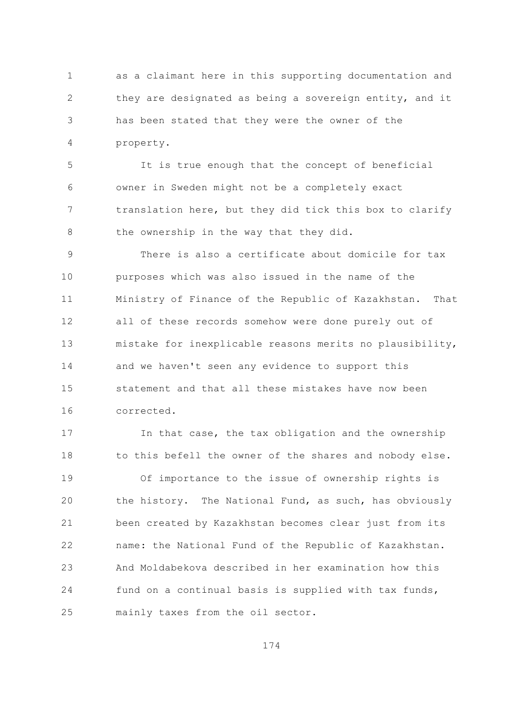as a claimant here in this supporting documentation and  $\mathbf{1}$  $\overline{2}$ they are designated as being a sovereign entity, and it has been stated that they were the owner of the 3 property. 4

 $\overline{5}$ It is true enough that the concept of beneficial owner in Sweden might not be a completely exact 6  $7\overline{ }$ translation here, but they did tick this box to clarify the ownership in the way that they did. 8

There is also a certificate about domicile for tax 9  $10$ purposes which was also issued in the name of the  $11$ Ministry of Finance of the Republic of Kazakhstan. That  $12$ all of these records somehow were done purely out of  $13$ mistake for inexplicable reasons merits no plausibility, 14 and we haven't seen any evidence to support this 1.5 statement and that all these mistakes have now been corrected. 16

In that case, the tax obligation and the ownership  $17$ 18 to this befell the owner of the shares and nobody else. 19 Of importance to the issue of ownership rights is 20 the history. The National Fund, as such, has obviously 21 been created by Kazakhstan becomes clear just from its 22 name: the National Fund of the Republic of Kazakhstan. And Moldabekova described in her examination how this 23 24 fund on a continual basis is supplied with tax funds, 25 mainly taxes from the oil sector.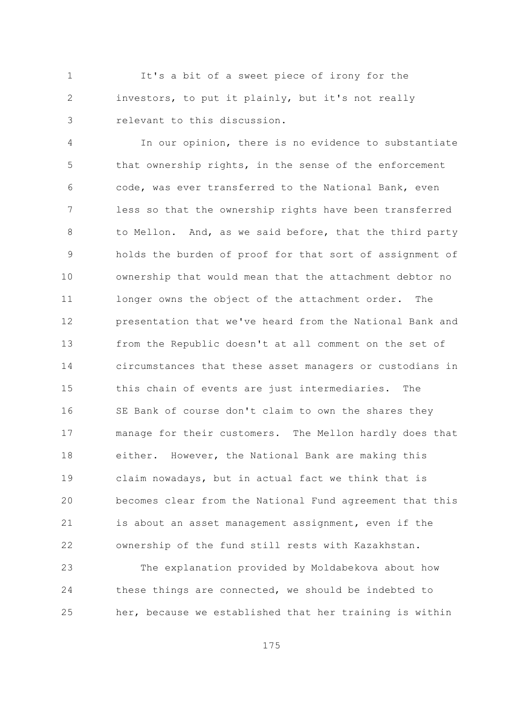$\mathbf{1}$ It's a bit of a sweet piece of irony for the  $\overline{2}$ investors, to put it plainly, but it's not really relevant to this discussion. 3

In our opinion, there is no evidence to substantiate  $\overline{4}$ 5 that ownership rights, in the sense of the enforcement code, was ever transferred to the National Bank, even 6  $\overline{7}$ less so that the ownership rights have been transferred to Mellon. And, as we said before, that the third party  $\mathsf{R}$ holds the burden of proof for that sort of assignment of 9  $10$ ownership that would mean that the attachment debtor no  $11$ longer owns the object of the attachment order. The presentation that we've heard from the National Bank and  $12$  $13$ from the Republic doesn't at all comment on the set of 14 circumstances that these asset managers or custodians in 1.5 this chain of events are just intermediaries. The SE Bank of course don't claim to own the shares they 16 manage for their customers. The Mellon hardly does that  $17$  $18$ either. However, the National Bank are making this 19 claim nowadays, but in actual fact we think that is 20 becomes clear from the National Fund agreement that this 21 is about an asset management assignment, even if the 22 ownership of the fund still rests with Kazakhstan.

The explanation provided by Moldabekova about how 23 these things are connected, we should be indebted to 24 her, because we established that her training is within 25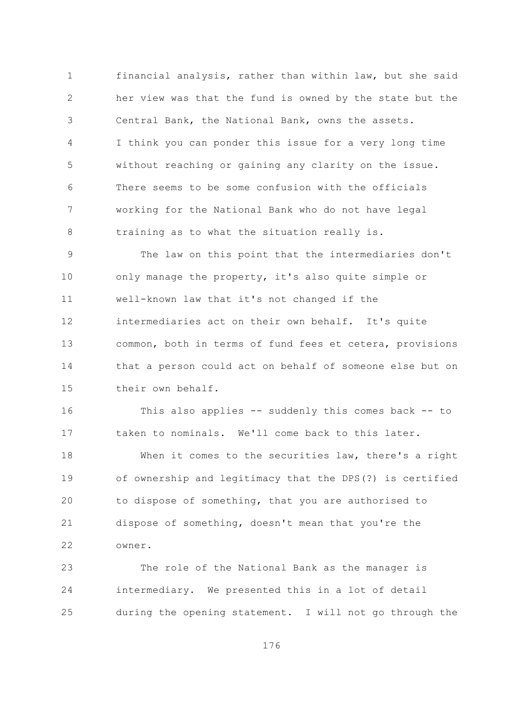$\mathbf{1}$ financial analysis, rather than within law, but she said  $\overline{2}$ her view was that the fund is owned by the state but the Central Bank, the National Bank, owns the assets. 3 I think you can ponder this issue for a very long time 4 5 without reaching or gaining any clarity on the issue. There seems to be some confusion with the officials 6  $7\overline{ }$ working for the National Bank who do not have legal training as to what the situation really is. 8

The law on this point that the intermediaries don't 9  $10$ only manage the property, it's also quite simple or well-known law that it's not changed if the  $11$ intermediaries act on their own behalf. It's quite 12  $13$ common, both in terms of fund fees et cetera, provisions 14 that a person could act on behalf of someone else but on 15 their own behalf.

This also applies -- suddenly this comes back -- to 16 taken to nominals. We'll come back to this later.  $17$ 

 $18$ When it comes to the securities law, there's a right 19 of ownership and legitimacy that the DPS(?) is certified 20 to dispose of something, that you are authorised to 21 dispose of something, doesn't mean that you're the 22 owner.

The role of the National Bank as the manager is 23 intermediary. We presented this in a lot of detail 24 during the opening statement. I will not go through the 25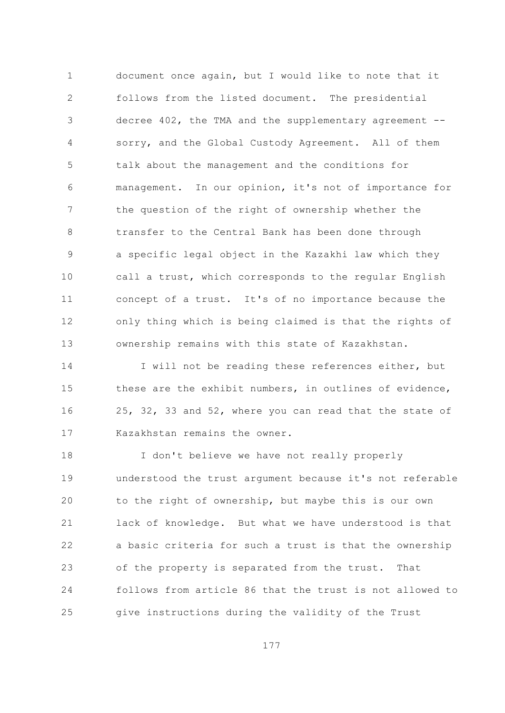document once again, but I would like to note that it  $\mathbf{1}$  $\overline{2}$ follows from the listed document. The presidential decree 402, the TMA and the supplementary agreement --3 sorry, and the Global Custody Agreement. All of them  $\overline{4}$ 5 talk about the management and the conditions for management. In our opinion, it's not of importance for 6  $\overline{7}$ the question of the right of ownership whether the  $\beta$ transfer to the Central Bank has been done through a specific legal object in the Kazakhi law which they 9  $10$ call a trust, which corresponds to the regular English concept of a trust. It's of no importance because the  $11$  $12$ only thing which is being claimed is that the rights of  $13$ ownership remains with this state of Kazakhstan.

14 I will not be reading these references either, but 1.5 these are the exhibit numbers, in outlines of evidence, 25, 32, 33 and 52, where you can read that the state of 16 Kazakhstan remains the owner.  $17$ 

 $18$ I don't believe we have not really properly 19 understood the trust argument because it's not referable 20 to the right of ownership, but maybe this is our own 21 lack of knowledge. But what we have understood is that  $22$ a basic criteria for such a trust is that the ownership of the property is separated from the trust. That 23 24 follows from article 86 that the trust is not allowed to give instructions during the validity of the Trust 25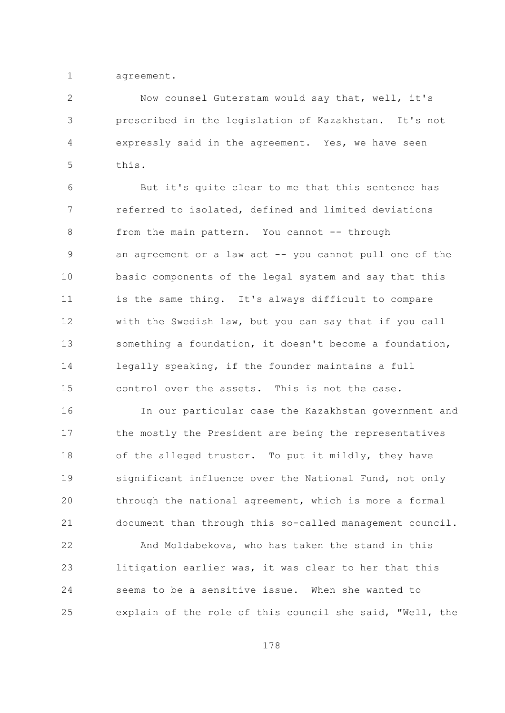$\mathbf{1}$ agreement.

 $\overline{2}$ Now counsel Guterstam would say that, well, it's prescribed in the legislation of Kazakhstan. It's not 3  $\overline{4}$ expressly said in the agreement. Yes, we have seen 5 this.

But it's quite clear to me that this sentence has 6  $\overline{7}$ referred to isolated, defined and limited deviations  $\mathcal{S}_{\mathcal{S}}$ from the main pattern. You cannot -- through an agreement or a law act -- you cannot pull one of the 9  $10$ basic components of the legal system and say that this is the same thing. It's always difficult to compare  $11$ with the Swedish law, but you can say that if you call  $12$  $13$ something a foundation, it doesn't become a foundation, 14 legally speaking, if the founder maintains a full 1.5 control over the assets. This is not the case.

16 In our particular case the Kazakhstan government and the mostly the President are being the representatives  $17$ of the alleged trustor. To put it mildly, they have  $18$ significant influence over the National Fund, not only 19 20 through the national agreement, which is more a formal 21 document than through this so-called management council.

 $22$ And Moldabekova, who has taken the stand in this litigation earlier was, it was clear to her that this 23 24 seems to be a sensitive issue. When she wanted to explain of the role of this council she said, "Well, the 25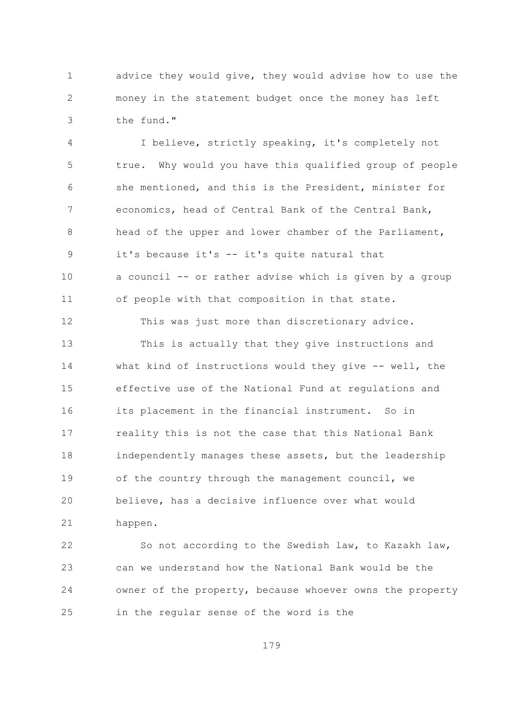advice they would give, they would advise how to use the  $\mathbf{1}$  $\overline{2}$ money in the statement budget once the money has left the fund." 3

 $\overline{4}$ I believe, strictly speaking, it's completely not 5 true. Why would you have this qualified group of people she mentioned, and this is the President, minister for 6  $7\overline{ }$ economics, head of Central Bank of the Central Bank, head of the upper and lower chamber of the Parliament, 8 it's because it's -- it's quite natural that 9  $10$ a council -- or rather advise which is given by a group  $11$ of people with that composition in that state.

12 This was just more than discretionary advice.

 $13$ This is actually that they give instructions and 14 what kind of instructions would they give -- well, the 1.5 effective use of the National Fund at regulations and its placement in the financial instrument. So in 16 reality this is not the case that this National Bank  $17$ 18 independently manages these assets, but the leadership 19 of the country through the management council, we believe, has a decisive influence over what would 20 21 happen.

22 So not according to the Swedish law, to Kazakh law, can we understand how the National Bank would be the 23 24 owner of the property, because whoever owns the property in the regular sense of the word is the 25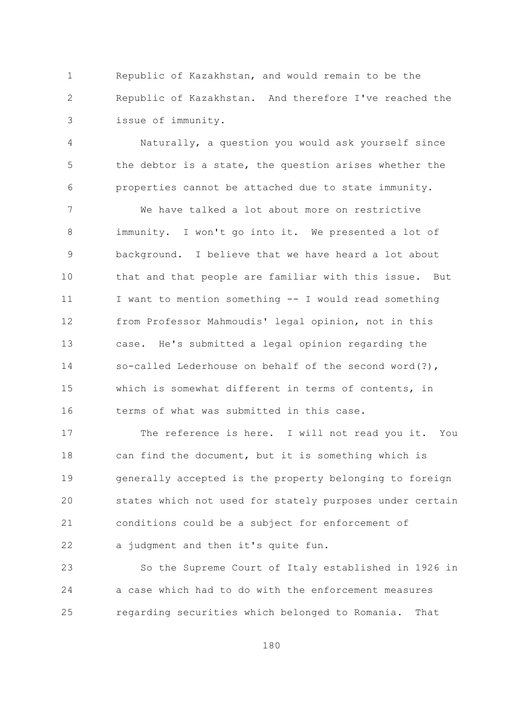Republic of Kazakhstan, and would remain to be the  $\mathbf{1}$  $\overline{2}$ Republic of Kazakhstan. And therefore I've reached the issue of immunity. 3

 $\overline{4}$ Naturally, a question you would ask yourself since 5 the debtor is a state, the question arises whether the properties cannot be attached due to state immunity. 6

 $\overline{7}$ We have talked a lot about more on restrictive 8 immunity. I won't go into it. We presented a lot of background. I believe that we have heard a lot about 9  $10$ that and that people are familiar with this issue. But  $11$ I want to mention something -- I would read something from Professor Mahmoudis' legal opinion, not in this 12  $13$ case. He's submitted a legal opinion regarding the 14 so-called Lederhouse on behalf of the second word(?), 1.5 which is somewhat different in terms of contents, in terms of what was submitted in this case. 16

 $17$ The reference is here. I will not read you it. You can find the document, but it is something which is 18 19 generally accepted is the property belonging to foreign 20 states which not used for stately purposes under certain 21 conditions could be a subject for enforcement of 22 a judgment and then it's quite fun.

So the Supreme Court of Italy established in 1926 in 23 24 a case which had to do with the enforcement measures regarding securities which belonged to Romania. 25 That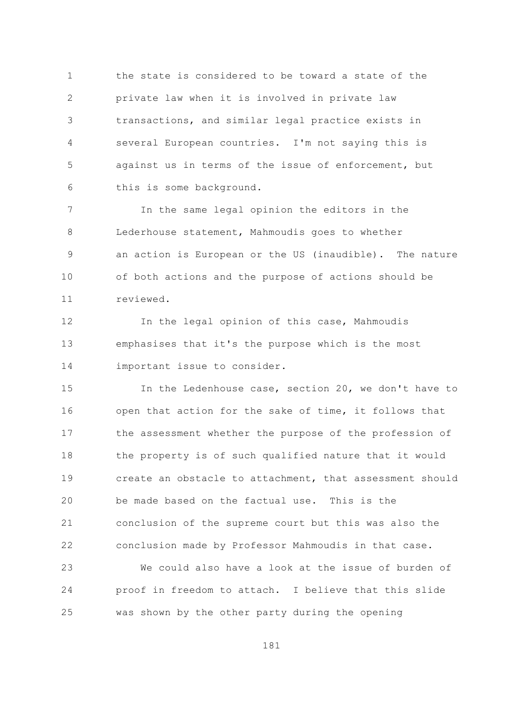the state is considered to be toward a state of the  $\mathbf{1}$  $\overline{2}$ private law when it is involved in private law transactions, and similar legal practice exists in 3  $\overline{4}$ several European countries. I'm not saying this is 5 against us in terms of the issue of enforcement, but this is some background. 6

 $\overline{7}$ In the same legal opinion the editors in the  $\mathcal{S}_{\mathcal{S}}$ Lederhouse statement, Mahmoudis goes to whether an action is European or the US (inaudible). The nature 9  $10$ of both actions and the purpose of actions should be  $11$ reviewed.

In the legal opinion of this case, Mahmoudis 12  $13$ emphasises that it's the purpose which is the most 14 important issue to consider.

1.5 In the Ledenhouse case, section 20, we don't have to open that action for the sake of time, it follows that 16 the assessment whether the purpose of the profession of  $17$ 18 the property is of such qualified nature that it would  $19$ create an obstacle to attachment, that assessment should be made based on the factual use. This is the 20 21 conclusion of the supreme court but this was also the 22 conclusion made by Professor Mahmoudis in that case.

We could also have a look at the issue of burden of 23 24 proof in freedom to attach. I believe that this slide was shown by the other party during the opening 25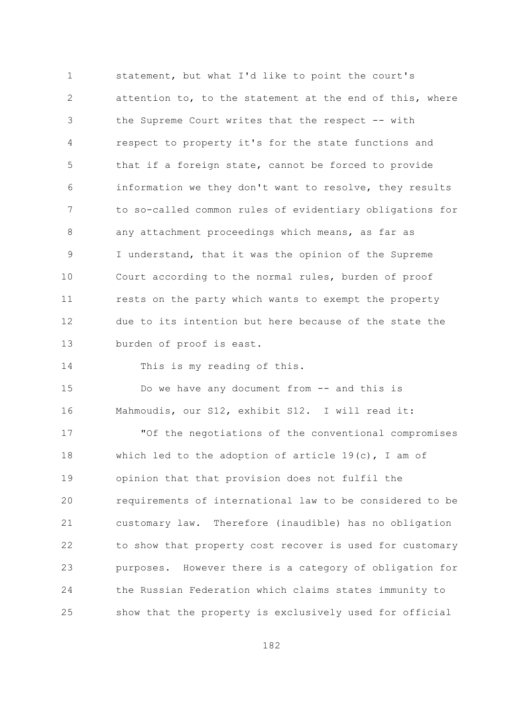statement, but what I'd like to point the court's  $\mathbf{1}$  $\overline{2}$ attention to, to the statement at the end of this, where the Supreme Court writes that the respect -- with 3  $\overline{4}$ respect to property it's for the state functions and 5 that if a foreign state, cannot be forced to provide information we they don't want to resolve, they results 6  $\overline{7}$ to so-called common rules of evidentiary obligations for  $\mathcal{S}_{\mathcal{S}}$ any attachment proceedings which means, as far as I understand, that it was the opinion of the Supreme 9  $10$ Court according to the normal rules, burden of proof rests on the party which wants to exempt the property  $11$ due to its intention but here because of the state the  $12$  $13$ burden of proof is east.

14 This is my reading of this.

1.5 Do we have any document from -- and this is Mahmoudis, our S12, exhibit S12. I will read it: 16

 $17$ "Of the negotiations of the conventional compromises which led to the adoption of article  $19(c)$ , I am of 18 19 opinion that that provision does not fulfil the requirements of international law to be considered to be 20 21 customary law. Therefore (inaudible) has no obligation 22 to show that property cost recover is used for customary 23 purposes. However there is a category of obligation for 24 the Russian Federation which claims states immunity to show that the property is exclusively used for official 25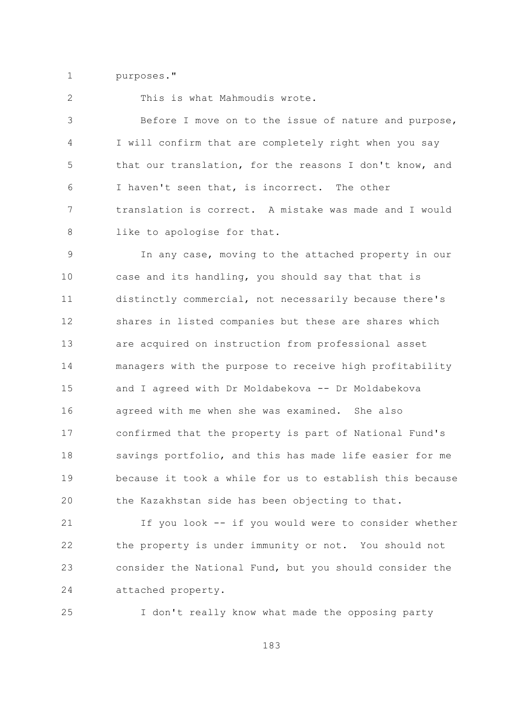$\mathbf{1}$ purposes."

 $\overline{2}$ 

This is what Mahmoudis wrote.

Before I move on to the issue of nature and purpose, 3 I will confirm that are completely right when you say  $\overline{4}$ 5 that our translation, for the reasons I don't know, and I haven't seen that, is incorrect. The other 6  $\overline{7}$ translation is correct. A mistake was made and I would like to apologise for that. 8

In any case, moving to the attached property in our 9  $10$ case and its handling, you should say that that is distinctly commercial, not necessarily because there's  $11$ shares in listed companies but these are shares which  $12$  $13$ are acquired on instruction from professional asset 14 managers with the purpose to receive high profitability 15 and I agreed with Dr Moldabekova -- Dr Moldabekova agreed with me when she was examined. She also 16 confirmed that the property is part of National Fund's  $17$ savings portfolio, and this has made life easier for me  $18$ because it took a while for us to establish this because 19 20 the Kazakhstan side has been objecting to that.

If you look -- if you would were to consider whether 21 22 the property is under immunity or not. You should not consider the National Fund, but you should consider the 23 24 attached property.

25 I don't really know what made the opposing party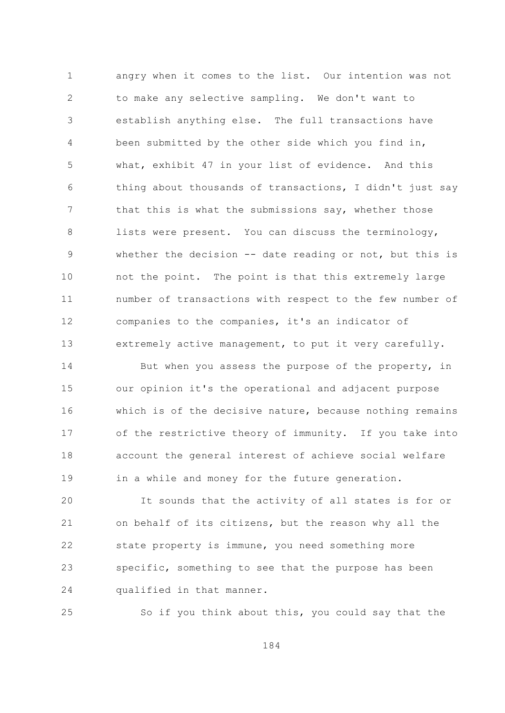angry when it comes to the list. Our intention was not  $\mathbf{1}$  $\overline{2}$ to make any selective sampling. We don't want to establish anything else. The full transactions have 3  $\overline{4}$ been submitted by the other side which you find in, 5 what, exhibit 47 in your list of evidence. And this thing about thousands of transactions, I didn't just say 6  $\overline{7}$ that this is what the submissions say, whether those 8 lists were present. You can discuss the terminology, whether the decision -- date reading or not, but this is 9  $10$ not the point. The point is that this extremely large  $11$ number of transactions with respect to the few number of companies to the companies, it's an indicator of  $12$  $13$ extremely active management, to put it very carefully.

14 But when you assess the purpose of the property, in 15 our opinion it's the operational and adjacent purpose which is of the decisive nature, because nothing remains 16 of the restrictive theory of immunity. If you take into  $17$ account the general interest of achieve social welfare  $18$ 19 in a while and money for the future generation.

20 It sounds that the activity of all states is for or on behalf of its citizens, but the reason why all the 21 22 state property is immune, you need something more specific, something to see that the purpose has been 23 24 qualified in that manner.

25 So if you think about this, you could say that the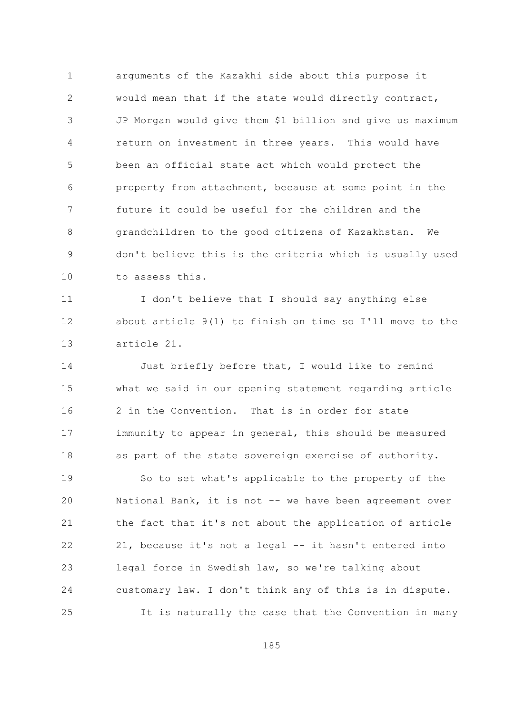$\mathbf{1}$ arguments of the Kazakhi side about this purpose it  $\overline{2}$ would mean that if the state would directly contract, JP Morgan would give them \$1 billion and give us maximum 3  $\overline{4}$ return on investment in three years. This would have 5 been an official state act which would protect the property from attachment, because at some point in the 6  $7\overline{ }$ future it could be useful for the children and the grandchildren to the good citizens of Kazakhstan. 8 We don't believe this is the criteria which is usually used 9  $10$ to assess this.

I don't believe that I should say anything else  $11$ about article 9(1) to finish on time so I'll move to the 12  $13$ article 21.

Just briefly before that, I would like to remind 14 15 what we said in our opening statement regarding article 2 in the Convention. That is in order for state 16 immunity to appear in general, this should be measured  $17$ 18 as part of the state sovereign exercise of authority.

19 So to set what's applicable to the property of the 20 National Bank, it is not -- we have been agreement over 21 the fact that it's not about the application of article 22 21, because it's not a legal -- it hasn't entered into legal force in Swedish law, so we're talking about 23 24 customary law. I don't think any of this is in dispute. 25 It is naturally the case that the Convention in many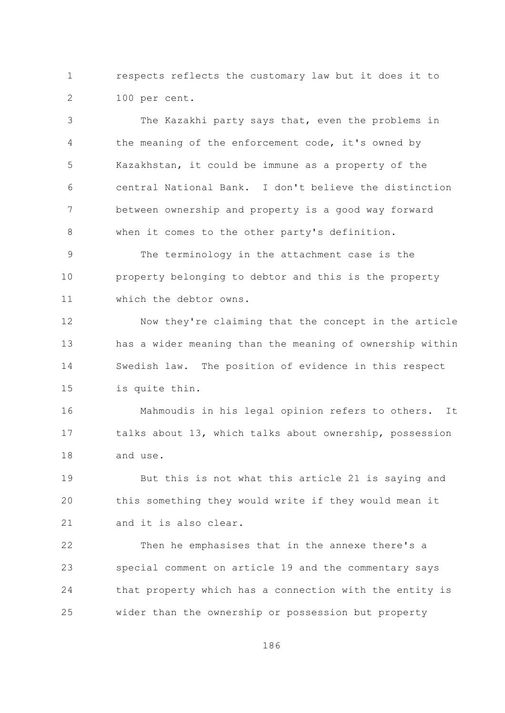$\mathbf{1}$ respects reflects the customary law but it does it to  $\overline{2}$ 100 per cent.

The Kazakhi party says that, even the problems in 3 the meaning of the enforcement code, it's owned by 4 5 Kazakhstan, it could be immune as a property of the central National Bank. I don't believe the distinction 6  $7\overline{ }$ between ownership and property is a good way forward  $\,8\,$ when it comes to the other party's definition.

The terminology in the attachment case is the 9  $10$ property belonging to debtor and this is the property  $11$ which the debtor owns.

Now they're claiming that the concept in the article  $12$  $13$ has a wider meaning than the meaning of ownership within 14 Swedish law. The position of evidence in this respect 15 is quite thin.

Mahmoudis in his legal opinion refers to others. 16 It talks about 13, which talks about ownership, possession  $17$  $18$ and use.

19 But this is not what this article 21 is saying and this something they would write if they would mean it 20 21 and it is also clear.

22 Then he emphasises that in the annexe there's a special comment on article 19 and the commentary says 23 24 that property which has a connection with the entity is wider than the ownership or possession but property 25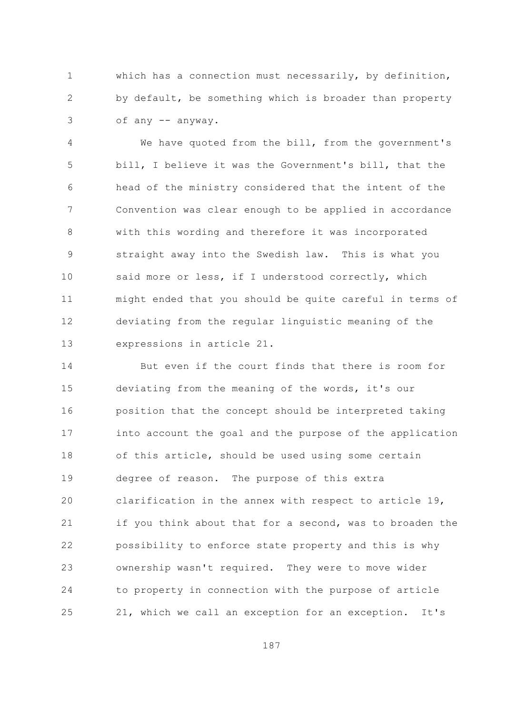$\mathbf{1}$ which has a connection must necessarily, by definition,  $\overline{2}$ by default, be something which is broader than property of any -- anyway. 3

 $\overline{4}$ We have quoted from the bill, from the government's 5 bill, I believe it was the Government's bill, that the head of the ministry considered that the intent of the 6  $7\overline{ }$ Convention was clear enough to be applied in accordance 8 with this wording and therefore it was incorporated straight away into the Swedish law. This is what you 9  $10$ said more or less, if I understood correctly, which might ended that you should be quite careful in terms of  $11$ deviating from the regular linguistic meaning of the 12  $13$ expressions in article 21.

14 But even if the court finds that there is room for 15 deviating from the meaning of the words, it's our position that the concept should be interpreted taking 16 into account the goal and the purpose of the application  $17$ of this article, should be used using some certain 18 19 degree of reason. The purpose of this extra 20 clarification in the annex with respect to article 19, if you think about that for a second, was to broaden the 21 22 possibility to enforce state property and this is why ownership wasn't required. They were to move wider 23 24 to property in connection with the purpose of article 21, which we call an exception for an exception. It's 25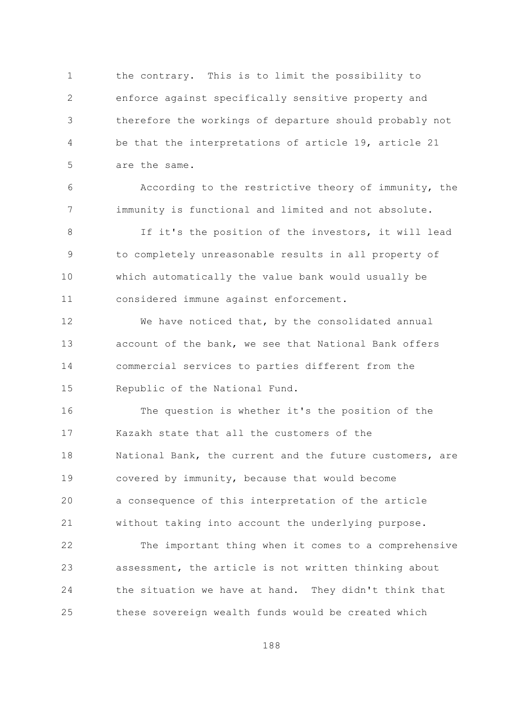$\mathbf{1}$ the contrary. This is to limit the possibility to  $\overline{2}$ enforce against specifically sensitive property and therefore the workings of departure should probably not 3  $\overline{4}$ be that the interpretations of article 19, article 21 5 are the same.

According to the restrictive theory of immunity, the 6  $7\overline{ }$ immunity is functional and limited and not absolute.

If it's the position of the investors, it will lead  $\mathsf{R}$ 9 to completely unreasonable results in all property of  $10$ which automatically the value bank would usually be  $11$ considered immune against enforcement.

We have noticed that, by the consolidated annual 12  $13$ account of the bank, we see that National Bank offers 14 commercial services to parties different from the 15 Republic of the National Fund.

The question is whether it's the position of the 16 Kazakh state that all the customers of the  $17$ 18 National Bank, the current and the future customers, are 19 covered by immunity, because that would become 20 a consequence of this interpretation of the article 21 without taking into account the underlying purpose.

22 The important thing when it comes to a comprehensive assessment, the article is not written thinking about 23 24 the situation we have at hand. They didn't think that these sovereign wealth funds would be created which 25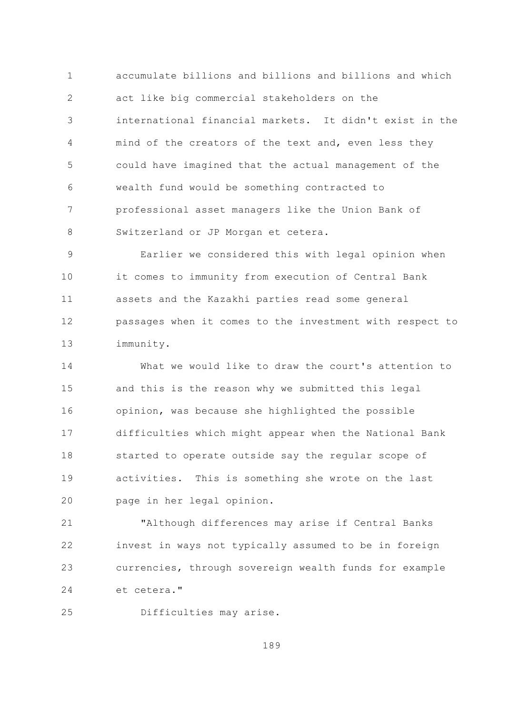accumulate billions and billions and billions and which  $\mathbf{1}$  $\overline{2}$ act like big commercial stakeholders on the international financial markets. It didn't exist in the 3  $\overline{4}$ mind of the creators of the text and, even less they 5 could have imagined that the actual management of the wealth fund would be something contracted to 6  $\overline{7}$ professional asset managers like the Union Bank of  $\mathcal{S}_{\mathcal{S}}$ Switzerland or JP Morgan et cetera.

Earlier we considered this with legal opinion when 9  $10$ it comes to immunity from execution of Central Bank assets and the Kazakhi parties read some general  $11$ 12 passages when it comes to the investment with respect to  $13$ immunity.

What we would like to draw the court's attention to 14 15 and this is the reason why we submitted this legal opinion, was because she highlighted the possible 16 difficulties which might appear when the National Bank  $17$  $18$ started to operate outside say the regular scope of activities. This is something she wrote on the last  $19$ 20 page in her legal opinion.

21 "Although differences may arise if Central Banks 22 invest in ways not typically assumed to be in foreign 23 currencies, through sovereign wealth funds for example 24 et cetera."

25 Difficulties may arise.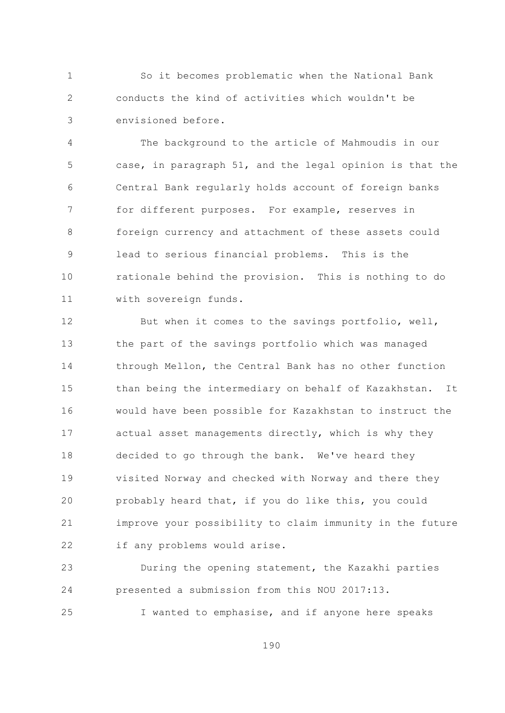$\mathbf{1}$ So it becomes problematic when the National Bank  $\overline{2}$ conducts the kind of activities which wouldn't be envisioned before. 3

The background to the article of Mahmoudis in our  $\overline{4}$ 5 case, in paragraph 51, and the legal opinion is that the Central Bank regularly holds account of foreign banks 6  $7\overline{ }$ for different purposes. For example, reserves in foreign currency and attachment of these assets could  $\mathsf{R}$ lead to serious financial problems. This is the 9  $10$ rationale behind the provision. This is nothing to do  $11$ with sovereign funds.

 $12$ But when it comes to the savings portfolio, well,  $13$ the part of the savings portfolio which was managed 14 through Mellon, the Central Bank has no other function 15 than being the intermediary on behalf of Kazakhstan. It would have been possible for Kazakhstan to instruct the 16 actual asset managements directly, which is why they  $17$  $18$ decided to go through the bank. We've heard they 19 visited Norway and checked with Norway and there they probably heard that, if you do like this, you could 20 21 improve your possibility to claim immunity in the future 22 if any problems would arise.

During the opening statement, the Kazakhi parties 23 presented a submission from this NOU 2017:13. 24

25 I wanted to emphasise, and if anyone here speaks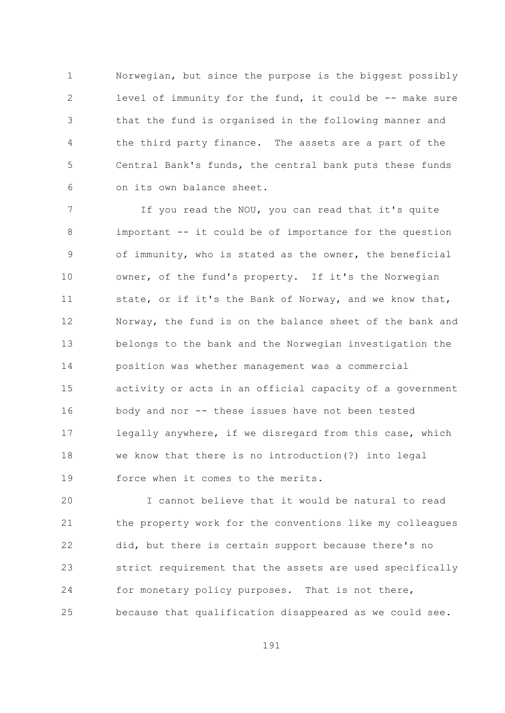$\mathbf{1}$ Norwegian, but since the purpose is the biggest possibly  $\overline{2}$ level of immunity for the fund, it could be -- make sure that the fund is organised in the following manner and 3  $\sqrt{4}$ the third party finance. The assets are a part of the 5 Central Bank's funds, the central bank puts these funds on its own balance sheet. 6

 $\overline{7}$ If you read the NOU, you can read that it's quite 8 important -- it could be of importance for the question of immunity, who is stated as the owner, the beneficial 9  $10$ owner, of the fund's property. If it's the Norwegian state, or if it's the Bank of Norway, and we know that,  $11$ 12 Norway, the fund is on the balance sheet of the bank and  $13$ belongs to the bank and the Norwegian investigation the 14 position was whether management was a commercial 15 activity or acts in an official capacity of a government body and nor -- these issues have not been tested 16 legally anywhere, if we disregard from this case, which  $17$ we know that there is no introduction (?) into legal 18 force when it comes to the merits. 19

I cannot believe that it would be natural to read 20 21 the property work for the conventions like my colleagues 22 did, but there is certain support because there's no 23 strict requirement that the assets are used specifically 24 for monetary policy purposes. That is not there, because that qualification disappeared as we could see. 25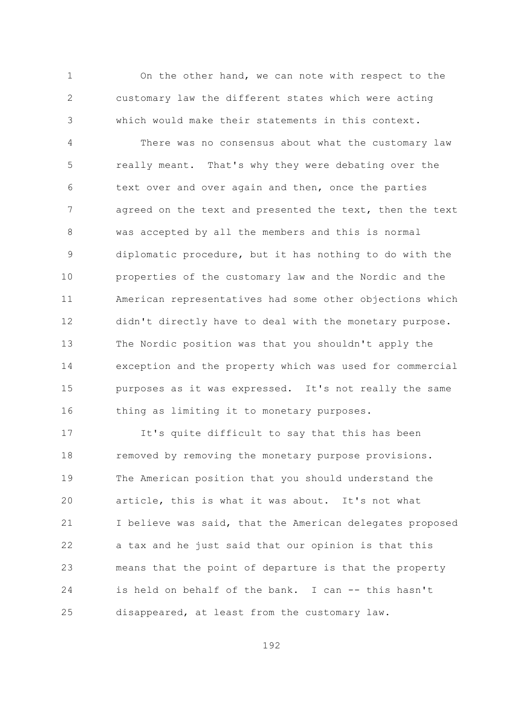On the other hand, we can note with respect to the  $\mathbf{1}$  $\overline{2}$ customary law the different states which were acting which would make their statements in this context. 3

 $\overline{4}$ There was no consensus about what the customary law 5 really meant. That's why they were debating over the text over and over again and then, once the parties 6  $\overline{7}$ agreed on the text and presented the text, then the text  $\mathcal{S}_{\mathcal{S}}$ was accepted by all the members and this is normal diplomatic procedure, but it has nothing to do with the 9  $10$ properties of the customary law and the Nordic and the American representatives had some other objections which  $11$ didn't directly have to deal with the monetary purpose. 12  $13$ The Nordic position was that you shouldn't apply the 14 exception and the property which was used for commercial 15 purposes as it was expressed. It's not really the same 16 thing as limiting it to monetary purposes.

 $17$ It's quite difficult to say that this has been 18 removed by removing the monetary purpose provisions. The American position that you should understand the 19 article, this is what it was about. It's not what 20 21 I believe was said, that the American delegates proposed 22 a tax and he just said that our opinion is that this 23 means that the point of departure is that the property is held on behalf of the bank. I can -- this hasn't 24 25 disappeared, at least from the customary law.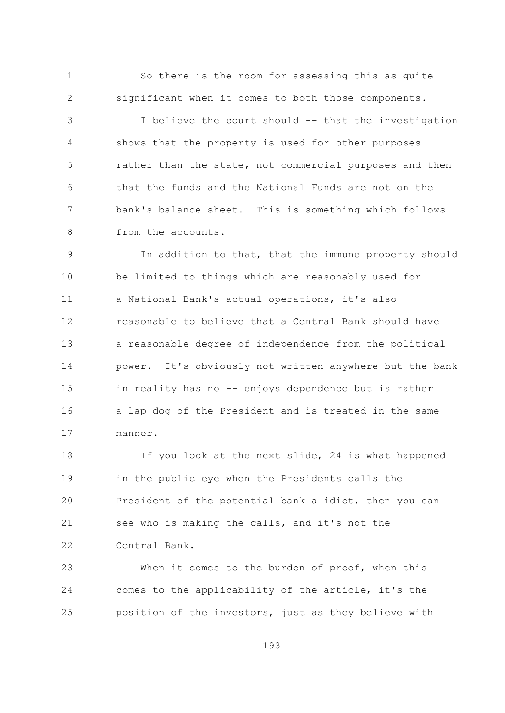$\mathbf{1}$ So there is the room for assessing this as quite  $\overline{2}$ significant when it comes to both those components.

I believe the court should -- that the investigation 3  $\sqrt{4}$ shows that the property is used for other purposes 5 rather than the state, not commercial purposes and then that the funds and the National Funds are not on the 6  $7\overline{ }$ bank's balance sheet. This is something which follows  $\mathcal{S}_{\mathcal{S}}$ from the accounts.

In addition to that, that the immune property should 9  $10$ be limited to things which are reasonably used for a National Bank's actual operations, it's also  $11$ reasonable to believe that a Central Bank should have 12  $13$ a reasonable degree of independence from the political 14 power. It's obviously not written anywhere but the bank 1.5 in reality has no -- enjoys dependence but is rather a lap dog of the President and is treated in the same 16  $17$ manner.

If you look at the next slide, 24 is what happened  $18$ 19 in the public eye when the Presidents calls the 20 President of the potential bank a idiot, then you can 21 see who is making the calls, and it's not the 22 Central Bank.

When it comes to the burden of proof, when this 23 24 comes to the applicability of the article, it's the position of the investors, just as they believe with 25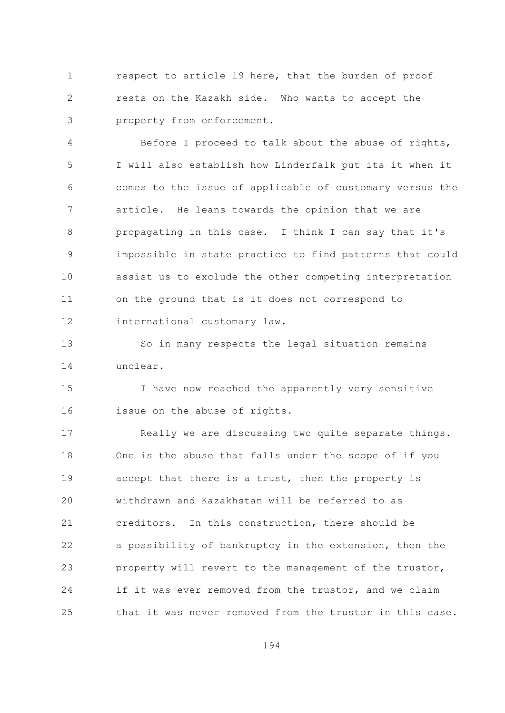respect to article 19 here, that the burden of proof  $\mathbf{1}$  $\overline{2}$ rests on the Kazakh side. Who wants to accept the property from enforcement. 3

 $\overline{4}$ Before I proceed to talk about the abuse of rights, 5 I will also establish how Linderfalk put its it when it comes to the issue of applicable of customary versus the 6  $7\overline{ }$ article. He leans towards the opinion that we are  $\mathcal{S}_{\mathcal{S}}$ propagating in this case. I think I can say that it's impossible in state practice to find patterns that could 9  $10$ assist us to exclude the other competing interpretation on the ground that is it does not correspond to  $11$ 12 international customary law.

So in many respects the legal situation remains  $13$ 14 unclear.

1.5 I have now reached the apparently very sensitive issue on the abuse of rights. 16

 $17$ Really we are discussing two quite separate things. 18 One is the abuse that falls under the scope of if you 19 accept that there is a trust, then the property is withdrawn and Kazakhstan will be referred to as 20 21 creditors. In this construction, there should be 22 a possibility of bankruptcy in the extension, then the 23 property will revert to the management of the trustor, 24 if it was ever removed from the trustor, and we claim that it was never removed from the trustor in this case.  $2.5$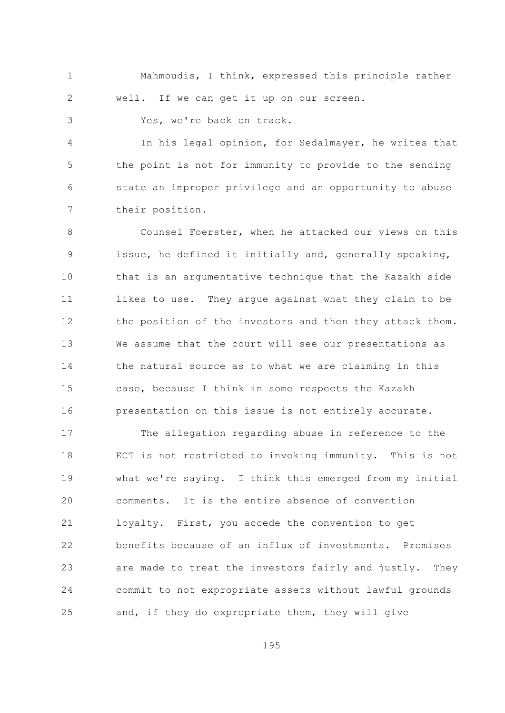Mahmoudis, I think, expressed this principle rather  $\mathbf{1}$  $\overline{2}$ well. If we can get it up on our screen.

Yes, we're back on track.

3

In his legal opinion, for Sedalmayer, he writes that  $\overline{4}$ 5 the point is not for immunity to provide to the sending state an improper privilege and an opportunity to abuse 6  $7\overline{ }$ their position.

Counsel Foerster, when he attacked our views on this  $\mathsf{R}$ issue, he defined it initially and, generally speaking, 9  $10$ that is an argumentative technique that the Kazakh side  $11$ likes to use. They argue against what they claim to be 12 the position of the investors and then they attack them.  $13$ We assume that the court will see our presentations as 14 the natural source as to what we are claiming in this 15 case, because I think in some respects the Kazakh presentation on this issue is not entirely accurate. 16

The allegation regarding abuse in reference to the  $17$ 18 ECT is not restricted to invoking immunity. This is not 19 what we're saying. I think this emerged from my initial comments. It is the entire absence of convention 20 21 loyalty. First, you accede the convention to get 22 benefits because of an influx of investments. Promises are made to treat the investors fairly and justly. They 23 24 commit to not expropriate assets without lawful grounds and, if they do expropriate them, they will give 25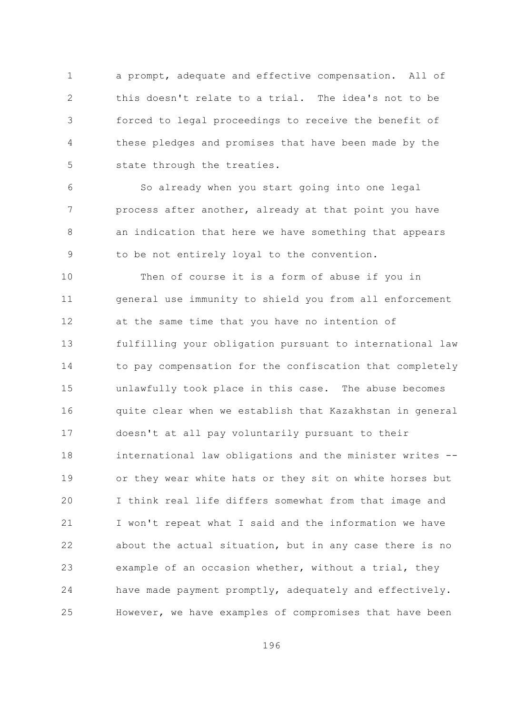$\mathbf{1}$ a prompt, adequate and effective compensation. All of  $\overline{2}$ this doesn't relate to a trial. The idea's not to be forced to legal proceedings to receive the benefit of 3  $\sqrt{4}$ these pledges and promises that have been made by the 5 state through the treaties.

So already when you start going into one legal 6  $\overline{7}$ process after another, already at that point you have an indication that here we have something that appears  $\mathsf{R}$ to be not entirely loval to the convention. 9

 $10$ Then of course it is a form of abuse if you in general use immunity to shield you from all enforcement  $11$ at the same time that you have no intention of 12  $13$ fulfilling your obligation pursuant to international law 14 to pay compensation for the confiscation that completely 15 unlawfully took place in this case. The abuse becomes quite clear when we establish that Kazakhstan in general 16 doesn't at all pay voluntarily pursuant to their  $17$  $18$ international law obligations and the minister writes --19 or they wear white hats or they sit on white horses but I think real life differs somewhat from that image and 20 21 I won't repeat what I said and the information we have 22 about the actual situation, but in any case there is no example of an occasion whether, without a trial, they 23 24 have made payment promptly, adequately and effectively. However, we have examples of compromises that have been 25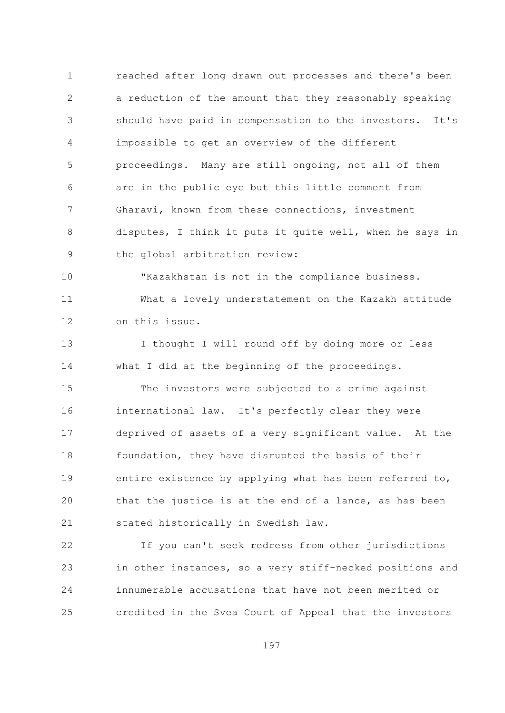$\mathbf{1}$ reached after long drawn out processes and there's been  $\overline{2}$ a reduction of the amount that they reasonably speaking should have paid in compensation to the investors. It's 3  $\overline{4}$ impossible to get an overview of the different 5 proceedings. Many are still ongoing, not all of them are in the public eye but this little comment from 6  $\overline{7}$ Gharavi, known from these connections, investment  $\mathcal{S}_{\mathcal{S}}$ disputes, I think it puts it quite well, when he says in the global arbitration review: 9

 $10$ "Kazakhstan is not in the compliance business.  $11$ What a lovely understatement on the Kazakh attitude 12 on this issue.

 $13$ I thought I will round off by doing more or less 14 what I did at the beginning of the proceedings.

1.5 The investors were subjected to a crime against international law. It's perfectly clear they were 16 deprived of assets of a very significant value. At the  $17$ 18 foundation, they have disrupted the basis of their 19 entire existence by applying what has been referred to, that the justice is at the end of a lance, as has been 20 stated historically in Swedish law. 21

22 If you can't seek redress from other jurisdictions 23 in other instances, so a very stiff-necked positions and 24 innumerable accusations that have not been merited or credited in the Svea Court of Appeal that the investors 25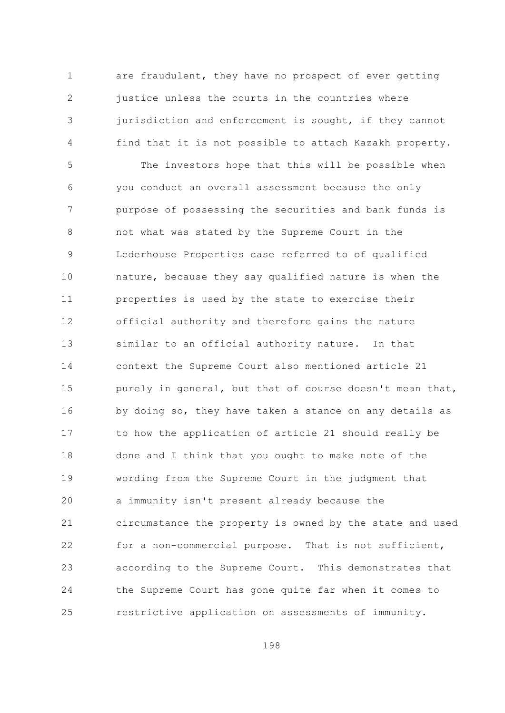$\mathbf{1}$ are fraudulent, they have no prospect of ever getting  $\overline{2}$ justice unless the courts in the countries where jurisdiction and enforcement is sought, if they cannot 3 find that it is not possible to attach Kazakh property.  $\overline{4}$ 

5 The investors hope that this will be possible when you conduct an overall assessment because the only 6  $\overline{7}$ purpose of possessing the securities and bank funds is not what was stated by the Supreme Court in the  $\mathsf{R}$ Lederhouse Properties case referred to of qualified 9  $10$ nature, because they say qualified nature is when the  $11$ properties is used by the state to exercise their 12 official authority and therefore gains the nature  $13$ similar to an official authority nature. In that 14 context the Supreme Court also mentioned article 21 15 purely in general, but that of course doesn't mean that, by doing so, they have taken a stance on any details as 16 to how the application of article 21 should really be  $17$ done and I think that you ought to make note of the  $18$ 19 wording from the Supreme Court in the judgment that 20 a immunity isn't present already because the 21 circumstance the property is owned by the state and used 22 for a non-commercial purpose. That is not sufficient, according to the Supreme Court. This demonstrates that 23 24 the Supreme Court has gone quite far when it comes to restrictive application on assessments of immunity. 25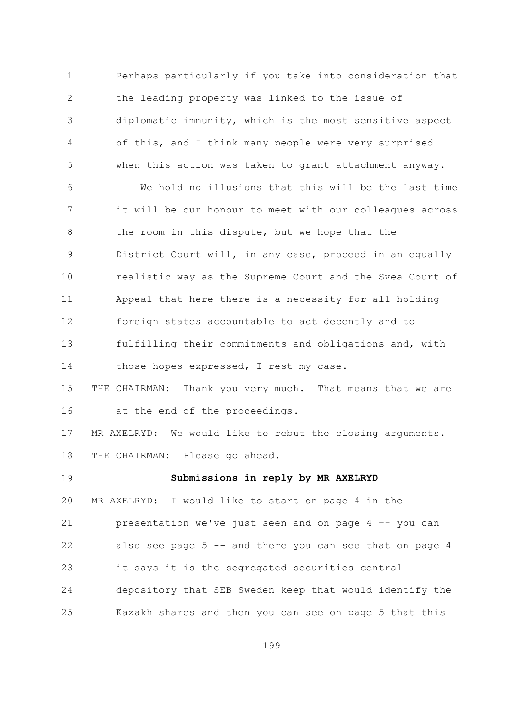Perhaps particularly if you take into consideration that  $\mathbf{1}$  $\overline{2}$ the leading property was linked to the issue of diplomatic immunity, which is the most sensitive aspect 3  $\overline{4}$ of this, and I think many people were very surprised 5 when this action was taken to grant attachment anyway.

We hold no illusions that this will be the last time 6  $7\overline{ }$ it will be our honour to meet with our colleagues across the room in this dispute, but we hope that the 8 District Court will, in any case, proceed in an equally 9  $10$ realistic way as the Supreme Court and the Svea Court of Appeal that here there is a necessity for all holding  $11$ foreign states accountable to act decently and to  $12$ fulfilling their commitments and obligations and, with  $13$ 14 those hopes expressed, I rest my case.

15 THE CHAIRMAN: Thank you very much. That means that we are 16 at the end of the proceedings.

 $17$ MR AXELRYD: We would like to rebut the closing arguments.  $18$ THE CHAIRMAN: Please go ahead.

Submissions in reply by MR AXELRYD  $19$ 20 MR AXELRYD: I would like to start on page 4 in the 21 presentation we've just seen and on page 4 -- you can 22 also see page 5 -- and there you can see that on page 4 23 it says it is the segregated securities central 24 depository that SEB Sweden keep that would identify the Kazakh shares and then you can see on page 5 that this 25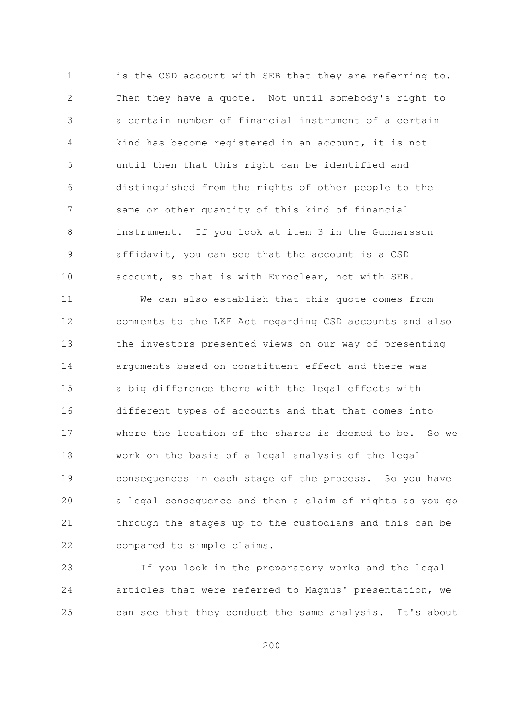$\mathbf{1}$ is the CSD account with SEB that they are referring to.  $\overline{2}$ Then they have a quote. Not until somebody's right to a certain number of financial instrument of a certain 3 kind has become registered in an account, it is not  $\overline{4}$ 5 until then that this right can be identified and distinguished from the rights of other people to the 6  $\overline{7}$ same or other quantity of this kind of financial  $\beta$ instrument. If you look at item 3 in the Gunnarsson affidavit, you can see that the account is a CSD 9  $10$ account, so that is with Euroclear, not with SEB.

We can also establish that this quote comes from  $11$ comments to the LKF Act regarding CSD accounts and also  $12$  $13$ the investors presented views on our way of presenting 14 arguments based on constituent effect and there was 15 a big difference there with the legal effects with different types of accounts and that that comes into 16 where the location of the shares is deemed to be. So we  $17$ work on the basis of a legal analysis of the legal  $18$ 19 consequences in each stage of the process. So you have 20 a legal consequence and then a claim of rights as you go 21 through the stages up to the custodians and this can be  $22$ compared to simple claims.

23 If you look in the preparatory works and the legal 24 articles that were referred to Magnus' presentation, we 25 can see that they conduct the same analysis. It's about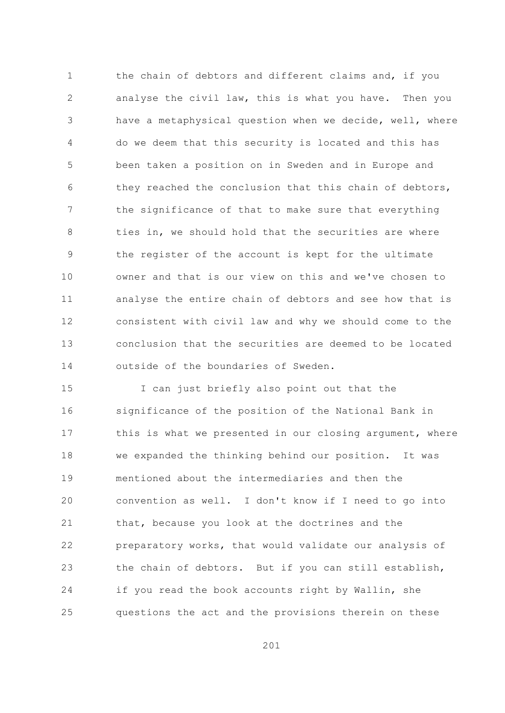$\mathbf{1}$ the chain of debtors and different claims and, if you  $\overline{2}$ analyse the civil law, this is what you have. Then you have a metaphysical question when we decide, well, where 3  $\overline{4}$ do we deem that this security is located and this has 5 been taken a position on in Sweden and in Europe and they reached the conclusion that this chain of debtors, 6  $\overline{7}$ the significance of that to make sure that everything  $\mathcal{S}_{\mathcal{S}}$ ties in, we should hold that the securities are where the register of the account is kept for the ultimate 9  $10$ owner and that is our view on this and we've chosen to  $11$ analyse the entire chain of debtors and see how that is consistent with civil law and why we should come to the 12 conclusion that the securities are deemed to be located  $13$ 14 outside of the boundaries of Sweden.

15 I can just briefly also point out that the significance of the position of the National Bank in 16 this is what we presented in our closing argument, where  $17$  $18$ we expanded the thinking behind our position. It was mentioned about the intermediaries and then the  $19$ 20 convention as well. I don't know if I need to go into 21 that, because you look at the doctrines and the 22 preparatory works, that would validate our analysis of the chain of debtors. But if you can still establish, 23 24 if you read the book accounts right by Wallin, she questions the act and the provisions therein on these 25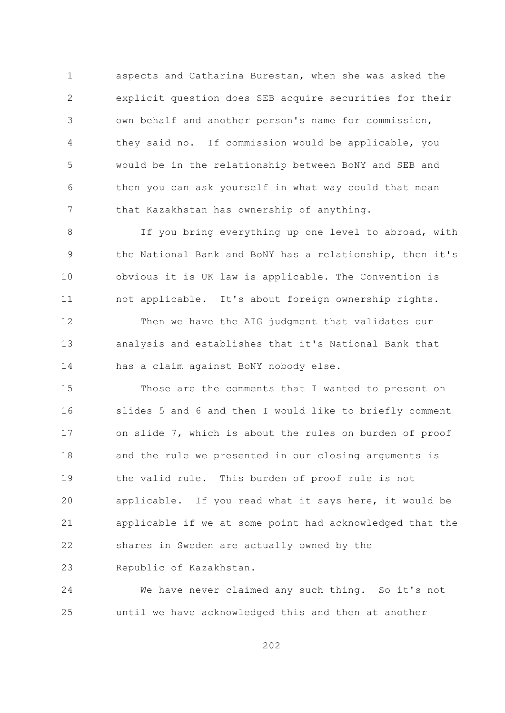aspects and Catharina Burestan, when she was asked the  $\mathbf{1}$  $\overline{2}$ explicit question does SEB acquire securities for their own behalf and another person's name for commission, 3  $\sqrt{4}$ they said no. If commission would be applicable, you 5 would be in the relationship between BoNY and SEB and then you can ask yourself in what way could that mean 6  $7\overline{ }$ that Kazakhstan has ownership of anything.

If you bring everything up one level to abroad, with 8 the National Bank and BoNY has a relationship, then it's 9  $10$ obvious it is UK law is applicable. The Convention is  $11$ not applicable. It's about foreign ownership rights. 12 Then we have the AIG judgment that validates our  $13$ analysis and establishes that it's National Bank that 14 has a claim against BoNY nobody else.

15 Those are the comments that I wanted to present on slides 5 and 6 and then I would like to briefly comment 16 on slide 7, which is about the rules on burden of proof  $17$ 18 and the rule we presented in our closing arguments is 19 the valid rule. This burden of proof rule is not 20 applicable. If you read what it says here, it would be 21 applicable if we at some point had acknowledged that the 22 shares in Sweden are actually owned by the 23 Republic of Kazakhstan.

24 We have never claimed any such thing. So it's not until we have acknowledged this and then at another 25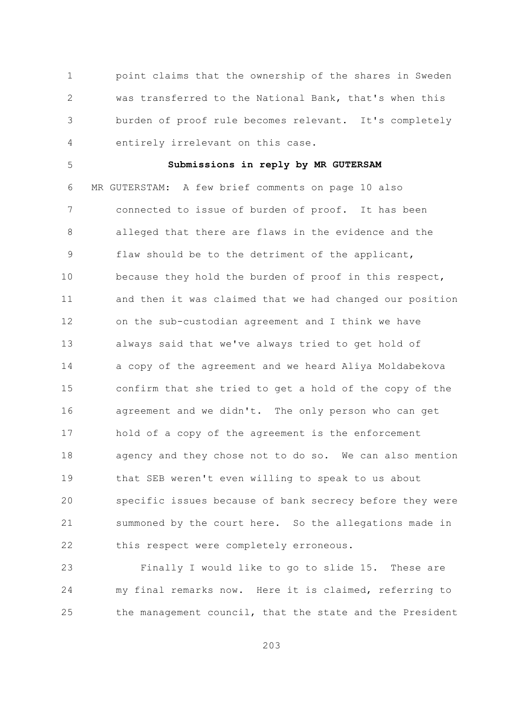$\mathbf{1}$ point claims that the ownership of the shares in Sweden  $\overline{2}$ was transferred to the National Bank, that's when this burden of proof rule becomes relevant. It's completely 3  $\sqrt{4}$ entirely irrelevant on this case.

5

## Submissions in reply by MR GUTERSAM

6 MR GUTERSTAM: A few brief comments on page 10 also  $\overline{7}$ connected to issue of burden of proof. It has been  $\mathcal{S}_{\mathcal{S}}$ alleged that there are flaws in the evidence and the flaw should be to the detriment of the applicant, 9  $10$ because they hold the burden of proof in this respect, and then it was claimed that we had changed our position  $11$ on the sub-custodian agreement and I think we have 12  $13$ always said that we've always tried to get hold of 14 a copy of the agreement and we heard Aliya Moldabekova 1.5 confirm that she tried to get a hold of the copy of the 16 agreement and we didn't. The only person who can get  $17$ hold of a copy of the agreement is the enforcement agency and they chose not to do so. We can also mention  $18$  $19$ that SEB weren't even willing to speak to us about specific issues because of bank secrecy before they were 20 21 summoned by the court here. So the allegations made in 22 this respect were completely erroneous.

Finally I would like to go to slide 15. These are 23 24 my final remarks now. Here it is claimed, referring to the management council, that the state and the President 25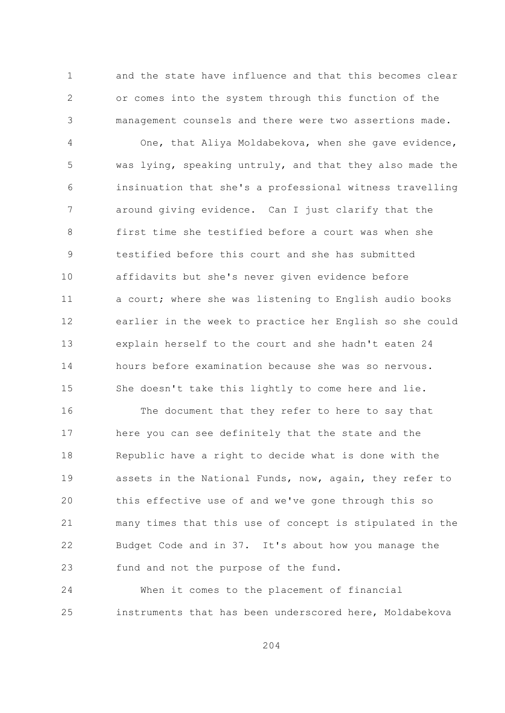$\mathbf{1}$ and the state have influence and that this becomes clear  $\overline{2}$ or comes into the system through this function of the management counsels and there were two assertions made. 3

 $\overline{4}$ One, that Aliya Moldabekova, when she gave evidence, 5 was lying, speaking untruly, and that they also made the insinuation that she's a professional witness travelling 6  $\overline{7}$ around giving evidence. Can I just clarify that the  $\mathcal{S}_{\mathcal{S}}$ first time she testified before a court was when she testified before this court and she has submitted 9  $10$ affidavits but she's never given evidence before  $11$ a court; where she was listening to English audio books 12 earlier in the week to practice her English so she could  $13$ explain herself to the court and she hadn't eaten 24 14 hours before examination because she was so nervous. 15 She doesn't take this lightly to come here and lie.

16 The document that they refer to here to say that here you can see definitely that the state and the  $17$  $18$ Republic have a right to decide what is done with the  $19$ assets in the National Funds, now, again, they refer to this effective use of and we've gone through this so 20 21 many times that this use of concept is stipulated in the 22 Budget Code and in 37. It's about how you manage the 23 fund and not the purpose of the fund.

24 When it comes to the placement of financial instruments that has been underscored here, Moldabekova 25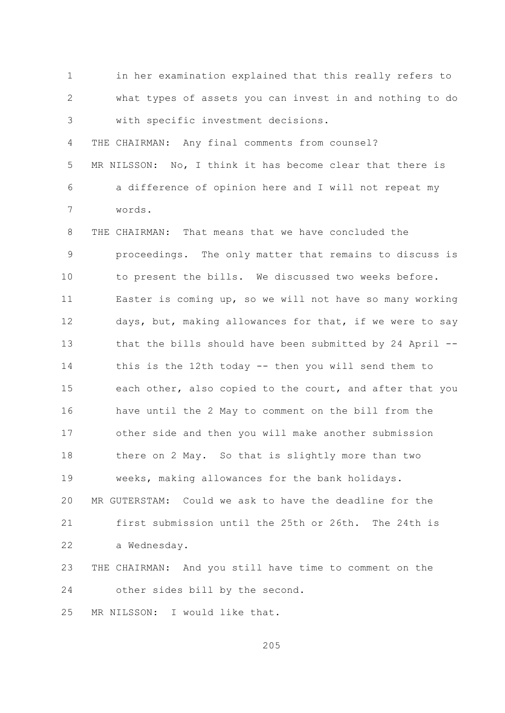$\mathbf{1}$ in her examination explained that this really refers to  $\overline{2}$ what types of assets you can invest in and nothing to do with specific investment decisions. 3  $\sqrt{4}$ THE CHAIRMAN: Any final comments from counsel? 5 MR NILSSON: No, I think it has become clear that there is 6 a difference of opinion here and I will not repeat my  $7\overline{ }$ words. 8 THE CHAIRMAN: That means that we have concluded the proceedings. The only matter that remains to discuss is 9  $10$ to present the bills. We discussed two weeks before.  $11$ Easter is coming up, so we will not have so many working 12 days, but, making allowances for that, if we were to say  $13$ that the bills should have been submitted by 24 April --14 this is the 12th today -- then you will send them to 15 each other, also copied to the court, and after that you have until the 2 May to comment on the bill from the 16 other side and then you will make another submission  $17$ there on 2 May. So that is slightly more than two 18 19 weeks, making allowances for the bank holidays. MR GUTERSTAM: Could we ask to have the deadline for the 20  $21$ first submission until the 25th or 26th. The 24th is  $22$ a Wednesday. 23 THE CHAIRMAN: And you still have time to comment on the 24 other sides bill by the second.

25 MR NILSSON: I would like that.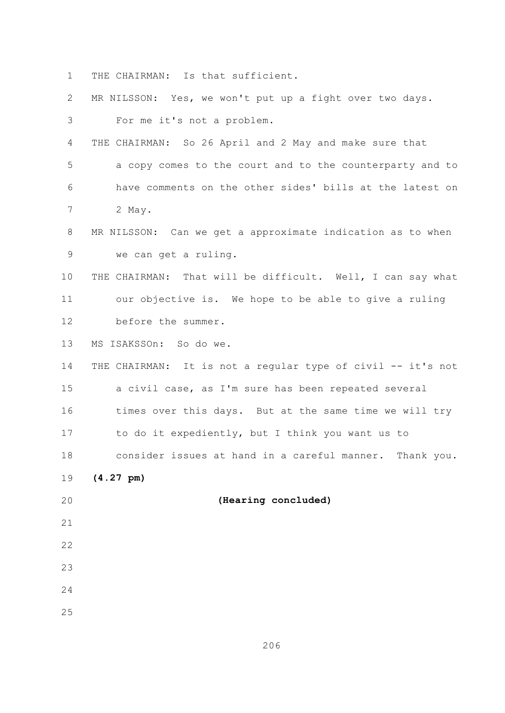THE CHAIRMAN: Is that sufficient.  $\mathbf{1}$ 

 $\overline{2}$ MR NILSSON: Yes, we won't put up a fight over two days.

3 For me it's not a problem.

 $\overline{4}$ THE CHAIRMAN: So 26 April and 2 May and make sure that

5 a copy comes to the court and to the counterparty and to 6 have comments on the other sides' bills at the latest on  $\overline{7}$ 2 May.

8 MR NILSSON: Can we get a approximate indication as to when 9 we can get a ruling.

 $10$ THE CHAIRMAN: That will be difficult. Well, I can say what our objective is. We hope to be able to give a ruling  $11$ before the summer. 12

13 MS ISAKSSOn: So do we.

14 THE CHAIRMAN: It is not a regular type of civil -- it's not 15 a civil case, as I'm sure has been repeated several 16 times over this days. But at the same time we will try 17 to do it expediently, but I think you want us to consider issues at hand in a careful manner. Thank you.  $18$ 

(Hearing concluded)

19  $(4.27 \text{ pm})$ 

 $20$ 

21

22

23

24

25